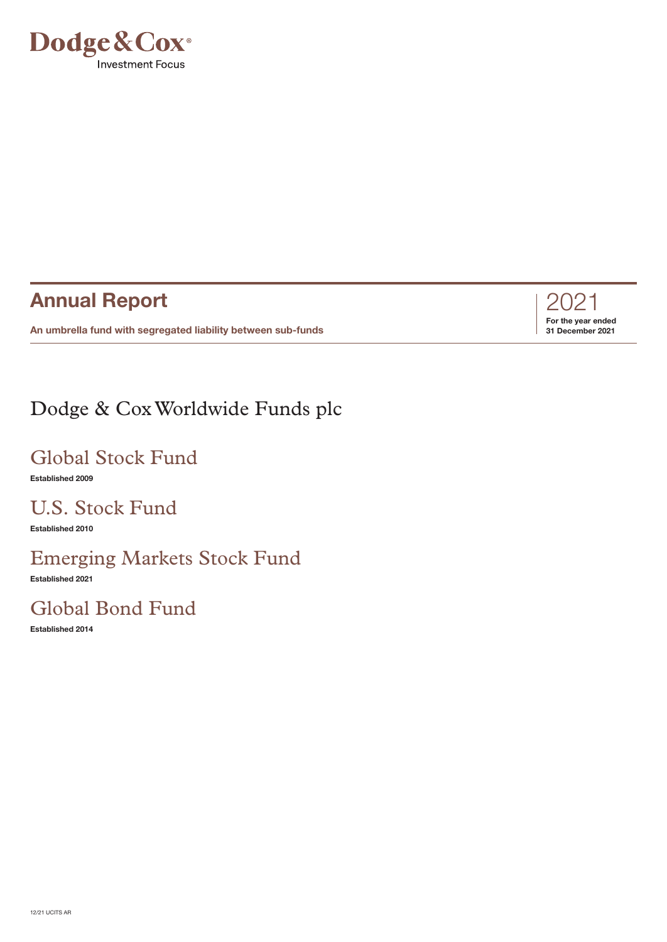

# **Annual Report**

**An umbrella fund with segregated liability between sub-funds**



# Dodge & CoxWorldwide Funds plc

# Global Stock Fund

**Established 2009**

# U.S. Stock Fund

**Established 2010**

# Emerging Markets Stock Fund

**Established 2021**

# Global Bond Fund

**Established 2014**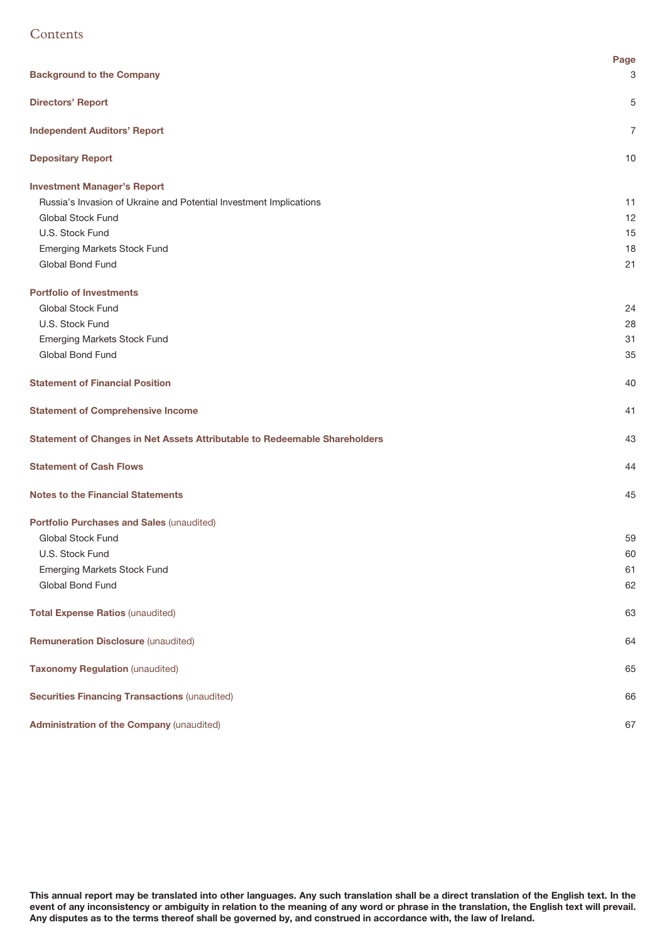# **Contents**

|                                                                            | Page |
|----------------------------------------------------------------------------|------|
| <b>Background to the Company</b>                                           | 3    |
| <b>Directors' Report</b>                                                   | 5    |
| <b>Independent Auditors' Report</b>                                        | 7    |
| <b>Depositary Report</b>                                                   | 10   |
| <b>Investment Manager's Report</b>                                         |      |
| Russia's Invasion of Ukraine and Potential Investment Implications         | 11   |
| Global Stock Fund                                                          | 12   |
| U.S. Stock Fund                                                            | 15   |
| Emerging Markets Stock Fund                                                | 18   |
| Global Bond Fund                                                           | 21   |
| <b>Portfolio of Investments</b>                                            |      |
| Global Stock Fund                                                          | 24   |
| U.S. Stock Fund                                                            | 28   |
| <b>Emerging Markets Stock Fund</b>                                         | 31   |
| Global Bond Fund                                                           | 35   |
| <b>Statement of Financial Position</b>                                     | 40   |
| <b>Statement of Comprehensive Income</b>                                   | 41   |
| Statement of Changes in Net Assets Attributable to Redeemable Shareholders | 43   |
| <b>Statement of Cash Flows</b>                                             | 44   |
| <b>Notes to the Financial Statements</b>                                   | 45   |
| Portfolio Purchases and Sales (unaudited)                                  |      |
| Global Stock Fund                                                          | 59   |
| U.S. Stock Fund                                                            | 60   |
| <b>Emerging Markets Stock Fund</b>                                         | 61   |
| Global Bond Fund                                                           | 62   |
| <b>Total Expense Ratios (unaudited)</b>                                    | 63   |
| <b>Remuneration Disclosure (unaudited)</b>                                 | 64   |
| <b>Taxonomy Regulation (unaudited)</b>                                     | 65   |
| <b>Securities Financing Transactions (unaudited)</b>                       | 66   |
| <b>Administration of the Company (unaudited)</b>                           | 67   |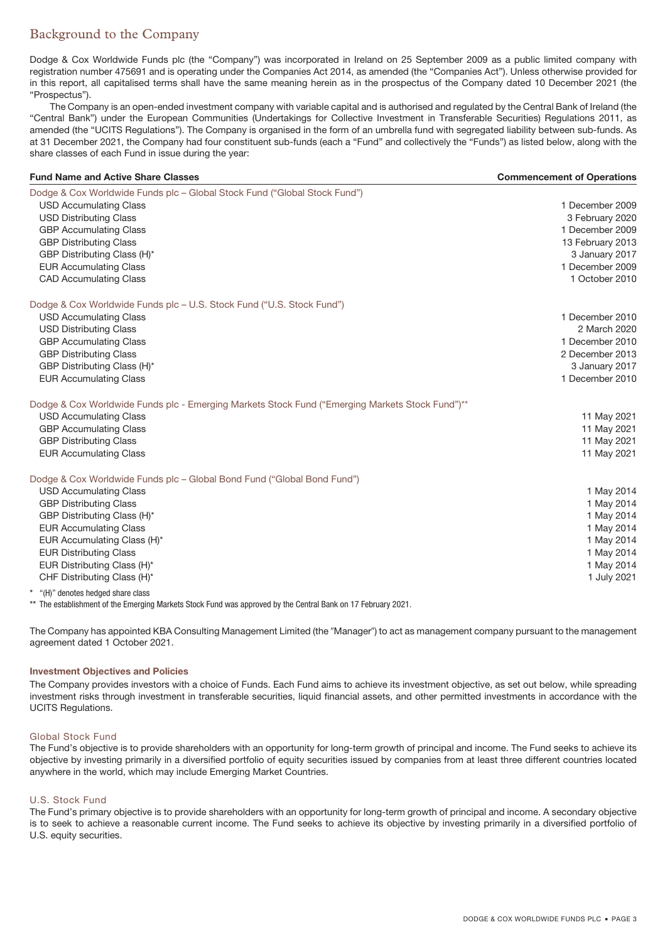# <span id="page-2-0"></span>Background to the Company

Dodge & Cox Worldwide Funds plc (the "Company") was incorporated in Ireland on 25 September 2009 as a public limited company with registration number 475691 and is operating under the Companies Act 2014, as amended (the "Companies Act"). Unless otherwise provided for in this report, all capitalised terms shall have the same meaning herein as in the prospectus of the Company dated 10 December 2021 (the "Prospectus").

The Company is an open-ended investment company with variable capital and is authorised and regulated by the Central Bank of Ireland (the "Central Bank") under the European Communities (Undertakings for Collective Investment in Transferable Securities) Regulations 2011, as amended (the "UCITS Regulations"). The Company is organised in the form of an umbrella fund with segregated liability between sub-funds. As at 31 December 2021, the Company had four constituent sub-funds (each a "Fund" and collectively the "Funds") as listed below, along with the share classes of each Fund in issue during the year:

| <b>Fund Name and Active Share Classes</b>                                                       | <b>Commencement of Operations</b> |
|-------------------------------------------------------------------------------------------------|-----------------------------------|
| Dodge & Cox Worldwide Funds plc – Global Stock Fund ("Global Stock Fund")                       |                                   |
| <b>USD Accumulating Class</b>                                                                   | 1 December 2009                   |
| <b>USD Distributing Class</b>                                                                   | 3 February 2020                   |
| <b>GBP Accumulating Class</b>                                                                   | 1 December 2009                   |
| <b>GBP Distributing Class</b>                                                                   | 13 February 2013                  |
| GBP Distributing Class (H)*                                                                     | 3 January 2017                    |
| <b>EUR Accumulating Class</b>                                                                   | 1 December 2009                   |
| <b>CAD Accumulating Class</b>                                                                   | 1 October 2010                    |
| Dodge & Cox Worldwide Funds plc - U.S. Stock Fund ("U.S. Stock Fund")                           |                                   |
| <b>USD Accumulating Class</b>                                                                   | 1 December 2010                   |
| <b>USD Distributing Class</b>                                                                   | 2 March 2020                      |
| <b>GBP Accumulating Class</b>                                                                   | 1 December 2010                   |
| <b>GBP Distributing Class</b>                                                                   | 2 December 2013                   |
| GBP Distributing Class (H)*                                                                     | 3 January 2017                    |
| <b>EUR Accumulating Class</b>                                                                   | 1 December 2010                   |
| Dodge & Cox Worldwide Funds plc - Emerging Markets Stock Fund ("Emerging Markets Stock Fund")** |                                   |
| <b>USD Accumulating Class</b>                                                                   | 11 May 2021                       |
| <b>GBP Accumulating Class</b>                                                                   | 11 May 2021                       |
| <b>GBP Distributing Class</b>                                                                   | 11 May 2021                       |
| <b>EUR Accumulating Class</b>                                                                   | 11 May 2021                       |
| Dodge & Cox Worldwide Funds plc – Global Bond Fund ("Global Bond Fund")                         |                                   |
| <b>USD Accumulating Class</b>                                                                   | 1 May 2014                        |
| <b>GBP Distributing Class</b>                                                                   | 1 May 2014                        |
| GBP Distributing Class (H)*                                                                     | 1 May 2014                        |
| <b>EUR Accumulating Class</b>                                                                   | 1 May 2014                        |
| EUR Accumulating Class (H)*                                                                     | 1 May 2014                        |
| <b>EUR Distributing Class</b>                                                                   | 1 May 2014                        |
| EUR Distributing Class (H)*                                                                     | 1 May 2014                        |
| CHF Distributing Class (H)*                                                                     | 1 July 2021                       |
|                                                                                                 |                                   |

"(H)" denotes hedged share class

\*\* The establishment of the Emerging Markets Stock Fund was approved by the Central Bank on 17 February 2021.

The Company has appointed KBA Consulting Management Limited (the "Manager") to act as management company pursuant to the management agreement dated 1 October 2021.

### **Investment Objectives and Policies**

The Company provides investors with a choice of Funds. Each Fund aims to achieve its investment objective, as set out below, while spreading investment risks through investment in transferable securities, liquid financial assets, and other permitted investments in accordance with the UCITS Regulations.

### Global Stock Fund

The Fund's objective is to provide shareholders with an opportunity for long-term growth of principal and income. The Fund seeks to achieve its objective by investing primarily in a diversified portfolio of equity securities issued by companies from at least three different countries located anywhere in the world, which may include Emerging Market Countries.

### U.S. Stock Fund

The Fund's primary objective is to provide shareholders with an opportunity for long-term growth of principal and income. A secondary objective is to seek to achieve a reasonable current income. The Fund seeks to achieve its objective by investing primarily in a diversified portfolio of U.S. equity securities.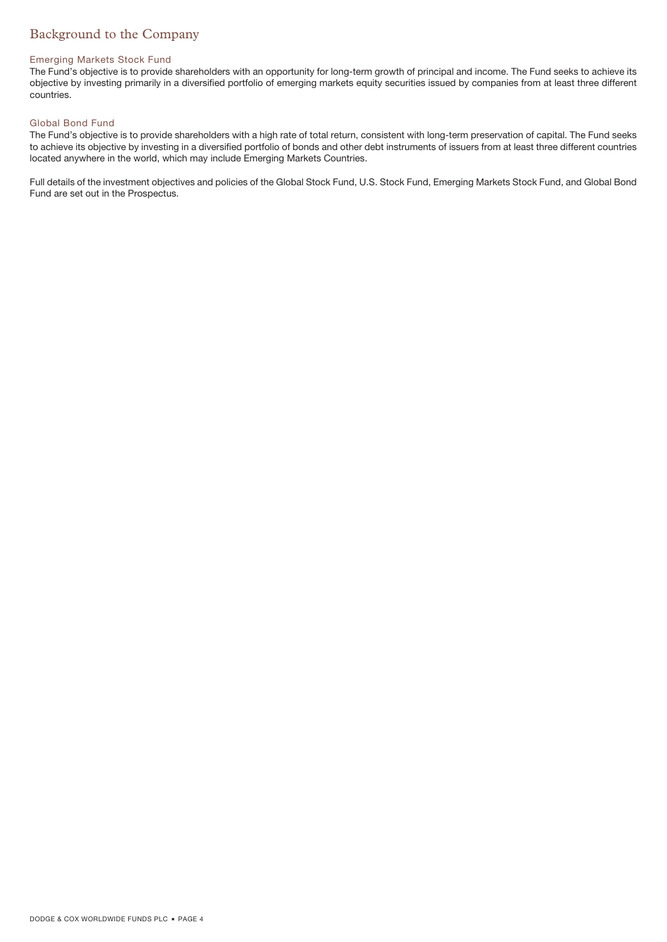# Background to the Company

### Emerging Markets Stock Fund

The Fund's objective is to provide shareholders with an opportunity for long-term growth of principal and income. The Fund seeks to achieve its objective by investing primarily in a diversified portfolio of emerging markets equity securities issued by companies from at least three different countries.

### Global Bond Fund

The Fund's objective is to provide shareholders with a high rate of total return, consistent with long-term preservation of capital. The Fund seeks to achieve its objective by investing in a diversified portfolio of bonds and other debt instruments of issuers from at least three different countries located anywhere in the world, which may include Emerging Markets Countries.

Full details of the investment objectives and policies of the Global Stock Fund, U.S. Stock Fund, Emerging Markets Stock Fund, and Global Bond Fund are set out in the Prospectus.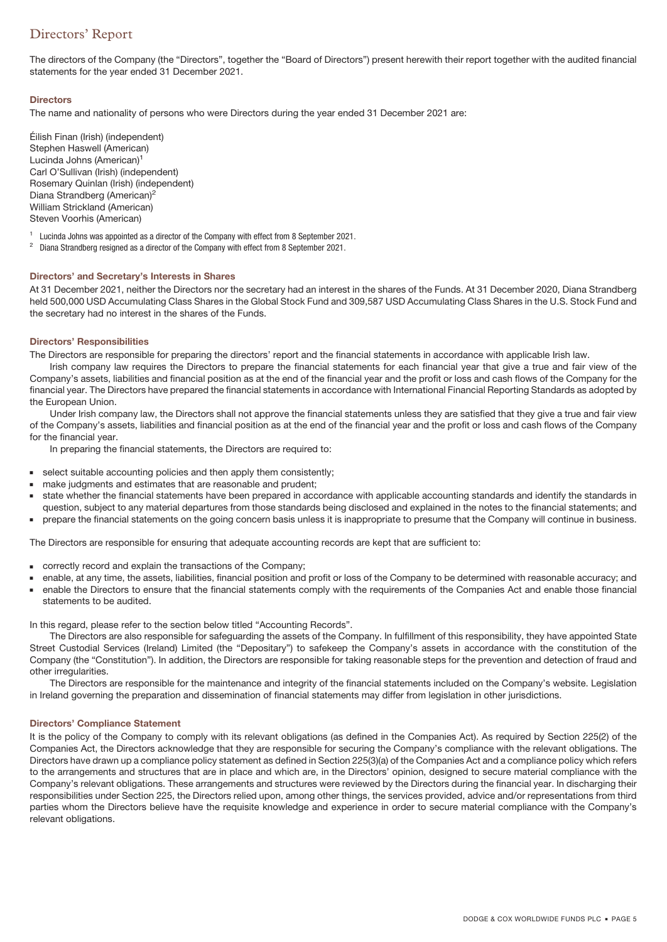# <span id="page-4-0"></span>Directors' Report

The directors of the Company (the "Directors", together the "Board of Directors") present herewith their report together with the audited financial statements for the year ended 31 December 2021.

### **Directors**

The name and nationality of persons who were Directors during the year ended 31 December 2021 are:

Éilish Finan (Irish) (independent) Stephen Haswell (American) Lucinda Johns (American)<sup>1</sup> Carl O'Sullivan (Irish) (independent) Rosemary Quinlan (Irish) (independent) Diana Strandberg (American)<sup>2</sup> William Strickland (American) Steven Voorhis (American)

<sup>1</sup> Lucinda Johns was appointed as a director of the Company with effect from 8 September 2021.<br><sup>2</sup> Diana Strandberg resigned as a director of the Company with effect from 8 September 2021.

<sup>2</sup> Diana Strandberg resigned as a director of the Company with effect from 8 September 2021.

### **Directors' and Secretary's Interests in Shares**

At 31 December 2021, neither the Directors nor the secretary had an interest in the shares of the Funds. At 31 December 2020, Diana Strandberg held 500,000 USD Accumulating Class Shares in the Global Stock Fund and 309,587 USD Accumulating Class Shares in the U.S. Stock Fund and the secretary had no interest in the shares of the Funds.

### **Directors' Responsibilities**

The Directors are responsible for preparing the directors' report and the financial statements in accordance with applicable Irish law.

Irish company law requires the Directors to prepare the financial statements for each financial year that give a true and fair view of the Company's assets, liabilities and financial position as at the end of the financial year and the profit or loss and cash flows of the Company for the financial year. The Directors have prepared the financial statements in accordance with International Financial Reporting Standards as adopted by the European Union.

Under Irish company law, the Directors shall not approve the financial statements unless they are satisfied that they give a true and fair view of the Company's assets, liabilities and financial position as at the end of the financial year and the profit or loss and cash flows of the Company for the financial year.

In preparing the financial statements, the Directors are required to:

- select suitable accounting policies and then apply them consistently;
- make judgments and estimates that are reasonable and prudent;
- state whether the financial statements have been prepared in accordance with applicable accounting standards and identify the standards in question, subject to any material departures from those standards being disclosed and explained in the notes to the financial statements; and
- prepare the financial statements on the going concern basis unless it is inappropriate to presume that the Company will continue in business.

The Directors are responsible for ensuring that adequate accounting records are kept that are sufficient to:

- correctly record and explain the transactions of the Company;
- enable, at any time, the assets, liabilities, financial position and profit or loss of the Company to be determined with reasonable accuracy; and
- enable the Directors to ensure that the financial statements comply with the requirements of the Companies Act and enable those financial statements to be audited.

In this regard, please refer to the section below titled "Accounting Records".

The Directors are also responsible for safeguarding the assets of the Company. In fulfillment of this responsibility, they have appointed State Street Custodial Services (Ireland) Limited (the "Depositary") to safekeep the Company's assets in accordance with the constitution of the Company (the "Constitution"). In addition, the Directors are responsible for taking reasonable steps for the prevention and detection of fraud and other irregularities.

The Directors are responsible for the maintenance and integrity of the financial statements included on the Company's website. Legislation in Ireland governing the preparation and dissemination of financial statements may differ from legislation in other jurisdictions.

### **Directors' Compliance Statement**

It is the policy of the Company to comply with its relevant obligations (as defined in the Companies Act). As required by Section 225(2) of the Companies Act, the Directors acknowledge that they are responsible for securing the Company's compliance with the relevant obligations. The Directors have drawn up a compliance policy statement as defined in Section 225(3)(a) of the Companies Act and a compliance policy which refers to the arrangements and structures that are in place and which are, in the Directors' opinion, designed to secure material compliance with the Company's relevant obligations. These arrangements and structures were reviewed by the Directors during the financial year. In discharging their responsibilities under Section 225, the Directors relied upon, among other things, the services provided, advice and/or representations from third parties whom the Directors believe have the requisite knowledge and experience in order to secure material compliance with the Company's relevant obligations.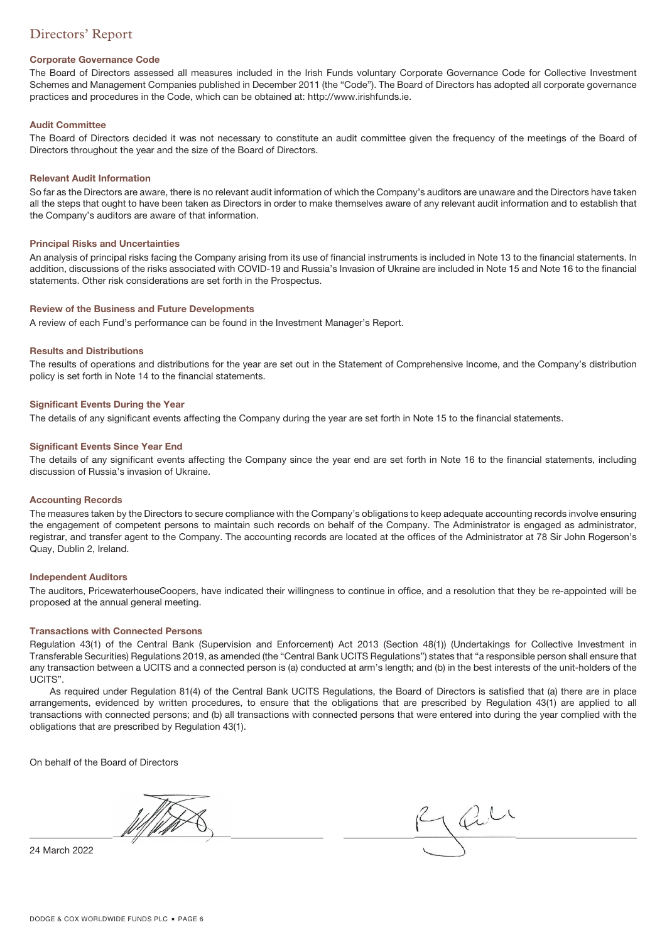# Directors' Report

### **Corporate Governance Code**

The Board of Directors assessed all measures included in the Irish Funds voluntary Corporate Governance Code for Collective Investment Schemes and Management Companies published in December 2011 (the "Code"). The Board of Directors has adopted all corporate governance practices and procedures in the Code, which can be obtained at: http://www.irishfunds.ie.

### **Audit Committee**

The Board of Directors decided it was not necessary to constitute an audit committee given the frequency of the meetings of the Board of Directors throughout the year and the size of the Board of Directors.

### **Relevant Audit Information**

So far as the Directors are aware, there is no relevant audit information of which the Company's auditors are unaware and the Directors have taken all the steps that ought to have been taken as Directors in order to make themselves aware of any relevant audit information and to establish that the Company's auditors are aware of that information.

### **Principal Risks and Uncertainties**

An analysis of principal risks facing the Company arising from its use of financial instruments is included in Note 13 to the financial statements. In addition, discussions of the risks associated with COVID-19 and Russia's Invasion of Ukraine are included in Note 15 and Note 16 to the financial statements. Other risk considerations are set forth in the Prospectus.

### **Review of the Business and Future Developments**

A review of each Fund's performance can be found in the Investment Manager's Report.

### **Results and Distributions**

The results of operations and distributions for the year are set out in the Statement of Comprehensive Income, and the Company's distribution policy is set forth in Note 14 to the financial statements.

### **Significant Events During the Year**

The details of any significant events affecting the Company during the year are set forth in Note 15 to the financial statements.

### **Significant Events Since Year End**

The details of any significant events affecting the Company since the year end are set forth in Note 16 to the financial statements, including discussion of Russia's invasion of Ukraine.

### **Accounting Records**

The measures taken by the Directors to secure compliance with the Company's obligations to keep adequate accounting records involve ensuring the engagement of competent persons to maintain such records on behalf of the Company. The Administrator is engaged as administrator, registrar, and transfer agent to the Company. The accounting records are located at the offices of the Administrator at 78 Sir John Rogerson's Quay, Dublin 2, Ireland.

### **Independent Auditors**

The auditors, PricewaterhouseCoopers, have indicated their willingness to continue in office, and a resolution that they be re-appointed will be proposed at the annual general meeting.

### **Transactions with Connected Persons**

Regulation 43(1) of the Central Bank (Supervision and Enforcement) Act 2013 (Section 48(1)) (Undertakings for Collective Investment in Transferable Securities) Regulations 2019, as amended (the "Central Bank UCITS Regulations") states that "a responsible person shall ensure that any transaction between a UCITS and a connected person is (a) conducted at arm's length; and (b) in the best interests of the unit-holders of the UCITS".

As required under Regulation 81(4) of the Central Bank UCITS Regulations, the Board of Directors is satisfied that (a) there are in place arrangements, evidenced by written procedures, to ensure that the obligations that are prescribed by Regulation 43(1) are applied to all transactions with connected persons; and (b) all transactions with connected persons that were entered into during the year complied with the obligations that are prescribed by Regulation 43(1).

On behalf of the Board of Directors

24 March 2022

Jail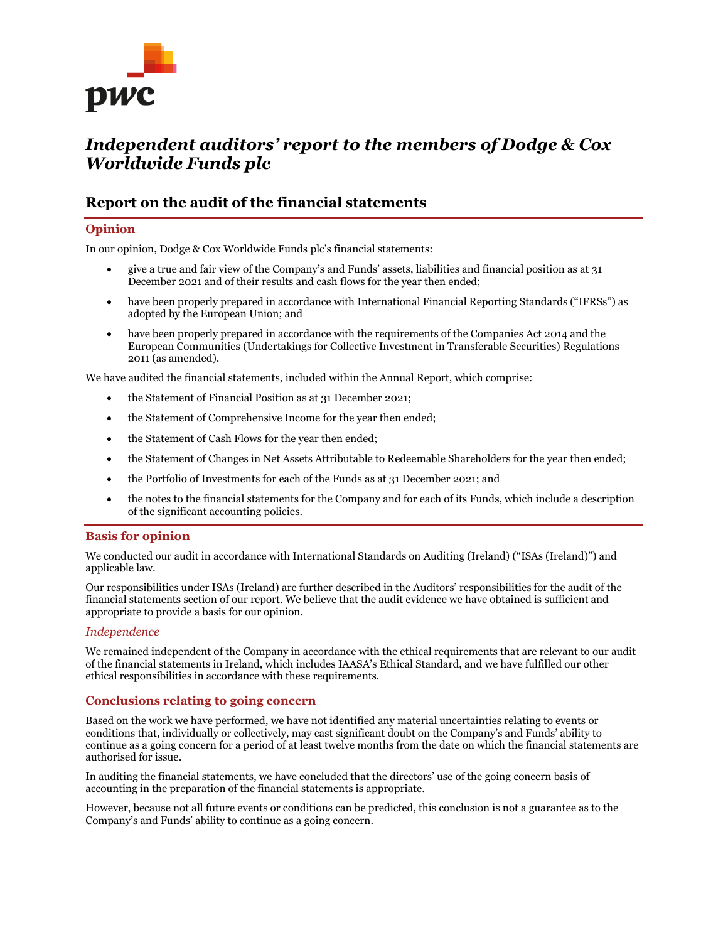

# *Independent auditors' report to the members of Dodge & Cox Worldwide Funds plc*

# **Report on the audit of the financial statements**

### **Opinion**

In our opinion, Dodge & Cox Worldwide Funds plc's financial statements:

- give a true and fair view of the Company's and Funds' assets, liabilities and financial position as at 31 December 2021 and of their results and cash flows for the year then ended;
- have been properly prepared in accordance with International Financial Reporting Standards ("IFRSs") as adopted by the European Union; and
- have been properly prepared in accordance with the requirements of the Companies Act 2014 and the European Communities (Undertakings for Collective Investment in Transferable Securities) Regulations 2011 (as amended).

We have audited the financial statements, included within the Annual Report, which comprise:

- the Statement of Financial Position as at 31 December 2021;
- the Statement of Comprehensive Income for the year then ended;
- the Statement of Cash Flows for the year then ended;
- the Statement of Changes in Net Assets Attributable to Redeemable Shareholders for the year then ended;
- the Portfolio of Investments for each of the Funds as at 31 December 2021; and
- the notes to the financial statements for the Company and for each of its Funds, which include a description of the significant accounting policies.

### **Basis for opinion**

We conducted our audit in accordance with International Standards on Auditing (Ireland) ("ISAs (Ireland)") and applicable law.

Our responsibilities under ISAs (Ireland) are further described in the Auditors' responsibilities for the audit of the financial statements section of our report. We believe that the audit evidence we have obtained is sufficient and appropriate to provide a basis for our opinion.

### *Independence*

We remained independent of the Company in accordance with the ethical requirements that are relevant to our audit of the financial statements in Ireland, which includes IAASA's Ethical Standard, and we have fulfilled our other ethical responsibilities in accordance with these requirements.

### **Conclusions relating to going concern**

Based on the work we have performed, we have not identified any material uncertainties relating to events or conditions that, individually or collectively, may cast significant doubt on the Company's and Funds' ability to continue as a going concern for a period of at least twelve months from the date on which the financial statements are authorised for issue.

In auditing the financial statements, we have concluded that the directors' use of the going concern basis of accounting in the preparation of the financial statements is appropriate.

However, because not all future events or conditions can be predicted, this conclusion is not a guarantee as to the Company's and Funds' ability to continue as a going concern.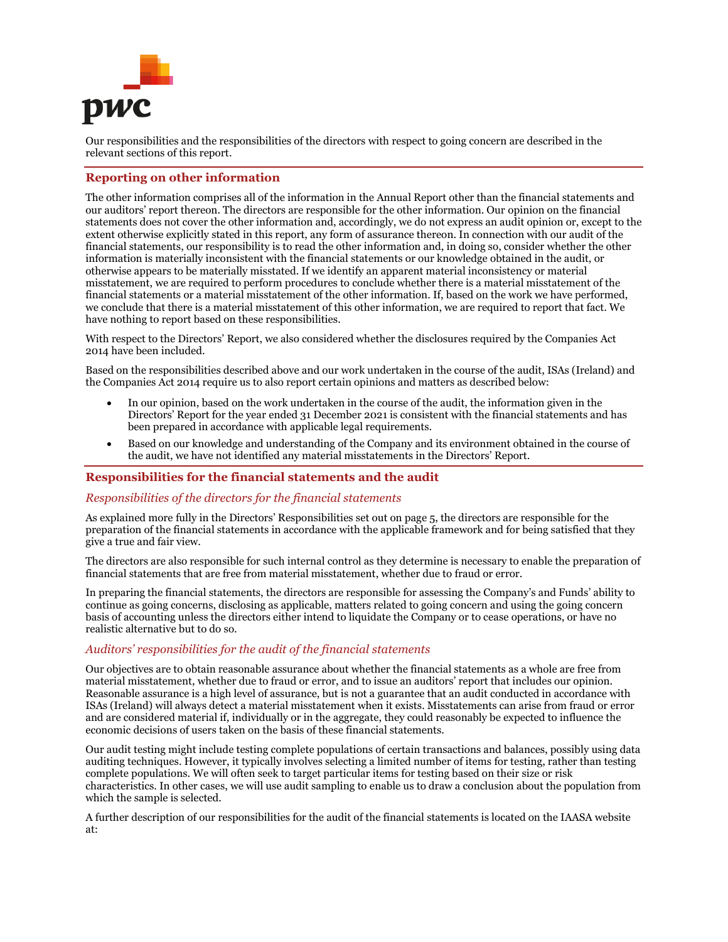

Our responsibilities and the responsibilities of the directors with respect to going concern are described in the relevant sections of this report.

### **Reporting on other information**

The other information comprises all of the information in the Annual Report other than the financial statements and our auditors' report thereon. The directors are responsible for the other information. Our opinion on the financial statements does not cover the other information and, accordingly, we do not express an audit opinion or, except to the extent otherwise explicitly stated in this report, any form of assurance thereon. In connection with our audit of the financial statements, our responsibility is to read the other information and, in doing so, consider whether the other information is materially inconsistent with the financial statements or our knowledge obtained in the audit, or otherwise appears to be materially misstated. If we identify an apparent material inconsistency or material misstatement, we are required to perform procedures to conclude whether there is a material misstatement of the financial statements or a material misstatement of the other information. If, based on the work we have performed, we conclude that there is a material misstatement of this other information, we are required to report that fact. We have nothing to report based on these responsibilities.

With respect to the Directors' Report, we also considered whether the disclosures required by the Companies Act 2014 have been included.

Based on the responsibilities described above and our work undertaken in the course of the audit, ISAs (Ireland) and the Companies Act 2014 require us to also report certain opinions and matters as described below:

- In our opinion, based on the work undertaken in the course of the audit, the information given in the Directors' Report for the year ended 31 December 2021 is consistent with the financial statements and has been prepared in accordance with applicable legal requirements.
- Based on our knowledge and understanding of the Company and its environment obtained in the course of the audit, we have not identified any material misstatements in the Directors' Report.

### **Responsibilities for the financial statements and the audit**

### *Responsibilities of the directors for the financial statements*

As explained more fully in the Directors' Responsibilities set out on page 5, the directors are responsible for the preparation of the financial statements in accordance with the applicable framework and for being satisfied that they give a true and fair view.

The directors are also responsible for such internal control as they determine is necessary to enable the preparation of financial statements that are free from material misstatement, whether due to fraud or error.

In preparing the financial statements, the directors are responsible for assessing the Company's and Funds' ability to continue as going concerns, disclosing as applicable, matters related to going concern and using the going concern basis of accounting unless the directors either intend to liquidate the Company or to cease operations, or have no realistic alternative but to do so.

### *Auditors' responsibilities for the audit of the financial statements*

Our objectives are to obtain reasonable assurance about whether the financial statements as a whole are free from material misstatement, whether due to fraud or error, and to issue an auditors' report that includes our opinion. Reasonable assurance is a high level of assurance, but is not a guarantee that an audit conducted in accordance with ISAs (Ireland) will always detect a material misstatement when it exists. Misstatements can arise from fraud or error and are considered material if, individually or in the aggregate, they could reasonably be expected to influence the economic decisions of users taken on the basis of these financial statements.

Our audit testing might include testing complete populations of certain transactions and balances, possibly using data auditing techniques. However, it typically involves selecting a limited number of items for testing, rather than testing complete populations. We will often seek to target particular items for testing based on their size or risk characteristics. In other cases, we will use audit sampling to enable us to draw a conclusion about the population from which the sample is selected.

A further description of our responsibilities for the audit of the financial statements is located on the IAASA website at: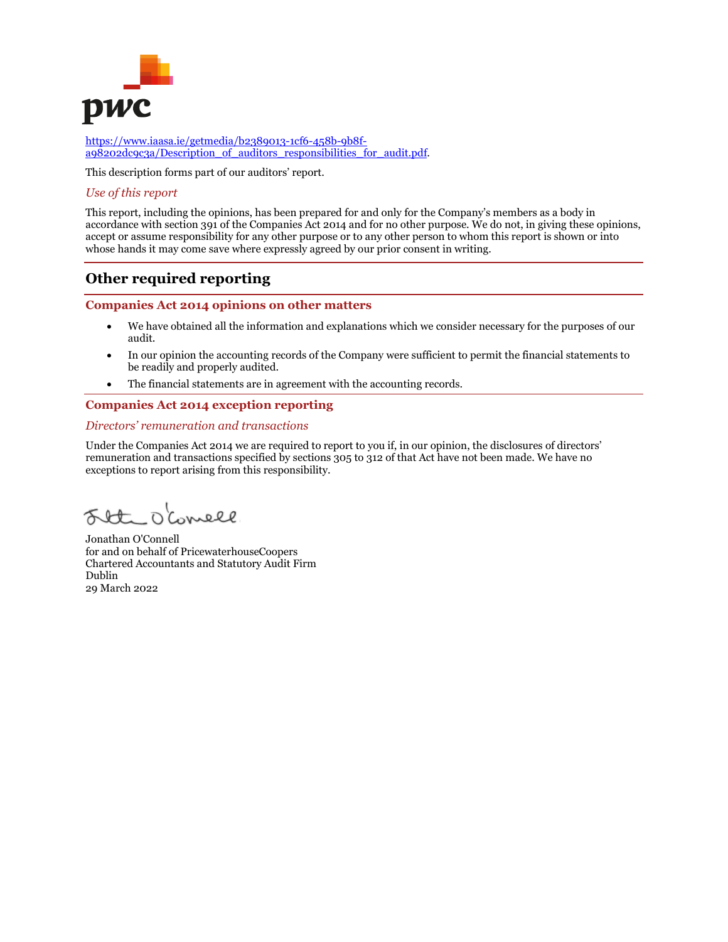

[https://www.iaasa.ie/getmedia/b2389013-1cf6-458b-9b8f](https://www.iaasa.ie/getmedia/b2389013-1cf6-458b-9b8f-a98202dc9c3a/Description_of_auditors_responsibilities_for_audit.pdf)a98202dc9c3a/Description of auditors responsibilities for audit.pdf.

This description forms part of our auditors' report.

### *Use of this report*

This report, including the opinions, has been prepared for and only for the Company's members as a body in accordance with section 391 of the Companies Act 2014 and for no other purpose. We do not, in giving these opinions, accept or assume responsibility for any other purpose or to any other person to whom this report is shown or into whose hands it may come save where expressly agreed by our prior consent in writing.

# **Other required reporting**

### **Companies Act 2014 opinions on other matters**

- We have obtained all the information and explanations which we consider necessary for the purposes of our audit.
- In our opinion the accounting records of the Company were sufficient to permit the financial statements to be readily and properly audited.
- The financial statements are in agreement with the accounting records.

### **Companies Act 2014 exception reporting**

### *Directors' remuneration and transactions*

Under the Companies Act 2014 we are required to report to you if, in our opinion, the disclosures of directors' remuneration and transactions specified by sections 305 to 312 of that Act have not been made. We have no exceptions to report arising from this responsibility.

Flte O'Conell

Jonathan O'Connell for and on behalf of PricewaterhouseCoopers Chartered Accountants and Statutory Audit Firm Dublin 29 March 2022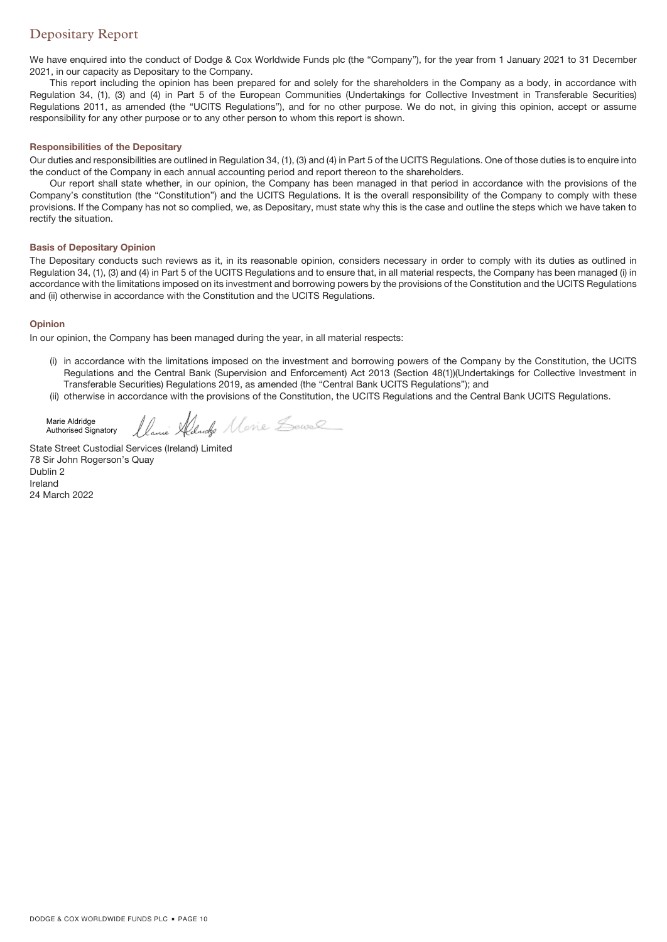# Depositary Report

We have enquired into the conduct of Dodge & Cox Worldwide Funds plc (the "Company"), for the year from 1 January 2021 to 31 December 2021, in our capacity as Depositary to the Company.

This report including the opinion has been prepared for and solely for the shareholders in the Company as a body, in accordance with Regulation 34, (1), (3) and (4) in Part 5 of the European Communities (Undertakings for Collective Investment in Transferable Securities) Regulations 2011, as amended (the "UCITS Regulations"), and for no other purpose. We do not, in giving this opinion, accept or assume responsibility for any other purpose or to any other person to whom this report is shown.

### **Responsibilities of the Depositary**

Our duties and responsibilities are outlined in Regulation 34, (1), (3) and (4) in Part 5 of the UCITS Regulations. One of those duties is to enquire into the conduct of the Company in each annual accounting period and report thereon to the shareholders.

Our report shall state whether, in our opinion, the Company has been managed in that period in accordance with the provisions of the Company's constitution (the "Constitution") and the UCITS Regulations. It is the overall responsibility of the Company to comply with these provisions. If the Company has not so complied, we, as Depositary, must state why this is the case and outline the steps which we have taken to rectify the situation.

### **Basis of Depositary Opinion**

The Depositary conducts such reviews as it, in its reasonable opinion, considers necessary in order to comply with its duties as outlined in Regulation 34, (1), (3) and (4) in Part 5 of the UCITS Regulations and to ensure that, in all material respects, the Company has been managed (i) in accordance with the limitations imposed on its investment and borrowing powers by the provisions of the Constitution and the UCITS Regulations and (ii) otherwise in accordance with the Constitution and the UCITS Regulations.

### **Opinion**

In our opinion, the Company has been managed during the year, in all material respects:

- (i) in accordance with the limitations imposed on the investment and borrowing powers of the Company by the Constitution, the UCITS Regulations and the Central Bank (Supervision and Enforcement) Act 2013 (Section 48(1))(Undertakings for Collective Investment in Transferable Securities) Regulations 2019, as amended (the "Central Bank UCITS Regulations"); and
- (ii) otherwise in accordance with the provisions of the Constitution, the UCITS Regulations and the Central Bank UCITS Regulations.

Marie Aldridge Authorised Signatory

Ilanie Aldridge Marie Lewel

State Street Custodial Services (Ireland) Limited 78 Sir John Rogerson's Quay Dublin 2 Ireland 24 March 2022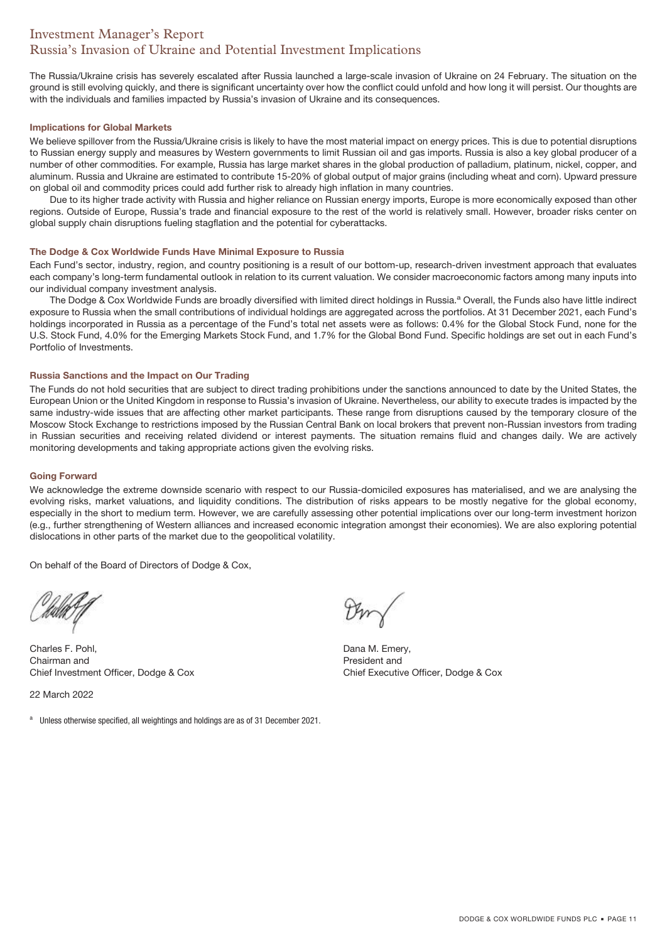# Investment Manager's Report Russia's Invasion of Ukraine and Potential Investment Implications

The Russia/Ukraine crisis has severely escalated after Russia launched a large-scale invasion of Ukraine on 24 February. The situation on the ground is still evolving quickly, and there is significant uncertainty over how the conflict could unfold and how long it will persist. Our thoughts are with the individuals and families impacted by Russia's invasion of Ukraine and its consequences.

### **Implications for Global Markets**

We believe spillover from the Russia/Ukraine crisis is likely to have the most material impact on energy prices. This is due to potential disruptions to Russian energy supply and measures by Western governments to limit Russian oil and gas imports. Russia is also a key global producer of a number of other commodities. For example, Russia has large market shares in the global production of palladium, platinum, nickel, copper, and aluminum. Russia and Ukraine are estimated to contribute 15-20% of global output of major grains (including wheat and corn). Upward pressure on global oil and commodity prices could add further risk to already high inflation in many countries.

Due to its higher trade activity with Russia and higher reliance on Russian energy imports, Europe is more economically exposed than other regions. Outside of Europe, Russia's trade and financial exposure to the rest of the world is relatively small. However, broader risks center on global supply chain disruptions fueling stagflation and the potential for cyberattacks.

### **The Dodge & Cox Worldwide Funds Have Minimal Exposure to Russia**

Each Fund's sector, industry, region, and country positioning is a result of our bottom-up, research-driven investment approach that evaluates each company's long-term fundamental outlook in relation to its current valuation. We consider macroeconomic factors among many inputs into our individual company investment analysis.

The Dodge & Cox Worldwide Funds are broadly diversified with limited direct holdings in Russia.<sup>a</sup> Overall, the Funds also have little indirect exposure to Russia when the small contributions of individual holdings are aggregated across the portfolios. At 31 December 2021, each Fund's holdings incorporated in Russia as a percentage of the Fund's total net assets were as follows: 0.4% for the Global Stock Fund, none for the U.S. Stock Fund, 4.0% for the Emerging Markets Stock Fund, and 1.7% for the Global Bond Fund. Specific holdings are set out in each Fund's Portfolio of Investments.

### **Russia Sanctions and the Impact on Our Trading**

The Funds do not hold securities that are subject to direct trading prohibitions under the sanctions announced to date by the United States, the European Union or the United Kingdom in response to Russia's invasion of Ukraine. Nevertheless, our ability to execute trades is impacted by the same industry-wide issues that are affecting other market participants. These range from disruptions caused by the temporary closure of the Moscow Stock Exchange to restrictions imposed by the Russian Central Bank on local brokers that prevent non-Russian investors from trading in Russian securities and receiving related dividend or interest payments. The situation remains fluid and changes daily. We are actively monitoring developments and taking appropriate actions given the evolving risks.

### **Going Forward**

We acknowledge the extreme downside scenario with respect to our Russia-domiciled exposures has materialised, and we are analysing the evolving risks, market valuations, and liquidity conditions. The distribution of risks appears to be mostly negative for the global economy, especially in the short to medium term. However, we are carefully assessing other potential implications over our long-term investment horizon (e.g., further strengthening of Western alliances and increased economic integration amongst their economies). We are also exploring potential dislocations in other parts of the market due to the geopolitical volatility.

On behalf of the Board of Directors of Dodge & Cox,

Charles F. Pohl, Chairman and Chief Investment Officer, Dodge & Cox

22 March 2022

a Unless otherwise specified, all weightings and holdings are as of 31 December 2021.

Dana M. Emery, President and Chief Executive Officer, Dodge & Cox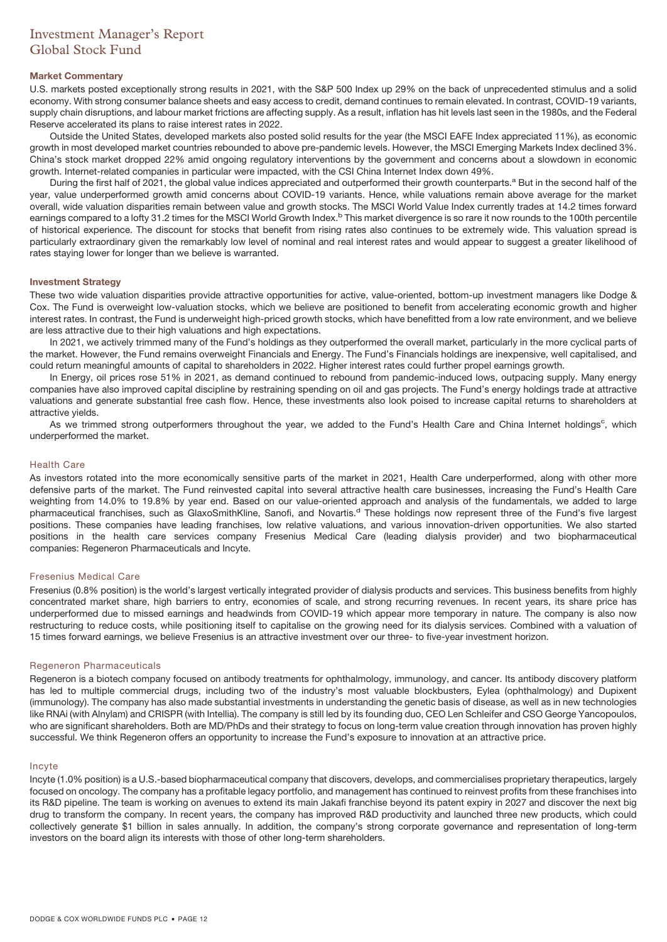# Investment Manager's Report Global Stock Fund

### **Market Commentary**

U.S. markets posted exceptionally strong results in 2021, with the S&P 500 Index up 29% on the back of unprecedented stimulus and a solid economy. With strong consumer balance sheets and easy access to credit, demand continues to remain elevated. In contrast, COVID-19 variants, supply chain disruptions, and labour market frictions are affecting supply. As a result, inflation has hit levels last seen in the 1980s, and the Federal Reserve accelerated its plans to raise interest rates in 2022.

Outside the United States, developed markets also posted solid results for the year (the MSCI EAFE Index appreciated 11%), as economic growth in most developed market countries rebounded to above pre-pandemic levels. However, the MSCI Emerging Markets Index declined 3%. China's stock market dropped 22% amid ongoing regulatory interventions by the government and concerns about a slowdown in economic growth. Internet-related companies in particular were impacted, with the CSI China Internet Index down 49%.

During the first half of 2021, the global value indices appreciated and outperformed their growth counterparts.<sup>a</sup> But in the second half of the year, value underperformed growth amid concerns about COVID-19 variants. Hence, while valuations remain above average for the market overall, wide valuation disparities remain between value and growth stocks. The MSCI World Value Index currently trades at 14.2 times forward earnings compared to a lofty 31.2 times for the MSCI World Growth Index.<sup>b</sup> This market divergence is so rare it now rounds to the 100th percentile of historical experience. The discount for stocks that benefit from rising rates also continues to be extremely wide. This valuation spread is particularly extraordinary given the remarkably low level of nominal and real interest rates and would appear to suggest a greater likelihood of rates staying lower for longer than we believe is warranted.

### **Investment Strategy**

These two wide valuation disparities provide attractive opportunities for active, value-oriented, bottom-up investment managers like Dodge & Cox. The Fund is overweight low-valuation stocks, which we believe are positioned to benefit from accelerating economic growth and higher interest rates. In contrast, the Fund is underweight high-priced growth stocks, which have benefitted from a low rate environment, and we believe are less attractive due to their high valuations and high expectations.

In 2021, we actively trimmed many of the Fund's holdings as they outperformed the overall market, particularly in the more cyclical parts of the market. However, the Fund remains overweight Financials and Energy. The Fund's Financials holdings are inexpensive, well capitalised, and could return meaningful amounts of capital to shareholders in 2022. Higher interest rates could further propel earnings growth.

In Energy, oil prices rose 51% in 2021, as demand continued to rebound from pandemic-induced lows, outpacing supply. Many energy companies have also improved capital discipline by restraining spending on oil and gas projects. The Fund's energy holdings trade at attractive valuations and generate substantial free cash flow. Hence, these investments also look poised to increase capital returns to shareholders at attractive yields.

As we trimmed strong outperformers throughout the year, we added to the Fund's Health Care and China Internet holdings<sup>c</sup>, which underperformed the market.

### Health Care

As investors rotated into the more economically sensitive parts of the market in 2021, Health Care underperformed, along with other more defensive parts of the market. The Fund reinvested capital into several attractive health care businesses, increasing the Fund's Health Care weighting from 14.0% to 19.8% by year end. Based on our value-oriented approach and analysis of the fundamentals, we added to large pharmaceutical franchises, such as GlaxoSmithKline, Sanofi, and Novartis.<sup>d</sup> These holdings now represent three of the Fund's five largest positions. These companies have leading franchises, low relative valuations, and various innovation-driven opportunities. We also started positions in the health care services company Fresenius Medical Care (leading dialysis provider) and two biopharmaceutical companies: Regeneron Pharmaceuticals and Incyte.

### Fresenius Medical Care

Fresenius (0.8% position) is the world's largest vertically integrated provider of dialysis products and services. This business benefits from highly concentrated market share, high barriers to entry, economies of scale, and strong recurring revenues. In recent years, its share price has underperformed due to missed earnings and headwinds from COVID-19 which appear more temporary in nature. The company is also now restructuring to reduce costs, while positioning itself to capitalise on the growing need for its dialysis services. Combined with a valuation of 15 times forward earnings, we believe Fresenius is an attractive investment over our three- to five-year investment horizon.

### Regeneron Pharmaceuticals

Regeneron is a biotech company focused on antibody treatments for ophthalmology, immunology, and cancer. Its antibody discovery platform has led to multiple commercial drugs, including two of the industry's most valuable blockbusters, Eylea (ophthalmology) and Dupixent (immunology). The company has also made substantial investments in understanding the genetic basis of disease, as well as in new technologies like RNAi (with Alnylam) and CRISPR (with Intellia). The company is still led by its founding duo, CEO Len Schleifer and CSO George Yancopoulos, who are significant shareholders. Both are MD/PhDs and their strategy to focus on long-term value creation through innovation has proven highly successful. We think Regeneron offers an opportunity to increase the Fund's exposure to innovation at an attractive price.

### Incyte

Incyte (1.0% position) is a U.S.-based biopharmaceutical company that discovers, develops, and commercialises proprietary therapeutics, largely focused on oncology. The company has a profitable legacy portfolio, and management has continued to reinvest profits from these franchises into its R&D pipeline. The team is working on avenues to extend its main Jakafi franchise beyond its patent expiry in 2027 and discover the next big drug to transform the company. In recent years, the company has improved R&D productivity and launched three new products, which could collectively generate \$1 billion in sales annually. In addition, the company's strong corporate governance and representation of long-term investors on the board align its interests with those of other long-term shareholders.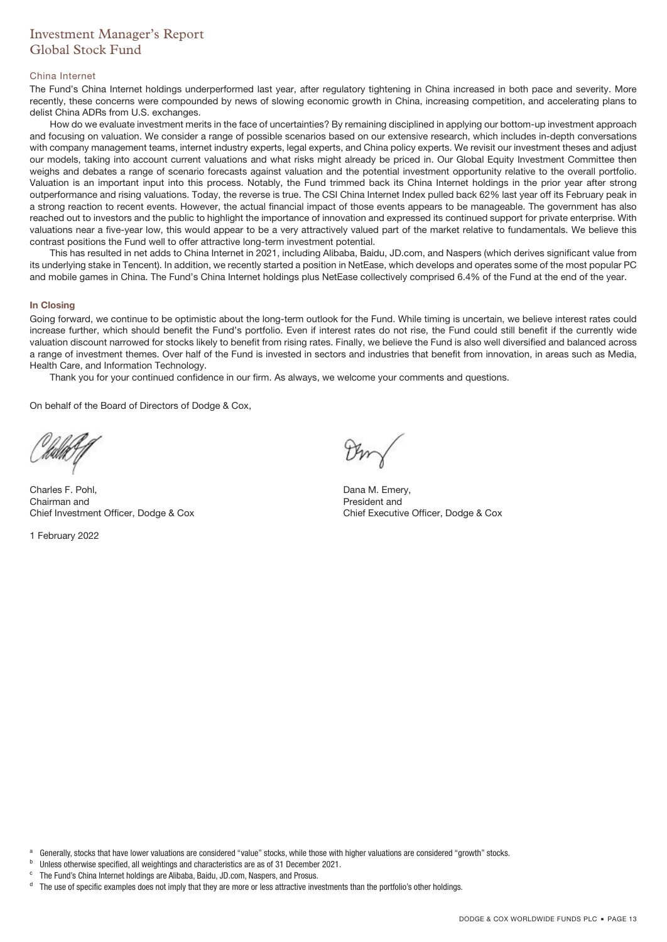# Investment Manager's Report Global Stock Fund

### China Internet

The Fund's China Internet holdings underperformed last year, after regulatory tightening in China increased in both pace and severity. More recently, these concerns were compounded by news of slowing economic growth in China, increasing competition, and accelerating plans to delist China ADRs from U.S. exchanges.

How do we evaluate investment merits in the face of uncertainties? By remaining disciplined in applying our bottom-up investment approach and focusing on valuation. We consider a range of possible scenarios based on our extensive research, which includes in-depth conversations with company management teams, internet industry experts, legal experts, and China policy experts. We revisit our investment theses and adjust our models, taking into account current valuations and what risks might already be priced in. Our Global Equity Investment Committee then weighs and debates a range of scenario forecasts against valuation and the potential investment opportunity relative to the overall portfolio. Valuation is an important input into this process. Notably, the Fund trimmed back its China Internet holdings in the prior year after strong outperformance and rising valuations. Today, the reverse is true. The CSI China Internet Index pulled back 62% last year off its February peak in a strong reaction to recent events. However, the actual financial impact of those events appears to be manageable. The government has also reached out to investors and the public to highlight the importance of innovation and expressed its continued support for private enterprise. With valuations near a five-year low, this would appear to be a very attractively valued part of the market relative to fundamentals. We believe this contrast positions the Fund well to offer attractive long-term investment potential.

This has resulted in net adds to China Internet in 2021, including Alibaba, Baidu, JD.com, and Naspers (which derives significant value from its underlying stake in Tencent). In addition, we recently started a position in NetEase, which develops and operates some of the most popular PC and mobile games in China. The Fund's China Internet holdings plus NetEase collectively comprised 6.4% of the Fund at the end of the year.

### **In Closing**

Going forward, we continue to be optimistic about the long-term outlook for the Fund. While timing is uncertain, we believe interest rates could increase further, which should benefit the Fund's portfolio. Even if interest rates do not rise, the Fund could still benefit if the currently wide valuation discount narrowed for stocks likely to benefit from rising rates. Finally, we believe the Fund is also well diversified and balanced across a range of investment themes. Over half of the Fund is invested in sectors and industries that benefit from innovation, in areas such as Media, Health Care, and Information Technology.

Thank you for your continued confidence in our firm. As always, we welcome your comments and questions.

On behalf of the Board of Directors of Dodge & Cox,

Charles F. Pohl, Chairman and Chief Investment Officer, Dodge & Cox

1 February 2022

Dana M. Emery, President and Chief Executive Officer, Dodge & Cox

a Generally, stocks that have lower valuations are considered "value" stocks, while those with higher valuations are considered "growth" stocks.

- b Unless otherwise specified, all weightings and characteristics are as of 31 December 2021.
- The Fund's China Internet holdings are Alibaba, Baidu, JD.com, Naspers, and Prosus.

<sup>d</sup> The use of specific examples does not imply that they are more or less attractive investments than the portfolio's other holdings.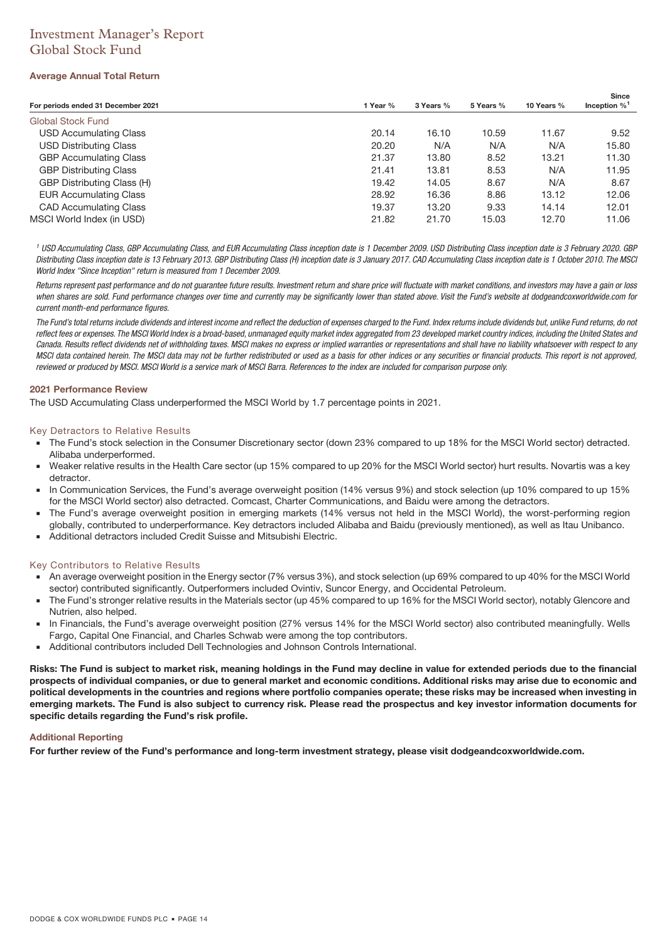# Investment Manager's Report Global Stock Fund

### **Average Annual Total Return**

| For periods ended 31 December 2021 | 1 Year % | 3 Years % | 5 Years % | 10 Years % | <b>Since</b><br>Inception $\%$ <sup>1</sup> |
|------------------------------------|----------|-----------|-----------|------------|---------------------------------------------|
| <b>Global Stock Fund</b>           |          |           |           |            |                                             |
| USD Accumulating Class             | 20.14    | 16.10     | 10.59     | 11.67      | 9.52                                        |
| USD Distributing Class             | 20.20    | N/A       | N/A       | N/A        | 15.80                                       |
| <b>GBP Accumulating Class</b>      | 21.37    | 13.80     | 8.52      | 13.21      | 11.30                                       |
| <b>GBP Distributing Class</b>      | 21.41    | 13.81     | 8.53      | N/A        | 11.95                                       |
| GBP Distributing Class (H)         | 19.42    | 14.05     | 8.67      | N/A        | 8.67                                        |
| <b>EUR Accumulating Class</b>      | 28.92    | 16.36     | 8.86      | 13.12      | 12.06                                       |
| <b>CAD Accumulating Class</b>      | 19.37    | 13.20     | 9.33      | 14.14      | 12.01                                       |
| MSCI World Index (in USD)          | 21.82    | 21.70     | 15.03     | 12.70      | 11.06                                       |

<sup>1</sup> USD Accumulating Class, GBP Accumulating Class, and EUR Accumulating Class inception date is 1 December 2009. USD Distributing Class inception date is 3 February 2020. GBP Distributing Class inception date is 13 February 2013. GBP Distributing Class (H) inception date is 3 January 2017. CAD Accumulating Class inception date is 1 October 2010. The MSCI World Index "Since Inception" return is measured from 1 December 2009.

Returns represent past performance and do not guarantee future results. Investment return and share price will fluctuate with market conditions, and investors may have a gain or loss when shares are sold. Fund performance changes over time and currently may be significantly lower than stated above. Visit the Fund's website at dodgeandcoxworldwide.com for current month-end performance figures.

The Fund's total returns include dividends and interest income and reflect the deduction of expenses charged to the Fund. Index returns include dividends but, unlike Fund returns, do not reflect fees or expenses. The MSCI World Index is a broad-based, unmanaged equity market index aggregated from 23 developed market country indices, including the United States and Canada. Results reflect dividends net of withholding taxes. MSCI makes no express or implied warranties or representations and shall have no liability whatsoever with respect to any MSCI data contained herein. The MSCI data may not be further redistributed or used as a basis for other indices or any securities or financial products. This report is not approved, reviewed or produced by MSCI. MSCI World is a service mark of MSCI Barra. References to the index are included for comparison purpose only.

### **2021 Performance Review**

The USD Accumulating Class underperformed the MSCI World by 1.7 percentage points in 2021.

### Key Detractors to Relative Results

- The Fund's stock selection in the Consumer Discretionary sector (down 23% compared to up 18% for the MSCI World sector) detracted. Alibaba underperformed.
- Weaker relative results in the Health Care sector (up 15% compared to up 20% for the MSCI World sector) hurt results. Novartis was a key detractor.
- In Communication Services, the Fund's average overweight position (14% versus 9%) and stock selection (up 10% compared to up 15% for the MSCI World sector) also detracted. Comcast, Charter Communications, and Baidu were among the detractors.
- The Fund's average overweight position in emerging markets (14% versus not held in the MSCI World), the worst-performing region globally, contributed to underperformance. Key detractors included Alibaba and Baidu (previously mentioned), as well as Itau Unibanco.
- Additional detractors included Credit Suisse and Mitsubishi Electric.

### Key Contributors to Relative Results

- An average overweight position in the Energy sector (7% versus 3%), and stock selection (up 69% compared to up 40% for the MSCI World sector) contributed significantly. Outperformers included Ovintiv, Suncor Energy, and Occidental Petroleum.
- The Fund's stronger relative results in the Materials sector (up 45% compared to up 16% for the MSCI World sector), notably Glencore and Nutrien, also helped.
- In Financials, the Fund's average overweight position (27% versus 14% for the MSCI World sector) also contributed meaningfully. Wells Fargo, Capital One Financial, and Charles Schwab were among the top contributors.
- Additional contributors included Dell Technologies and Johnson Controls International.

**Risks: The Fund is subject to market risk, meaning holdings in the Fund may decline in value for extended periods due to the financial prospects of individual companies, or due to general market and economic conditions. Additional risks may arise due to economic and political developments in the countries and regions where portfolio companies operate; these risks may be increased when investing in emerging markets. The Fund is also subject to currency risk. Please read the prospectus and key investor information documents for specific details regarding the Fund's risk profile.**

### **Additional Reporting**

**For further review of the Fund's performance and long-term investment strategy, please visit dodgeandcoxworldwide.com.**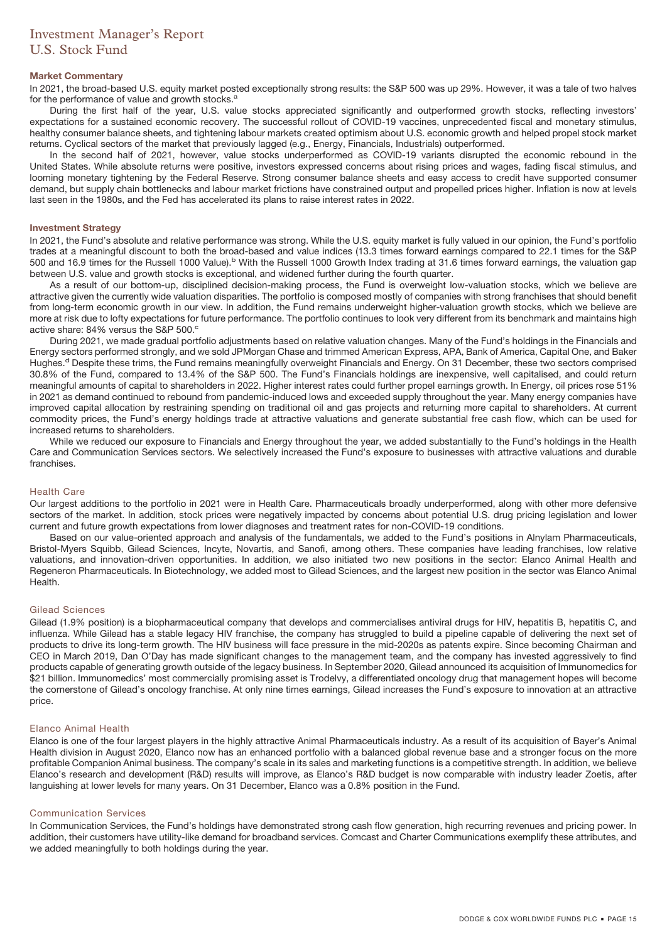# Investment Manager's Report U.S. Stock Fund

### **Market Commentary**

In 2021, the broad-based U.S. equity market posted exceptionally strong results: the S&P 500 was up 29%. However, it was a tale of two halves for the performance of value and growth stocks.<sup>a</sup>

During the first half of the year, U.S. value stocks appreciated significantly and outperformed growth stocks, reflecting investors' expectations for a sustained economic recovery. The successful rollout of COVID-19 vaccines, unprecedented fiscal and monetary stimulus, healthy consumer balance sheets, and tightening labour markets created optimism about U.S. economic growth and helped propel stock market returns. Cyclical sectors of the market that previously lagged (e.g., Energy, Financials, Industrials) outperformed.

In the second half of 2021, however, value stocks underperformed as COVID-19 variants disrupted the economic rebound in the United States. While absolute returns were positive, investors expressed concerns about rising prices and wages, fading fiscal stimulus, and looming monetary tightening by the Federal Reserve. Strong consumer balance sheets and easy access to credit have supported consumer demand, but supply chain bottlenecks and labour market frictions have constrained output and propelled prices higher. Inflation is now at levels last seen in the 1980s, and the Fed has accelerated its plans to raise interest rates in 2022.

#### **Investment Strategy**

In 2021, the Fund's absolute and relative performance was strong. While the U.S. equity market is fully valued in our opinion, the Fund's portfolio trades at a meaningful discount to both the broad-based and value indices (13.3 times forward earnings compared to 22.1 times for the S&P 500 and 16.9 times for the Russell 1000 Value).<sup>b</sup> With the Russell 1000 Growth Index trading at 31.6 times forward earnings, the valuation gap between U.S. value and growth stocks is exceptional, and widened further during the fourth quarter.

As a result of our bottom-up, disciplined decision-making process, the Fund is overweight low-valuation stocks, which we believe are attractive given the currently wide valuation disparities. The portfolio is composed mostly of companies with strong franchises that should benefit from long-term economic growth in our view. In addition, the Fund remains underweight higher-valuation growth stocks, which we believe are more at risk due to lofty expectations for future performance. The portfolio continues to look very different from its benchmark and maintains high active share: 84% versus the S&P 500.<sup>c</sup>

During 2021, we made gradual portfolio adjustments based on relative valuation changes. Many of the Fund's holdings in the Financials and Energy sectors performed strongly, and we sold JPMorgan Chase and trimmed American Express, APA, Bank of America, Capital One, and Baker Hughes.<sup>d</sup> Despite these trims, the Fund remains meaningfully overweight Financials and Energy. On 31 December, these two sectors comprised 30.8% of the Fund, compared to 13.4% of the S&P 500. The Fund's Financials holdings are inexpensive, well capitalised, and could return meaningful amounts of capital to shareholders in 2022. Higher interest rates could further propel earnings growth. In Energy, oil prices rose 51% in 2021 as demand continued to rebound from pandemic-induced lows and exceeded supply throughout the year. Many energy companies have improved capital allocation by restraining spending on traditional oil and gas projects and returning more capital to shareholders. At current commodity prices, the Fund's energy holdings trade at attractive valuations and generate substantial free cash flow, which can be used for increased returns to shareholders.

While we reduced our exposure to Financials and Energy throughout the year, we added substantially to the Fund's holdings in the Health Care and Communication Services sectors. We selectively increased the Fund's exposure to businesses with attractive valuations and durable franchises.

### Health Care

Our largest additions to the portfolio in 2021 were in Health Care. Pharmaceuticals broadly underperformed, along with other more defensive sectors of the market. In addition, stock prices were negatively impacted by concerns about potential U.S. drug pricing legislation and lower current and future growth expectations from lower diagnoses and treatment rates for non-COVID-19 conditions.

Based on our value-oriented approach and analysis of the fundamentals, we added to the Fund's positions in Alnylam Pharmaceuticals, Bristol-Myers Squibb, Gilead Sciences, Incyte, Novartis, and Sanofi, among others. These companies have leading franchises, low relative valuations, and innovation-driven opportunities. In addition, we also initiated two new positions in the sector: Elanco Animal Health and Regeneron Pharmaceuticals. In Biotechnology, we added most to Gilead Sciences, and the largest new position in the sector was Elanco Animal Health.

### Gilead Sciences

Gilead (1.9% position) is a biopharmaceutical company that develops and commercialises antiviral drugs for HIV, hepatitis B, hepatitis C, and influenza. While Gilead has a stable legacy HIV franchise, the company has struggled to build a pipeline capable of delivering the next set of products to drive its long-term growth. The HIV business will face pressure in the mid-2020s as patents expire. Since becoming Chairman and CEO in March 2019, Dan O'Day has made significant changes to the management team, and the company has invested aggressively to find products capable of generating growth outside of the legacy business. In September 2020, Gilead announced its acquisition of Immunomedics for \$21 billion. Immunomedics' most commercially promising asset is Trodelvy, a differentiated oncology drug that management hopes will become the cornerstone of Gilead's oncology franchise. At only nine times earnings, Gilead increases the Fund's exposure to innovation at an attractive price.

### Elanco Animal Health

Elanco is one of the four largest players in the highly attractive Animal Pharmaceuticals industry. As a result of its acquisition of Bayer's Animal Health division in August 2020, Elanco now has an enhanced portfolio with a balanced global revenue base and a stronger focus on the more profitable Companion Animal business. The company's scale in its sales and marketing functions is a competitive strength. In addition, we believe Elanco's research and development (R&D) results will improve, as Elanco's R&D budget is now comparable with industry leader Zoetis, after languishing at lower levels for many years. On 31 December, Elanco was a 0.8% position in the Fund.

### Communication Services

In Communication Services, the Fund's holdings have demonstrated strong cash flow generation, high recurring revenues and pricing power. In addition, their customers have utility-like demand for broadband services. Comcast and Charter Communications exemplify these attributes, and we added meaningfully to both holdings during the year.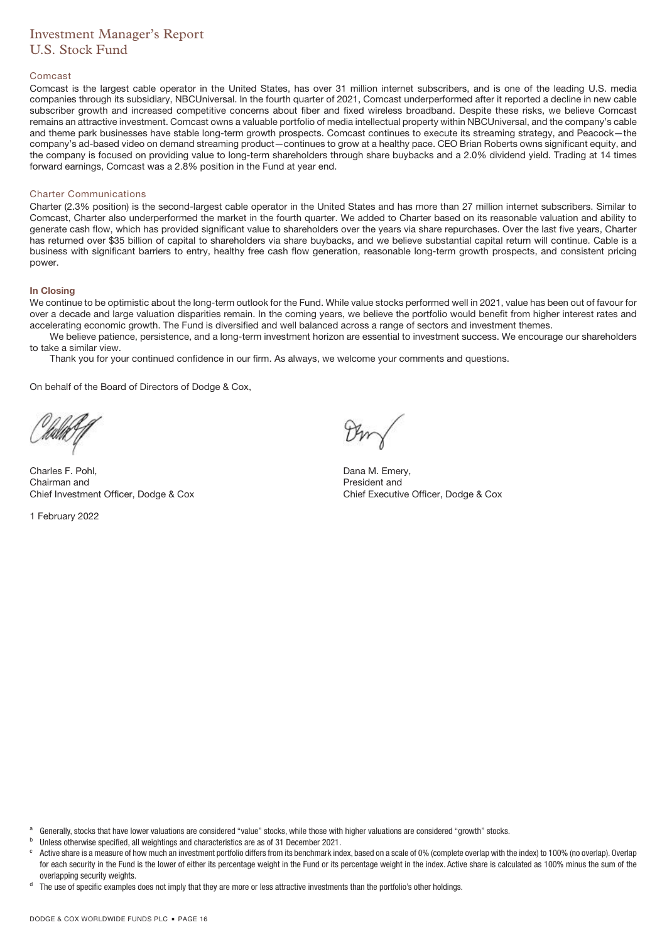# Investment Manager's Report U.S. Stock Fund

### Comcast

Comcast is the largest cable operator in the United States, has over 31 million internet subscribers, and is one of the leading U.S. media companies through its subsidiary, NBCUniversal. In the fourth quarter of 2021, Comcast underperformed after it reported a decline in new cable subscriber growth and increased competitive concerns about fiber and fixed wireless broadband. Despite these risks, we believe Comcast remains an attractive investment. Comcast owns a valuable portfolio of media intellectual property within NBCUniversal, and the company's cable and theme park businesses have stable long-term growth prospects. Comcast continues to execute its streaming strategy, and Peacock—the company's ad-based video on demand streaming product—continues to grow at a healthy pace. CEO Brian Roberts owns significant equity, and the company is focused on providing value to long-term shareholders through share buybacks and a 2.0% dividend yield. Trading at 14 times forward earnings, Comcast was a 2.8% position in the Fund at year end.

### Charter Communications

Charter (2.3% position) is the second-largest cable operator in the United States and has more than 27 million internet subscribers. Similar to Comcast, Charter also underperformed the market in the fourth quarter. We added to Charter based on its reasonable valuation and ability to generate cash flow, which has provided significant value to shareholders over the years via share repurchases. Over the last five years, Charter has returned over \$35 billion of capital to shareholders via share buybacks, and we believe substantial capital return will continue. Cable is a business with significant barriers to entry, healthy free cash flow generation, reasonable long-term growth prospects, and consistent pricing power.

### **In Closing**

We continue to be optimistic about the long-term outlook for the Fund. While value stocks performed well in 2021, value has been out of favour for over a decade and large valuation disparities remain. In the coming years, we believe the portfolio would benefit from higher interest rates and accelerating economic growth. The Fund is diversified and well balanced across a range of sectors and investment themes.

We believe patience, persistence, and a long-term investment horizon are essential to investment success. We encourage our shareholders to take a similar view.

Thank you for your continued confidence in our firm. As always, we welcome your comments and questions.

On behalf of the Board of Directors of Dodge & Cox,

Charles F. Pohl, Chairman and Chief Investment Officer, Dodge & Cox

1 February 2022

Dana M. Emery, President and Chief Executive Officer, Dodge & Cox

- <sup>a</sup> Generally, stocks that have lower valuations are considered "value" stocks, while those with higher valuations are considered "growth" stocks.
- <sup>b</sup> Unless otherwise specified, all weightings and characteristics are as of 31 December 2021.

Active share is a measure of how much an investment portfolio differs from its benchmark index, based on a scale of 0% (complete overlap with the index) to 100% (no overlap). Overlap for each security in the Fund is the lower of either its percentage weight in the Fund or its percentage weight in the index. Active share is calculated as 100% minus the sum of the overlapping security weights.

The use of specific examples does not imply that they are more or less attractive investments than the portfolio's other holdings.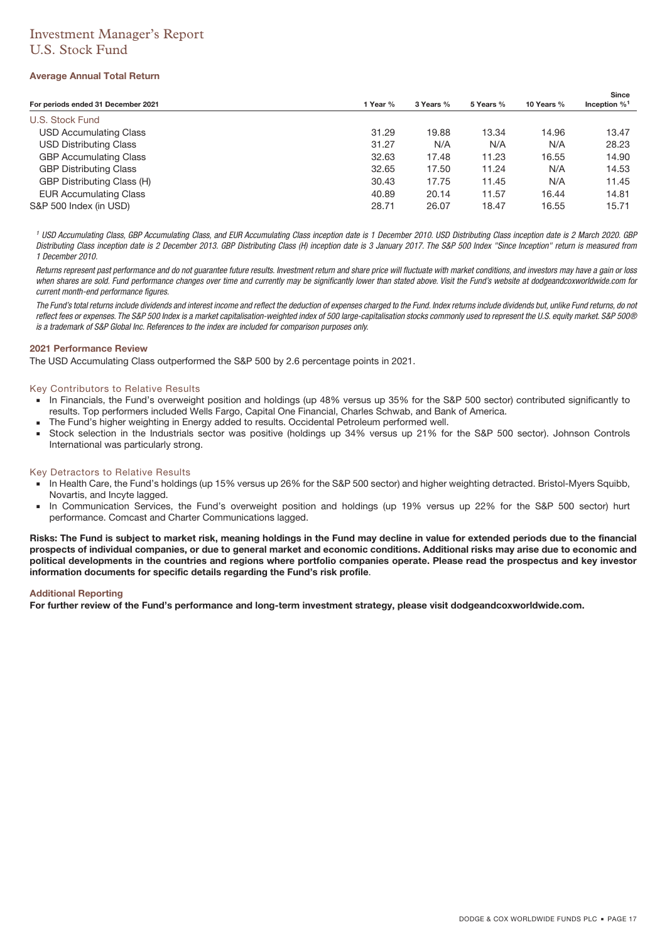# Investment Manager's Report U.S. Stock Fund

### **Average Annual Total Return**

| For periods ended 31 December 2021 | 1 Year % | 3 Years % | 5 Years % | 10 Years % | <b>Since</b><br>Inception $\%$ <sup>1</sup> |
|------------------------------------|----------|-----------|-----------|------------|---------------------------------------------|
| U.S. Stock Fund                    |          |           |           |            |                                             |
|                                    |          |           |           |            |                                             |
| <b>USD Accumulating Class</b>      | 31.29    | 19.88     | 13.34     | 14.96      | 13.47                                       |
| <b>USD Distributing Class</b>      | 31.27    | N/A       | N/A       | N/A        | 28.23                                       |
| <b>GBP Accumulating Class</b>      | 32.63    | 17.48     | 11.23     | 16.55      | 14.90                                       |
| <b>GBP Distributing Class</b>      | 32.65    | 17.50     | 11.24     | N/A        | 14.53                                       |
| GBP Distributing Class (H)         | 30.43    | 17.75     | 11.45     | N/A        | 11.45                                       |
| <b>EUR Accumulating Class</b>      | 40.89    | 20.14     | 11.57     | 16.44      | 14.81                                       |
| S&P 500 Index (in USD)             | 28.71    | 26.07     | 18.47     | 16.55      | 15.71                                       |

<sup>1</sup> USD Accumulating Class, GBP Accumulating Class, and EUR Accumulating Class inception date is 1 December 2010. USD Distributing Class inception date is 2 March 2020. GBP Distributing Class inception date is 2 December 2013. GBP Distributing Class (H) inception date is 3 January 2017. The S&P 500 Index "Since Inception" return is measured from 1 December 2010.

Returns represent past performance and do not quarantee future results. Investment return and share price will fluctuate with market conditions, and investors may have a gain or loss when shares are sold. Fund performance changes over time and currently may be significantly lower than stated above. Visit the Fund's website at dodgeandcoxworldwide.com for current month-end performance figures.

The Fund's total returns include dividends and interest income and reflect the deduction of expenses charged to the Fund. Index returns include dividends but, unlike Fund returns, do not reflect fees or expenses. The S&P 500 Index is a market capitalisation-weighted index of 500 large-capitalisation stocks commonly used to represent the U.S. equity market. S&P 500® is a trademark of S&P Global Inc. References to the index are included for comparison purposes only.

### **2021 Performance Review**

The USD Accumulating Class outperformed the S&P 500 by 2.6 percentage points in 2021.

### Key Contributors to Relative Results

- In Financials, the Fund's overweight position and holdings (up 48% versus up 35% for the S&P 500 sector) contributed significantly to results. Top performers included Wells Fargo, Capital One Financial, Charles Schwab, and Bank of America.
- The Fund's higher weighting in Energy added to results. Occidental Petroleum performed well.
- Stock selection in the Industrials sector was positive (holdings up 34% versus up 21% for the S&P 500 sector). Johnson Controls International was particularly strong.

### Key Detractors to Relative Results

- In Health Care, the Fund's holdings (up 15% versus up 26% for the S&P 500 sector) and higher weighting detracted. Bristol-Myers Squibb, Novartis, and Incyte lagged.
- In Communication Services, the Fund's overweight position and holdings (up 19% versus up 22% for the S&P 500 sector) hurt performance. Comcast and Charter Communications lagged.

**Risks: The Fund is subject to market risk, meaning holdings in the Fund may decline in value for extended periods due to the financial prospects of individual companies, or due to general market and economic conditions. Additional risks may arise due to economic and political developments in the countries and regions where portfolio companies operate. Please read the prospectus and key investor information documents for specific details regarding the Fund's risk profile**.

### **Additional Reporting**

**For further review of the Fund's performance and long-term investment strategy, please visit dodgeandcoxworldwide.com.**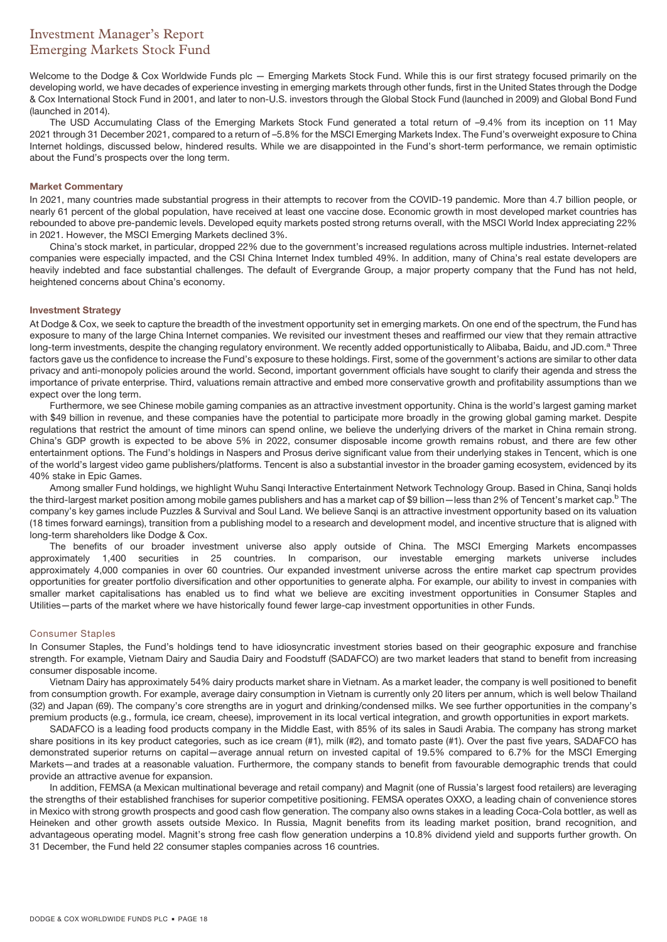# Investment Manager's Report Emerging Markets Stock Fund

Welcome to the Dodge & Cox Worldwide Funds plc — Emerging Markets Stock Fund. While this is our first strategy focused primarily on the developing world, we have decades of experience investing in emerging markets through other funds, first in the United States through the Dodge & Cox International Stock Fund in 2001, and later to non-U.S. investors through the Global Stock Fund (launched in 2009) and Global Bond Fund (launched in 2014).

The USD Accumulating Class of the Emerging Markets Stock Fund generated a total return of –9.4% from its inception on 11 May 2021 through 31 December 2021, compared to a return of –5.8% for the MSCI Emerging Markets Index. The Fund's overweight exposure to China Internet holdings, discussed below, hindered results. While we are disappointed in the Fund's short-term performance, we remain optimistic about the Fund's prospects over the long term.

### **Market Commentary**

In 2021, many countries made substantial progress in their attempts to recover from the COVID-19 pandemic. More than 4.7 billion people, or nearly 61 percent of the global population, have received at least one vaccine dose. Economic growth in most developed market countries has rebounded to above pre-pandemic levels. Developed equity markets posted strong returns overall, with the MSCI World Index appreciating 22% in 2021. However, the MSCI Emerging Markets declined 3%.

China's stock market, in particular, dropped 22% due to the government's increased regulations across multiple industries. Internet-related companies were especially impacted, and the CSI China Internet Index tumbled 49%. In addition, many of China's real estate developers are heavily indebted and face substantial challenges. The default of Evergrande Group, a major property company that the Fund has not held, heightened concerns about China's economy.

### **Investment Strategy**

At Dodge & Cox, we seek to capture the breadth of the investment opportunity set in emerging markets. On one end of the spectrum, the Fund has exposure to many of the large China Internet companies. We revisited our investment theses and reaffirmed our view that they remain attractive long-term investments, despite the changing regulatory environment. We recently added opportunistically to Alibaba, Baidu, and JD.com.<sup>a</sup> Three factors gave us the confidence to increase the Fund's exposure to these holdings. First, some of the government's actions are similar to other data privacy and anti-monopoly policies around the world. Second, important government officials have sought to clarify their agenda and stress the importance of private enterprise. Third, valuations remain attractive and embed more conservative growth and profitability assumptions than we expect over the long term.

Furthermore, we see Chinese mobile gaming companies as an attractive investment opportunity. China is the world's largest gaming market with \$49 billion in revenue, and these companies have the potential to participate more broadly in the growing global gaming market. Despite regulations that restrict the amount of time minors can spend online, we believe the underlying drivers of the market in China remain strong. China's GDP growth is expected to be above 5% in 2022, consumer disposable income growth remains robust, and there are few other entertainment options. The Fund's holdings in Naspers and Prosus derive significant value from their underlying stakes in Tencent, which is one of the world's largest video game publishers/platforms. Tencent is also a substantial investor in the broader gaming ecosystem, evidenced by its 40% stake in Epic Games.

Among smaller Fund holdings, we highlight Wuhu Sanqi Interactive Entertainment Network Technology Group. Based in China, Sanqi holds the third-largest market position among mobile games publishers and has a market cap of \$9 billion—less than 2% of Tencent's market cap.<sup>b</sup> The company's key games include Puzzles & Survival and Soul Land. We believe Sanqi is an attractive investment opportunity based on its valuation (18 times forward earnings), transition from a publishing model to a research and development model, and incentive structure that is aligned with long-term shareholders like Dodge & Cox.

The benefits of our broader investment universe also apply outside of China. The MSCI Emerging Markets encompasses approximately 1,400 securities in 25 countries. In comparison, our investable emerging markets universe includes approximately 4,000 companies in over 60 countries. Our expanded investment universe across the entire market cap spectrum provides opportunities for greater portfolio diversification and other opportunities to generate alpha. For example, our ability to invest in companies with smaller market capitalisations has enabled us to find what we believe are exciting investment opportunities in Consumer Staples and Utilities—parts of the market where we have historically found fewer large-cap investment opportunities in other Funds.

### Consumer Staples

In Consumer Staples, the Fund's holdings tend to have idiosyncratic investment stories based on their geographic exposure and franchise strength. For example, Vietnam Dairy and Saudia Dairy and Foodstuff (SADAFCO) are two market leaders that stand to benefit from increasing consumer disposable income.

Vietnam Dairy has approximately 54% dairy products market share in Vietnam. As a market leader, the company is well positioned to benefit from consumption growth. For example, average dairy consumption in Vietnam is currently only 20 liters per annum, which is well below Thailand (32) and Japan (69). The company's core strengths are in yogurt and drinking/condensed milks. We see further opportunities in the company's premium products (e.g., formula, ice cream, cheese), improvement in its local vertical integration, and growth opportunities in export markets.

SADAFCO is a leading food products company in the Middle East, with 85% of its sales in Saudi Arabia. The company has strong market share positions in its key product categories, such as ice cream (#1), milk (#2), and tomato paste (#1). Over the past five years, SADAFCO has demonstrated superior returns on capital—average annual return on invested capital of 19.5% compared to 6.7% for the MSCI Emerging Markets—and trades at a reasonable valuation. Furthermore, the company stands to benefit from favourable demographic trends that could provide an attractive avenue for expansion.

In addition, FEMSA (a Mexican multinational beverage and retail company) and Magnit (one of Russia's largest food retailers) are leveraging the strengths of their established franchises for superior competitive positioning. FEMSA operates OXXO, a leading chain of convenience stores in Mexico with strong growth prospects and good cash flow generation. The company also owns stakes in a leading Coca-Cola bottler, as well as Heineken and other growth assets outside Mexico. In Russia, Magnit benefits from its leading market position, brand recognition, and advantageous operating model. Magnit's strong free cash flow generation underpins a 10.8% dividend yield and supports further growth. On 31 December, the Fund held 22 consumer staples companies across 16 countries.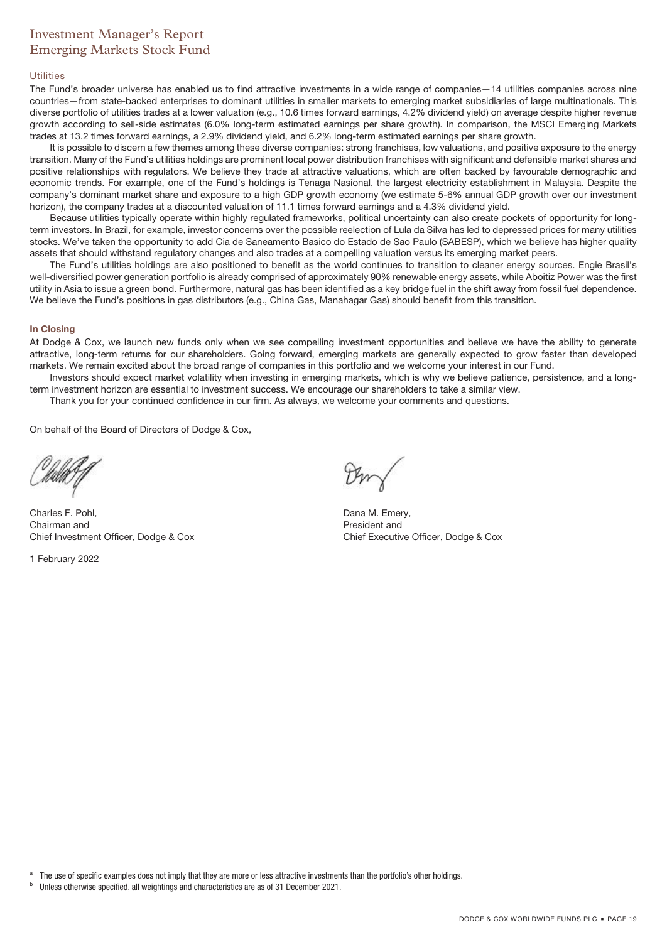# Investment Manager's Report Emerging Markets Stock Fund

#### Utilities

The Fund's broader universe has enabled us to find attractive investments in a wide range of companies—14 utilities companies across nine countries—from state-backed enterprises to dominant utilities in smaller markets to emerging market subsidiaries of large multinationals. This diverse portfolio of utilities trades at a lower valuation (e.g., 10.6 times forward earnings, 4.2% dividend yield) on average despite higher revenue growth according to sell-side estimates (6.0% long-term estimated earnings per share growth). In comparison, the MSCI Emerging Markets trades at 13.2 times forward earnings, a 2.9% dividend yield, and 6.2% long-term estimated earnings per share growth.

It is possible to discern a few themes among these diverse companies: strong franchises, low valuations, and positive exposure to the energy transition. Many of the Fund's utilities holdings are prominent local power distribution franchises with significant and defensible market shares and positive relationships with regulators. We believe they trade at attractive valuations, which are often backed by favourable demographic and economic trends. For example, one of the Fund's holdings is Tenaga Nasional, the largest electricity establishment in Malaysia. Despite the company's dominant market share and exposure to a high GDP growth economy (we estimate 5-6% annual GDP growth over our investment horizon), the company trades at a discounted valuation of 11.1 times forward earnings and a 4.3% dividend yield.

Because utilities typically operate within highly regulated frameworks, political uncertainty can also create pockets of opportunity for longterm investors. In Brazil, for example, investor concerns over the possible reelection of Lula da Silva has led to depressed prices for many utilities stocks. We've taken the opportunity to add Cia de Saneamento Basico do Estado de Sao Paulo (SABESP), which we believe has higher quality assets that should withstand regulatory changes and also trades at a compelling valuation versus its emerging market peers.

The Fund's utilities holdings are also positioned to benefit as the world continues to transition to cleaner energy sources. Engie Brasil's well-diversified power generation portfolio is already comprised of approximately 90% renewable energy assets, while Aboitiz Power was the first utility in Asia to issue a green bond. Furthermore, natural gas has been identified as a key bridge fuel in the shift away from fossil fuel dependence. We believe the Fund's positions in gas distributors (e.g., China Gas, Manahagar Gas) should benefit from this transition.

### **In Closing**

At Dodge & Cox, we launch new funds only when we see compelling investment opportunities and believe we have the ability to generate attractive, long-term returns for our shareholders. Going forward, emerging markets are generally expected to grow faster than developed markets. We remain excited about the broad range of companies in this portfolio and we welcome your interest in our Fund.

Investors should expect market volatility when investing in emerging markets, which is why we believe patience, persistence, and a longterm investment horizon are essential to investment success. We encourage our shareholders to take a similar view.

Thank you for your continued confidence in our firm. As always, we welcome your comments and questions.

On behalf of the Board of Directors of Dodge & Cox,

Charles F. Pohl, Chairman and Chief Investment Officer, Dodge & Cox

1 February 2022

Dana M. Emery, President and Chief Executive Officer, Dodge & Cox

The use of specific examples does not imply that they are more or less attractive investments than the portfolio's other holdings.

<sup>b</sup> Unless otherwise specified, all weightings and characteristics are as of 31 December 2021.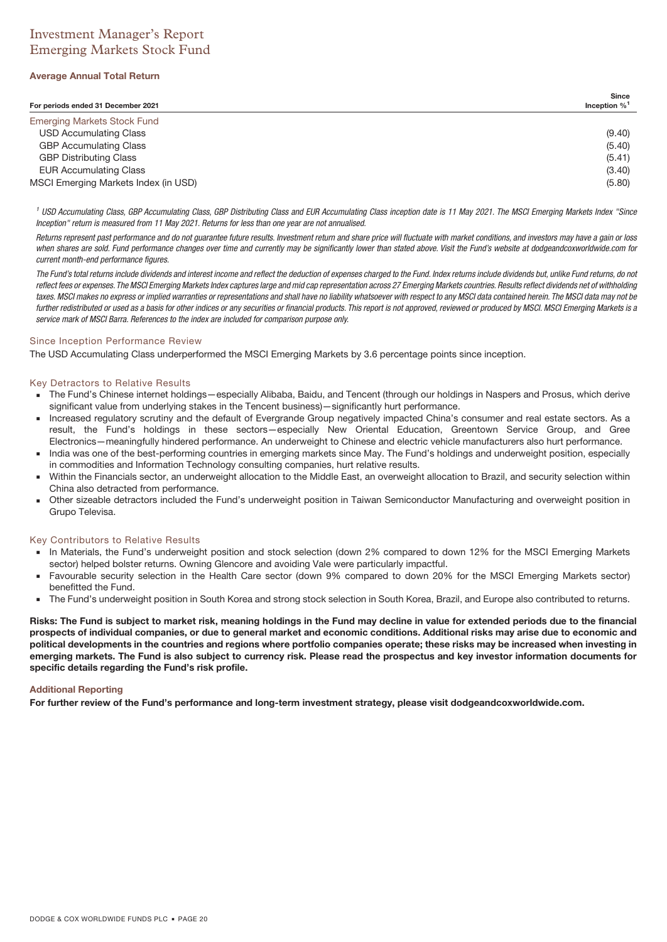# Investment Manager's Report Emerging Markets Stock Fund

### **Average Annual Total Return**

| For periods ended 31 December 2021   | Since<br>Inception $\%$ <sup>1</sup> |
|--------------------------------------|--------------------------------------|
| <b>Emerging Markets Stock Fund</b>   |                                      |
| <b>USD Accumulating Class</b>        | (9.40)                               |
| <b>GBP Accumulating Class</b>        | (5.40)                               |
| <b>GBP Distributing Class</b>        | (5.41)                               |
| <b>EUR Accumulating Class</b>        | (3.40)                               |
| MSCI Emerging Markets Index (in USD) | (5.80)                               |

<sup>1</sup> USD Accumulating Class, GBP Accumulating Class, GBP Distributing Class and EUR Accumulating Class inception date is 11 May 2021. The MSCI Emerging Markets Index "Since Inception" return is measured from 11 May 2021. Returns for less than one year are not annualised.

Returns represent past performance and do not guarantee future results. Investment return and share price will fluctuate with market conditions, and investors may have a gain or loss when shares are sold. Fund performance changes over time and currently may be significantly lower than stated above. Visit the Fund's website at dodgeandcoxworldwide.com for current month-end performance figures.

The Fund's total returns include dividends and interest income and reflect the deduction of expenses charged to the Fund. Index returns include dividends but, unlike Fund returns, do not reflect fees or expenses. The MSCI Emerging Markets Index captures large and mid cap representation across 27 Emerging Markets countries. Results reflect dividends net of withholding taxes. MSCI makes no express or implied warranties or representations and shall have no liability whatsoever with respect to any MSCI data contained herein. The MSCI data may not be further redistributed or used as a basis for other indices or any securities or financial products. This report is not approved, reviewed or produced by MSCI. MSCI Emerging Markets is a service mark of MSCI Barra. References to the index are included for comparison purpose only.

### Since Inception Performance Review

The USD Accumulating Class underperformed the MSCI Emerging Markets by 3.6 percentage points since inception.

### Key Detractors to Relative Results

- The Fund's Chinese internet holdings—especially Alibaba, Baidu, and Tencent (through our holdings in Naspers and Prosus, which derive significant value from underlying stakes in the Tencent business)—significantly hurt performance.
- Increased regulatory scrutiny and the default of Evergrande Group negatively impacted China's consumer and real estate sectors. As a result, the Fund's holdings in these sectors—especially New Oriental Education, Greentown Service Group, and Gree Electronics—meaningfully hindered performance. An underweight to Chinese and electric vehicle manufacturers also hurt performance.
- India was one of the best-performing countries in emerging markets since May. The Fund's holdings and underweight position, especially in commodities and Information Technology consulting companies, hurt relative results.
- Within the Financials sector, an underweight allocation to the Middle East, an overweight allocation to Brazil, and security selection within China also detracted from performance.
- Other sizeable detractors included the Fund's underweight position in Taiwan Semiconductor Manufacturing and overweight position in Grupo Televisa.

### Key Contributors to Relative Results

- In Materials, the Fund's underweight position and stock selection (down 2% compared to down 12% for the MSCI Emerging Markets sector) helped bolster returns. Owning Glencore and avoiding Vale were particularly impactful.
- Favourable security selection in the Health Care sector (down 9% compared to down 20% for the MSCI Emerging Markets sector) benefitted the Fund.
- The Fund's underweight position in South Korea and strong stock selection in South Korea, Brazil, and Europe also contributed to returns.

**Risks: The Fund is subject to market risk, meaning holdings in the Fund may decline in value for extended periods due to the financial prospects of individual companies, or due to general market and economic conditions. Additional risks may arise due to economic and political developments in the countries and regions where portfolio companies operate; these risks may be increased when investing in emerging markets. The Fund is also subject to currency risk. Please read the prospectus and key investor information documents for specific details regarding the Fund's risk profile.**

### **Additional Reporting**

**For further review of the Fund's performance and long-term investment strategy, please visit dodgeandcoxworldwide.com.**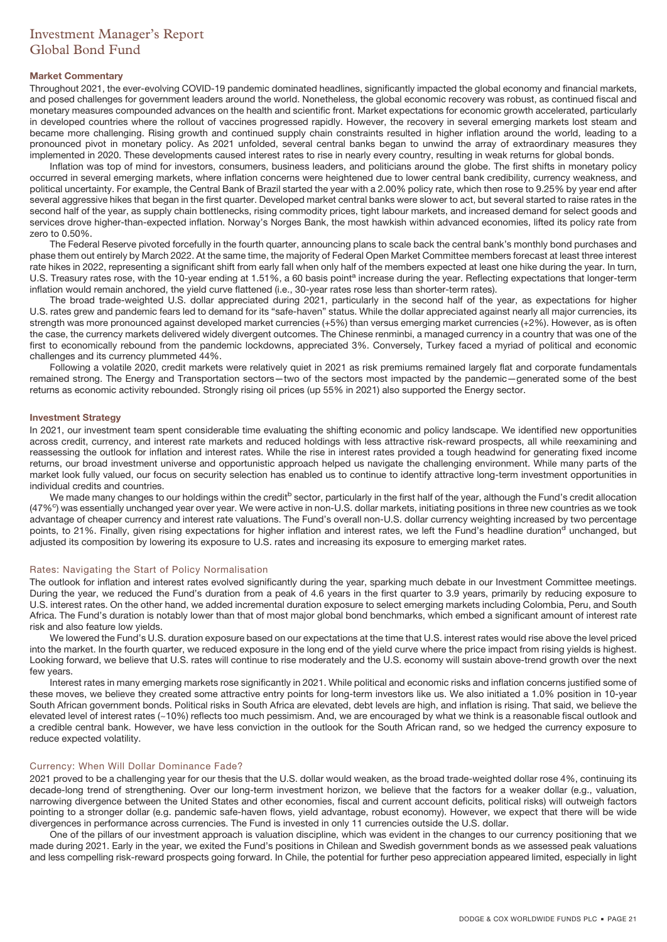# Investment Manager's Report Global Bond Fund

### **Market Commentary**

Throughout 2021, the ever-evolving COVID-19 pandemic dominated headlines, significantly impacted the global economy and financial markets, and posed challenges for government leaders around the world. Nonetheless, the global economic recovery was robust, as continued fiscal and monetary measures compounded advances on the health and scientific front. Market expectations for economic growth accelerated, particularly in developed countries where the rollout of vaccines progressed rapidly. However, the recovery in several emerging markets lost steam and became more challenging. Rising growth and continued supply chain constraints resulted in higher inflation around the world, leading to a pronounced pivot in monetary policy. As 2021 unfolded, several central banks began to unwind the array of extraordinary measures they implemented in 2020. These developments caused interest rates to rise in nearly every country, resulting in weak returns for global bonds.

Inflation was top of mind for investors, consumers, business leaders, and politicians around the globe. The first shifts in monetary policy occurred in several emerging markets, where inflation concerns were heightened due to lower central bank credibility, currency weakness, and political uncertainty. For example, the Central Bank of Brazil started the year with a 2.00% policy rate, which then rose to 9.25% by year end after several aggressive hikes that began in the first quarter. Developed market central banks were slower to act, but several started to raise rates in the second half of the year, as supply chain bottlenecks, rising commodity prices, tight labour markets, and increased demand for select goods and services drove higher-than-expected inflation. Norway's Norges Bank, the most hawkish within advanced economies, lifted its policy rate from zero to 0.50%.

The Federal Reserve pivoted forcefully in the fourth quarter, announcing plans to scale back the central bank's monthly bond purchases and phase them out entirely by March 2022. At the same time, the majority of Federal Open Market Committee members forecast at least three interest rate hikes in 2022, representing a significant shift from early fall when only half of the members expected at least one hike during the year. In turn, U.S. Treasury rates rose, with the 10-year ending at 1.51%, a 60 basis point<sup>a</sup> increase during the year. Reflecting expectations that longer-term inflation would remain anchored, the yield curve flattened (i.e., 30-year rates rose less than shorter-term rates).

The broad trade-weighted U.S. dollar appreciated during 2021, particularly in the second half of the year, as expectations for higher U.S. rates grew and pandemic fears led to demand for its "safe-haven" status. While the dollar appreciated against nearly all major currencies, its strength was more pronounced against developed market currencies (+5%) than versus emerging market currencies (+2%). However, as is often the case, the currency markets delivered widely divergent outcomes. The Chinese renminbi, a managed currency in a country that was one of the first to economically rebound from the pandemic lockdowns, appreciated 3%. Conversely, Turkey faced a myriad of political and economic challenges and its currency plummeted 44%.

Following a volatile 2020, credit markets were relatively quiet in 2021 as risk premiums remained largely flat and corporate fundamentals remained strong. The Energy and Transportation sectors—two of the sectors most impacted by the pandemic—generated some of the best returns as economic activity rebounded. Strongly rising oil prices (up 55% in 2021) also supported the Energy sector.

### **Investment Strategy**

In 2021, our investment team spent considerable time evaluating the shifting economic and policy landscape. We identified new opportunities across credit, currency, and interest rate markets and reduced holdings with less attractive risk-reward prospects, all while reexamining and reassessing the outlook for inflation and interest rates. While the rise in interest rates provided a tough headwind for generating fixed income returns, our broad investment universe and opportunistic approach helped us navigate the challenging environment. While many parts of the market look fully valued, our focus on security selection has enabled us to continue to identify attractive long-term investment opportunities in individual credits and countries.

We made many changes to our holdings within the credit<sup>b</sup> sector, particularly in the first half of the year, although the Fund's credit allocation (47%<sup>c</sup>) was essentially unchanged year over year. We were active in non-U.S. dollar markets, initiating positions in three new countries as we took advantage of cheaper currency and interest rate valuations. The Fund's overall non-U.S. dollar currency weighting increased by two percentage points, to 21%. Finally, given rising expectations for higher inflation and interest rates, we left the Fund's headline duration<sup>d</sup> unchanged, but adjusted its composition by lowering its exposure to U.S. rates and increasing its exposure to emerging market rates.

### Rates: Navigating the Start of Policy Normalisation

The outlook for inflation and interest rates evolved significantly during the year, sparking much debate in our Investment Committee meetings. During the year, we reduced the Fund's duration from a peak of 4.6 years in the first quarter to 3.9 years, primarily by reducing exposure to U.S. interest rates. On the other hand, we added incremental duration exposure to select emerging markets including Colombia, Peru, and South Africa. The Fund's duration is notably lower than that of most major global bond benchmarks, which embed a significant amount of interest rate risk and also feature low yields.

We lowered the Fund's U.S. duration exposure based on our expectations at the time that U.S. interest rates would rise above the level priced into the market. In the fourth quarter, we reduced exposure in the long end of the yield curve where the price impact from rising yields is highest. Looking forward, we believe that U.S. rates will continue to rise moderately and the U.S. economy will sustain above-trend growth over the next few years.

Interest rates in many emerging markets rose significantly in 2021. While political and economic risks and inflation concerns justified some of these moves, we believe they created some attractive entry points for long-term investors like us. We also initiated a 1.0% position in 10-year South African government bonds. Political risks in South Africa are elevated, debt levels are high, and inflation is rising. That said, we believe the elevated level of interest rates (~10%) reflects too much pessimism. And, we are encouraged by what we think is a reasonable fiscal outlook and a credible central bank. However, we have less conviction in the outlook for the South African rand, so we hedged the currency exposure to reduce expected volatility.

### Currency: When Will Dollar Dominance Fade?

2021 proved to be a challenging year for our thesis that the U.S. dollar would weaken, as the broad trade-weighted dollar rose 4%, continuing its decade-long trend of strengthening. Over our long-term investment horizon, we believe that the factors for a weaker dollar (e.g., valuation, narrowing divergence between the United States and other economies, fiscal and current account deficits, political risks) will outweigh factors pointing to a stronger dollar (e.g. pandemic safe-haven flows, yield advantage, robust economy). However, we expect that there will be wide divergences in performance across currencies. The Fund is invested in only 11 currencies outside the U.S. dollar.

One of the pillars of our investment approach is valuation discipline, which was evident in the changes to our currency positioning that we made during 2021. Early in the year, we exited the Fund's positions in Chilean and Swedish government bonds as we assessed peak valuations and less compelling risk-reward prospects going forward. In Chile, the potential for further peso appreciation appeared limited, especially in light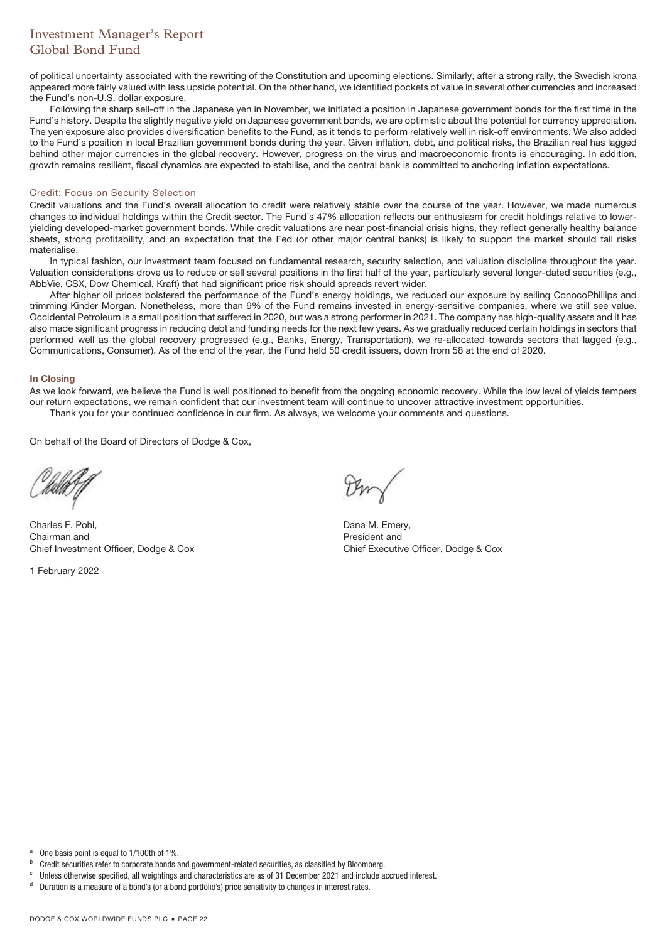# Investment Manager's Report Global Bond Fund

of political uncertainty associated with the rewriting of the Constitution and upcoming elections. Similarly, after a strong rally, the Swedish krona appeared more fairly valued with less upside potential. On the other hand, we identified pockets of value in several other currencies and increased the Fund's non-U.S. dollar exposure.

Following the sharp sell-off in the Japanese yen in November, we initiated a position in Japanese government bonds for the first time in the Fund's history. Despite the slightly negative yield on Japanese government bonds, we are optimistic about the potential for currency appreciation. The yen exposure also provides diversification benefits to the Fund, as it tends to perform relatively well in risk-off environments. We also added to the Fund's position in local Brazilian government bonds during the year. Given inflation, debt, and political risks, the Brazilian real has lagged behind other major currencies in the global recovery. However, progress on the virus and macroeconomic fronts is encouraging. In addition, growth remains resilient, fiscal dynamics are expected to stabilise, and the central bank is committed to anchoring inflation expectations.

### Credit: Focus on Security Selection

Credit valuations and the Fund's overall allocation to credit were relatively stable over the course of the year. However, we made numerous changes to individual holdings within the Credit sector. The Fund's 47% allocation reflects our enthusiasm for credit holdings relative to loweryielding developed-market government bonds. While credit valuations are near post-financial crisis highs, they reflect generally healthy balance sheets, strong profitability, and an expectation that the Fed (or other major central banks) is likely to support the market should tail risks materialise.

In typical fashion, our investment team focused on fundamental research, security selection, and valuation discipline throughout the year. Valuation considerations drove us to reduce or sell several positions in the first half of the year, particularly several longer-dated securities (e.g., AbbVie, CSX, Dow Chemical, Kraft) that had significant price risk should spreads revert wider.

After higher oil prices bolstered the performance of the Fund's energy holdings, we reduced our exposure by selling ConocoPhillips and trimming Kinder Morgan. Nonetheless, more than 9% of the Fund remains invested in energy-sensitive companies, where we still see value. Occidental Petroleum is a small position that suffered in 2020, but was a strong performer in 2021. The company has high-quality assets and it has also made significant progress in reducing debt and funding needs for the next few years. As we gradually reduced certain holdings in sectors that performed well as the global recovery progressed (e.g., Banks, Energy, Transportation), we re-allocated towards sectors that lagged (e.g., Communications, Consumer). As of the end of the year, the Fund held 50 credit issuers, down from 58 at the end of 2020.

### **In Closing**

As we look forward, we believe the Fund is well positioned to benefit from the ongoing economic recovery. While the low level of yields tempers our return expectations, we remain confident that our investment team will continue to uncover attractive investment opportunities. Thank you for your continued confidence in our firm. As always, we welcome your comments and questions.

On behalf of the Board of Directors of Dodge & Cox,

Charles F. Pohl, Chairman and Chief Investment Officer, Dodge & Cox

1 February 2022

Dana M. Emery, President and Chief Executive Officer, Dodge & Cox

a One basis point is equal to 1/100th of 1%.

**b** Credit securities refer to corporate bonds and government-related securities, as classified by Bloomberg.<br>
<sup>C</sup> Liniese otherwise aposified all weightings and oberateristics are as of 21 December 2021 and include a

<sup>c</sup> Unless otherwise specified, all weightings and characteristics are as of 31 December 2021 and include accrued interest.

Duration is a measure of a bond's (or a bond portfolio's) price sensitivity to changes in interest rates.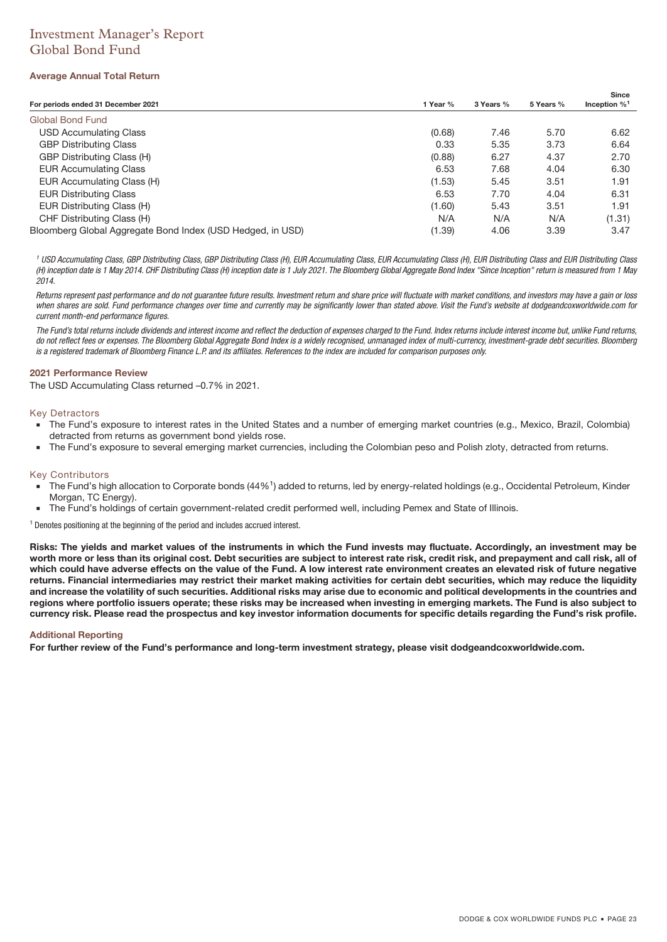# Investment Manager's Report Global Bond Fund

### **Average Annual Total Return**

| For periods ended 31 December 2021                         | 1 Year % | 3 Years % | 5 Years % | Since<br>Inception $\%$ <sup>1</sup> |
|------------------------------------------------------------|----------|-----------|-----------|--------------------------------------|
|                                                            |          |           |           |                                      |
| Global Bond Fund                                           |          |           |           |                                      |
| <b>USD Accumulating Class</b>                              | (0.68)   | 7.46      | 5.70      | 6.62                                 |
| <b>GBP Distributing Class</b>                              | 0.33     | 5.35      | 3.73      | 6.64                                 |
| GBP Distributing Class (H)                                 | (0.88)   | 6.27      | 4.37      | 2.70                                 |
| <b>EUR Accumulating Class</b>                              | 6.53     | 7.68      | 4.04      | 6.30                                 |
| EUR Accumulating Class (H)                                 | (1.53)   | 5.45      | 3.51      | 1.91                                 |
| <b>EUR Distributing Class</b>                              | 6.53     | 7.70      | 4.04      | 6.31                                 |
| EUR Distributing Class (H)                                 | (1.60)   | 5.43      | 3.51      | 1.91                                 |
| CHF Distributing Class (H)                                 | N/A      | N/A       | N/A       | (1.31)                               |
| Bloomberg Global Aggregate Bond Index (USD Hedged, in USD) | (1.39)   | 4.06      | 3.39      | 3.47                                 |

<sup>1</sup> USD Accumulating Class, GBP Distributing Class, GBP Distributing Class (H), EUR Accumulating Class, EUR Accumulating Class (H), EUR Distributing Class and EUR Distributing Class (H) inception date is 1 May 2014. CHF Distributing Class (H) inception date is 1 July 2021. The Bloomberg Global Aggregate Bond Index "Since Inception" return is measured from 1 May 2014.

Returns represent past performance and do not guarantee future results. Investment return and share price will fluctuate with market conditions, and investors may have a gain or loss when shares are sold. Fund performance changes over time and currently may be significantly lower than stated above. Visit the Fund's website at dodgeandcoxworldwide.com for current month-end performance figures.

The Fund's total returns include dividends and interest income and reflect the deduction of expenses charged to the Fund. Index returns include interest income but, unlike Fund returns, do not reflect fees or expenses. The Bloomberg Global Aggregate Bond Index is a widely recognised, unmanaged index of multi-currency, investment-grade debt securities. Bloomberg is a registered trademark of Bloomberg Finance L.P. and its affiliates. References to the index are included for comparison purposes only.

### **2021 Performance Review**

The USD Accumulating Class returned –0.7% in 2021.

#### Key Detractors

- The Fund's exposure to interest rates in the United States and a number of emerging market countries (e.g., Mexico, Brazil, Colombia) detracted from returns as government bond yields rose.
- The Fund's exposure to several emerging market currencies, including the Colombian peso and Polish zloty, detracted from returns.

### Key Contributors

- The Fund's high allocation to Corporate bonds (44%<sup>1</sup>) added to returns, led by energy-related holdings (e.g., Occidental Petroleum, Kinder Morgan, TC Energy).
- The Fund's holdings of certain government-related credit performed well, including Pemex and State of Illinois.

<sup>1</sup> Denotes positioning at the beginning of the period and includes accrued interest.

**Risks: The yields and market values of the instruments in which the Fund invests may fluctuate. Accordingly, an investment may be worth more or less than its original cost. Debt securities are subject to interest rate risk, credit risk, and prepayment and call risk, all of which could have adverse effects on the value of the Fund. A low interest rate environment creates an elevated risk of future negative returns. Financial intermediaries may restrict their market making activities for certain debt securities, which may reduce the liquidity and increase the volatility of such securities. Additional risks may arise due to economic and political developments in the countries and regions where portfolio issuers operate; these risks may be increased when investing in emerging markets. The Fund is also subject to currency risk. Please read the prospectus and key investor information documents for specific details regarding the Fund's risk profile.**

### **Additional Reporting**

**For further review of the Fund's performance and long-term investment strategy, please visit dodgeandcoxworldwide.com.**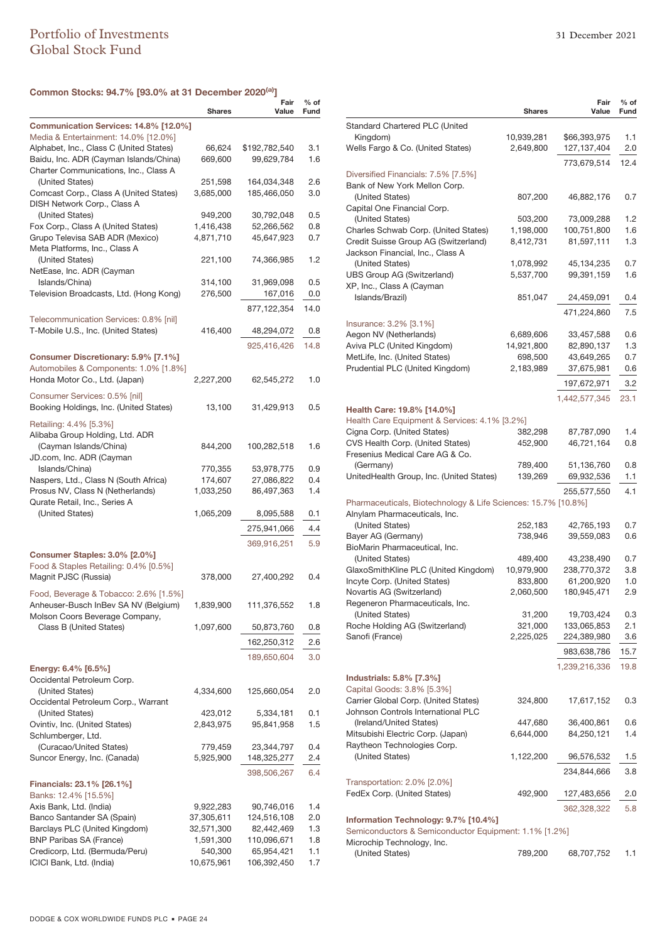# **Common Stocks: 94.7% [93.0% at 31 December 2020(a)]**

|                                                          |               | Fair          | $%$ of |
|----------------------------------------------------------|---------------|---------------|--------|
|                                                          | <b>Shares</b> | Value         | Fund   |
| Communication Services: 14.8% [12.0%]                    |               |               |        |
| Media & Entertainment: 14.0% [12.0%]                     |               |               |        |
| Alphabet, Inc., Class C (United States)                  | 66,624        | \$192,782,540 | 3.1    |
| Baidu, Inc. ADR (Cayman Islands/China)                   | 669,600       | 99,629,784    | 1.6    |
| Charter Communications, Inc., Class A<br>(United States) | 251,598       | 164,034,348   | 2.6    |
| Comcast Corp., Class A (United States)                   | 3,685,000     | 185,466,050   | 3.0    |
| DISH Network Corp., Class A                              |               |               |        |
| (United States)                                          | 949,200       | 30,792,048    | 0.5    |
| Fox Corp., Class A (United States)                       | 1,416,438     | 52,266,562    | 0.8    |
| Grupo Televisa SAB ADR (Mexico)                          | 4,871,710     | 45,647,923    | 0.7    |
| Meta Platforms, Inc., Class A                            |               |               |        |
| (United States)                                          | 221,100       | 74,366,985    | 1.2    |
| NetEase, Inc. ADR (Cayman                                |               |               |        |
| Islands/China)                                           | 314,100       | 31,969,098    | 0.5    |
| Television Broadcasts, Ltd. (Hong Kong)                  | 276,500       | 167,016       | 0.0    |
|                                                          |               | 877,122,354   | 14.0   |
| Telecommunication Services: 0.8% [nil]                   |               |               |        |
| T-Mobile U.S., Inc. (United States)                      | 416,400       | 48,294,072    | 0.8    |
|                                                          |               | 925,416,426   | 14.8   |
| Consumer Discretionary: 5.9% [7.1%]                      |               |               |        |
| Automobiles & Components: 1.0% [1.8%]                    |               |               |        |
| Honda Motor Co., Ltd. (Japan)                            | 2,227,200     | 62,545,272    | 1.0    |
| Consumer Services: 0.5% [nil]                            |               |               |        |
| Booking Holdings, Inc. (United States)                   | 13,100        | 31,429,913    | 0.5    |
| Retailing: 4.4% [5.3%]                                   |               |               |        |
| Alibaba Group Holding, Ltd. ADR                          |               |               |        |
| (Cayman Islands/China)                                   | 844,200       | 100,282,518   | 1.6    |
| JD.com, Inc. ADR (Cayman                                 |               |               |        |
| Islands/China)                                           | 770,355       | 53,978,775    | 0.9    |
| Naspers, Ltd., Class N (South Africa)                    | 174,607       | 27,086,822    | 0.4    |
| Prosus NV, Class N (Netherlands)                         | 1,033,250     | 86,497,363    | 1.4    |
| Qurate Retail, Inc., Series A                            |               |               |        |
| (United States)                                          | 1,065,209     | 8,095,588     | 0.1    |
|                                                          |               | 275,941,066   | 4.4    |
|                                                          |               | 369,916,251   | 5.9    |
| Consumer Staples: 3.0% [2.0%]                            |               |               |        |
| Food & Staples Retailing: 0.4% [0.5%]                    |               |               |        |
| Magnit PJSC (Russia)                                     | 378,000       | 27,400,292    | 0.4    |
| Food, Beverage & Tobacco: 2.6% [1.5%]                    |               |               |        |
| Anheuser-Busch InBev SA NV (Belgium)                     | 1,839,900     | 111,376,552   | 1.8    |
| Molson Coors Beverage Company,                           |               |               |        |
| Class B (United States)                                  | 1,097,600     | 50,873,760    | 0.8    |
|                                                          |               | 162,250,312   | 2.6    |
|                                                          |               |               |        |
|                                                          |               | 189,650,604   | 3.0    |
| Energy: 6.4% [6.5%]                                      |               |               |        |
| Occidental Petroleum Corp.<br>(United States)            | 4,334,600     |               |        |
| Occidental Petroleum Corp., Warrant                      |               | 125,660,054   | 2.0    |
| (United States)                                          | 423,012       | 5,334,181     | 0.1    |
| Ovintiv, Inc. (United States)                            | 2,843,975     | 95,841,958    | 1.5    |
| Schlumberger, Ltd.                                       |               |               |        |
| (Curacao/United States)                                  | 779,459       | 23,344,797    | 0.4    |
| Suncor Energy, Inc. (Canada)                             | 5,925,900     | 148,325,277   | 2.4    |
|                                                          |               | 398,506,267   | 6.4    |
| <b>Financials: 23.1% [26.1%]</b>                         |               |               |        |
| Banks: 12.4% [15.5%]                                     |               |               |        |
| Axis Bank, Ltd. (India)                                  | 9,922,283     | 90,746,016    | 1.4    |
| Banco Santander SA (Spain)                               | 37,305,611    | 124,516,108   | 2.0    |
| Barclays PLC (United Kingdom)                            | 32,571,300    | 82,442,469    | 1.3    |
| <b>BNP Paribas SA (France)</b>                           | 1,591,300     | 110,096,671   | 1.8    |
| Credicorp, Ltd. (Bermuda/Peru)                           | 540,300       | 65,954,421    | 1.1    |
| ICICI Bank, Ltd. (India)                                 | 10,675,961    | 106,392,450   | 1.7    |

|                                                                              | <b>Shares</b>          | Fair<br>Value             | % of<br>Fund |
|------------------------------------------------------------------------------|------------------------|---------------------------|--------------|
| Standard Chartered PLC (United                                               |                        |                           |              |
| Kingdom)                                                                     | 10,939,281             | \$66,393,975              | 1.1          |
| Wells Fargo & Co. (United States)                                            | 2,649,800              | 127,137,404               | 2.0          |
|                                                                              |                        | 773,679,514               | 12.4         |
| Diversified Financials: 7.5% [7.5%]                                          |                        |                           |              |
| Bank of New York Mellon Corp.                                                |                        |                           |              |
| (United States)                                                              | 807,200                | 46,882,176                | 0.7          |
| Capital One Financial Corp.                                                  |                        |                           |              |
| (United States)                                                              | 503,200                | 73,009,288                | 1.2          |
| Charles Schwab Corp. (United States)<br>Credit Suisse Group AG (Switzerland) | 1,198,000<br>8,412,731 | 100,751,800<br>81,597,111 | 1.6<br>1.3   |
| Jackson Financial, Inc., Class A                                             |                        |                           |              |
| (United States)                                                              | 1,078,992              | 45,134,235                | 0.7          |
| <b>UBS Group AG (Switzerland)</b>                                            | 5,537,700              | 99,391,159                | 1.6          |
| XP, Inc., Class A (Cayman                                                    |                        |                           |              |
| Islands/Brazil)                                                              | 851,047                | 24,459,091                | 0.4          |
|                                                                              |                        | 471,224,860               | 7.5          |
| Insurance: 3.2% [3.1%]                                                       |                        |                           |              |
| Aegon NV (Netherlands)                                                       | 6,689,606              | 33,457,588                | 0.6          |
| Aviva PLC (United Kingdom)                                                   | 14,921,800             | 82,890,137                | 1.3          |
| MetLife, Inc. (United States)                                                | 698,500                | 43,649,265                | 0.7          |
| Prudential PLC (United Kingdom)                                              | 2,183,989              | 37,675,981                | 0.6          |
|                                                                              |                        | 197,672,971               | 3.2          |
|                                                                              |                        | 1,442,577,345             | 23.1         |
| Health Care: 19.8% [14.0%]                                                   |                        |                           |              |
| Health Care Equipment & Services: 4.1% [3.2%]                                |                        |                           |              |
| Cigna Corp. (United States)                                                  | 382,298                | 87,787,090                | 1.4          |
| CVS Health Corp. (United States)                                             | 452,900                | 46,721,164                | 0.8          |
| Fresenius Medical Care AG & Co.                                              |                        |                           |              |
| (Germany)                                                                    | 789,400                | 51,136,760                | 0.8          |
| UnitedHealth Group, Inc. (United States)                                     | 139,269                | 69,932,536                | 1.1          |
|                                                                              |                        | 255,577,550               | 4.1          |
| Pharmaceuticals, Biotechnology & Life Sciences: 15.7% [10.8%]                |                        |                           |              |
| Alnylam Pharmaceuticals, Inc.<br>(United States)                             | 252,183                |                           | 0.7          |
| Bayer AG (Germany)                                                           | 738,946                | 42,765,193<br>39,559,083  | 0.6          |
| BioMarin Pharmaceutical, Inc.                                                |                        |                           |              |
| (United States)                                                              | 489,400                | 43,238,490                | 0.7          |
| GlaxoSmithKline PLC (United Kingdom)                                         | 10,979,900             | 238,770,372               | 3.8          |
| Incyte Corp. (United States)                                                 | 833,800                | 61,200,920                | 1.0          |
| Novartis AG (Switzerland)                                                    | 2,060,500              | 180,945,471               | 2.9          |
| Regeneron Pharmaceuticals, Inc.                                              |                        |                           |              |
| (United States)                                                              | 31,200                 | 19,703,424                | 0.3          |
| Roche Holding AG (Switzerland)                                               | 321,000                | 133,065,853               | 2.1          |
| Sanofi (France)                                                              | 2,225,025              | 224,389,980               | 3.6          |
|                                                                              |                        | 983,638,786               | 15.7         |
|                                                                              |                        | 1,239,216,336             | 19.8         |
| Industrials: 5.8% [7.3%]                                                     |                        |                           |              |
| Capital Goods: 3.8% [5.3%]                                                   |                        |                           |              |
| Carrier Global Corp. (United States)                                         | 324,800                | 17,617,152                | 0.3          |
| Johnson Controls International PLC                                           |                        |                           |              |
| (Ireland/United States)<br>Mitsubishi Electric Corp. (Japan)                 | 447,680                | 36,400,861                | 0.6<br>1.4   |
| Raytheon Technologies Corp.                                                  | 6,644,000              | 84,250,121                |              |
| (United States)                                                              | 1,122,200              | 96,576,532                | 1.5          |
|                                                                              |                        |                           |              |
| Transportation: 2.0% [2.0%]                                                  |                        | 234,844,666               | 3.8          |
| FedEx Corp. (United States)                                                  | 492,900                | 127,483,656               | 2.0          |
|                                                                              |                        |                           |              |
| Information Technology: 9.7% [10.4%]                                         |                        | 362,328,322               | 5.8          |
| Semiconductors & Semiconductor Equipment: 1.1% [1.2%]                        |                        |                           |              |
| Microchip Technology, Inc.                                                   |                        |                           |              |
| (United States)                                                              | 789,200                | 68,707,752                | 1.1          |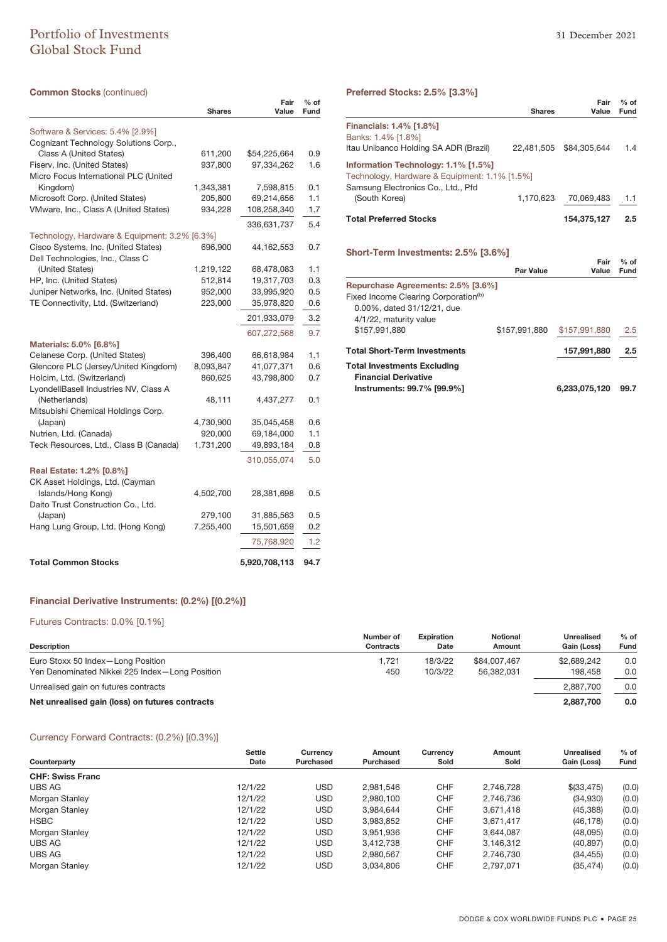# Portfolio of Investments 31 December 2021 Global Stock Fund

| <b>Common Stocks (continued)</b>                                              |                      |                          |                       |
|-------------------------------------------------------------------------------|----------------------|--------------------------|-----------------------|
|                                                                               | <b>Shares</b>        | Fair<br>Value            | $%$ of<br><b>Fund</b> |
| Software & Services: 5.4% [2.9%]                                              |                      |                          |                       |
| Cognizant Technology Solutions Corp.,                                         |                      |                          |                       |
| Class A (United States)                                                       | 611,200              | \$54,225,664             | 0.9                   |
| Fiserv, Inc. (United States)                                                  | 937,800              | 97,334,262               | 1.6                   |
| Micro Focus International PLC (United                                         |                      |                          |                       |
| Kingdom)                                                                      | 1,343,381            | 7,598,815                | 0.1                   |
| Microsoft Corp. (United States)                                               | 205,800              | 69,214,656               | 1.1                   |
| VMware, Inc., Class A (United States)                                         | 934,228              | 108,258,340              | 1.7                   |
|                                                                               |                      | 336,631,737              | 5.4                   |
| Technology, Hardware & Equipment: 3.2% [6.3%]                                 |                      |                          |                       |
| Cisco Systems, Inc. (United States)                                           | 696,900              | 44,162,553               | 0.7                   |
| Dell Technologies, Inc., Class C                                              |                      |                          |                       |
| (United States)                                                               | 1,219,122            | 68,478,083               | 1.1                   |
| HP, Inc. (United States)                                                      | 512,814              | 19,317,703               | 0.3                   |
| Juniper Networks, Inc. (United States)<br>TE Connectivity, Ltd. (Switzerland) | 952,000              | 33,995,920               | 0.5<br>0.6            |
|                                                                               | 223,000              | 35,978,820               |                       |
|                                                                               |                      | 201,933,079              | 3.2                   |
|                                                                               |                      | 607,272,568              | 9.7                   |
| Materials: 5.0% [6.8%]                                                        |                      |                          |                       |
| Celanese Corp. (United States)                                                | 396,400              | 66,618,984               | 1.1                   |
| Glencore PLC (Jersey/United Kingdom)                                          | 8,093,847            | 41,077,371               | 0.6                   |
| Holcim, Ltd. (Switzerland)                                                    | 860,625              | 43,798,800               | 0.7                   |
| LyondellBasell Industries NV, Class A                                         |                      |                          |                       |
| (Netherlands)                                                                 | 48,111               | 4,437,277                | 0.1                   |
| Mitsubishi Chemical Holdings Corp.                                            |                      |                          |                       |
| (Japan)<br>Nutrien, Ltd. (Canada)                                             | 4,730,900<br>920,000 | 35,045,458<br>69,184,000 | 0.6<br>1.1            |
| Teck Resources, Ltd., Class B (Canada)                                        | 1,731,200            | 49,893,184               | 0.8                   |
|                                                                               |                      |                          |                       |
|                                                                               |                      | 310,055,074              | 5.0                   |
| Real Estate: 1.2% [0.8%]                                                      |                      |                          |                       |
| CK Asset Holdings, Ltd. (Cayman                                               |                      |                          |                       |
| Islands/Hong Kong)                                                            | 4,502,700            | 28,381,698               | 0.5                   |
| Daito Trust Construction Co., Ltd.<br>(Japan)                                 | 279,100              | 31,885,563               | 0.5                   |
| Hang Lung Group, Ltd. (Hong Kong)                                             | 7,255,400            | 15,501,659               | 0.2                   |
|                                                                               |                      |                          |                       |
|                                                                               |                      | 75,768,920               | 1.2                   |
| <b>Total Common Stocks</b>                                                    |                      | 5,920,708,113            | 94.7                  |

# **Preferred Stocks: 2.5% [3.3%]**

|                                                                                                                             |               | Fair         | $%$ of |
|-----------------------------------------------------------------------------------------------------------------------------|---------------|--------------|--------|
|                                                                                                                             | <b>Shares</b> | Value        | Fund   |
| <b>Financials: 1.4% [1.8%]</b><br>Banks: 1.4% [1.8%]<br>Itau Unibanco Holding SA ADR (Brazil)                               | 22.481.505    | \$84.305.644 | 1.4    |
| Information Technology: 1.1% [1.5%]<br>Technology, Hardware & Equipment: 1.1% [1.5%]<br>Samsung Electronics Co., Ltd., Pfd. |               |              |        |
| (South Korea)                                                                                                               | 1,170,623     | 70,069,483   | 1.1    |
| <b>Total Preferred Stocks</b>                                                                                               |               | 154,375,127  | 2.5    |
| Short-Term Investments: 2.5% [3.6%]                                                                                         |               |              |        |

|                                                                   | <b>Par Value</b> | Fair<br>Value | $%$ of<br>Fund |
|-------------------------------------------------------------------|------------------|---------------|----------------|
| Repurchase Agreements: 2.5% [3.6%]                                |                  |               |                |
| Fixed Income Clearing Corporation <sup>(b)</sup>                  |                  |               |                |
| 0.00%, dated 31/12/21, due                                        |                  |               |                |
| 4/1/22, maturity value                                            |                  |               |                |
| \$157,991,880                                                     | \$157,991,880    | \$157,991,880 | 2.5            |
| <b>Total Short-Term Investments</b>                               |                  | 157,991,880   | 2.5            |
| <b>Total Investments Excluding</b><br><b>Financial Derivative</b> |                  |               |                |
| Instruments: 99.7% [99.9%]                                        |                  | 6.233.075.120 | 99.7           |

### **Financial Derivative Instruments: (0.2%) [(0.2%)]**

### Futures Contracts: 0.0% [0.1%]

| <b>Description</b>                              | Number of<br><b>Contracts</b> | <b>Expiration</b><br>Date | <b>Notional</b><br>Amount | <b>Unrealised</b><br>Gain (Loss) | $%$ of<br>Fund |
|-------------------------------------------------|-------------------------------|---------------------------|---------------------------|----------------------------------|----------------|
| Euro Stoxx 50 Index-Long Position               | 1.721                         | 18/3/22                   | \$84,007,467              | \$2,689,242                      | 0.0            |
| Yen Denominated Nikkei 225 Index-Long Position  | 450                           | 10/3/22                   | 56.382.031                | 198.458                          | 0.0            |
| Unrealised gain on futures contracts            |                               |                           |                           | 2.887.700                        | 0.0            |
| Net unrealised gain (loss) on futures contracts |                               |                           |                           | 2.887.700                        | 0.0            |

### Currency Forward Contracts: (0.2%) [(0.3%)]

| Sold      | Gain (Loss) | Fund  |
|-----------|-------------|-------|
|           |             |       |
|           |             |       |
| 2,746,728 | \$(33,475)  | (0.0) |
| 2.746.736 | (34,930)    | (0.0) |
| 3,671,418 | (45, 388)   | (0.0) |
| 3,671,417 | (46, 178)   | (0.0) |
| 3.644.087 | (48,095)    | (0.0) |
| 3,146,312 | (40, 897)   | (0.0) |
| 2.746.730 | (34, 455)   | (0.0) |
| 2.797.071 | (35, 474)   | (0.0) |
|           |             |       |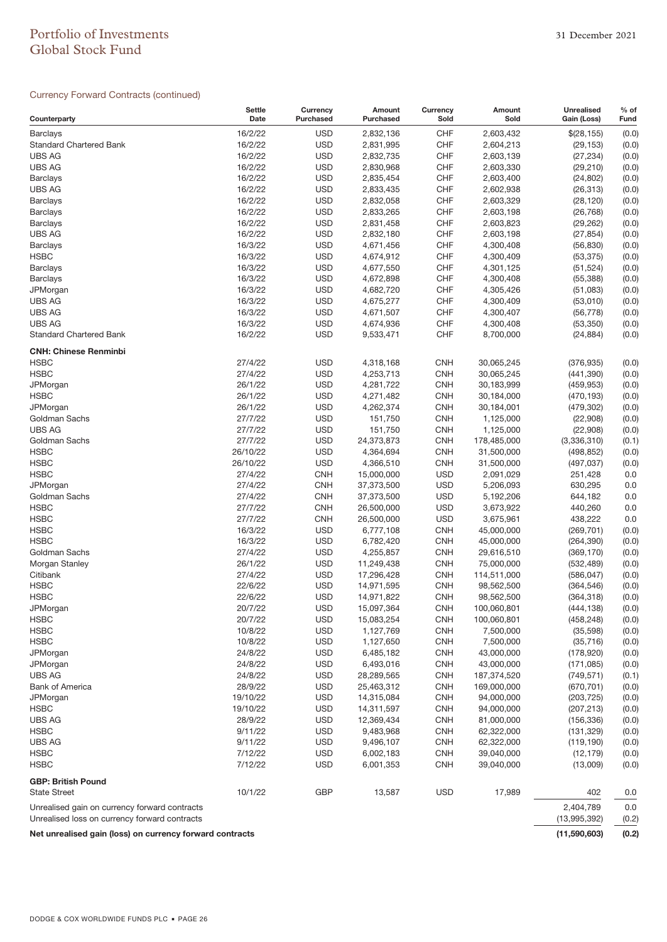# Portfolio of Investments 31 December 2021 Global Stock Fund

### Currency Forward Contracts (continued)

| Counterparty                                                                                   | <b>Settle</b><br>Date | Currency<br>Purchased | Amount<br>Purchased    | Currency<br>Sold | Amount<br>Sold | <b>Unrealised</b><br>Gain (Loss) | $%$ of<br>Fund |
|------------------------------------------------------------------------------------------------|-----------------------|-----------------------|------------------------|------------------|----------------|----------------------------------|----------------|
| <b>Barclays</b>                                                                                | 16/2/22               | <b>USD</b>            | 2,832,136              | <b>CHF</b>       | 2,603,432      | \$(28, 155)                      | (0.0)          |
| <b>Standard Chartered Bank</b>                                                                 | 16/2/22               | <b>USD</b>            | 2,831,995              | CHF              | 2,604,213      | (29, 153)                        | (0.0)          |
| <b>UBS AG</b>                                                                                  | 16/2/22               | <b>USD</b>            | 2,832,735              | <b>CHF</b>       | 2,603,139      | (27, 234)                        | (0.0)          |
| <b>UBS AG</b>                                                                                  | 16/2/22               | <b>USD</b>            | 2,830,968              | <b>CHF</b>       | 2,603,330      | (29, 210)                        | (0.0)          |
| <b>Barclays</b>                                                                                | 16/2/22               | <b>USD</b>            | 2,835,454              | <b>CHF</b>       | 2,603,400      | (24, 802)                        | (0.0)          |
| <b>UBS AG</b>                                                                                  | 16/2/22               | <b>USD</b>            | 2,833,435              | <b>CHF</b>       | 2,602,938      | (26, 313)                        | (0.0)          |
| <b>Barclays</b>                                                                                | 16/2/22               | <b>USD</b>            | 2,832,058              | <b>CHF</b>       | 2,603,329      | (28, 120)                        | (0.0)          |
| <b>Barclays</b>                                                                                | 16/2/22               | <b>USD</b>            | 2,833,265              | CHF              | 2,603,198      | (26, 768)                        | (0.0)          |
| <b>Barclays</b>                                                                                | 16/2/22               | <b>USD</b>            | 2,831,458              | <b>CHF</b>       | 2,603,823      | (29, 262)                        | (0.0)          |
| <b>UBS AG</b>                                                                                  | 16/2/22               | <b>USD</b>            | 2,832,180              | <b>CHF</b>       | 2,603,198      | (27, 854)                        | (0.0)          |
| <b>Barclays</b>                                                                                | 16/3/22               | <b>USD</b>            | 4,671,456              | CHF              | 4,300,408      | (56, 830)                        | (0.0)          |
| <b>HSBC</b>                                                                                    | 16/3/22               | <b>USD</b>            | 4,674,912              | <b>CHF</b>       | 4,300,409      | (53, 375)                        | (0.0)          |
| <b>Barclays</b>                                                                                | 16/3/22               | <b>USD</b>            | 4,677,550              | <b>CHF</b>       | 4,301,125      | (51, 524)                        | (0.0)          |
| <b>Barclays</b>                                                                                | 16/3/22               | <b>USD</b>            | 4,672,898              | CHF              | 4,300,408      | (55, 388)                        | (0.0)          |
| JPMorgan                                                                                       | 16/3/22               | <b>USD</b>            | 4,682,720              | <b>CHF</b>       | 4,305,426      | (51,083)                         | (0.0)          |
| <b>UBS AG</b>                                                                                  | 16/3/22               | <b>USD</b>            | 4,675,277              | <b>CHF</b>       | 4,300,409      | (53,010)                         | (0.0)          |
| <b>UBS AG</b>                                                                                  | 16/3/22               | <b>USD</b>            | 4,671,507              | <b>CHF</b>       | 4,300,407      | (56, 778)                        | (0.0)          |
| <b>UBS AG</b>                                                                                  | 16/3/22               | <b>USD</b>            | 4,674,936              | <b>CHF</b>       | 4,300,408      | (53, 350)                        | (0.0)          |
| <b>Standard Chartered Bank</b>                                                                 | 16/2/22               | <b>USD</b>            | 9,533,471              | <b>CHF</b>       | 8,700,000      | (24, 884)                        | (0.0)          |
| <b>CNH: Chinese Renminbi</b><br><b>HSBC</b>                                                    | 27/4/22               | <b>USD</b>            |                        | <b>CNH</b>       | 30,065,245     |                                  |                |
| <b>HSBC</b>                                                                                    | 27/4/22               | <b>USD</b>            | 4,318,168<br>4,253,713 | <b>CNH</b>       | 30,065,245     | (376, 935)<br>(441, 390)         | (0.0)<br>(0.0) |
| JPMorgan                                                                                       | 26/1/22               | <b>USD</b>            | 4,281,722              | <b>CNH</b>       | 30,183,999     | (459, 953)                       | (0.0)          |
| <b>HSBC</b>                                                                                    | 26/1/22               | <b>USD</b>            | 4,271,482              | <b>CNH</b>       | 30,184,000     | (470, 193)                       | (0.0)          |
| JPMorgan                                                                                       | 26/1/22               | <b>USD</b>            | 4,262,374              | <b>CNH</b>       | 30,184,001     | (479, 302)                       | (0.0)          |
| Goldman Sachs                                                                                  | 27/7/22               | <b>USD</b>            | 151,750                | <b>CNH</b>       | 1,125,000      | (22,908)                         | (0.0)          |
| <b>UBS AG</b>                                                                                  | 27/7/22               | <b>USD</b>            | 151,750                | <b>CNH</b>       | 1,125,000      | (22,908)                         | (0.0)          |
| Goldman Sachs                                                                                  | 27/7/22               | <b>USD</b>            | 24,373,873             | <b>CNH</b>       | 178,485,000    | (3,336,310)                      | (0.1)          |
| <b>HSBC</b>                                                                                    | 26/10/22              | <b>USD</b>            | 4,364,694              | <b>CNH</b>       | 31,500,000     | (498, 852)                       | (0.0)          |
| <b>HSBC</b>                                                                                    | 26/10/22              | <b>USD</b>            | 4,366,510              | <b>CNH</b>       | 31,500,000     | (497, 037)                       | (0.0)          |
| <b>HSBC</b>                                                                                    | 27/4/22               | <b>CNH</b>            | 15,000,000             | <b>USD</b>       | 2,091,029      | 251,428                          | 0.0            |
| JPMorgan                                                                                       | 27/4/22               | <b>CNH</b>            | 37,373,500             | <b>USD</b>       | 5,206,093      | 630,295                          | 0.0            |
| Goldman Sachs                                                                                  | 27/4/22               | <b>CNH</b>            | 37,373,500             | <b>USD</b>       | 5,192,206      | 644,182                          | 0.0            |
| <b>HSBC</b>                                                                                    | 27/7/22               | <b>CNH</b>            | 26,500,000             | <b>USD</b>       | 3,673,922      | 440,260                          | 0.0            |
| <b>HSBC</b>                                                                                    | 27/7/22               | <b>CNH</b>            | 26,500,000             | <b>USD</b>       | 3,675,961      | 438,222                          | 0.0            |
| <b>HSBC</b>                                                                                    | 16/3/22               | <b>USD</b>            | 6,777,108              | <b>CNH</b>       | 45,000,000     | (269, 701)                       | (0.0)          |
| <b>HSBC</b>                                                                                    | 16/3/22               | <b>USD</b>            | 6,782,420              | <b>CNH</b>       | 45,000,000     | (264, 390)                       | (0.0)          |
| Goldman Sachs                                                                                  | 27/4/22               | <b>USD</b>            | 4,255,857              | <b>CNH</b>       | 29,616,510     | (369, 170)                       | (0.0)          |
| Morgan Stanley                                                                                 | 26/1/22               | <b>USD</b>            | 11,249,438             | <b>CNH</b>       | 75,000,000     | (532, 489)                       | (0.0)          |
| Citibank                                                                                       | 27/4/22               | <b>USD</b>            | 17,296,428             | <b>CNH</b>       | 114,511,000    | (586, 047)                       | (0.0)          |
| <b>HSBC</b>                                                                                    | 22/6/22               | <b>USD</b>            | 14,971,595             | <b>CNH</b>       | 98,562,500     | (364, 546)                       | (0.0)          |
| <b>HSBC</b>                                                                                    | 22/6/22               | <b>USD</b>            | 14,971,822             | <b>CNH</b>       | 98,562,500     | (364, 318)                       | (0.0)          |
| JPMorgan                                                                                       | 20/7/22               | USD                   | 15,097,364             | <b>CNH</b>       | 100,060,801    | (444, 138)                       | (0.0)          |
| <b>HSBC</b>                                                                                    | 20/7/22               | <b>USD</b>            | 15,083,254             | <b>CNH</b>       | 100,060,801    | (458, 248)                       | (0.0)          |
| <b>HSBC</b>                                                                                    | 10/8/22               | <b>USD</b>            | 1,127,769              | <b>CNH</b>       | 7,500,000      | (35, 598)                        | (0.0)          |
| <b>HSBC</b>                                                                                    | 10/8/22               | <b>USD</b>            | 1,127,650              | <b>CNH</b>       | 7,500,000      | (35, 716)                        | (0.0)          |
| JPMorgan                                                                                       | 24/8/22               | <b>USD</b>            | 6,485,182              | <b>CNH</b>       | 43,000,000     | (178, 920)                       | (0.0)          |
| JPMorgan                                                                                       | 24/8/22               | <b>USD</b>            | 6,493,016              | <b>CNH</b>       | 43,000,000     | (171, 085)                       | (0.0)          |
| <b>UBS AG</b>                                                                                  | 24/8/22               | <b>USD</b>            | 28,289,565             | <b>CNH</b>       | 187,374,520    | (749, 571)                       | (0.1)          |
| <b>Bank of America</b>                                                                         | 28/9/22               | <b>USD</b>            | 25,463,312             | <b>CNH</b>       | 169,000,000    | (670, 701)                       | (0.0)          |
| JPMorgan                                                                                       | 19/10/22              | <b>USD</b>            | 14,315,084             | <b>CNH</b>       | 94,000,000     | (203, 725)                       | (0.0)          |
| <b>HSBC</b>                                                                                    | 19/10/22              | <b>USD</b>            | 14,311,597             | <b>CNH</b>       | 94,000,000     | (207, 213)                       | (0.0)          |
| <b>UBS AG</b>                                                                                  | 28/9/22               | <b>USD</b>            | 12,369,434             | <b>CNH</b>       | 81,000,000     | (156, 336)                       | (0.0)          |
| <b>HSBC</b>                                                                                    | 9/11/22               | <b>USD</b>            | 9,483,968              | <b>CNH</b>       | 62,322,000     | (131, 329)                       | (0.0)          |
| UBS AG                                                                                         | 9/11/22               | <b>USD</b>            | 9,496,107              | <b>CNH</b>       | 62,322,000     | (119, 190)                       | (0.0)          |
| <b>HSBC</b>                                                                                    | 7/12/22               | <b>USD</b>            | 6,002,183              | <b>CNH</b>       | 39,040,000     | (12, 179)                        | (0.0)          |
| <b>HSBC</b>                                                                                    | 7/12/22               | <b>USD</b>            | 6,001,353              | <b>CNH</b>       | 39,040,000     | (13,009)                         | (0.0)          |
| <b>GBP: British Pound</b>                                                                      |                       |                       |                        |                  |                |                                  |                |
| <b>State Street</b>                                                                            | 10/1/22               | <b>GBP</b>            | 13,587                 | <b>USD</b>       | 17,989         | 402<br>2,404,789                 | 0.0            |
| Unrealised gain on currency forward contracts<br>Unrealised loss on currency forward contracts |                       |                       |                        |                  |                |                                  | 0.0<br>(0.2)   |
| Net unrealised gain (loss) on currency forward contracts                                       |                       |                       |                        |                  |                |                                  | (0.2)          |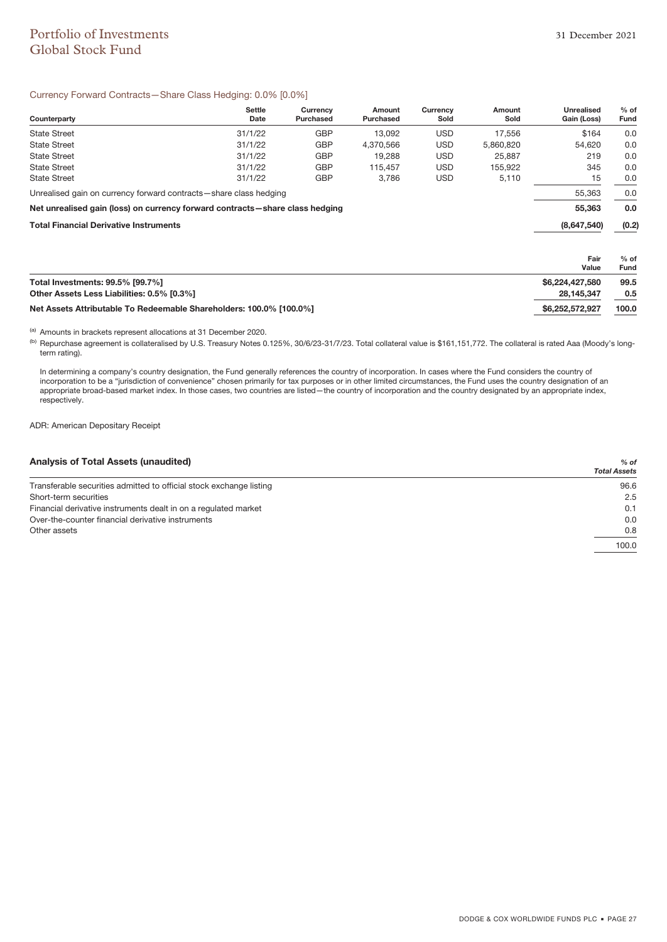# Portfolio of Investments 31 December 2021 Global Stock Fund

### Currency Forward Contracts—Share Class Hedging: 0.0% [0.0%]

| Counterparty                                                                 | <b>Settle</b><br>Date | Currency<br>Purchased | Amount<br>Purchased | Currency<br>Sold | Amount<br>Sold | <b>Unrealised</b><br>Gain (Loss) | $%$ of<br>Fund |
|------------------------------------------------------------------------------|-----------------------|-----------------------|---------------------|------------------|----------------|----------------------------------|----------------|
| <b>State Street</b>                                                          | 31/1/22               | <b>GBP</b>            | 13.092              | <b>USD</b>       | 17,556         | \$164                            | 0.0            |
| <b>State Street</b>                                                          | 31/1/22               | <b>GBP</b>            | 4.370.566           | <b>USD</b>       | 5,860,820      | 54,620                           | 0.0            |
| <b>State Street</b>                                                          | 31/1/22               | <b>GBP</b>            | 19.288              | <b>USD</b>       | 25,887         | 219                              | 0.0            |
| <b>State Street</b>                                                          | 31/1/22               | <b>GBP</b>            | 115.457             | <b>USD</b>       | 155,922        | 345                              | 0.0            |
| <b>State Street</b>                                                          | 31/1/22               | <b>GBP</b>            | 3.786               | <b>USD</b>       | 5,110          | 15                               | 0.0            |
| Unrealised gain on currency forward contracts—share class hedging            |                       |                       |                     |                  |                | 55,363                           | 0.0            |
| Net unrealised gain (loss) on currency forward contracts-share class hedging |                       |                       |                     |                  |                | 55,363                           | 0.0            |
| <b>Total Financial Derivative Instruments</b>                                |                       |                       |                     |                  |                | (8,647,540)                      | (0.2)          |
|                                                                              |                       |                       |                     |                  |                | Fair                             | $%$ of         |
|                                                                              |                       |                       |                     |                  |                | Value                            | Fund           |
| Total Investments: 99.5% [99.7%]                                             |                       |                       |                     |                  |                | \$6,224,427,580                  | 99.5           |
| Other Assets Less Liabilities: 0.5% [0.3%]                                   |                       |                       |                     |                  |                | 28.145.347                       | 0.5            |

**Net Assets Attributable To Redeemable Shareholders: 100.0% [100.0%] \$6,252,572,927 100.0**

(a) Amounts in brackets represent allocations at 31 December 2020.

(b) Repurchase agreement is collateralised by U.S. Treasury Notes 0.125%, 30/6/23-31/7/23. Total collateral value is \$161,151,772. The collateral is rated Aaa (Moody's longterm rating).

In determining a company's country designation, the Fund generally references the country of incorporation. In cases where the Fund considers the country of incorporation to be a "jurisdiction of convenience" chosen primarily for tax purposes or in other limited circumstances, the Fund uses the country designation of an appropriate broad-based market index. In those cases, two countries are listed—the country of incorporation and the country designated by an appropriate index, respectively.

**Other Assets Less Liabilities: 0.5% [0.3%] 28,145,347 0.5**

ADR: American Depositary Receipt

### **Analysis of Total Assets (unaudited)** *% of*

|                                                                     | <b>Total Assets</b> |
|---------------------------------------------------------------------|---------------------|
| Transferable securities admitted to official stock exchange listing | 96.6                |
| Short-term securities                                               | 2.5                 |
| Financial derivative instruments dealt in on a regulated market     | 0.1                 |
| Over-the-counter financial derivative instruments                   | 0.0                 |
| Other assets                                                        | 0.8                 |
|                                                                     | 100.0               |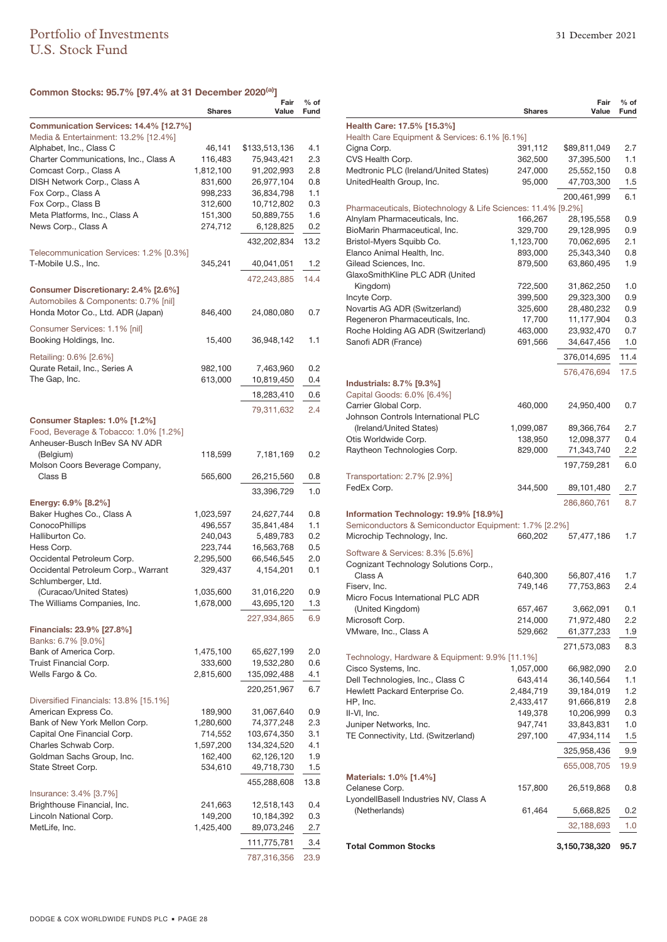### **Common Stocks: 95.7% [97.4% at 31 December 2020(a)]**

|                                          | <b>Shares</b>        | Fair<br>Value            | $%$ of<br>Fund |
|------------------------------------------|----------------------|--------------------------|----------------|
| Communication Services: 14.4% [12.7%]    |                      |                          |                |
| Media & Entertainment: 13.2% [12.4%]     |                      |                          |                |
| Alphabet, Inc., Class C                  | 46,141               | \$133,513,136            | 4.1            |
| Charter Communications, Inc., Class A    | 116,483              | 75,943,421               | 2.3            |
| Comcast Corp., Class A                   | 1,812,100            | 91,202,993               | 2.8            |
| DISH Network Corp., Class A              | 831,600              | 26,977,104               | 0.8            |
| Fox Corp., Class A<br>Fox Corp., Class B | 998,233              | 36,834,798<br>10,712,802 | 1.1<br>0.3     |
| Meta Platforms, Inc., Class A            | 312,600<br>151,300   | 50,889,755               | 1.6            |
| News Corp., Class A                      | 274,712              | 6,128,825                | 0.2            |
|                                          |                      | 432,202,834              | 13.2           |
| Telecommunication Services: 1.2% [0.3%]  |                      |                          |                |
| T-Mobile U.S., Inc.                      | 345,241              | 40,041,051               | 1.2            |
|                                          |                      | 472,243,885              | 14.4           |
| Consumer Discretionary: 2.4% [2.6%]      |                      |                          |                |
| Automobiles & Components: 0.7% [nil]     |                      |                          |                |
| Honda Motor Co., Ltd. ADR (Japan)        | 846,400              | 24,080,080               | 0.7            |
| Consumer Services: 1.1% [nil]            |                      |                          |                |
| Booking Holdings, Inc.                   | 15,400               | 36,948,142               | 1.1            |
| Retailing: 0.6% [2.6%]                   |                      |                          |                |
| Qurate Retail, Inc., Series A            | 982,100              | 7,463,960                | 0.2            |
| The Gap, Inc.                            | 613,000              | 10,819,450               | 0.4            |
|                                          |                      | 18,283,410               | 0.6            |
|                                          |                      | 79,311,632               | 2.4            |
| Consumer Staples: 1.0% [1.2%]            |                      |                          |                |
| Food, Beverage & Tobacco: 1.0% [1.2%]    |                      |                          |                |
| Anheuser-Busch InBev SA NV ADR           |                      |                          |                |
| (Belgium)                                | 118,599              | 7,181,169                | 0.2            |
| Molson Coors Beverage Company,           |                      |                          |                |
| Class B                                  | 565,600              | 26,215,560               | 0.8            |
|                                          |                      | 33,396,729               | 1.0            |
| Energy: 6.9% [8.2%]                      |                      |                          |                |
| Baker Hughes Co., Class A                | 1,023,597            | 24,627,744               | 0.8            |
| ConocoPhillips                           | 496,557              | 35,841,484               | 1.1            |
| Halliburton Co.                          | 240,043              | 5,489,783                | 0.2            |
| Hess Corp.<br>Occidental Petroleum Corp. | 223,744<br>2,295,500 | 16,563,768<br>66,546,545 | 0.5<br>2.0     |
| Occidental Petroleum Corp., Warrant      | 329,437              | 4,154,201                | 0.1            |
| Schlumberger, Ltd.                       |                      |                          |                |
| (Curacao/United States)                  | 1,035,600            | 31,016,220               | 0.9            |
| The Williams Companies, Inc.             | 1,678,000            | 43,695,120               | 1.3            |
|                                          |                      | 227,934,865              | 6.9            |
| <b>Financials: 23.9% [27.8%]</b>         |                      |                          |                |
| Banks: 6.7% [9.0%]                       |                      |                          |                |
| Bank of America Corp.                    | 1,475,100            | 65,627,199               | 2.0            |
| Truist Financial Corp.                   | 333,600              | 19,532,280               | 0.6            |
| Wells Fargo & Co.                        | 2,815,600            | 135,092,488              | 4.1            |
|                                          |                      | 220,251,967              | 6.7            |
| Diversified Financials: 13.8% [15.1%]    |                      |                          |                |
| American Express Co.                     | 189,900              | 31,067,640               | 0.9            |
| Bank of New York Mellon Corp.            | 1,280,600            | 74,377,248               | 2.3            |
| Capital One Financial Corp.              | 714,552              | 103,674,350              | 3.1            |
| Charles Schwab Corp.                     | 1,597,200            | 134,324,520              | 4.1            |
| Goldman Sachs Group, Inc.                | 162,400<br>534,610   | 62,126,120               | 1.9<br>1.5     |
| State Street Corp.                       |                      | 49,718,730               |                |
| Insurance: 3.4% [3.7%]                   |                      | 455,288,608              | 13.8           |
| Brighthouse Financial, Inc.              | 241,663              | 12,518,143               | 0.4            |
| Lincoln National Corp.                   | 149,200              | 10,184,392               | 0.3            |
| MetLife, Inc.                            | 1,425,400            | 89,073,246               | 2.7            |
|                                          |                      | 111,775,781              | 3.4            |
|                                          |                      |                          | 23.9           |
|                                          |                      | 787,316,356              |                |

|                                                                             | <b>Shares</b> | Fair<br>Value | $%$ of<br>Fund |
|-----------------------------------------------------------------------------|---------------|---------------|----------------|
| Health Care: 17.5% [15.3%]<br>Health Care Equipment & Services: 6.1% [6.1%] |               |               |                |
| Cigna Corp.                                                                 | 391,112       | \$89,811,049  | 2.7            |
| CVS Health Corp.                                                            | 362,500       | 37,395,500    | 1.1            |
| Medtronic PLC (Ireland/United States)                                       | 247,000       | 25,552,150    | 0.8            |
| UnitedHealth Group, Inc.                                                    | 95,000        | 47,703,300    | 1.5            |
|                                                                             |               | 200,461,999   | 6.1            |
| Pharmaceuticals, Biotechnology & Life Sciences: 11.4% [9.2%]                |               |               |                |
| Alnylam Pharmaceuticals, Inc.                                               | 166,267       | 28,195,558    | 0.9            |
| BioMarin Pharmaceutical, Inc.                                               | 329,700       | 29,128,995    | 0.9            |
| Bristol-Myers Squibb Co.                                                    | 1,123,700     | 70,062,695    | 2.1            |
| Elanco Animal Health, Inc.                                                  | 893,000       | 25,343,340    | 0.8            |
| Gilead Sciences, Inc.<br>GlaxoSmithKline PLC ADR (United                    | 879,500       | 63,860,495    | 1.9            |
| Kingdom)                                                                    | 722,500       | 31,862,250    | 1.0            |
| Incyte Corp.                                                                | 399,500       | 29,323,300    | 0.9            |
| Novartis AG ADR (Switzerland)                                               | 325,600       | 28,480,232    | 0.9            |
| Regeneron Pharmaceuticals, Inc.                                             | 17,700        | 11,177,904    | 0.3            |
| Roche Holding AG ADR (Switzerland)                                          | 463,000       | 23,932,470    | 0.7            |
| Sanofi ADR (France)                                                         | 691,566       | 34,647,456    | 1.0            |
|                                                                             |               | 376,014,695   | 11.4           |
|                                                                             |               | 576,476,694   | 17.5           |
| Industrials: 8.7% [9.3%]                                                    |               |               |                |
| Capital Goods: 6.0% [6.4%]                                                  |               |               |                |
| Carrier Global Corp.                                                        | 460,000       | 24,950,400    | 0.7            |
| Johnson Controls International PLC<br>(Ireland/United States)               | 1,099,087     | 89,366,764    | 2.7            |
| Otis Worldwide Corp.                                                        | 138,950       | 12,098,377    | 0.4            |
| Raytheon Technologies Corp.                                                 | 829,000       | 71,343,740    | 2.2            |
|                                                                             |               | 197,759,281   | 6.0            |
| Transportation: 2.7% [2.9%]                                                 |               |               |                |
| FedEx Corp.                                                                 | 344,500       | 89,101,480    | 2.7            |
|                                                                             |               | 286,860,761   | 8.7            |
| Information Technology: 19.9% [18.9%]                                       |               |               |                |
| Semiconductors & Semiconductor Equipment: 1.7% [2.2%]                       |               |               |                |
| Microchip Technology, Inc.                                                  | 660,202       | 57,477,186    | 1.7            |
| Software & Services: 8.3% [5.6%]                                            |               |               |                |
| Cognizant Technology Solutions Corp.,                                       |               |               |                |
| Class A                                                                     | 640,300       | 56,807,416    | 1.7            |
| Fiserv, Inc.                                                                | 749,146       | 77,753,863    | 2.4            |
| Micro Focus International PLC ADR                                           |               |               |                |
| (United Kingdom)                                                            | 657,467       | 3,662,091     | 0.1            |
| Microsoft Corp.                                                             | 214,000       | 71,972,480    | 2.2            |
| VMware, Inc., Class A                                                       | 529,662       | 61,377,233    | 1.9            |
|                                                                             |               | 271,573,083   | 8.3            |
| Technology, Hardware & Equipment: 9.9% [11.1%]                              |               |               |                |
| Cisco Systems, Inc.                                                         | 1,057,000     | 66,982,090    | 2.0            |
| Dell Technologies, Inc., Class C                                            | 643,414       | 36,140,564    | 1.1            |
| Hewlett Packard Enterprise Co.                                              | 2,484,719     | 39,184,019    | 1.2            |
| HP, Inc.                                                                    | 2,433,417     | 91,666,819    | 2.8            |
| II-VI, Inc.                                                                 | 149,378       | 10,206,999    | 0.3            |
| Juniper Networks, Inc.<br>TE Connectivity, Ltd. (Switzerland)               | 947,741       | 33,843,831    | 1.0<br>1.5     |
|                                                                             | 297,100       | 47,934,114    |                |
|                                                                             |               | 325,958,436   | 9.9            |
|                                                                             |               | 655,008,705   | 19.9           |
| Materials: 1.0% [1.4%]                                                      |               |               |                |
| Celanese Corp.<br>LyondellBasell Industries NV, Class A                     | 157,800       | 26,519,868    | 0.8            |
| (Netherlands)                                                               | 61,464        | 5,668,825     | 0.2            |
|                                                                             |               | 32,188,693    | 1.0            |
| <b>Total Common Stocks</b>                                                  |               | 3,150,738,320 | 95.7           |
|                                                                             |               |               |                |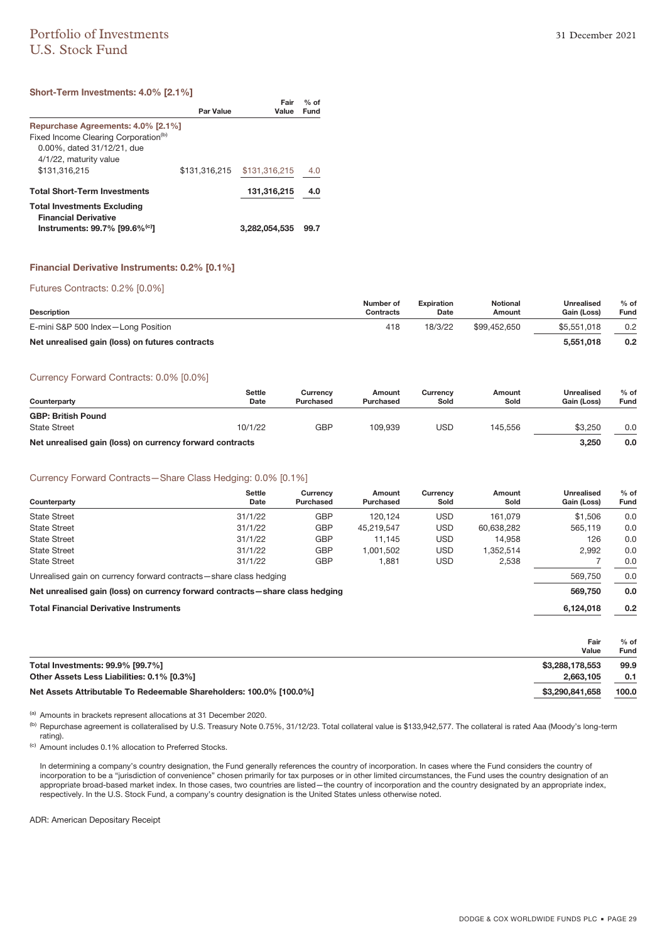# Portfolio of Investments 31 December 2021 U.S. Stock Fund

### **Short-Term Investments: 4.0% [2.1%]**

|                                                                                                                                                                 | <b>Par Value</b> | Fair<br>Value | $%$ of<br>Fund |
|-----------------------------------------------------------------------------------------------------------------------------------------------------------------|------------------|---------------|----------------|
| Repurchase Agreements: 4.0% [2.1%]<br>Fixed Income Clearing Corporation <sup>(b)</sup><br>0.00%, dated 31/12/21, due<br>4/1/22, maturity value<br>\$131,316,215 | \$131,316,215    | \$131,316,215 | 4.0            |
| <b>Total Short-Term Investments</b>                                                                                                                             |                  | 131,316,215   | 4.0            |
| <b>Total Investments Excluding</b><br><b>Financial Derivative</b><br>Instruments: 99.7% [99.6% $^{(c)}$ ]                                                       |                  | 3.282.054.535 | 99.7           |

### **Financial Derivative Instruments: 0.2% [0.1%]**

Futures Contracts: 0.2% [0.0%]

| <b>Description</b>                              | Number of<br>Contracts | <b>Expiration</b><br>Date | <b>Notional</b><br>Amount | Unrealised<br><b>Gain (Loss)</b> | $%$ of<br>Fund |
|-------------------------------------------------|------------------------|---------------------------|---------------------------|----------------------------------|----------------|
| E-mini S&P 500 Index-Long Position              | 418                    | 18/3/22                   | \$99.452.650              | \$5,551,018                      | 0.2            |
| Net unrealised gain (loss) on futures contracts |                        |                           |                           | 5.551.018                        | 0.2            |

#### Currency Forward Contracts: 0.0% [0.0%]

| Counterparty                                             | <b>Settle</b><br>Date | Currency<br>Purchased | Amount<br>Purchased | Currencv<br>Sold | Amount<br>Sold | Unrealised<br>Gain (Loss) | $%$ of<br>Fund |
|----------------------------------------------------------|-----------------------|-----------------------|---------------------|------------------|----------------|---------------------------|----------------|
| <b>GBP: British Pound</b>                                |                       |                       |                     |                  |                |                           |                |
| <b>State Street</b>                                      | 10/1/22               | GBP                   | 109.939             | USD              | 145.556        | \$3.250                   | 0.0            |
| Net unrealised gain (loss) on currency forward contracts |                       |                       |                     |                  |                | 3.250                     | 0.0            |

### Currency Forward Contracts—Share Class Hedging: 0.0% [0.1%]

| Counterparty                                                                 | <b>Settle</b><br>Date | Currency<br>Purchased | Amount<br>Purchased | Currency<br>Sold | Amount<br>Sold | Unrealised<br>Gain (Loss) | $%$ of<br>Fund |
|------------------------------------------------------------------------------|-----------------------|-----------------------|---------------------|------------------|----------------|---------------------------|----------------|
| <b>State Street</b>                                                          | 31/1/22               | <b>GBP</b>            | 120.124             | <b>USD</b>       | 161.079        | \$1,506                   | 0.0            |
| <b>State Street</b>                                                          | 31/1/22               | <b>GBP</b>            | 45.219.547          | <b>USD</b>       | 60,638,282     | 565.119                   | 0.0            |
| <b>State Street</b>                                                          | 31/1/22               | <b>GBP</b>            | 11.145              | <b>USD</b>       | 14.958         | 126                       | 0.0            |
| <b>State Street</b>                                                          | 31/1/22               | <b>GBP</b>            | 1.001.502           | <b>USD</b>       | 1,352,514      | 2,992                     | 0.0            |
| <b>State Street</b>                                                          | 31/1/22               | <b>GBP</b>            | 1,881               | <b>USD</b>       | 2,538          |                           | 0.0            |
| Unrealised gain on currency forward contracts-share class hedging            |                       |                       |                     |                  |                |                           | 0.0            |
| Net unrealised gain (loss) on currency forward contracts—share class hedging |                       |                       |                     |                  |                | 569,750                   | 0.0            |
| <b>Total Financial Derivative Instruments</b>                                |                       |                       |                     |                  | 6,124,018      | 0.2                       |                |

|                                                                     | Fair<br>Value   | $%$ of<br>Fund |
|---------------------------------------------------------------------|-----------------|----------------|
| Total Investments: 99.9% [99.7%]                                    | \$3,288,178,553 | 99.9           |
| Other Assets Less Liabilities: 0.1% [0.3%]                          | 2.663.105       | 0.1            |
| Net Assets Attributable To Redeemable Shareholders: 100.0% [100.0%] | \$3,290,841,658 | 100.0          |

(a) Amounts in brackets represent allocations at 31 December 2020.

(b) Repurchase agreement is collateralised by U.S. Treasury Note 0.75%, 31/12/23. Total collateral value is \$133,942,577. The collateral is rated Aaa (Moody's long-term rating).

(c) Amount includes 0.1% allocation to Preferred Stocks.

In determining a company's country designation, the Fund generally references the country of incorporation. In cases where the Fund considers the country of incorporation to be a "jurisdiction of convenience" chosen primarily for tax purposes or in other limited circumstances, the Fund uses the country designation of an appropriate broad-based market index. In those cases, two countries are listed—the country of incorporation and the country designated by an appropriate index, respectively. In the U.S. Stock Fund, a company's country designation is the United States unless otherwise noted.

ADR: American Depositary Receipt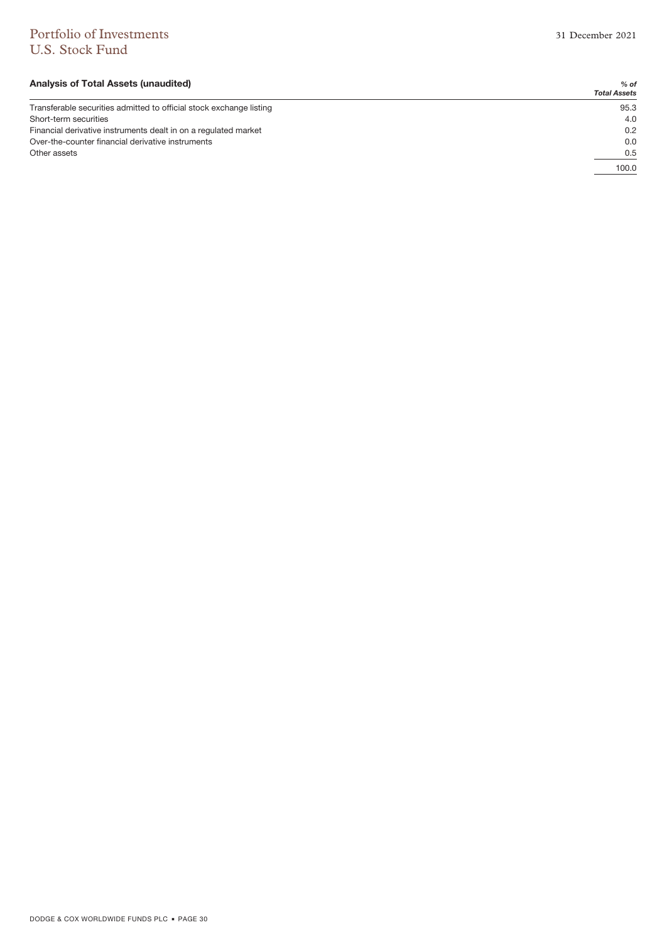# Portfolio of Investments 31 December 2021 U.S. Stock Fund

### **Analysis of Total Assets (unaudited)** *% of*

|                                                                     | <b>Total Assets</b> |
|---------------------------------------------------------------------|---------------------|
| Transferable securities admitted to official stock exchange listing | 95.3                |
| Short-term securities                                               | 4.0                 |
| Financial derivative instruments dealt in on a regulated market     | 0.2                 |
| Over-the-counter financial derivative instruments                   | 0.0                 |
| Other assets                                                        | 0.5                 |
|                                                                     | 100.0               |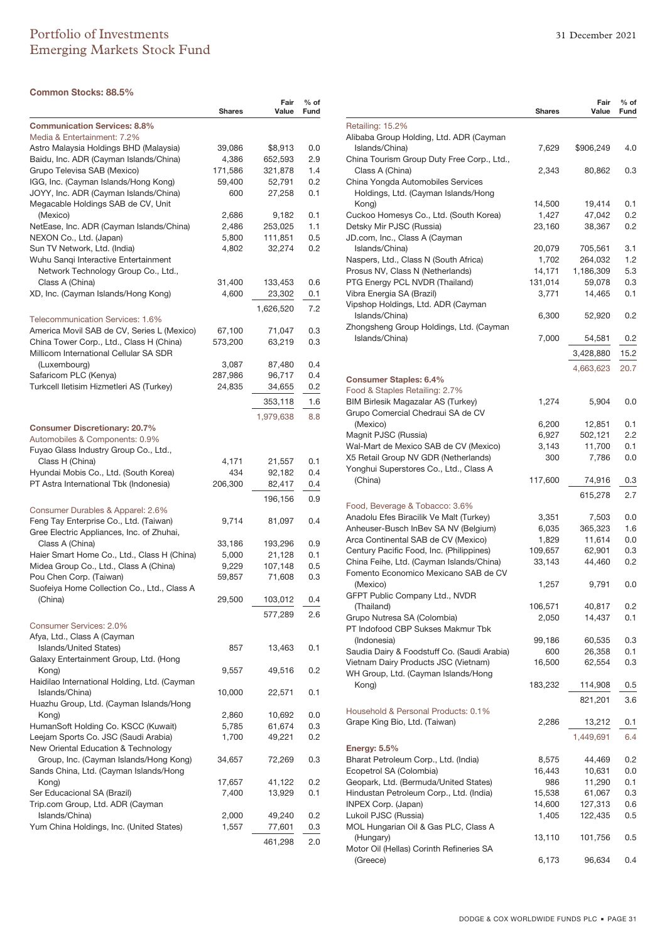### **Common Stocks: 88.5%**

| <b>Communication Services: 8.8%</b><br>Media & Entertainment: 7.2%<br>Astro Malaysia Holdings BHD (Malaysia)<br>39,086<br>\$8,913<br>0.0<br>Baidu, Inc. ADR (Cayman Islands/China)<br>2.9<br>4,386<br>652,593<br>Grupo Televisa SAB (Mexico)<br>1.4<br>171,586<br>321,878<br>IGG, Inc. (Cayman Islands/Hong Kong)<br>59,400<br>52,791<br>0.2<br>JOYY, Inc. ADR (Cayman Islands/China)<br>600<br>27,258<br>0.1<br>Megacable Holdings SAB de CV, Unit<br>(Mexico)<br>0.1<br>2,686<br>9,182<br>1.1<br>NetEase, Inc. ADR (Cayman Islands/China)<br>2,486<br>253,025<br>NEXON Co., Ltd. (Japan)<br>111,851<br>0.5<br>5,800<br>Sun TV Network, Ltd. (India)<br>0.2<br>4,802<br>32,274<br>Wuhu Sangi Interactive Entertainment<br>Network Technology Group Co., Ltd.,<br>Class A (China)<br>31,400<br>133,453<br>0.6<br>XD, Inc. (Cayman Islands/Hong Kong)<br>4,600<br>23,302<br>0.1<br>7.2<br>1,626,520<br>Telecommunication Services: 1.6%<br>America Movil SAB de CV, Series L (Mexico)<br>67,100<br>71,047<br>0.3<br>China Tower Corp., Ltd., Class H (China)<br>573,200<br>63,219<br>0.3<br>Millicom International Cellular SA SDR<br>(Luxembourg)<br>87,480<br>0.4<br>3,087<br>Safaricom PLC (Kenya)<br>287,986<br>96,717<br>0.4<br>Turkcell Iletisim Hizmetleri AS (Turkey)<br>24,835<br>34,655<br>0.2<br>1.6<br>353,118<br>1,979,638<br>8.8<br><b>Consumer Discretionary: 20.7%</b><br>Automobiles & Components: 0.9%<br>Fuyao Glass Industry Group Co., Ltd.,<br>Class H (China)<br>21,557<br>0.1<br>4,171<br>Hyundai Mobis Co., Ltd. (South Korea)<br>434<br>92,182<br>0.4<br>PT Astra International Tbk (Indonesia)<br>206,300<br>82,417<br>0.4<br>0.9<br>196,156<br>Consumer Durables & Apparel: 2.6%<br>Feng Tay Enterprise Co., Ltd. (Taiwan)<br>9,714<br>81,097<br>0.4<br>Gree Electric Appliances, Inc. of Zhuhai,<br>Class A (China)<br>33,186<br>193,296<br>0.9<br>Haier Smart Home Co., Ltd., Class H (China)<br>5,000<br>21,128<br>0.1<br>Midea Group Co., Ltd., Class A (China)<br>107,148<br>9,229<br>0.5<br>Pou Chen Corp. (Taiwan)<br>71,608<br>0.3<br>59,857<br>Suofeiya Home Collection Co., Ltd., Class A<br>29,500<br>(China)<br>103,012<br>0.4<br>577,289<br>2.6<br>Consumer Services: 2.0%<br>Afya, Ltd., Class A (Cayman<br><b>Islands/United States)</b><br>13,463<br>0.1<br>857<br>Galaxy Entertainment Group, Ltd. (Hong<br>Kong)<br>9,557<br>49,516<br>0.2<br>Haidilao International Holding, Ltd. (Cayman<br>Islands/China)<br>10,000<br>22,571<br>0.1<br>Huazhu Group, Ltd. (Cayman Islands/Hong<br>0.0<br>Kong)<br>2,860<br>10,692<br>HumanSoft Holding Co. KSCC (Kuwait)<br>5,785<br>61,674<br>0.3<br>Leejam Sports Co. JSC (Saudi Arabia)<br>1,700<br>49,221<br>0.2<br>New Oriental Education & Technology<br>Group, Inc. (Cayman Islands/Hong Kong)<br>0.3<br>34,657<br>72,269<br>Sands China, Ltd. (Cayman Islands/Hong<br>Kong)<br>17,657<br>41,122<br>0.2<br>Ser Educacional SA (Brazil)<br>7,400<br>13,929<br>0.1<br>Trip.com Group, Ltd. ADR (Cayman<br>Islands/China)<br>49,240<br>0.2<br>2,000<br>Yum China Holdings, Inc. (United States)<br>1,557<br>77,601<br>0.3<br>2.0<br>461,298 | <b>Shares</b> | Fair<br>Value | % of<br>Fund |
|----------------------------------------------------------------------------------------------------------------------------------------------------------------------------------------------------------------------------------------------------------------------------------------------------------------------------------------------------------------------------------------------------------------------------------------------------------------------------------------------------------------------------------------------------------------------------------------------------------------------------------------------------------------------------------------------------------------------------------------------------------------------------------------------------------------------------------------------------------------------------------------------------------------------------------------------------------------------------------------------------------------------------------------------------------------------------------------------------------------------------------------------------------------------------------------------------------------------------------------------------------------------------------------------------------------------------------------------------------------------------------------------------------------------------------------------------------------------------------------------------------------------------------------------------------------------------------------------------------------------------------------------------------------------------------------------------------------------------------------------------------------------------------------------------------------------------------------------------------------------------------------------------------------------------------------------------------------------------------------------------------------------------------------------------------------------------------------------------------------------------------------------------------------------------------------------------------------------------------------------------------------------------------------------------------------------------------------------------------------------------------------------------------------------------------------------------------------------------------------------------------------------------------------------------------------------------------------------------------------------------------------------------------------------------------------------------------------------------------------------------------------------------------------------------------------------------------------------------------------------------------------------------------------------------------------------------------------------------------------------------------------------------------------------------------------------------------------------------------------------------------|---------------|---------------|--------------|
|                                                                                                                                                                                                                                                                                                                                                                                                                                                                                                                                                                                                                                                                                                                                                                                                                                                                                                                                                                                                                                                                                                                                                                                                                                                                                                                                                                                                                                                                                                                                                                                                                                                                                                                                                                                                                                                                                                                                                                                                                                                                                                                                                                                                                                                                                                                                                                                                                                                                                                                                                                                                                                                                                                                                                                                                                                                                                                                                                                                                                                                                                                                                  |               |               |              |
|                                                                                                                                                                                                                                                                                                                                                                                                                                                                                                                                                                                                                                                                                                                                                                                                                                                                                                                                                                                                                                                                                                                                                                                                                                                                                                                                                                                                                                                                                                                                                                                                                                                                                                                                                                                                                                                                                                                                                                                                                                                                                                                                                                                                                                                                                                                                                                                                                                                                                                                                                                                                                                                                                                                                                                                                                                                                                                                                                                                                                                                                                                                                  |               |               |              |
|                                                                                                                                                                                                                                                                                                                                                                                                                                                                                                                                                                                                                                                                                                                                                                                                                                                                                                                                                                                                                                                                                                                                                                                                                                                                                                                                                                                                                                                                                                                                                                                                                                                                                                                                                                                                                                                                                                                                                                                                                                                                                                                                                                                                                                                                                                                                                                                                                                                                                                                                                                                                                                                                                                                                                                                                                                                                                                                                                                                                                                                                                                                                  |               |               |              |
|                                                                                                                                                                                                                                                                                                                                                                                                                                                                                                                                                                                                                                                                                                                                                                                                                                                                                                                                                                                                                                                                                                                                                                                                                                                                                                                                                                                                                                                                                                                                                                                                                                                                                                                                                                                                                                                                                                                                                                                                                                                                                                                                                                                                                                                                                                                                                                                                                                                                                                                                                                                                                                                                                                                                                                                                                                                                                                                                                                                                                                                                                                                                  |               |               |              |
|                                                                                                                                                                                                                                                                                                                                                                                                                                                                                                                                                                                                                                                                                                                                                                                                                                                                                                                                                                                                                                                                                                                                                                                                                                                                                                                                                                                                                                                                                                                                                                                                                                                                                                                                                                                                                                                                                                                                                                                                                                                                                                                                                                                                                                                                                                                                                                                                                                                                                                                                                                                                                                                                                                                                                                                                                                                                                                                                                                                                                                                                                                                                  |               |               |              |
|                                                                                                                                                                                                                                                                                                                                                                                                                                                                                                                                                                                                                                                                                                                                                                                                                                                                                                                                                                                                                                                                                                                                                                                                                                                                                                                                                                                                                                                                                                                                                                                                                                                                                                                                                                                                                                                                                                                                                                                                                                                                                                                                                                                                                                                                                                                                                                                                                                                                                                                                                                                                                                                                                                                                                                                                                                                                                                                                                                                                                                                                                                                                  |               |               |              |
|                                                                                                                                                                                                                                                                                                                                                                                                                                                                                                                                                                                                                                                                                                                                                                                                                                                                                                                                                                                                                                                                                                                                                                                                                                                                                                                                                                                                                                                                                                                                                                                                                                                                                                                                                                                                                                                                                                                                                                                                                                                                                                                                                                                                                                                                                                                                                                                                                                                                                                                                                                                                                                                                                                                                                                                                                                                                                                                                                                                                                                                                                                                                  |               |               |              |
|                                                                                                                                                                                                                                                                                                                                                                                                                                                                                                                                                                                                                                                                                                                                                                                                                                                                                                                                                                                                                                                                                                                                                                                                                                                                                                                                                                                                                                                                                                                                                                                                                                                                                                                                                                                                                                                                                                                                                                                                                                                                                                                                                                                                                                                                                                                                                                                                                                                                                                                                                                                                                                                                                                                                                                                                                                                                                                                                                                                                                                                                                                                                  |               |               |              |
|                                                                                                                                                                                                                                                                                                                                                                                                                                                                                                                                                                                                                                                                                                                                                                                                                                                                                                                                                                                                                                                                                                                                                                                                                                                                                                                                                                                                                                                                                                                                                                                                                                                                                                                                                                                                                                                                                                                                                                                                                                                                                                                                                                                                                                                                                                                                                                                                                                                                                                                                                                                                                                                                                                                                                                                                                                                                                                                                                                                                                                                                                                                                  |               |               |              |
|                                                                                                                                                                                                                                                                                                                                                                                                                                                                                                                                                                                                                                                                                                                                                                                                                                                                                                                                                                                                                                                                                                                                                                                                                                                                                                                                                                                                                                                                                                                                                                                                                                                                                                                                                                                                                                                                                                                                                                                                                                                                                                                                                                                                                                                                                                                                                                                                                                                                                                                                                                                                                                                                                                                                                                                                                                                                                                                                                                                                                                                                                                                                  |               |               |              |
|                                                                                                                                                                                                                                                                                                                                                                                                                                                                                                                                                                                                                                                                                                                                                                                                                                                                                                                                                                                                                                                                                                                                                                                                                                                                                                                                                                                                                                                                                                                                                                                                                                                                                                                                                                                                                                                                                                                                                                                                                                                                                                                                                                                                                                                                                                                                                                                                                                                                                                                                                                                                                                                                                                                                                                                                                                                                                                                                                                                                                                                                                                                                  |               |               |              |
|                                                                                                                                                                                                                                                                                                                                                                                                                                                                                                                                                                                                                                                                                                                                                                                                                                                                                                                                                                                                                                                                                                                                                                                                                                                                                                                                                                                                                                                                                                                                                                                                                                                                                                                                                                                                                                                                                                                                                                                                                                                                                                                                                                                                                                                                                                                                                                                                                                                                                                                                                                                                                                                                                                                                                                                                                                                                                                                                                                                                                                                                                                                                  |               |               |              |
|                                                                                                                                                                                                                                                                                                                                                                                                                                                                                                                                                                                                                                                                                                                                                                                                                                                                                                                                                                                                                                                                                                                                                                                                                                                                                                                                                                                                                                                                                                                                                                                                                                                                                                                                                                                                                                                                                                                                                                                                                                                                                                                                                                                                                                                                                                                                                                                                                                                                                                                                                                                                                                                                                                                                                                                                                                                                                                                                                                                                                                                                                                                                  |               |               |              |
|                                                                                                                                                                                                                                                                                                                                                                                                                                                                                                                                                                                                                                                                                                                                                                                                                                                                                                                                                                                                                                                                                                                                                                                                                                                                                                                                                                                                                                                                                                                                                                                                                                                                                                                                                                                                                                                                                                                                                                                                                                                                                                                                                                                                                                                                                                                                                                                                                                                                                                                                                                                                                                                                                                                                                                                                                                                                                                                                                                                                                                                                                                                                  |               |               |              |
|                                                                                                                                                                                                                                                                                                                                                                                                                                                                                                                                                                                                                                                                                                                                                                                                                                                                                                                                                                                                                                                                                                                                                                                                                                                                                                                                                                                                                                                                                                                                                                                                                                                                                                                                                                                                                                                                                                                                                                                                                                                                                                                                                                                                                                                                                                                                                                                                                                                                                                                                                                                                                                                                                                                                                                                                                                                                                                                                                                                                                                                                                                                                  |               |               |              |
|                                                                                                                                                                                                                                                                                                                                                                                                                                                                                                                                                                                                                                                                                                                                                                                                                                                                                                                                                                                                                                                                                                                                                                                                                                                                                                                                                                                                                                                                                                                                                                                                                                                                                                                                                                                                                                                                                                                                                                                                                                                                                                                                                                                                                                                                                                                                                                                                                                                                                                                                                                                                                                                                                                                                                                                                                                                                                                                                                                                                                                                                                                                                  |               |               |              |
|                                                                                                                                                                                                                                                                                                                                                                                                                                                                                                                                                                                                                                                                                                                                                                                                                                                                                                                                                                                                                                                                                                                                                                                                                                                                                                                                                                                                                                                                                                                                                                                                                                                                                                                                                                                                                                                                                                                                                                                                                                                                                                                                                                                                                                                                                                                                                                                                                                                                                                                                                                                                                                                                                                                                                                                                                                                                                                                                                                                                                                                                                                                                  |               |               |              |
|                                                                                                                                                                                                                                                                                                                                                                                                                                                                                                                                                                                                                                                                                                                                                                                                                                                                                                                                                                                                                                                                                                                                                                                                                                                                                                                                                                                                                                                                                                                                                                                                                                                                                                                                                                                                                                                                                                                                                                                                                                                                                                                                                                                                                                                                                                                                                                                                                                                                                                                                                                                                                                                                                                                                                                                                                                                                                                                                                                                                                                                                                                                                  |               |               |              |
|                                                                                                                                                                                                                                                                                                                                                                                                                                                                                                                                                                                                                                                                                                                                                                                                                                                                                                                                                                                                                                                                                                                                                                                                                                                                                                                                                                                                                                                                                                                                                                                                                                                                                                                                                                                                                                                                                                                                                                                                                                                                                                                                                                                                                                                                                                                                                                                                                                                                                                                                                                                                                                                                                                                                                                                                                                                                                                                                                                                                                                                                                                                                  |               |               |              |
|                                                                                                                                                                                                                                                                                                                                                                                                                                                                                                                                                                                                                                                                                                                                                                                                                                                                                                                                                                                                                                                                                                                                                                                                                                                                                                                                                                                                                                                                                                                                                                                                                                                                                                                                                                                                                                                                                                                                                                                                                                                                                                                                                                                                                                                                                                                                                                                                                                                                                                                                                                                                                                                                                                                                                                                                                                                                                                                                                                                                                                                                                                                                  |               |               |              |
|                                                                                                                                                                                                                                                                                                                                                                                                                                                                                                                                                                                                                                                                                                                                                                                                                                                                                                                                                                                                                                                                                                                                                                                                                                                                                                                                                                                                                                                                                                                                                                                                                                                                                                                                                                                                                                                                                                                                                                                                                                                                                                                                                                                                                                                                                                                                                                                                                                                                                                                                                                                                                                                                                                                                                                                                                                                                                                                                                                                                                                                                                                                                  |               |               |              |
|                                                                                                                                                                                                                                                                                                                                                                                                                                                                                                                                                                                                                                                                                                                                                                                                                                                                                                                                                                                                                                                                                                                                                                                                                                                                                                                                                                                                                                                                                                                                                                                                                                                                                                                                                                                                                                                                                                                                                                                                                                                                                                                                                                                                                                                                                                                                                                                                                                                                                                                                                                                                                                                                                                                                                                                                                                                                                                                                                                                                                                                                                                                                  |               |               |              |
|                                                                                                                                                                                                                                                                                                                                                                                                                                                                                                                                                                                                                                                                                                                                                                                                                                                                                                                                                                                                                                                                                                                                                                                                                                                                                                                                                                                                                                                                                                                                                                                                                                                                                                                                                                                                                                                                                                                                                                                                                                                                                                                                                                                                                                                                                                                                                                                                                                                                                                                                                                                                                                                                                                                                                                                                                                                                                                                                                                                                                                                                                                                                  |               |               |              |
|                                                                                                                                                                                                                                                                                                                                                                                                                                                                                                                                                                                                                                                                                                                                                                                                                                                                                                                                                                                                                                                                                                                                                                                                                                                                                                                                                                                                                                                                                                                                                                                                                                                                                                                                                                                                                                                                                                                                                                                                                                                                                                                                                                                                                                                                                                                                                                                                                                                                                                                                                                                                                                                                                                                                                                                                                                                                                                                                                                                                                                                                                                                                  |               |               |              |
|                                                                                                                                                                                                                                                                                                                                                                                                                                                                                                                                                                                                                                                                                                                                                                                                                                                                                                                                                                                                                                                                                                                                                                                                                                                                                                                                                                                                                                                                                                                                                                                                                                                                                                                                                                                                                                                                                                                                                                                                                                                                                                                                                                                                                                                                                                                                                                                                                                                                                                                                                                                                                                                                                                                                                                                                                                                                                                                                                                                                                                                                                                                                  |               |               |              |
|                                                                                                                                                                                                                                                                                                                                                                                                                                                                                                                                                                                                                                                                                                                                                                                                                                                                                                                                                                                                                                                                                                                                                                                                                                                                                                                                                                                                                                                                                                                                                                                                                                                                                                                                                                                                                                                                                                                                                                                                                                                                                                                                                                                                                                                                                                                                                                                                                                                                                                                                                                                                                                                                                                                                                                                                                                                                                                                                                                                                                                                                                                                                  |               |               |              |
|                                                                                                                                                                                                                                                                                                                                                                                                                                                                                                                                                                                                                                                                                                                                                                                                                                                                                                                                                                                                                                                                                                                                                                                                                                                                                                                                                                                                                                                                                                                                                                                                                                                                                                                                                                                                                                                                                                                                                                                                                                                                                                                                                                                                                                                                                                                                                                                                                                                                                                                                                                                                                                                                                                                                                                                                                                                                                                                                                                                                                                                                                                                                  |               |               |              |
|                                                                                                                                                                                                                                                                                                                                                                                                                                                                                                                                                                                                                                                                                                                                                                                                                                                                                                                                                                                                                                                                                                                                                                                                                                                                                                                                                                                                                                                                                                                                                                                                                                                                                                                                                                                                                                                                                                                                                                                                                                                                                                                                                                                                                                                                                                                                                                                                                                                                                                                                                                                                                                                                                                                                                                                                                                                                                                                                                                                                                                                                                                                                  |               |               |              |
|                                                                                                                                                                                                                                                                                                                                                                                                                                                                                                                                                                                                                                                                                                                                                                                                                                                                                                                                                                                                                                                                                                                                                                                                                                                                                                                                                                                                                                                                                                                                                                                                                                                                                                                                                                                                                                                                                                                                                                                                                                                                                                                                                                                                                                                                                                                                                                                                                                                                                                                                                                                                                                                                                                                                                                                                                                                                                                                                                                                                                                                                                                                                  |               |               |              |
|                                                                                                                                                                                                                                                                                                                                                                                                                                                                                                                                                                                                                                                                                                                                                                                                                                                                                                                                                                                                                                                                                                                                                                                                                                                                                                                                                                                                                                                                                                                                                                                                                                                                                                                                                                                                                                                                                                                                                                                                                                                                                                                                                                                                                                                                                                                                                                                                                                                                                                                                                                                                                                                                                                                                                                                                                                                                                                                                                                                                                                                                                                                                  |               |               |              |
|                                                                                                                                                                                                                                                                                                                                                                                                                                                                                                                                                                                                                                                                                                                                                                                                                                                                                                                                                                                                                                                                                                                                                                                                                                                                                                                                                                                                                                                                                                                                                                                                                                                                                                                                                                                                                                                                                                                                                                                                                                                                                                                                                                                                                                                                                                                                                                                                                                                                                                                                                                                                                                                                                                                                                                                                                                                                                                                                                                                                                                                                                                                                  |               |               |              |
|                                                                                                                                                                                                                                                                                                                                                                                                                                                                                                                                                                                                                                                                                                                                                                                                                                                                                                                                                                                                                                                                                                                                                                                                                                                                                                                                                                                                                                                                                                                                                                                                                                                                                                                                                                                                                                                                                                                                                                                                                                                                                                                                                                                                                                                                                                                                                                                                                                                                                                                                                                                                                                                                                                                                                                                                                                                                                                                                                                                                                                                                                                                                  |               |               |              |
|                                                                                                                                                                                                                                                                                                                                                                                                                                                                                                                                                                                                                                                                                                                                                                                                                                                                                                                                                                                                                                                                                                                                                                                                                                                                                                                                                                                                                                                                                                                                                                                                                                                                                                                                                                                                                                                                                                                                                                                                                                                                                                                                                                                                                                                                                                                                                                                                                                                                                                                                                                                                                                                                                                                                                                                                                                                                                                                                                                                                                                                                                                                                  |               |               |              |
|                                                                                                                                                                                                                                                                                                                                                                                                                                                                                                                                                                                                                                                                                                                                                                                                                                                                                                                                                                                                                                                                                                                                                                                                                                                                                                                                                                                                                                                                                                                                                                                                                                                                                                                                                                                                                                                                                                                                                                                                                                                                                                                                                                                                                                                                                                                                                                                                                                                                                                                                                                                                                                                                                                                                                                                                                                                                                                                                                                                                                                                                                                                                  |               |               |              |
|                                                                                                                                                                                                                                                                                                                                                                                                                                                                                                                                                                                                                                                                                                                                                                                                                                                                                                                                                                                                                                                                                                                                                                                                                                                                                                                                                                                                                                                                                                                                                                                                                                                                                                                                                                                                                                                                                                                                                                                                                                                                                                                                                                                                                                                                                                                                                                                                                                                                                                                                                                                                                                                                                                                                                                                                                                                                                                                                                                                                                                                                                                                                  |               |               |              |
|                                                                                                                                                                                                                                                                                                                                                                                                                                                                                                                                                                                                                                                                                                                                                                                                                                                                                                                                                                                                                                                                                                                                                                                                                                                                                                                                                                                                                                                                                                                                                                                                                                                                                                                                                                                                                                                                                                                                                                                                                                                                                                                                                                                                                                                                                                                                                                                                                                                                                                                                                                                                                                                                                                                                                                                                                                                                                                                                                                                                                                                                                                                                  |               |               |              |
|                                                                                                                                                                                                                                                                                                                                                                                                                                                                                                                                                                                                                                                                                                                                                                                                                                                                                                                                                                                                                                                                                                                                                                                                                                                                                                                                                                                                                                                                                                                                                                                                                                                                                                                                                                                                                                                                                                                                                                                                                                                                                                                                                                                                                                                                                                                                                                                                                                                                                                                                                                                                                                                                                                                                                                                                                                                                                                                                                                                                                                                                                                                                  |               |               |              |
|                                                                                                                                                                                                                                                                                                                                                                                                                                                                                                                                                                                                                                                                                                                                                                                                                                                                                                                                                                                                                                                                                                                                                                                                                                                                                                                                                                                                                                                                                                                                                                                                                                                                                                                                                                                                                                                                                                                                                                                                                                                                                                                                                                                                                                                                                                                                                                                                                                                                                                                                                                                                                                                                                                                                                                                                                                                                                                                                                                                                                                                                                                                                  |               |               |              |
|                                                                                                                                                                                                                                                                                                                                                                                                                                                                                                                                                                                                                                                                                                                                                                                                                                                                                                                                                                                                                                                                                                                                                                                                                                                                                                                                                                                                                                                                                                                                                                                                                                                                                                                                                                                                                                                                                                                                                                                                                                                                                                                                                                                                                                                                                                                                                                                                                                                                                                                                                                                                                                                                                                                                                                                                                                                                                                                                                                                                                                                                                                                                  |               |               |              |
|                                                                                                                                                                                                                                                                                                                                                                                                                                                                                                                                                                                                                                                                                                                                                                                                                                                                                                                                                                                                                                                                                                                                                                                                                                                                                                                                                                                                                                                                                                                                                                                                                                                                                                                                                                                                                                                                                                                                                                                                                                                                                                                                                                                                                                                                                                                                                                                                                                                                                                                                                                                                                                                                                                                                                                                                                                                                                                                                                                                                                                                                                                                                  |               |               |              |
|                                                                                                                                                                                                                                                                                                                                                                                                                                                                                                                                                                                                                                                                                                                                                                                                                                                                                                                                                                                                                                                                                                                                                                                                                                                                                                                                                                                                                                                                                                                                                                                                                                                                                                                                                                                                                                                                                                                                                                                                                                                                                                                                                                                                                                                                                                                                                                                                                                                                                                                                                                                                                                                                                                                                                                                                                                                                                                                                                                                                                                                                                                                                  |               |               |              |
|                                                                                                                                                                                                                                                                                                                                                                                                                                                                                                                                                                                                                                                                                                                                                                                                                                                                                                                                                                                                                                                                                                                                                                                                                                                                                                                                                                                                                                                                                                                                                                                                                                                                                                                                                                                                                                                                                                                                                                                                                                                                                                                                                                                                                                                                                                                                                                                                                                                                                                                                                                                                                                                                                                                                                                                                                                                                                                                                                                                                                                                                                                                                  |               |               |              |
|                                                                                                                                                                                                                                                                                                                                                                                                                                                                                                                                                                                                                                                                                                                                                                                                                                                                                                                                                                                                                                                                                                                                                                                                                                                                                                                                                                                                                                                                                                                                                                                                                                                                                                                                                                                                                                                                                                                                                                                                                                                                                                                                                                                                                                                                                                                                                                                                                                                                                                                                                                                                                                                                                                                                                                                                                                                                                                                                                                                                                                                                                                                                  |               |               |              |
|                                                                                                                                                                                                                                                                                                                                                                                                                                                                                                                                                                                                                                                                                                                                                                                                                                                                                                                                                                                                                                                                                                                                                                                                                                                                                                                                                                                                                                                                                                                                                                                                                                                                                                                                                                                                                                                                                                                                                                                                                                                                                                                                                                                                                                                                                                                                                                                                                                                                                                                                                                                                                                                                                                                                                                                                                                                                                                                                                                                                                                                                                                                                  |               |               |              |
|                                                                                                                                                                                                                                                                                                                                                                                                                                                                                                                                                                                                                                                                                                                                                                                                                                                                                                                                                                                                                                                                                                                                                                                                                                                                                                                                                                                                                                                                                                                                                                                                                                                                                                                                                                                                                                                                                                                                                                                                                                                                                                                                                                                                                                                                                                                                                                                                                                                                                                                                                                                                                                                                                                                                                                                                                                                                                                                                                                                                                                                                                                                                  |               |               |              |
|                                                                                                                                                                                                                                                                                                                                                                                                                                                                                                                                                                                                                                                                                                                                                                                                                                                                                                                                                                                                                                                                                                                                                                                                                                                                                                                                                                                                                                                                                                                                                                                                                                                                                                                                                                                                                                                                                                                                                                                                                                                                                                                                                                                                                                                                                                                                                                                                                                                                                                                                                                                                                                                                                                                                                                                                                                                                                                                                                                                                                                                                                                                                  |               |               |              |
|                                                                                                                                                                                                                                                                                                                                                                                                                                                                                                                                                                                                                                                                                                                                                                                                                                                                                                                                                                                                                                                                                                                                                                                                                                                                                                                                                                                                                                                                                                                                                                                                                                                                                                                                                                                                                                                                                                                                                                                                                                                                                                                                                                                                                                                                                                                                                                                                                                                                                                                                                                                                                                                                                                                                                                                                                                                                                                                                                                                                                                                                                                                                  |               |               |              |
|                                                                                                                                                                                                                                                                                                                                                                                                                                                                                                                                                                                                                                                                                                                                                                                                                                                                                                                                                                                                                                                                                                                                                                                                                                                                                                                                                                                                                                                                                                                                                                                                                                                                                                                                                                                                                                                                                                                                                                                                                                                                                                                                                                                                                                                                                                                                                                                                                                                                                                                                                                                                                                                                                                                                                                                                                                                                                                                                                                                                                                                                                                                                  |               |               |              |
|                                                                                                                                                                                                                                                                                                                                                                                                                                                                                                                                                                                                                                                                                                                                                                                                                                                                                                                                                                                                                                                                                                                                                                                                                                                                                                                                                                                                                                                                                                                                                                                                                                                                                                                                                                                                                                                                                                                                                                                                                                                                                                                                                                                                                                                                                                                                                                                                                                                                                                                                                                                                                                                                                                                                                                                                                                                                                                                                                                                                                                                                                                                                  |               |               |              |
|                                                                                                                                                                                                                                                                                                                                                                                                                                                                                                                                                                                                                                                                                                                                                                                                                                                                                                                                                                                                                                                                                                                                                                                                                                                                                                                                                                                                                                                                                                                                                                                                                                                                                                                                                                                                                                                                                                                                                                                                                                                                                                                                                                                                                                                                                                                                                                                                                                                                                                                                                                                                                                                                                                                                                                                                                                                                                                                                                                                                                                                                                                                                  |               |               |              |
|                                                                                                                                                                                                                                                                                                                                                                                                                                                                                                                                                                                                                                                                                                                                                                                                                                                                                                                                                                                                                                                                                                                                                                                                                                                                                                                                                                                                                                                                                                                                                                                                                                                                                                                                                                                                                                                                                                                                                                                                                                                                                                                                                                                                                                                                                                                                                                                                                                                                                                                                                                                                                                                                                                                                                                                                                                                                                                                                                                                                                                                                                                                                  |               |               |              |
|                                                                                                                                                                                                                                                                                                                                                                                                                                                                                                                                                                                                                                                                                                                                                                                                                                                                                                                                                                                                                                                                                                                                                                                                                                                                                                                                                                                                                                                                                                                                                                                                                                                                                                                                                                                                                                                                                                                                                                                                                                                                                                                                                                                                                                                                                                                                                                                                                                                                                                                                                                                                                                                                                                                                                                                                                                                                                                                                                                                                                                                                                                                                  |               |               |              |
|                                                                                                                                                                                                                                                                                                                                                                                                                                                                                                                                                                                                                                                                                                                                                                                                                                                                                                                                                                                                                                                                                                                                                                                                                                                                                                                                                                                                                                                                                                                                                                                                                                                                                                                                                                                                                                                                                                                                                                                                                                                                                                                                                                                                                                                                                                                                                                                                                                                                                                                                                                                                                                                                                                                                                                                                                                                                                                                                                                                                                                                                                                                                  |               |               |              |
|                                                                                                                                                                                                                                                                                                                                                                                                                                                                                                                                                                                                                                                                                                                                                                                                                                                                                                                                                                                                                                                                                                                                                                                                                                                                                                                                                                                                                                                                                                                                                                                                                                                                                                                                                                                                                                                                                                                                                                                                                                                                                                                                                                                                                                                                                                                                                                                                                                                                                                                                                                                                                                                                                                                                                                                                                                                                                                                                                                                                                                                                                                                                  |               |               |              |

|                                                                               | <b>Shares</b>   | Fair<br>Value        | % of<br>Fund |
|-------------------------------------------------------------------------------|-----------------|----------------------|--------------|
| Retailing: 15.2%                                                              |                 |                      |              |
| Alibaba Group Holding, Ltd. ADR (Cayman                                       |                 |                      |              |
| Islands/China)                                                                | 7,629           | \$906,249            | 4.0          |
| China Tourism Group Duty Free Corp., Ltd.,                                    |                 |                      |              |
| Class A (China)<br>China Yongda Automobiles Services                          | 2,343           | 80,862               | 0.3          |
| Holdings, Ltd. (Cayman Islands/Hong                                           |                 |                      |              |
| Kong)                                                                         | 14,500          | 19,414               | 0.1          |
| Cuckoo Homesys Co., Ltd. (South Korea)                                        | 1,427           | 47,042               | 0.2          |
| Detsky Mir PJSC (Russia)                                                      | 23,160          | 38,367               | 0.2          |
| JD.com, Inc., Class A (Cayman                                                 |                 |                      |              |
| Islands/China)                                                                | 20,079          | 705,561              | 3.1          |
| Naspers, Ltd., Class N (South Africa)<br>Prosus NV, Class N (Netherlands)     | 1,702<br>14,171 | 264,032<br>1,186,309 | 1.2<br>5.3   |
| PTG Energy PCL NVDR (Thailand)                                                | 131,014         | 59,078               | 0.3          |
| Vibra Energia SA (Brazil)                                                     | 3,771           | 14,465               | 0.1          |
| Vipshop Holdings, Ltd. ADR (Cayman                                            |                 |                      |              |
| Islands/China)                                                                | 6,300           | 52,920               | 0.2          |
| Zhongsheng Group Holdings, Ltd. (Cayman                                       |                 |                      |              |
| Islands/China)                                                                | 7,000           | 54,581               | 0.2          |
|                                                                               |                 | 3,428,880            | 15.2         |
|                                                                               |                 | 4,663,623            | 20.7         |
| <b>Consumer Staples: 6.4%</b>                                                 |                 |                      |              |
| Food & Staples Retailing: 2.7%                                                |                 |                      |              |
| BIM Birlesik Magazalar AS (Turkey)                                            | 1,274           | 5,904                | 0.0          |
| Grupo Comercial Chedraui SA de CV                                             |                 |                      |              |
| (Mexico)                                                                      | 6,200           | 12,851               | 0.1          |
| Magnit PJSC (Russia)                                                          | 6,927           | 502,121              | 2.2          |
| Wal-Mart de Mexico SAB de CV (Mexico)<br>X5 Retail Group NV GDR (Netherlands) | 3,143<br>300    | 11,700<br>7,786      | 0.1<br>0.0   |
| Yonghui Superstores Co., Ltd., Class A                                        |                 |                      |              |
| (China)                                                                       | 117,600         | 74,916               | 0.3          |
|                                                                               |                 | 615,278              | 2.7          |
| Food, Beverage & Tobacco: 3.6%                                                |                 |                      |              |
| Anadolu Efes Biracilik Ve Malt (Turkey)                                       | 3,351           | 7,503                | 0.0          |
| Anheuser-Busch InBev SA NV (Belgium)                                          | 6,035           | 365,323              | 1.6          |
| Arca Continental SAB de CV (Mexico)                                           | 1,829           | 11,614               | 0.0          |
| Century Pacific Food, Inc. (Philippines)                                      | 109,657         | 62,901               | 0.3          |
| China Feihe, Ltd. (Cayman Islands/China)                                      | 33,143          | 44,460               | 0.2          |
| Fomento Economico Mexicano SAB de CV<br>(Mexico)                              | 1,257           | 9,791                | 0.0          |
| GFPT Public Company Ltd., NVDR                                                |                 |                      |              |
| (Thailand)                                                                    | 106,571         | 40,817               | 0.2          |
| Grupo Nutresa SA (Colombia)                                                   | 2,050           | 14,437               | 0.1          |
| PT Indofood CBP Sukses Makmur Tbk                                             |                 |                      |              |
| (Indonesia)                                                                   | 99,186          | 60,535               | 0.3          |
| Saudia Dairy & Foodstuff Co. (Saudi Arabia)                                   | 600             | 26,358               | 0.1          |
| Vietnam Dairy Products JSC (Vietnam)                                          | 16,500          | 62,554               | 0.3          |
| WH Group, Ltd. (Cayman Islands/Hong<br>Kong)                                  | 183,232         | 114,908              | 0.5          |
|                                                                               |                 |                      |              |
| Household & Personal Products: 0.1%                                           |                 | 821,201              | 3.6          |
| Grape King Bio, Ltd. (Taiwan)                                                 | 2,286           | 13,212               | 0.1          |
|                                                                               |                 |                      |              |
|                                                                               |                 | 1,449,691            | 6.4          |
| <b>Energy: 5.5%</b><br>Bharat Petroleum Corp., Ltd. (India)                   | 8,575           | 44,469               | 0.2          |
| Ecopetrol SA (Colombia)                                                       | 16,443          | 10,631               | 0.0          |
| Geopark, Ltd. (Bermuda/United States)                                         | 986             | 11,290               | 0.1          |
| Hindustan Petroleum Corp., Ltd. (India)                                       | 15,538          | 61,067               | 0.3          |
| INPEX Corp. (Japan)                                                           | 14,600          | 127,313              | 0.6          |
| Lukoil PJSC (Russia)                                                          | 1,405           | 122,435              | 0.5          |
| MOL Hungarian Oil & Gas PLC, Class A                                          |                 |                      |              |
| (Hungary)                                                                     | 13,110          | 101,756              | 0.5          |
| Motor Oil (Hellas) Corinth Refineries SA<br>(Greece)                          | 6,173           | 96,634               | 0.4          |
|                                                                               |                 |                      |              |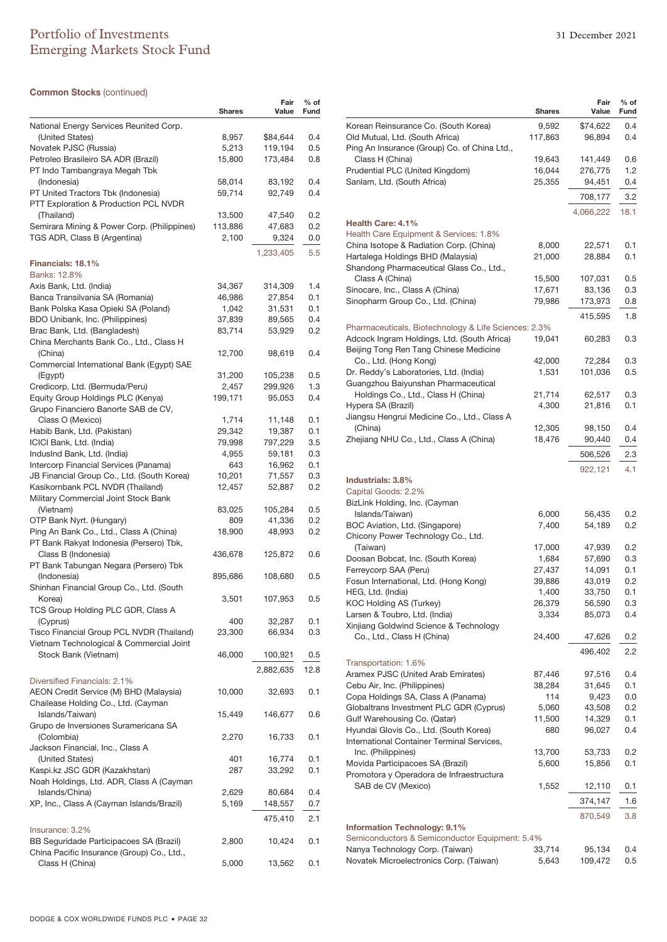# Portfolio of Investments 31 December 2021 Emerging Markets Stock Fund

### **Common Stocks** (continued)

|                                                                          | Shares           | Fair<br>Value      | % of<br>Fund |
|--------------------------------------------------------------------------|------------------|--------------------|--------------|
|                                                                          |                  |                    |              |
| National Energy Services Reunited Corp.<br>(United States)               | 8,957            | \$84,644           | 0.4          |
| Novatek PJSC (Russia)                                                    | 5,213            | 119,194            | 0.5          |
| Petroleo Brasileiro SA ADR (Brazil)                                      | 15,800           | 173,484            | $0.8\,$      |
| PT Indo Tambangraya Megah Tbk                                            |                  |                    |              |
| (Indonesia)                                                              | 58,014           | 83,192             | 0.4          |
| PT United Tractors Tbk (Indonesia)                                       | 59,714           | 92,749             | 0.4          |
| PTT Exploration & Production PCL NVDR                                    |                  |                    |              |
| (Thailand)                                                               | 13,500           | 47,540             | 0.2          |
| Semirara Mining & Power Corp. (Philippines)                              | 113,886<br>2,100 | 47,683             | 0.2          |
| TGS ADR, Class B (Argentina)                                             |                  | 9,324              | 0.0          |
|                                                                          |                  | 1,233,405          | 5.5          |
| Financials: 18.1%<br>Banks: 12.8%                                        |                  |                    |              |
| Axis Bank, Ltd. (India)                                                  | 34,367           | 314,309            | 1.4          |
| Banca Transilvania SA (Romania)                                          | 46,986           | 27,854             | 0.1          |
| Bank Polska Kasa Opieki SA (Poland)                                      | 1,042            | 31,531             | 0.1          |
| BDO Unibank, Inc. (Philippines)                                          | 37,839           | 89,565             | 0.4          |
| Brac Bank, Ltd. (Bangladesh)                                             | 83,714           | 53,929             | 0.2          |
| China Merchants Bank Co., Ltd., Class H                                  |                  |                    |              |
| (China)                                                                  | 12,700           | 98,619             | 0.4          |
| Commercial International Bank (Egypt) SAE                                |                  |                    |              |
| (Egypt)<br>Credicorp, Ltd. (Bermuda/Peru)                                | 31,200<br>2,457  | 105,238<br>299,926 | 0.5<br>1.3   |
| Equity Group Holdings PLC (Kenya)                                        | 199,171          | 95,053             | 0.4          |
| Grupo Financiero Banorte SAB de CV,                                      |                  |                    |              |
| Class O (Mexico)                                                         | 1,714            | 11,148             | 0.1          |
| Habib Bank, Ltd. (Pakistan)                                              | 29,342           | 19,387             | 0.1          |
| ICICI Bank, Ltd. (India)                                                 | 79,998           | 797,229            | 3.5          |
| IndusInd Bank, Ltd. (India)                                              | 4,955            | 59,181             | 0.3          |
| Intercorp Financial Services (Panama)                                    | 643              | 16,962             | 0.1          |
| JB Financial Group Co., Ltd. (South Korea)                               | 10,201           | 71,557             | 0.3          |
| Kasikornbank PCL NVDR (Thailand)<br>Military Commercial Joint Stock Bank | 12,457           | 52,887             | 0.2          |
| (Vietnam)                                                                | 83,025           | 105,284            | 0.5          |
| OTP Bank Nyrt. (Hungary)                                                 | 809              | 41,336             | 0.2          |
| Ping An Bank Co., Ltd., Class A (China)                                  | 18,900           | 48,993             | 0.2          |
| PT Bank Rakyat Indonesia (Persero) Tbk,                                  |                  |                    |              |
| Class B (Indonesia)                                                      | 436,678          | 125,872            | 0.6          |
| PT Bank Tabungan Negara (Persero) Tbk                                    |                  |                    |              |
| (Indonesia)                                                              | 895,686          | 108,680            | 0.5          |
| Shinhan Financial Group Co., Ltd. (South                                 |                  |                    |              |
| Korea)<br>TCS Group Holding PLC GDR, Class A                             | 3,501            | 107,953            | 0.5          |
| (Cyprus)                                                                 | 400              | 32,287             | 0.1          |
| Tisco Financial Group PCL NVDR (Thailand)                                | 23,300           | 66,934             | 0.3          |
| Vietnam Technological & Commercial Joint                                 |                  |                    |              |
| Stock Bank (Vietnam)                                                     | 46,000           | 100,921            | 0.5          |
|                                                                          |                  | 2,882,635          | 12.8         |
| Diversified Financials: 2.1%                                             |                  |                    |              |
| AEON Credit Service (M) BHD (Malaysia)                                   | 10,000           | 32,693             | 0.1          |
| Chailease Holding Co., Ltd. (Cayman                                      |                  |                    |              |
| Islands/Taiwan)                                                          | 15,449           | 146,677            | 0.6          |
| Grupo de Inversiones Suramericana SA                                     |                  |                    |              |
| (Colombia)                                                               | 2,270            | 16,733             | 0.1          |
| Jackson Financial, Inc., Class A<br>(United States)                      | 401              | 16,774             | 0.1          |
| Kaspi.kz JSC GDR (Kazakhstan)                                            | 287              | 33,292             | 0.1          |
| Noah Holdings, Ltd. ADR, Class A (Cayman                                 |                  |                    |              |
| Islands/China)                                                           | 2,629            | 80,684             | 0.4          |
| XP, Inc., Class A (Cayman Islands/Brazil)                                | 5,169            | 148,557            | 0.7          |
|                                                                          |                  | 475,410            | 2.1          |
| Insurance: 3.2%                                                          |                  |                    |              |
| BB Seguridade Participacoes SA (Brazil)                                  | 2,800            | 10,424             | 0.1          |
| China Pacific Insurance (Group) Co., Ltd.,                               |                  |                    |              |
| Class H (China)                                                          | 5,000            | 13,562             | 0.1          |

|                                                                                   | <b>Shares</b>    | Fair<br>Value     | $%$ of<br>Fund |
|-----------------------------------------------------------------------------------|------------------|-------------------|----------------|
| Korean Reinsurance Co. (South Korea)                                              | 9,592            | \$74,622          | 0.4            |
| Old Mutual, Ltd. (South Africa)                                                   | 117,863          | 96,894            | 0.4            |
| Ping An Insurance (Group) Co. of China Ltd.,                                      |                  |                   |                |
| Class H (China)<br>Prudential PLC (United Kingdom)                                | 19,643<br>16,044 | 141,449           | 0.6<br>1.2     |
| Sanlam, Ltd. (South Africa)                                                       | 25,355           | 276,775<br>94,451 | 0.4            |
|                                                                                   |                  |                   |                |
|                                                                                   |                  | 708,177           | 3.2            |
|                                                                                   |                  | 4,066,222         | 18.1           |
| <b>Health Care: 4.1%</b>                                                          |                  |                   |                |
| Health Care Equipment & Services: 1.8%<br>China Isotope & Radiation Corp. (China) | 8,000            | 22,571            | 0.1            |
| Hartalega Holdings BHD (Malaysia)                                                 | 21,000           | 28,884            | 0.1            |
| Shandong Pharmaceutical Glass Co., Ltd.,                                          |                  |                   |                |
| Class A (China)                                                                   | 15,500           | 107,031           | 0.5            |
| Sinocare, Inc., Class A (China)                                                   | 17,671           | 83,136            | 0.3            |
| Sinopharm Group Co., Ltd. (China)                                                 | 79,986           | 173,973           | 0.8            |
|                                                                                   |                  | 415,595           | 1.8            |
| Pharmaceuticals, Biotechnology & Life Sciences: 2.3%                              |                  |                   |                |
| Adcock Ingram Holdings, Ltd. (South Africa)                                       | 19,041           | 60,283            | 0.3            |
| Beijing Tong Ren Tang Chinese Medicine                                            |                  |                   |                |
| Co., Ltd. (Hong Kong)                                                             | 42,000           | 72,284            | 0.3            |
| Dr. Reddy's Laboratories, Ltd. (India)                                            | 1,531            | 101,036           | 0.5            |
| Guangzhou Baiyunshan Pharmaceutical<br>Holdings Co., Ltd., Class H (China)        | 21,714           | 62,517            | 0.3            |
| Hypera SA (Brazil)                                                                | 4,300            | 21,816            | 0.1            |
| Jiangsu Hengrui Medicine Co., Ltd., Class A                                       |                  |                   |                |
| (China)                                                                           | 12,305           | 98,150            | 0.4            |
| Zhejiang NHU Co., Ltd., Class A (China)                                           | 18,476           | 90,440            | 0.4            |
|                                                                                   |                  | 506,526           | 2.3            |
|                                                                                   |                  | 922,121           | 4.1            |
| Industrials: 3.8%                                                                 |                  |                   |                |
| Capital Goods: 2.2%                                                               |                  |                   |                |
| BizLink Holding, Inc. (Cayman                                                     |                  |                   |                |
| Islands/Taiwan)                                                                   | 6,000            | 56,435            | 0.2            |
| BOC Aviation, Ltd. (Singapore)                                                    | 7,400            | 54,189            | 0.2            |
| Chicony Power Technology Co., Ltd.                                                |                  |                   |                |
| (Taiwan)<br>Doosan Bobcat, Inc. (South Korea)                                     | 17,000<br>1,684  | 47,939<br>57,690  | 0.2<br>0.3     |
| Ferreycorp SAA (Peru)                                                             | 27,437           | 14,091            | 0.1            |
| Fosun International, Ltd. (Hong Kong)                                             | 39,886           | 43,019            | 0.2            |
| HEG, Ltd. (India)                                                                 | 1,400            | 33,750            | 0.1            |
| KOC Holding AS (Turkey)                                                           | 26,379           | 56,590            | 0.3            |
| Larsen & Toubro, Ltd. (India)                                                     | 3,334            | 85,073            | 0.4            |
| Xinjiang Goldwind Science & Technology                                            |                  |                   |                |
| Co., Ltd., Class H (China)                                                        | 24,400           | 47,626            | 0.2            |
|                                                                                   |                  | 496,402           | 2.2            |
| Transportation: 1.6%                                                              |                  |                   |                |
| Aramex PJSC (United Arab Emirates)                                                | 87,446           | 97,516            | 0.4            |
| Cebu Air, Inc. (Philippines)<br>Copa Holdings SA, Class A (Panama)                | 38,284<br>114    | 31,645<br>9,423   | 0.1<br>0.0     |
| Globaltrans Investment PLC GDR (Cyprus)                                           | 5,060            | 43,508            | 0.2            |
| Gulf Warehousing Co. (Qatar)                                                      | 11,500           | 14,329            | 0.1            |
| Hyundai Glovis Co., Ltd. (South Korea)                                            | 680              | 96,027            | 0.4            |
| International Container Terminal Services,                                        |                  |                   |                |
| Inc. (Philippines)                                                                | 13,700           | 53,733            | 0.2            |
| Movida Participacoes SA (Brazil)                                                  | 5,600            | 15,856            | 0.1            |
| Promotora y Operadora de Infraestructura                                          |                  |                   |                |
| SAB de CV (Mexico)                                                                | 1,552            | 12,110            | 0.1            |
|                                                                                   |                  | 374,147           | 1.6            |
|                                                                                   |                  | 870,549           | 3.8            |
| <b>Information Technology: 9.1%</b>                                               |                  |                   |                |
| Semiconductors & Semiconductor Equipment: 5.4%                                    |                  |                   |                |
| Nanya Technology Corp. (Taiwan)                                                   | 33,714           | 95,134            | 0.4            |
| Novatek Microelectronics Corp. (Taiwan)                                           | 5,643            | 109,472           | 0.5            |
|                                                                                   |                  |                   |                |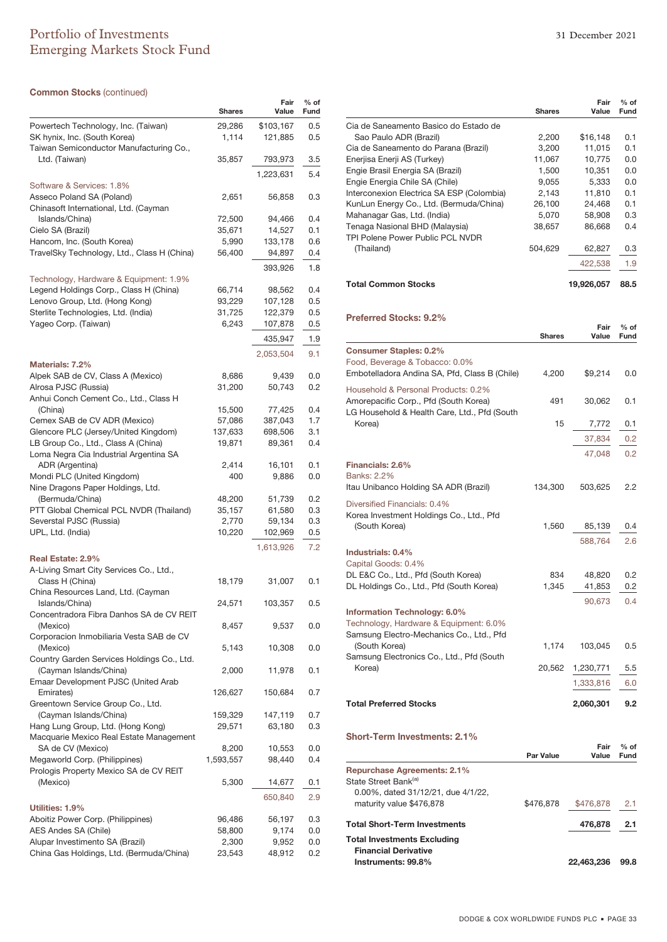# Portfolio of Investments 31 December 2021 Emerging Markets Stock Fund

### **Common Stocks** (continued)

|                                                                               | <b>Shares</b> | Fair<br>Value | % of<br>Fund |
|-------------------------------------------------------------------------------|---------------|---------------|--------------|
| Powertech Technology, Inc. (Taiwan)                                           | 29,286        | \$103,167     | 0.5          |
| SK hynix, Inc. (South Korea)                                                  | 1,114         | 121,885       | 0.5          |
| Taiwan Semiconductor Manufacturing Co.,                                       | 35,857        | 793,973       | 3.5          |
| Ltd. (Taiwan)                                                                 |               |               |              |
| Software & Services: 1.8%                                                     |               | 1,223,631     | 5.4          |
| Asseco Poland SA (Poland)<br>Chinasoft International, Ltd. (Cayman            | 2,651         | 56,858        | 0.3          |
| Islands/China)                                                                | 72,500        | 94,466        | 0.4          |
| Cielo SA (Brazil)                                                             | 35,671        | 14,527        | 0.1          |
| Hancom, Inc. (South Korea)                                                    | 5,990         | 133,178       | 0.6          |
| TravelSky Technology, Ltd., Class H (China)                                   | 56,400        | 94,897        | 0.4          |
|                                                                               |               | 393,926       | 1.8          |
| Technology, Hardware & Equipment: 1.9%                                        |               |               |              |
| Legend Holdings Corp., Class H (China)                                        | 66,714        | 98,562        | 0.4          |
| Lenovo Group, Ltd. (Hong Kong)                                                | 93,229        | 107,128       | 0.5          |
| Sterlite Technologies, Ltd. (India)                                           | 31,725        | 122,379       | $_{0.5}$     |
| Yageo Corp. (Taiwan)                                                          | 6,243         | 107,878       | $_{0.5}$     |
|                                                                               |               | 435,947       | 1.9          |
| Materials: 7.2%                                                               |               | 2,053,504     | 9.1          |
| Alpek SAB de CV, Class A (Mexico)                                             | 8,686         | 9,439         | 0.0          |
| Alrosa PJSC (Russia)                                                          | 31,200        | 50,743        | 0.2          |
| Anhui Conch Cement Co., Ltd., Class H                                         |               |               |              |
| (China)                                                                       | 15,500        | 77,425        | 0.4          |
| Cemex SAB de CV ADR (Mexico)                                                  | 57,086        | 387,043       | 1.7          |
| Glencore PLC (Jersey/United Kingdom)                                          | 137,633       | 698,506       | 3.1          |
| LB Group Co., Ltd., Class A (China)<br>Loma Negra Cia Industrial Argentina SA | 19,871        | 89,361        | 0.4          |
| ADR (Argentina)                                                               | 2,414         | 16,101        | 0.1          |
| Mondi PLC (United Kingdom)                                                    | 400           | 9,886         | 0.0          |
| Nine Dragons Paper Holdings, Ltd.                                             |               |               |              |
| (Bermuda/China)                                                               | 48,200        | 51,739        | 0.2          |
| PTT Global Chemical PCL NVDR (Thailand)                                       | 35,157        | 61,580        | 0.3          |
| Severstal PJSC (Russia)                                                       | 2,770         | 59,134        | 0.3          |
| UPL, Ltd. (India)                                                             | 10,220        | 102,969       | $_{0.5}$     |
|                                                                               |               | 1,613,926     | 7.2          |
| Real Estate: 2.9%                                                             |               |               |              |
| A-Living Smart City Services Co., Ltd.,                                       |               |               |              |
| Class H (China)<br>China Resources Land, Ltd. (Cayman                         | 18,179        | 31,007        | 0.1          |
| Islands/China)                                                                | 24,571        | 103,357       | 0.5          |
| Concentradora Fibra Danhos SA de CV REIT                                      |               |               |              |
| (Mexico)                                                                      | 8,457         | 9,537         | 0.0          |
| Corporacion Inmobiliaria Vesta SAB de CV                                      |               |               |              |
| (Mexico)<br>Country Garden Services Holdings Co., Ltd.                        | 5,143         | 10,308        | 0.0          |
| (Cayman Islands/China)                                                        | 2,000         | 11,978        | 0.1          |
| Emaar Development PJSC (United Arab                                           |               |               |              |
| Emirates)                                                                     | 126,627       | 150,684       | 0.7          |
| Greentown Service Group Co., Ltd.<br>(Cayman Islands/China)                   | 159,329       | 147,119       | 0.7          |
| Hang Lung Group, Ltd. (Hong Kong)                                             | 29,571        |               | 0.3          |
| Macquarie Mexico Real Estate Management                                       |               | 63,180        |              |
| SA de CV (Mexico)                                                             | 8,200         | 10,553        | 0.0          |
| Megaworld Corp. (Philippines)                                                 | 1,593,557     | 98,440        | 0.4          |
| Prologis Property Mexico SA de CV REIT                                        |               |               |              |
| (Mexico)                                                                      | 5,300         | 14,677        | 0.1          |
|                                                                               |               | 650,840       | 2.9          |
| Utilities: 1.9%                                                               |               |               |              |
| Aboitiz Power Corp. (Philippines)                                             | 96,486        | 56,197        | 0.3          |
| AES Andes SA (Chile)                                                          | 58,800        | 9,174         | 0.0          |
| Alupar Investimento SA (Brazil)                                               | 2,300         | 9,952         | 0.0          |
| China Gas Holdings, Ltd. (Bermuda/China)                                      | 23,543        | 48,912        | 0.2          |

|                                                                                       | Shares           | Fair<br>Value | $%$ of<br>Fund |
|---------------------------------------------------------------------------------------|------------------|---------------|----------------|
| Cia de Saneamento Basico do Estado de                                                 |                  |               |                |
| Sao Paulo ADR (Brazil)                                                                | 2,200            | \$16,148      | 0.1            |
| Cia de Saneamento do Parana (Brazil)                                                  | 3,200            | 11,015        | 0.1            |
| Enerjisa Enerji AS (Turkey)                                                           | 11,067           | 10,775        | 0.0            |
| Engie Brasil Energia SA (Brazil)                                                      | 1,500            | 10,351        | 0.0            |
| Engie Energia Chile SA (Chile)                                                        | 9,055            | 5,333         | 0.0            |
| Interconexion Electrica SA ESP (Colombia)                                             | 2,143            | 11,810        | 0.1            |
| KunLun Energy Co., Ltd. (Bermuda/China)                                               | 26,100           | 24,468        | 0.1            |
| Mahanagar Gas, Ltd. (India)                                                           | 5,070            | 58,908        | 0.3            |
| Tenaga Nasional BHD (Malaysia)<br>TPI Polene Power Public PCL NVDR                    | 38,657           | 86,668        | 0.4            |
| (Thailand)                                                                            | 504,629          | 62,827        | 0.3            |
|                                                                                       |                  | 422,538       | 1.9            |
| <b>Total Common Stocks</b>                                                            |                  | 19,926,057    | 88.5           |
| <b>Preferred Stocks: 9.2%</b>                                                         |                  |               |                |
|                                                                                       | <b>Shares</b>    | Fair<br>Value | $%$ of<br>Fund |
| <b>Consumer Staples: 0.2%</b>                                                         |                  |               |                |
| Food, Beverage & Tobacco: 0.0%                                                        |                  |               |                |
| Embotelladora Andina SA, Pfd, Class B (Chile)                                         | 4,200            | \$9,214       | 0.0            |
| Household & Personal Products: 0.2%                                                   |                  |               |                |
| Amorepacific Corp., Pfd (South Korea)<br>LG Household & Health Care, Ltd., Pfd (South | 491              | 30,062        | 0.1            |
| Korea)                                                                                | 15               | 7,772         | 0.1            |
|                                                                                       |                  |               |                |
|                                                                                       |                  | 37,834        | 0.2            |
|                                                                                       |                  | 47,048        | 0.2            |
| Financials: 2.6%                                                                      |                  |               |                |
| <b>Banks: 2.2%</b>                                                                    |                  |               |                |
| Itau Unibanco Holding SA ADR (Brazil)                                                 | 134,300          | 503,625       | 2.2            |
| Diversified Financials: 0.4%                                                          |                  |               |                |
| Korea Investment Holdings Co., Ltd., Pfd.                                             |                  |               |                |
| (South Korea)                                                                         | 1,560            | 85,139        | 0.4            |
|                                                                                       |                  | 588,764       | 2.6            |
| Industrials: 0.4%                                                                     |                  |               |                |
| Capital Goods: 0.4%                                                                   |                  |               |                |
| DL E&C Co., Ltd., Pfd (South Korea)                                                   | 834              | 48,820        | 0.2            |
| DL Holdings Co., Ltd., Pfd (South Korea)                                              | 1,345            | 41,853        | 0.2            |
|                                                                                       |                  | 90,673        | 0.4            |
| Information Technology: 6.0%                                                          |                  |               |                |
| Technology, Hardware & Equipment: 6.0%                                                |                  |               |                |
| Samsung Electro-Mechanics Co., Ltd., Pfd.                                             |                  |               |                |
| (South Korea)                                                                         | 1,174            | 103,045       | 0.5            |
| Samsung Electronics Co., Ltd., Pfd (South                                             |                  |               |                |
| Korea)                                                                                | 20,562           | 1,230,771     | 5.5            |
|                                                                                       |                  | 1,333,816     | 6.0            |
| <b>Total Preferred Stocks</b>                                                         |                  | 2,060,301     | 9.2            |
| <b>Short-Term Investments: 2.1%</b>                                                   |                  |               |                |
|                                                                                       | <b>Par Value</b> | Fair<br>Value | $%$ of<br>Fund |
|                                                                                       |                  |               |                |
| Repurchase Agreements: 2.1%<br>State Street Bank <sup>(a)</sup>                       |                  |               |                |
| 0.00%, dated 31/12/21, due 4/1/22,                                                    |                  |               |                |
| with total to 0.70                                                                    | 0.700070         | ሱ 470         |                |

| maturity value \$476,878            | \$476,878 \$476,878 2.1 |      |
|-------------------------------------|-------------------------|------|
| <b>Total Short-Term Investments</b> | 476.878 2.1             |      |
| <b>Total Investments Excluding</b>  |                         |      |
| <b>Financial Derivative</b>         |                         |      |
| Instruments: 99.8%                  | 22.463.236              | 99.8 |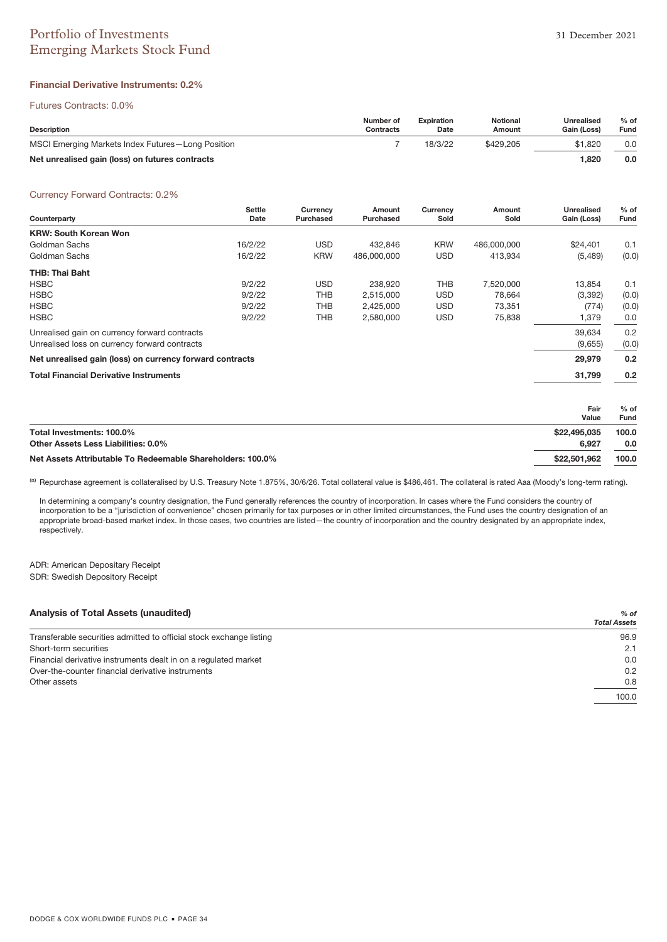# Portfolio of Investments 31 December 2021 Emerging Markets Stock Fund

### **Financial Derivative Instruments: 0.2%**

#### Futures Contracts: 0.0%

| <b>Description</b>                                | Number of<br>Contracts | <b>Expiration</b><br>Date | <b>Notional</b><br>Amount | Unrealised<br>Gain (Loss) | $%$ of<br>Fund |
|---------------------------------------------------|------------------------|---------------------------|---------------------------|---------------------------|----------------|
| MSCI Emerging Markets Index Futures-Long Position |                        | 18/3/22                   | \$429,205                 | \$1,820                   | 0.0            |
| Net unrealised gain (loss) on futures contracts   |                        |                           |                           | .820                      | 0.0            |

#### Currency Forward Contracts: 0.2%

| Counterparty                                             | <b>Settle</b><br>Date | Currency<br>Purchased | Amount<br>Purchased | Currency<br>Sold | Amount<br>Sold | <b>Unrealised</b><br>Gain (Loss) | $%$ of<br>Fund |
|----------------------------------------------------------|-----------------------|-----------------------|---------------------|------------------|----------------|----------------------------------|----------------|
| <b>KRW: South Korean Won</b>                             |                       |                       |                     |                  |                |                                  |                |
| Goldman Sachs                                            | 16/2/22               | <b>USD</b>            | 432.846             | <b>KRW</b>       | 486.000.000    | \$24,401                         | 0.1            |
| Goldman Sachs                                            | 16/2/22               | <b>KRW</b>            | 486.000.000         | <b>USD</b>       | 413,934        | (5, 489)                         | (0.0)          |
| THB: Thai Baht                                           |                       |                       |                     |                  |                |                                  |                |
| <b>HSBC</b>                                              | 9/2/22                | <b>USD</b>            | 238.920             | <b>THB</b>       | 7.520.000      | 13.854                           | 0.1            |
| <b>HSBC</b>                                              | 9/2/22                | THB                   | 2,515,000           | <b>USD</b>       | 78,664         | (3,392)                          | (0.0)          |
| <b>HSBC</b>                                              | 9/2/22                | THB                   | 2,425,000           | <b>USD</b>       | 73,351         | (774)                            | (0.0)          |
| <b>HSBC</b>                                              | 9/2/22                | THB                   | 2,580,000           | <b>USD</b>       | 75,838         | 1,379                            | 0.0            |
| Unrealised gain on currency forward contracts            |                       |                       |                     |                  |                | 39.634                           | 0.2            |
| Unrealised loss on currency forward contracts            |                       |                       |                     |                  |                | (9,655)                          | (0.0)          |
| Net unrealised gain (loss) on currency forward contracts |                       |                       |                     |                  |                | 29,979                           | 0.2            |
| <b>Total Financial Derivative Instruments</b>            |                       |                       |                     |                  |                | 31,799                           | 0.2            |

|                                                            | Fair<br>Value | $%$ of<br>Fund |
|------------------------------------------------------------|---------------|----------------|
| Total Investments: 100.0%                                  | \$22,495,035  | 100.0          |
| Other Assets Less Liabilities: 0.0%                        | 6.927         | 0.0            |
| Net Assets Attributable To Redeemable Shareholders: 100.0% | \$22,501.962  | 100.0          |

(a) Repurchase agreement is collateralised by U.S. Treasury Note 1.875%, 30/6/26. Total collateral value is \$486,461. The collateral is rated Aaa (Moody's long-term rating).

In determining a company's country designation, the Fund generally references the country of incorporation. In cases where the Fund considers the country of incorporation to be a "jurisdiction of convenience" chosen primarily for tax purposes or in other limited circumstances, the Fund uses the country designation of an appropriate broad-based market index. In those cases, two countries are listed—the country of incorporation and the country designated by an appropriate index, respectively.

ADR: American Depositary Receipt SDR: Swedish Depository Receipt

| <b>Analysis of Total Assets (unaudited)</b>                         | $%$ of<br><b>Total Assets</b> |
|---------------------------------------------------------------------|-------------------------------|
|                                                                     |                               |
| Transferable securities admitted to official stock exchange listing | 96.9                          |
| Short-term securities                                               | 2.1                           |
| Financial derivative instruments dealt in on a regulated market     | 0.0                           |
| Over-the-counter financial derivative instruments                   | 0.2                           |
| Other assets                                                        | 0.8                           |
|                                                                     | 100.0                         |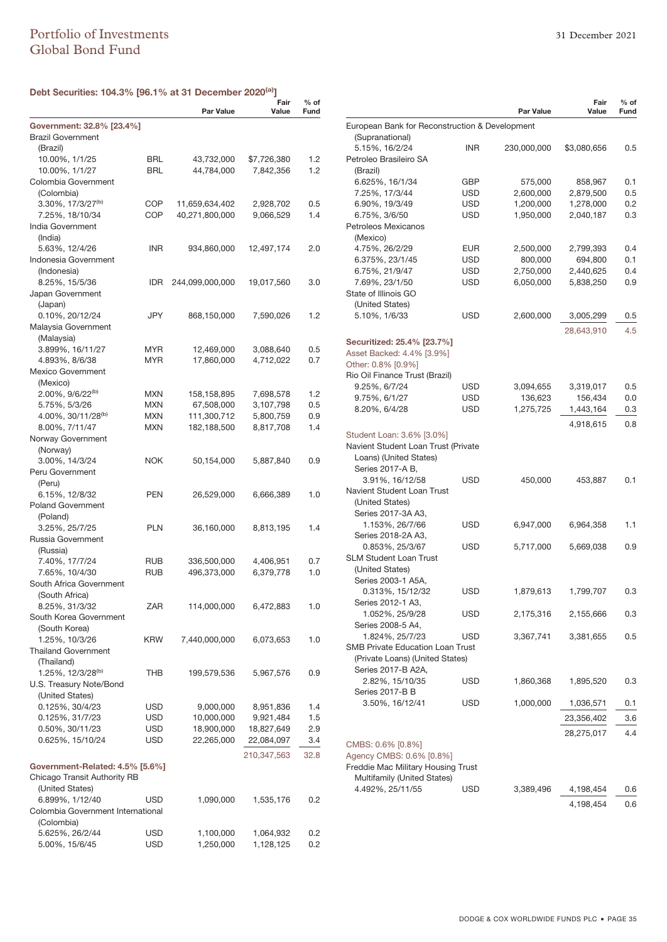### **Debt Securities: 104.3% [96.1% at 31 December 2020(a)]**

|                                           |            |                                  | Fair                   | $%$ of |
|-------------------------------------------|------------|----------------------------------|------------------------|--------|
|                                           |            | <b>Par Value</b>                 | Value                  | Fund   |
| Government: 32.8% [23.4%]                 |            |                                  |                        |        |
| <b>Brazil Government</b>                  |            |                                  |                        |        |
| (Brazil)                                  |            |                                  |                        |        |
| 10.00%, 1/1/25                            | BRL        | 43,732,000                       | \$7,726,380            | 1.2    |
| 10.00%, 1/1/27<br>Colombia Government     | BRL        | 44,784,000                       | 7,842,356              | 1.2    |
| (Colombia)                                |            |                                  |                        |        |
| 3.30%, 17/3/27 <sup>(b)</sup>             | COP        |                                  |                        | 0.5    |
| 7.25%, 18/10/34                           | COP        | 11,659,634,402<br>40,271,800,000 | 2,928,702<br>9,066,529 | 1.4    |
| India Government                          |            |                                  |                        |        |
| (India)                                   |            |                                  |                        |        |
| 5.63%, 12/4/26                            | INR        | 934,860,000                      | 12,497,174             | 2.0    |
| Indonesia Government                      |            |                                  |                        |        |
| (Indonesia)                               |            |                                  |                        |        |
| 8.25%, 15/5/36                            | IDR        | 244,099,000,000                  | 19,017,560             | 3.0    |
| Japan Government                          |            |                                  |                        |        |
| (Japan)                                   |            |                                  |                        |        |
| 0.10%, 20/12/24                           | JPY        | 868,150,000                      | 7,590,026              | 1.2    |
| Malaysia Government                       |            |                                  |                        |        |
| (Malaysia)                                |            |                                  |                        |        |
| 3.899%, 16/11/27                          | MYR        | 12,469,000                       | 3,088,640              | 0.5    |
| 4.893%, 8/6/38                            | MYR        | 17,860,000                       | 4,712,022              | 0.7    |
| <b>Mexico Government</b>                  |            |                                  |                        |        |
| (Mexico)                                  |            |                                  |                        |        |
| 2.00%, 9/6/22 <sup>(b)</sup>              | MXN        | 158,158,895                      | 7,698,578              | 1.2    |
| 5.75%, 5/3/26                             | MXN        | 67,508,000                       | 3,107,798              | 0.5    |
| 4.00%, 30/11/28 <sup>(b)</sup>            | <b>MXN</b> | 111,300,712                      | 5,800,759              | 0.9    |
| 8.00%, 7/11/47                            | <b>MXN</b> | 182,188,500                      | 8,817,708              | 1.4    |
| Norway Government                         |            |                                  |                        |        |
| (Norway)                                  |            |                                  |                        |        |
| 3.00%, 14/3/24                            | <b>NOK</b> | 50,154,000                       | 5,887,840              | 0.9    |
| Peru Government                           |            |                                  |                        |        |
| (Peru)                                    |            |                                  |                        |        |
| 6.15%, 12/8/32                            | PEN        | 26,529,000                       | 6,666,389              | 1.0    |
| <b>Poland Government</b>                  |            |                                  |                        |        |
| (Poland)                                  |            |                                  |                        |        |
| 3.25%, 25/7/25                            | <b>PLN</b> | 36,160,000                       | 8,813,195              | 1.4    |
| Russia Government                         |            |                                  |                        |        |
| (Russia)                                  |            |                                  |                        |        |
| 7.40%, 17/7/24                            | RUB        | 336,500,000                      | 4,406,951              | 0.7    |
| 7.65%, 10/4/30<br>South Africa Government | <b>RUB</b> | 496,373,000                      | 6,379,778              | 1.0    |
| (South Africa)                            |            |                                  |                        |        |
| 8.25%, 31/3/32                            | ZAR        | 114,000,000                      | 6,472,883              | 1.0    |
| South Korea Government                    |            |                                  |                        |        |
| (South Korea)                             |            |                                  |                        |        |
| 1.25%, 10/3/26                            | <b>KRW</b> | 7,440,000,000                    | 6,073,653              | 1.0    |
| <b>Thailand Government</b>                |            |                                  |                        |        |
| (Thailand)                                |            |                                  |                        |        |
| 1.25%, 12/3/28(b)                         | THB        | 199,579,536                      | 5,967,576              | 0.9    |
| U.S. Treasury Note/Bond                   |            |                                  |                        |        |
| (United States)                           |            |                                  |                        |        |
| 0.125%, 30/4/23                           | USD        | 9,000,000                        | 8,951,836              | 1.4    |
| 0.125%, 31/7/23                           | USD        | 10,000,000                       | 9,921,484              | 1.5    |
| 0.50%, 30/11/23                           | USD        | 18,900,000                       | 18,827,649             | 2.9    |
| 0.625%, 15/10/24                          | USD        | 22,265,000                       | 22,084,097             | 3.4    |
|                                           |            |                                  | 210,347,563            | 32.8   |
| Government-Related: 4.5% [5.6%]           |            |                                  |                        |        |
| Chicago Transit Authority RB              |            |                                  |                        |        |
| (United States)                           |            |                                  |                        |        |
| 6.899%, 1/12/40                           | <b>USD</b> | 1,090,000                        | 1,535,176              | 0.2    |
| Colombia Government International         |            |                                  |                        |        |
| (Colombia)                                |            |                                  |                        |        |
| 5.625%, 26/2/44                           | <b>USD</b> | 1,100,000                        | 1,064,932              | 0.2    |
| 5.00%, 15/6/45                            | USD        | 1,250,000                        | 1,128,125              | 0.2    |

|                                                  |            | <b>Par Value</b>     | Fair<br>Value        | $%$ of<br>Fund |
|--------------------------------------------------|------------|----------------------|----------------------|----------------|
| European Bank for Reconstruction & Development   |            |                      |                      |                |
| (Supranational)                                  |            |                      |                      |                |
| 5.15%, 16/2/24                                   | <b>INR</b> | 230,000,000          | \$3,080,656          | 0.5            |
| Petroleo Brasileiro SA                           |            |                      |                      |                |
| (Brazil)                                         |            |                      |                      |                |
| 6.625%, 16/1/34                                  | GBP        | 575,000              | 858,967              | 0.1            |
| 7.25%, 17/3/44                                   | USD        | 2,600,000            | 2,879,500            | 0.5            |
| 6.90%, 19/3/49                                   | USD        | 1,200,000            | 1,278,000            | 0.2            |
| 6.75%, 3/6/50                                    | USD        | 1,950,000            | 2,040,187            | 0.3            |
| <b>Petroleos Mexicanos</b>                       |            |                      |                      |                |
| (Mexico)                                         |            |                      |                      |                |
| 4.75%, 26/2/29                                   | <b>EUR</b> | 2,500,000            | 2,799,393            | 0.4            |
| 6.375%, 23/1/45<br>6.75%, 21/9/47                | USD<br>USD | 800,000<br>2,750,000 | 694,800<br>2,440,625 | 0.1<br>0.4     |
| 7.69%, 23/1/50                                   | USD        | 6,050,000            | 5,838,250            | 0.9            |
| State of Illinois GO                             |            |                      |                      |                |
| (United States)                                  |            |                      |                      |                |
| 5.10%, 1/6/33                                    | USD        | 2,600,000            | 3,005,299            | 0.5            |
|                                                  |            |                      |                      |                |
|                                                  |            |                      | 28,643,910           | 4.5            |
| Securitized: 25.4% [23.7%]                       |            |                      |                      |                |
| Asset Backed: 4.4% [3.9%]                        |            |                      |                      |                |
| Other: 0.8% [0.9%]                               |            |                      |                      |                |
| Rio Oil Finance Trust (Brazil)                   |            |                      |                      |                |
| 9.25%, 6/7/24                                    | USD        | 3,094,655            | 3,319,017            | 0.5            |
| 9.75%, 6/1/27<br>8.20%, 6/4/28                   | USD<br>USD | 136,623<br>1,275,725 | 156,434              | 0.0<br>0.3     |
|                                                  |            |                      | 1,443,164            |                |
|                                                  |            |                      | 4,918,615            | 0.8            |
| Student Loan: 3.6% [3.0%]                        |            |                      |                      |                |
| Navient Student Loan Trust (Private              |            |                      |                      |                |
| Loans) (United States)                           |            |                      |                      |                |
| Series 2017-A B,                                 |            |                      |                      |                |
| 3.91%, 16/12/58                                  | USD        | 450,000              | 453,887              | 0.1            |
| Navient Student Loan Trust                       |            |                      |                      |                |
| (United States)                                  |            |                      |                      |                |
| Series 2017-3A A3,                               |            |                      |                      |                |
| 1.153%, 26/7/66                                  | USD        | 6,947,000            | 6,964,358            | 1.1            |
| Series 2018-2A A3,                               |            |                      |                      | 0.9            |
| 0.853%, 25/3/67<br><b>SLM Student Loan Trust</b> | USD        | 5,717,000            | 5,669,038            |                |
| (United States)                                  |            |                      |                      |                |
| Series 2003-1 A5A,                               |            |                      |                      |                |
| 0.313%, 15/12/32                                 | <b>USD</b> | 1,879,613            | 1,799,707            | 0.3            |
| Series 2012-1 A3,                                |            |                      |                      |                |
| 1.052%, 25/9/28                                  | USD        | 2,175,316            | 2,155,666            | 0.3            |
| Series 2008-5 A4,                                |            |                      |                      |                |
| 1.824%, 25/7/23                                  | USD        | 3,367,741            | 3,381,655            | 0.5            |
| <b>SMB Private Education Loan Trust</b>          |            |                      |                      |                |
| (Private Loans) (United States)                  |            |                      |                      |                |
| Series 2017-B A2A,                               |            |                      |                      |                |
| 2.82%, 15/10/35                                  | USD        | 1,860,368            | 1,895,520            | 0.3            |
| Series 2017-B B                                  |            |                      |                      |                |
| 3.50%, 16/12/41                                  | USD        | 1,000,000            | 1,036,571            | 0.1            |
|                                                  |            |                      | 23,356,402           | 3.6            |
|                                                  |            |                      |                      |                |
|                                                  |            |                      | 28,275,017           | 4.4            |
| CMBS: 0.6% [0.8%]                                |            |                      |                      |                |
| Agency CMBS: 0.6% [0.8%]                         |            |                      |                      |                |
| Freddie Mac Military Housing Trust               |            |                      |                      |                |
| Multifamily (United States)                      |            |                      |                      |                |
| 4.492%, 25/11/55                                 | USD        | 3,389,496            | 4,198,454            | 0.6            |
|                                                  |            |                      | 4,198,454            | 0.6            |
|                                                  |            |                      |                      |                |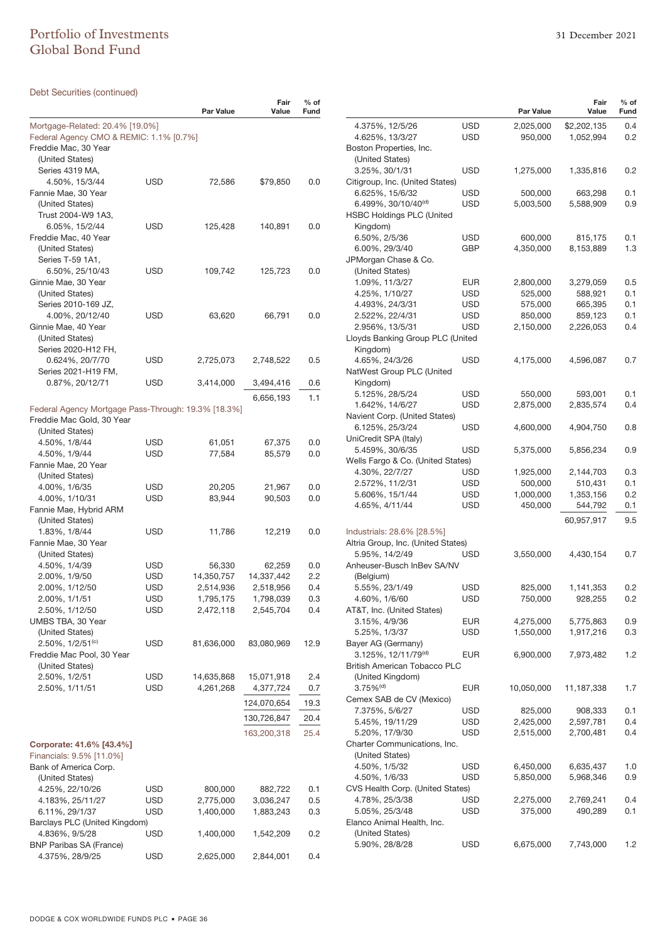# Portfolio of Investments 31 December 2021 Global Bond Fund

| Debt Securities (continued)                         |            |                         |                      |                |
|-----------------------------------------------------|------------|-------------------------|----------------------|----------------|
|                                                     |            | Par Value               | Fair<br>Value        | $%$ of<br>Fund |
| Mortgage-Related: 20.4% [19.0%]                     |            |                         |                      |                |
| Federal Agency CMO & REMIC: 1.1% [0.7%]             |            |                         |                      |                |
| Freddie Mac, 30 Year                                |            |                         |                      |                |
| (United States)                                     |            |                         |                      |                |
| Series 4319 MA,<br>4.50%, 15/3/44                   | USD        | 72,586                  | \$79,850             | 0.0            |
| Fannie Mae, 30 Year                                 |            |                         |                      |                |
| (United States)                                     |            |                         |                      |                |
| Trust 2004-W9 1A3,                                  |            |                         |                      |                |
| 6.05%, 15/2/44                                      | USD        | 125,428                 | 140,891              | 0.0            |
| Freddie Mac, 40 Year                                |            |                         |                      |                |
| (United States)                                     |            |                         |                      |                |
| Series T-59 1A1,                                    |            |                         |                      |                |
| 6.50%, 25/10/43                                     | USD        | 109,742                 | 125,723              | 0.0            |
| Ginnie Mae, 30 Year<br>(United States)              |            |                         |                      |                |
| Series 2010-169 JZ,                                 |            |                         |                      |                |
| 4.00%, 20/12/40                                     | USD        | 63,620                  | 66,791               | 0.0            |
| Ginnie Mae, 40 Year                                 |            |                         |                      |                |
| (United States)                                     |            |                         |                      |                |
| Series 2020-H12 FH,                                 |            |                         |                      |                |
| 0.624%, 20/7/70                                     | USD        | 2,725,073               | 2,748,522            | 0.5            |
| Series 2021-H19 FM,                                 |            |                         |                      |                |
| 0.87%, 20/12/71                                     | USD        | 3,414,000               | 3,494,416            | 0.6            |
|                                                     |            |                         | 6,656,193            | 1.1            |
| Federal Agency Mortgage Pass-Through: 19.3% [18.3%] |            |                         |                      |                |
| Freddie Mac Gold, 30 Year                           |            |                         |                      |                |
| (United States)                                     |            |                         |                      |                |
| 4.50%, 1/8/44<br>4.50%, 1/9/44                      | USD<br>USD | 61,051<br>77,584        | 67,375<br>85,579     | 0.0<br>0.0     |
| Fannie Mae, 20 Year                                 |            |                         |                      |                |
| (United States)                                     |            |                         |                      |                |
| 4.00%, 1/6/35                                       | USD        | 20,205                  | 21,967               | 0.0            |
| 4.00%, 1/10/31                                      | USD        | 83,944                  | 90,503               | 0.0            |
| Fannie Mae, Hybrid ARM                              |            |                         |                      |                |
| (United States)                                     |            |                         |                      |                |
| 1.83%, 1/8/44                                       | USD        | 11,786                  | 12,219               | 0.0            |
| Fannie Mae, 30 Year                                 |            |                         |                      |                |
| (United States)                                     |            |                         |                      |                |
| 4.50%, 1/4/39<br>2.00%, 1/9/50                      | USD<br>USD | 56,330<br>14,350,757    | 62,259<br>14,337,442 | 0.0<br>2.2     |
| 2.00%, 1/12/50                                      | <b>USD</b> | 2,514,936               | 2,518,956            | 0.4            |
| 2.00%, 1/1/51                                       | USD        | 1,795,175               | 1,798,039            | 0.3            |
| 2.50%, 1/12/50                                      | USD        | 2,472,118               | 2,545,704            | 0.4            |
| UMBS TBA, 30 Year                                   |            |                         |                      |                |
| (United States)                                     |            |                         |                      |                |
| 2.50%, 1/2/51 <sup>(c)</sup>                        | USD        | 81,636,000              | 83,080,969           | 12.9           |
| Freddie Mac Pool, 30 Year                           |            |                         |                      |                |
| (United States)                                     |            |                         |                      |                |
| 2.50%, 1/2/51<br>2.50%, 1/11/51                     | USD<br>USD | 14,635,868<br>4,261,268 | 15,071,918           | 2.4<br>0.7     |
|                                                     |            |                         | 4,377,724            |                |
|                                                     |            |                         | 124,070,654          | 19.3           |
|                                                     |            |                         | 130,726,847          | 20.4           |
|                                                     |            |                         | 163,200,318          | 25.4           |
| Corporate: 41.6% [43.4%]                            |            |                         |                      |                |
| Financials: 9.5% [11.0%]                            |            |                         |                      |                |
| Bank of America Corp.                               |            |                         |                      |                |
| (United States)                                     |            |                         |                      |                |
| 4.25%, 22/10/26                                     | USD        | 800,000                 | 882,722              | 0.1            |
| 4.183%, 25/11/27                                    | USD        | 2,775,000               | 3,036,247            | 0.5            |
| 6.11%, 29/1/37<br>Barclays PLC (United Kingdom)     | USD        | 1,400,000               | 1,883,243            | 0.3            |
| 4.836%, 9/5/28                                      | USD        | 1,400,000               | 1,542,209            | 0.2            |
| <b>BNP Paribas SA (France)</b>                      |            |                         |                      |                |
| 4.375%, 28/9/25                                     | <b>USD</b> | 2,625,000               | 2,844,001            | 0.4            |

|                                                                  |            | <b>Par Value</b> | Fair<br>Value | $%$ of<br>Fund |
|------------------------------------------------------------------|------------|------------------|---------------|----------------|
| 4.375%, 12/5/26                                                  | USD        | 2,025,000        | \$2,202,135   | 0.4            |
| 4.625%, 13/3/27                                                  | USD        | 950,000          | 1,052,994     | 0.2            |
| Boston Properties, Inc.                                          |            |                  |               |                |
| (United States)                                                  |            |                  |               |                |
| 3.25%, 30/1/31                                                   | <b>USD</b> | 1,275,000        | 1,335,816     | 0.2            |
| Citigroup, Inc. (United States)                                  |            |                  |               |                |
| 6.625%, 15/6/32                                                  | USD        | 500,000          | 663,298       | 0.1            |
| 6.499%, 30/10/40 <sup>(d)</sup>                                  | USD        | 5,003,500        | 5,588,909     | 0.9            |
| <b>HSBC Holdings PLC (United</b>                                 |            |                  |               |                |
| Kingdom)                                                         |            |                  |               |                |
| 6.50%, 2/5/36                                                    | USD        | 600,000          | 815,175       | 0.1            |
| 6.00%, 29/3/40                                                   | GBP        | 4,350,000        | 8,153,889     | 1.3            |
| JPMorgan Chase & Co.                                             |            |                  |               |                |
| (United States)                                                  |            |                  |               |                |
| 1.09%, 11/3/27                                                   | <b>EUR</b> | 2,800,000        | 3,279,059     | 0.5            |
| 4.25%, 1/10/27                                                   | USD        | 525,000          | 588,921       | 0.1            |
| 4.493%, 24/3/31                                                  | USD        | 575,000          | 665,395       | 0.1            |
| 2.522%, 22/4/31                                                  | USD        | 850,000          | 859,123       | 0.1            |
| 2.956%, 13/5/31                                                  | USD        | 2,150,000        | 2,226,053     | 0.4            |
| Lloyds Banking Group PLC (United                                 |            |                  |               |                |
| Kingdom)                                                         |            |                  |               |                |
| 4.65%, 24/3/26                                                   | USD        | 4,175,000        | 4,596,087     | 0.7            |
| NatWest Group PLC (United                                        |            |                  |               |                |
| Kingdom)                                                         |            |                  |               |                |
| 5.125%, 28/5/24                                                  | USD        | 550,000          | 593,001       | 0.1            |
| 1.642%, 14/6/27                                                  | USD        | 2,875,000        | 2,835,574     | 0.4            |
| Navient Corp. (United States)                                    |            |                  |               |                |
| 6.125%, 25/3/24                                                  | USD        | 4,600,000        | 4,904,750     | 0.8            |
| UniCredit SPA (Italy)<br>5.459%, 30/6/35                         | USD        | 5,375,000        | 5,856,234     | 0.9            |
| Wells Fargo & Co. (United States)                                |            |                  |               |                |
| 4.30%, 22/7/27                                                   | USD        | 1,925,000        | 2,144,703     | 0.3            |
| 2.572%, 11/2/31                                                  | USD        | 500,000          | 510,431       | 0.1            |
| 5.606%, 15/1/44                                                  | USD        | 1,000,000        | 1,353,156     | 0.2            |
| 4.65%, 4/11/44                                                   | USD        | 450,000          | 544,792       | 0.1            |
|                                                                  |            |                  |               |                |
|                                                                  |            |                  | 60,957,917    | 9.5            |
| Industrials: 28.6% [28.5%]<br>Altria Group, Inc. (United States) |            |                  |               |                |
| 5.95%, 14/2/49                                                   | USD        | 3,550,000        | 4,430,154     | 0.7            |
| Anheuser-Busch InBev SA/NV                                       |            |                  |               |                |
| (Belgium)                                                        |            |                  |               |                |
| 5.55%, 23/1/49                                                   | USD        | 825,000          | 1,141,353     | 0.2            |
| 4.60%, 1/6/60                                                    | USD        | 750,000          | 928,255       | 0.2            |
| AT&T, Inc. (United States)                                       |            |                  |               |                |
| 3.15%, 4/9/36                                                    | <b>EUR</b> | 4,275,000        | 5,775,863     | 0.9            |
| 5.25%, 1/3/37                                                    | USD        | 1,550,000        | 1,917,216     | 0.3            |
| Bayer AG (Germany)                                               |            |                  |               |                |
| 3.125%, 12/11/79 <sup>(d)</sup>                                  | EUR        | 6,900,000        | 7,973,482     | 1.2            |
| <b>British American Tobacco PLC</b>                              |            |                  |               |                |
| (United Kingdom)                                                 |            |                  |               |                |
| $3.75\%$ <sup>(d)</sup>                                          | <b>EUR</b> | 10,050,000       | 11,187,338    | 1.7            |
| Cemex SAB de CV (Mexico)                                         |            |                  |               |                |
| 7.375%, 5/6/27                                                   | USD        | 825,000          | 908,333       | 0.1            |
| 5.45%, 19/11/29                                                  | USD        | 2,425,000        | 2,597,781     | 0.4            |
| 5.20%, 17/9/30                                                   | <b>USD</b> | 2,515,000        | 2,700,481     | 0.4            |
| Charter Communications, Inc.                                     |            |                  |               |                |
| (United States)                                                  |            |                  |               |                |
| 4.50%, 1/5/32                                                    | USD        | 6,450,000        | 6,635,437     | 1.0            |
| 4.50%, 1/6/33                                                    | USD        | 5,850,000        | 5,968,346     | 0.9            |
| CVS Health Corp. (United States)                                 |            |                  |               |                |
| 4.78%, 25/3/38                                                   | USD        | 2,275,000        | 2,769,241     | 0.4            |
| 5.05%, 25/3/48                                                   | USD        | 375,000          | 490,289       | 0.1            |
| Elanco Animal Health, Inc.                                       |            |                  |               |                |
| (United States)                                                  |            |                  |               |                |
| 5.90%, 28/8/28                                                   | USD        | 6,675,000        | 7,743,000     | 1.2            |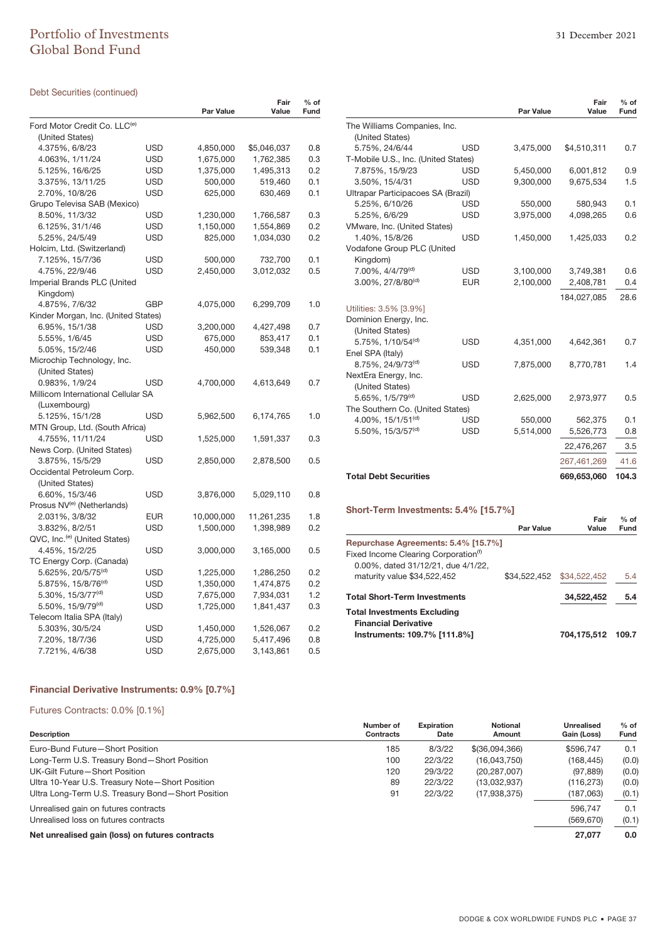# Portfolio of Investments 31 December 2021 Global Bond Fund

### Debt Securities (continued)

|                                          |            | Par Value  | Fair<br>Value | $%$ of<br>Fund |
|------------------------------------------|------------|------------|---------------|----------------|
|                                          |            |            |               |                |
| Ford Motor Credit Co. LLC <sup>(e)</sup> |            |            |               |                |
| (United States)                          |            |            |               |                |
| 4.375%, 6/8/23                           | USD        | 4,850,000  | \$5,046,037   | 0.8            |
| 4.063%, 1/11/24                          | USD        | 1,675,000  | 1,762,385     | 0.3            |
| 5.125%, 16/6/25                          | USD        | 1,375,000  | 1,495,313     | 0.2            |
| 3.375%, 13/11/25                         | USD        | 500,000    | 519,460       | 0.1            |
| 2.70%, 10/8/26                           | USD        | 625,000    | 630,469       | 0.1            |
| Grupo Televisa SAB (Mexico)              |            |            |               |                |
| 8.50%, 11/3/32                           | USD        | 1,230,000  | 1,766,587     | 0.3            |
| 6.125%, 31/1/46                          | USD        | 1,150,000  | 1,554,869     | 0.2            |
| 5.25%, 24/5/49                           | USD        | 825,000    | 1,034,030     | 0.2            |
| Holcim, Ltd. (Switzerland)               |            |            |               |                |
| 7.125%, 15/7/36                          | USD        | 500,000    | 732,700       | 0.1            |
| 4.75%, 22/9/46                           | USD        | 2,450,000  | 3,012,032     | 0.5            |
| Imperial Brands PLC (United              |            |            |               |                |
| Kingdom)                                 |            |            |               |                |
| 4.875%, 7/6/32                           | GBP        | 4,075,000  | 6,299,709     | 1.0            |
| Kinder Morgan, Inc. (United States)      |            |            |               |                |
| 6.95%, 15/1/38                           | USD        | 3,200,000  | 4,427,498     | 0.7            |
| 5.55%, 1/6/45                            | USD        | 675,000    | 853,417       | 0.1            |
| 5.05%, 15/2/46                           | USD        | 450,000    | 539,348       | 0.1            |
| Microchip Technology, Inc.               |            |            |               |                |
| (United States)                          |            |            |               |                |
| 0.983%, 1/9/24                           | USD        | 4,700,000  | 4,613,649     | 0.7            |
| Millicom International Cellular SA       |            |            |               |                |
| (Luxembourg)                             |            |            |               |                |
| 5.125%, 15/1/28                          | USD        | 5,962,500  | 6,174,765     | 1.0            |
| MTN Group, Ltd. (South Africa)           |            |            |               |                |
| 4.755%, 11/11/24                         | USD        | 1,525,000  | 1,591,337     | 0.3            |
| News Corp. (United States)               |            |            |               |                |
| 3.875%, 15/5/29                          | USD        | 2,850,000  | 2,878,500     | 0.5            |
| Occidental Petroleum Corp.               |            |            |               |                |
| (United States)                          |            |            |               |                |
| 6.60%, 15/3/46                           | USD        | 3,876,000  | 5,029,110     | 0.8            |
| Prosus NV <sup>(e)</sup> (Netherlands)   |            |            |               |                |
| 2.031%, 3/8/32                           | <b>EUR</b> | 10,000,000 | 11,261,235    | 1.8            |
| 3.832%, 8/2/51                           | USD        | 1,500,000  | 1,398,989     | 0.2            |
| QVC, Inc. <sup>(e)</sup> (United States) |            |            |               |                |
| 4.45%, 15/2/25                           | USD        | 3,000,000  | 3,165,000     | 0.5            |
| TC Energy Corp. (Canada)                 |            |            |               |                |
| 5.625%, 20/5/75 <sup>(d)</sup>           | USD        | 1,225,000  | 1,286,250     | 0.2            |
| 5.875%, 15/8/76 <sup>(d)</sup>           | USD        | 1,350,000  | 1,474,875     | 0.2            |
| 5.30%, 15/3/77 <sup>(d)</sup>            | <b>USD</b> | 7,675,000  | 7,934,031     | 1.2            |
| 5.50%, 15/9/79 <sup>(d)</sup>            | USD        | 1,725,000  | 1,841,437     | 0.3            |
| Telecom Italia SPA (Italy)               |            |            |               |                |
| 5.303%, 30/5/24                          | USD        | 1,450,000  | 1,526,067     | 0.2            |
| 7.20%, 18/7/36                           | USD        | 4,725,000  | 5,417,496     | 0.8            |
| 7.721%, 4/6/38                           | <b>USD</b> | 2,675,000  | 3,143,861     | 0.5            |

|                                                      |            | <b>Par Value</b> | Fair<br>Value | $%$ of<br>Fund |  |  |  |
|------------------------------------------------------|------------|------------------|---------------|----------------|--|--|--|
| The Williams Companies, Inc.                         |            |                  |               |                |  |  |  |
| (United States)                                      |            |                  |               |                |  |  |  |
| 5.75%, 24/6/44                                       | USD        | 3,475,000        | \$4,510,311   | 0.7            |  |  |  |
| T-Mobile U.S., Inc. (United States)                  |            |                  |               |                |  |  |  |
| 7.875%, 15/9/23                                      | USD        | 5,450,000        | 6,001,812     | 0.9            |  |  |  |
| 3.50%, 15/4/31                                       | USD        | 9,300,000        | 9,675,534     | 1.5            |  |  |  |
| Ultrapar Participacoes SA (Brazil)                   |            |                  |               |                |  |  |  |
| 5.25%, 6/10/26                                       | USD        | 550,000          | 580,943       | 0.1            |  |  |  |
| 5.25%, 6/6/29                                        | <b>USD</b> | 3,975,000        | 4,098,265     | 0.6            |  |  |  |
| VMware, Inc. (United States)                         |            |                  |               |                |  |  |  |
| 1.40%, 15/8/26                                       | USD        | 1,450,000        | 1,425,033     | 0.2            |  |  |  |
| Vodafone Group PLC (United                           |            |                  |               |                |  |  |  |
| Kingdom)                                             |            |                  |               |                |  |  |  |
| 7.00%, 4/4/79 <sup>(d)</sup>                         | USD        | 3,100,000        | 3,749,381     | 0.6            |  |  |  |
| $3.00\%$ , 27/8/80 <sup>(d)</sup>                    | EUR        | 2,100,000        | 2,408,781     | 0.4            |  |  |  |
|                                                      |            |                  | 184,027,085   | 28.6           |  |  |  |
| Utilities: 3.5% [3.9%]                               |            |                  |               |                |  |  |  |
| Dominion Energy, Inc.                                |            |                  |               |                |  |  |  |
| (United States)                                      |            |                  |               |                |  |  |  |
| 5.75%, 1/10/54 <sup>(d)</sup>                        | USD        | 4,351,000        | 4,642,361     | 0.7            |  |  |  |
| Enel SPA (Italy)                                     |            |                  |               |                |  |  |  |
| 8.75%, 24/9/73 <sup>(d)</sup>                        | USD        | 7,875,000        | 8,770,781     | 1.4            |  |  |  |
| NextEra Energy, Inc.                                 |            |                  |               |                |  |  |  |
| (United States)                                      |            |                  |               |                |  |  |  |
| 5.65%, 1/5/79 <sup>(d)</sup>                         | <b>USD</b> | 2,625,000        | 2,973,977     | 0.5            |  |  |  |
| The Southern Co. (United States)                     |            |                  |               |                |  |  |  |
| 4.00%, $15/1/51^{(d)}$                               | <b>USD</b> | 550,000          | 562,375       | 0.1            |  |  |  |
| 5.50%, 15/3/57 <sup>(d)</sup>                        | <b>USD</b> | 5,514,000        | 5,526,773     | 0.8            |  |  |  |
|                                                      |            |                  | 22,476,267    | 3.5            |  |  |  |
|                                                      |            |                  | 267,461,269   | 41.6           |  |  |  |
| <b>Total Debt Securities</b>                         |            |                  | 669,653,060   | 104.3          |  |  |  |
|                                                      |            |                  |               |                |  |  |  |
| Short-Term Investments: 5.4% [15.7%]                 |            |                  |               |                |  |  |  |
|                                                      |            |                  | Fair          | $%$ of         |  |  |  |
|                                                      |            | <b>Par Value</b> | Value         | Fund           |  |  |  |
| Repurchase Agreements: 5.4% [15.7%]                  |            |                  |               |                |  |  |  |
| Fixed Income Clearing Corporation <sup>(f)</sup>     |            |                  |               |                |  |  |  |
| 0.00%, dated 31/12/21, due 4/1/22,                   |            |                  |               |                |  |  |  |
| maturity value \$34,522,452                          |            | \$34,522,452     | \$34,522,452  | 5.4            |  |  |  |
| <b>Total Short-Term Investments</b>                  |            |                  | 34,522,452    | 5.4            |  |  |  |
| <b>Total Investments Excluding</b>                   |            |                  |               |                |  |  |  |
| <b>Financial Derivative</b>                          |            |                  |               |                |  |  |  |
| Instruments: 109.7% [111.8%]<br>704,175,512<br>109.7 |            |                  |               |                |  |  |  |

### **Financial Derivative Instruments: 0.9% [0.7%]**

### Futures Contracts: 0.0% [0.1%]

|                                                   | Number of        | <b>Expiration</b> | <b>Notional</b> | Unrealised  | $%$ of |
|---------------------------------------------------|------------------|-------------------|-----------------|-------------|--------|
| <b>Description</b>                                | <b>Contracts</b> | Date              | Amount          | Gain (Loss) | Fund   |
| Euro-Bund Future-Short Position                   | 185              | 8/3/22            | \$(36,094,366)  | \$596.747   | 0.1    |
| Long-Term U.S. Treasury Bond-Short Position       | 100              | 22/3/22           | (16,043,750)    | (168, 445)  | (0.0)  |
| UK-Gilt Future-Short Position                     | 120              | 29/3/22           | (20, 287, 007)  | (97, 889)   | (0.0)  |
| Ultra 10-Year U.S. Treasury Note-Short Position   | 89               | 22/3/22           | (13,032,937)    | (116, 273)  | (0.0)  |
| Ultra Long-Term U.S. Treasury Bond-Short Position | 91               | 22/3/22           | (17,938,375)    | (187,063)   | (0.1)  |
| Unrealised gain on futures contracts              |                  |                   |                 | 596.747     | 0.1    |
| Unrealised loss on futures contracts              |                  |                   |                 | (569, 670)  | (0.1)  |
| Net unrealised gain (loss) on futures contracts   |                  |                   |                 | 27,077      | 0.0    |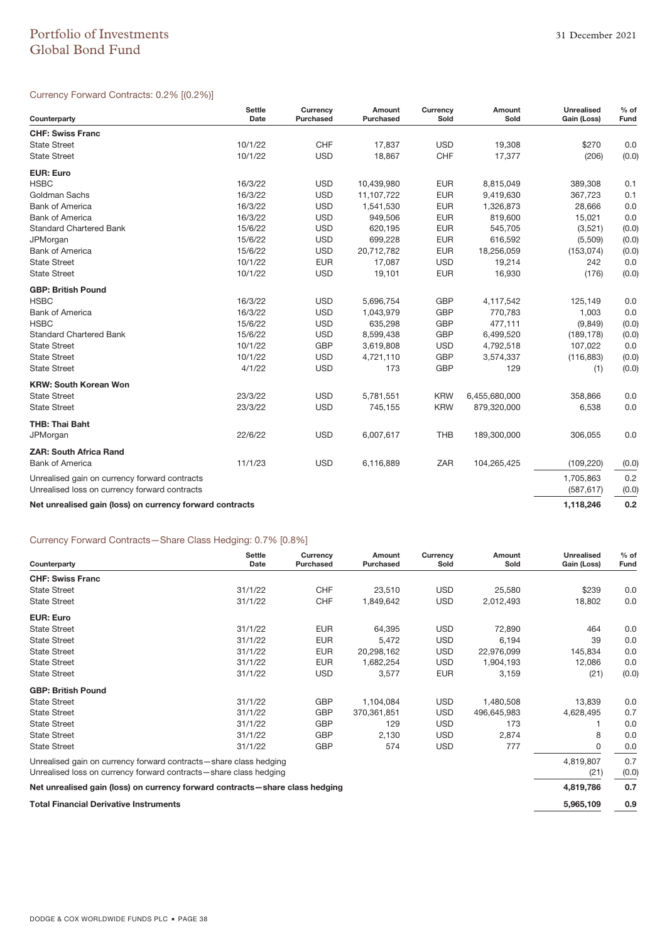# Portfolio of Investments 31 December 2021 Global Bond Fund

### Currency Forward Contracts: 0.2% [(0.2%)]

| Counterparty                                             | <b>Settle</b><br>Date | Currency<br><b>Purchased</b> | Amount<br>Purchased | Currency<br>Sold | Amount<br>Sold | <b>Unrealised</b><br>Gain (Loss) | $%$ of<br>Fund |
|----------------------------------------------------------|-----------------------|------------------------------|---------------------|------------------|----------------|----------------------------------|----------------|
| <b>CHF: Swiss Franc</b>                                  |                       |                              |                     |                  |                |                                  |                |
| <b>State Street</b>                                      | 10/1/22               | <b>CHF</b>                   | 17,837              | <b>USD</b>       | 19,308         | \$270                            | 0.0            |
| <b>State Street</b>                                      | 10/1/22               | <b>USD</b>                   | 18,867              | CHF              | 17,377         | (206)                            | (0.0)          |
| <b>EUR: Euro</b>                                         |                       |                              |                     |                  |                |                                  |                |
| <b>HSBC</b>                                              | 16/3/22               | <b>USD</b>                   | 10,439,980          | <b>EUR</b>       | 8,815,049      | 389,308                          | 0.1            |
| Goldman Sachs                                            | 16/3/22               | <b>USD</b>                   | 11,107,722          | <b>EUR</b>       | 9,419,630      | 367,723                          | 0.1            |
| <b>Bank of America</b>                                   | 16/3/22               | <b>USD</b>                   | 1,541,530           | <b>EUR</b>       | 1,326,873      | 28,666                           | 0.0            |
| <b>Bank of America</b>                                   | 16/3/22               | <b>USD</b>                   | 949,506             | <b>EUR</b>       | 819,600        | 15,021                           | 0.0            |
| <b>Standard Chartered Bank</b>                           | 15/6/22               | <b>USD</b>                   | 620,195             | <b>EUR</b>       | 545,705        | (3,521)                          | (0.0)          |
| <b>JPMorgan</b>                                          | 15/6/22               | <b>USD</b>                   | 699,228             | <b>EUR</b>       | 616,592        | (5,509)                          | (0.0)          |
| <b>Bank of America</b>                                   | 15/6/22               | <b>USD</b>                   | 20,712,782          | <b>EUR</b>       | 18,256,059     | (153, 074)                       | (0.0)          |
| <b>State Street</b>                                      | 10/1/22               | <b>EUR</b>                   | 17,087              | <b>USD</b>       | 19,214         | 242                              | 0.0            |
| <b>State Street</b>                                      | 10/1/22               | <b>USD</b>                   | 19,101              | <b>EUR</b>       | 16,930         | (176)                            | (0.0)          |
| <b>GBP: British Pound</b>                                |                       |                              |                     |                  |                |                                  |                |
| <b>HSBC</b>                                              | 16/3/22               | <b>USD</b>                   | 5,696,754           | <b>GBP</b>       | 4,117,542      | 125,149                          | 0.0            |
| <b>Bank of America</b>                                   | 16/3/22               | <b>USD</b>                   | 1,043,979           | <b>GBP</b>       | 770,783        | 1,003                            | 0.0            |
| <b>HSBC</b>                                              | 15/6/22               | <b>USD</b>                   | 635,298             | <b>GBP</b>       | 477,111        | (9,849)                          | (0.0)          |
| <b>Standard Chartered Bank</b>                           | 15/6/22               | <b>USD</b>                   | 8,599,438           | <b>GBP</b>       | 6,499,520      | (189, 178)                       | (0.0)          |
| <b>State Street</b>                                      | 10/1/22               | <b>GBP</b>                   | 3,619,808           | <b>USD</b>       | 4,792,518      | 107,022                          | 0.0            |
| <b>State Street</b>                                      | 10/1/22               | <b>USD</b>                   | 4,721,110           | <b>GBP</b>       | 3,574,337      | (116, 883)                       | (0.0)          |
| <b>State Street</b>                                      | 4/1/22                | <b>USD</b>                   | 173                 | <b>GBP</b>       | 129            | (1)                              | (0.0)          |
| <b>KRW: South Korean Won</b>                             |                       |                              |                     |                  |                |                                  |                |
| <b>State Street</b>                                      | 23/3/22               | <b>USD</b>                   | 5,781,551           | <b>KRW</b>       | 6,455,680,000  | 358,866                          | 0.0            |
| <b>State Street</b>                                      | 23/3/22               | <b>USD</b>                   | 745,155             | <b>KRW</b>       | 879,320,000    | 6,538                            | 0.0            |
| <b>THB: Thai Baht</b>                                    |                       |                              |                     |                  |                |                                  |                |
| JPMorgan                                                 | 22/6/22               | <b>USD</b>                   | 6,007,617           | <b>THB</b>       | 189,300,000    | 306,055                          | 0.0            |
| <b>ZAR: South Africa Rand</b>                            |                       |                              |                     |                  |                |                                  |                |
| <b>Bank of America</b>                                   | 11/1/23               | <b>USD</b>                   | 6,116,889           | ZAR              | 104,265,425    | (109, 220)                       | (0.0)          |
| Unrealised gain on currency forward contracts            |                       |                              |                     |                  |                | 1,705,863                        | 0.2            |
| Unrealised loss on currency forward contracts            |                       |                              |                     |                  |                | (587, 617)                       | (0.0)          |
| Net unrealised gain (loss) on currency forward contracts |                       |                              |                     |                  |                | 1,118,246                        | 0.2            |

### Currency Forward Contracts—Share Class Hedging: 0.7% [0.8%]

| Counterparty                                                                 | <b>Settle</b><br>Date | Currency<br><b>Purchased</b> | Amount<br>Purchased | Currency<br>Sold | Amount<br>Sold | <b>Unrealised</b><br>Gain (Loss) | $%$ of<br>Fund |
|------------------------------------------------------------------------------|-----------------------|------------------------------|---------------------|------------------|----------------|----------------------------------|----------------|
| <b>CHF: Swiss Franc</b>                                                      |                       |                              |                     |                  |                |                                  |                |
| <b>State Street</b>                                                          | 31/1/22               | <b>CHF</b>                   | 23,510              | <b>USD</b>       | 25,580         | \$239                            | 0.0            |
| <b>State Street</b>                                                          | 31/1/22               | <b>CHF</b>                   | 1,849,642           | <b>USD</b>       | 2,012,493      | 18,802                           | 0.0            |
| <b>EUR: Euro</b>                                                             |                       |                              |                     |                  |                |                                  |                |
| <b>State Street</b>                                                          | 31/1/22               | <b>EUR</b>                   | 64,395              | <b>USD</b>       | 72,890         | 464                              | 0.0            |
| <b>State Street</b>                                                          | 31/1/22               | <b>EUR</b>                   | 5,472               | <b>USD</b>       | 6,194          | 39                               | 0.0            |
| <b>State Street</b>                                                          | 31/1/22               | <b>EUR</b>                   | 20,298,162          | <b>USD</b>       | 22,976,099     | 145,834                          | 0.0            |
| <b>State Street</b>                                                          | 31/1/22               | <b>EUR</b>                   | 1,682,254           | <b>USD</b>       | 1,904,193      | 12,086                           | 0.0            |
| <b>State Street</b>                                                          | 31/1/22               | <b>USD</b>                   | 3,577               | <b>EUR</b>       | 3,159          | (21)                             | (0.0)          |
| <b>GBP: British Pound</b>                                                    |                       |                              |                     |                  |                |                                  |                |
| <b>State Street</b>                                                          | 31/1/22               | <b>GBP</b>                   | 1,104,084           | <b>USD</b>       | 1,480,508      | 13,839                           | 0.0            |
| <b>State Street</b>                                                          | 31/1/22               | <b>GBP</b>                   | 370,361,851         | <b>USD</b>       | 496,645,983    | 4,628,495                        | 0.7            |
| <b>State Street</b>                                                          | 31/1/22               | <b>GBP</b>                   | 129                 | <b>USD</b>       | 173            |                                  | 0.0            |
| <b>State Street</b>                                                          | 31/1/22               | <b>GBP</b>                   | 2,130               | <b>USD</b>       | 2,874          | 8                                | 0.0            |
| <b>State Street</b>                                                          | 31/1/22               | <b>GBP</b>                   | 574                 | <b>USD</b>       | 777            | 0                                | 0.0            |
| Unrealised gain on currency forward contracts-share class hedging            |                       |                              |                     |                  |                | 4,819,807                        | 0.7            |
| Unrealised loss on currency forward contracts-share class hedging            |                       |                              |                     |                  |                | (21)                             | (0.0)          |
| Net unrealised gain (loss) on currency forward contracts—share class hedging |                       |                              |                     |                  |                | 4,819,786                        | 0.7            |
| <b>Total Financial Derivative Instruments</b>                                | 5,965,109             | 0.9                          |                     |                  |                |                                  |                |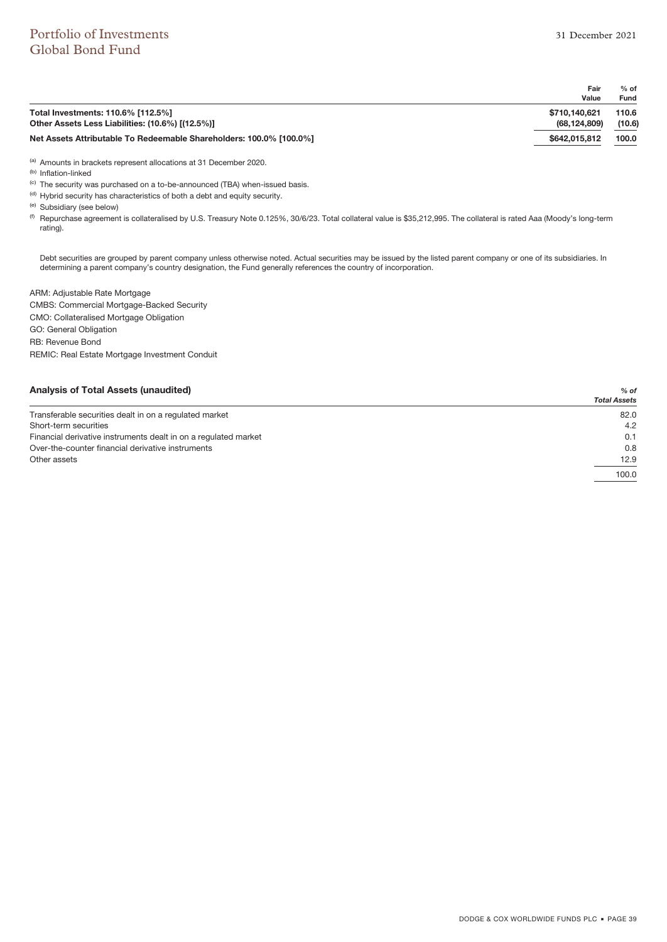|                                                                     | Fair          | $%$ of      |
|---------------------------------------------------------------------|---------------|-------------|
|                                                                     | Value         | <b>Fund</b> |
| Total Investments: 110.6% [112.5%]                                  | \$710,140,621 | 110.6       |
| Other Assets Less Liabilities: (10.6%) [(12.5%)]                    | (68.124.809)  | (10.6)      |
| Net Assets Attributable To Redeemable Shareholders: 100.0% [100.0%] | \$642,015,812 | 100.0       |
|                                                                     |               |             |

(a) Amounts in brackets represent allocations at 31 December 2020.

(b) Inflation-linked

(c) The security was purchased on a to-be-announced (TBA) when-issued basis.

 $<sup>(d)</sup>$  Hybrid security has characteristics of both a debt and equity security.</sup>

(e) Subsidiary (see below)

<sup>(f)</sup> Repurchase agreement is collateralised by U.S. Treasury Note 0.125%, 30/6/23. Total collateral value is \$35,212,995. The collateral is rated Aaa (Moody's long-term rating).

Debt securities are grouped by parent company unless otherwise noted. Actual securities may be issued by the listed parent company or one of its subsidiaries. In determining a parent company's country designation, the Fund generally references the country of incorporation.

ARM: Adjustable Rate Mortgage CMBS: Commercial Mortgage-Backed Security CMO: Collateralised Mortgage Obligation GO: General Obligation RB: Revenue Bond REMIC: Real Estate Mortgage Investment Conduit

### **Analysis of Total Assets (unaudited)** *% of*

| <b>Andreus of Total Associonational Property</b>                | 70 U L<br><b>Total Assets</b> |
|-----------------------------------------------------------------|-------------------------------|
| Transferable securities dealt in on a regulated market          | 82.0                          |
| Short-term securities                                           | 4.2                           |
| Financial derivative instruments dealt in on a regulated market | 0.1                           |
| Over-the-counter financial derivative instruments               | 0.8                           |
| Other assets                                                    | 12.9                          |
|                                                                 | 100.0                         |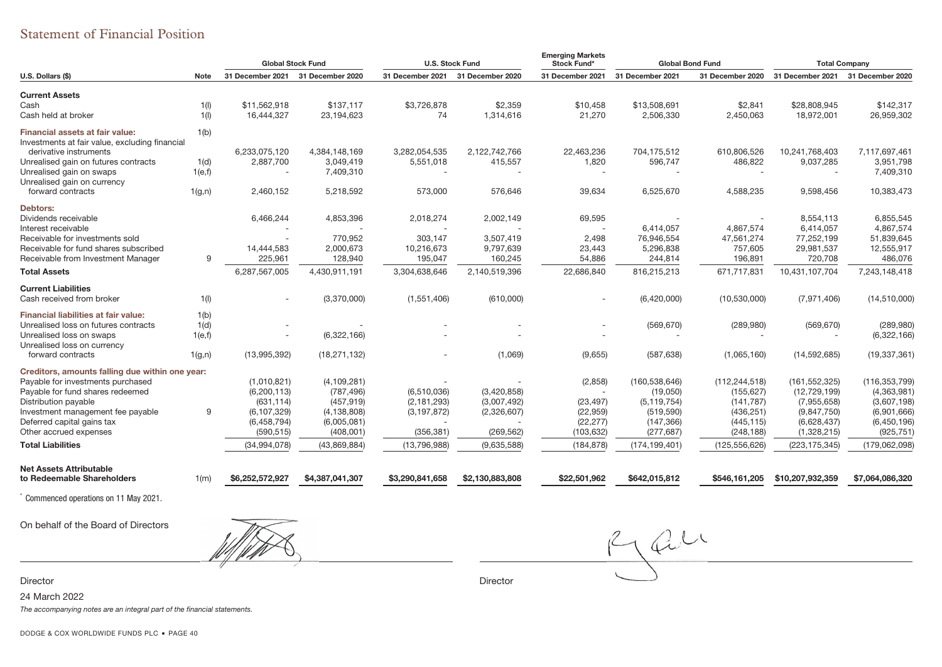## Statement of Financial Position

|                                                                                          |        | <b>Global Stock Fund</b> |                  | <b>U.S. Stock Fund</b> |                  | <b>Emerging Markets</b><br><b>Stock Fund*</b> | <b>Global Bond Fund</b> |                  | <b>Total Company</b> |                  |
|------------------------------------------------------------------------------------------|--------|--------------------------|------------------|------------------------|------------------|-----------------------------------------------|-------------------------|------------------|----------------------|------------------|
| U.S. Dollars (\$)                                                                        | Note   | 31 December 2021         | 31 December 2020 | 31 December 2021       | 31 December 2020 | 31 December 2021                              | 31 December 2021        | 31 December 2020 | 31 December 2021     | 31 December 2020 |
| <b>Current Assets</b>                                                                    |        |                          |                  |                        |                  |                                               |                         |                  |                      |                  |
| Cash                                                                                     | 1(1)   | \$11,562,918             | \$137,117        | \$3,726,878            | \$2,359          | \$10,458                                      | \$13,508,691            | \$2,841          | \$28,808,945         | \$142,317        |
| Cash held at broker                                                                      | 1(1)   | 16,444,327               | 23,194,623       | 74                     | 1,314,616        | 21,270                                        | 2,506,330               | 2,450,063        | 18,972,001           | 26,959,302       |
| <b>Financial assets at fair value:</b><br>Investments at fair value, excluding financial | 1(b)   |                          |                  |                        |                  |                                               |                         |                  |                      |                  |
| derivative instruments                                                                   |        | 6,233,075,120            | 4.384.148.169    | 3,282,054,535          | 2,122,742,766    | 22,463,236                                    | 704,175,512             | 610,806,526      | 10,241,768,403       | 7.117.697.461    |
| Unrealised gain on futures contracts                                                     | 1(d)   | 2,887,700                | 3,049,419        | 5,551,018              | 415,557          | 1,820                                         | 596,747                 | 486,822          | 9,037,285            | 3,951,798        |
| Unrealised gain on swaps                                                                 | 1(e,f) |                          | 7,409,310        |                        |                  |                                               |                         |                  |                      | 7,409,310        |
| Unrealised gain on currency                                                              |        |                          |                  |                        |                  |                                               |                         |                  |                      |                  |
| forward contracts                                                                        | 1(g,n) | 2,460,152                | 5,218,592        | 573,000                | 576,646          | 39,634                                        | 6,525,670               | 4,588,235        | 9,598,456            | 10,383,473       |
| Debtors:                                                                                 |        |                          |                  |                        |                  |                                               |                         |                  |                      |                  |
| Dividends receivable                                                                     |        | 6,466,244                | 4,853,396        | 2,018,274              | 2,002,149        | 69,595                                        |                         |                  | 8.554.113            | 6,855,545        |
| Interest receivable                                                                      |        |                          |                  |                        |                  |                                               | 6,414,057               | 4,867,574        | 6,414,057            | 4,867,574        |
| Receivable for investments sold                                                          |        |                          | 770,952          | 303,147                | 3,507,419        | 2,498                                         | 76,946,554              | 47,561,274       | 77,252,199           | 51,839,645       |
| Receivable for fund shares subscribed                                                    |        | 14,444,583               | 2,000,673        | 10,216,673             | 9,797,639        | 23,443                                        | 5,296,838               | 757,605          | 29,981,537           | 12,555,917       |
| Receivable from Investment Manager                                                       | 9      | 225,961                  | 128,940          | 195,047                | 160,245          | 54,886                                        | 244,814                 | 196,891          | 720,708              | 486,076          |
| <b>Total Assets</b>                                                                      |        | 6,287,567,005            | 4,430,911,191    | 3,304,638,646          | 2,140,519,396    | 22,686,840                                    | 816,215,213             | 671,717,831      | 10,431,107,704       | 7,243,148,418    |
| <b>Current Liabilities</b>                                                               |        |                          |                  |                        |                  |                                               |                         |                  |                      |                  |
| Cash received from broker                                                                | 1(1)   |                          | (3,370,000)      | (1,551,406)            | (610,000)        |                                               | (6,420,000)             | (10,530,000)     | (7,971,406)          | (14, 510, 000)   |
| Financial liabilities at fair value:                                                     | 1(b)   |                          |                  |                        |                  |                                               |                         |                  |                      |                  |
| Unrealised loss on futures contracts                                                     | 1(d)   |                          |                  |                        |                  |                                               | (569, 670)              | (289, 980)       | (569, 670)           | (289, 980)       |
| Unrealised loss on swaps                                                                 | 1(e,f) |                          | (6,322,166)      |                        |                  |                                               |                         |                  |                      | (6,322,166)      |
| Unrealised loss on currency                                                              |        |                          |                  |                        |                  |                                               |                         |                  |                      |                  |
| forward contracts                                                                        | 1(g,n) | (13,995,392)             | (18, 271, 132)   |                        | (1,069)          | (9,655)                                       | (587, 638)              | (1,065,160)      | (14, 592, 685)       | (19, 337, 361)   |
| Creditors, amounts falling due within one year:                                          |        |                          |                  |                        |                  |                                               |                         |                  |                      |                  |
| Payable for investments purchased                                                        |        | (1,010,821)              | (4, 109, 281)    |                        |                  | (2,858)                                       | (160, 538, 646)         | (112, 244, 518)  | (161, 552, 325)      | (116, 353, 799)  |
| Payable for fund shares redeemed                                                         |        | (6, 200, 113)            | (787, 496)       | (6,510,036)            | (3,420,858)      | $\overline{\phantom{a}}$                      | (19,050)                | (155, 627)       | (12, 729, 199)       | (4,363,981)      |
| Distribution payable                                                                     |        | (631, 114)               | (457, 919)       | (2, 181, 293)          | (3,007,492)      | (23, 497)                                     | (5, 119, 754)           | (141, 787)       | (7,955,658)          | (3,607,198)      |
| Investment management fee payable                                                        | 9      | (6, 107, 329)            | (4, 138, 808)    | (3, 197, 872)          | (2,326,607)      | (22, 959)                                     | (519, 590)              | (436, 251)       | (9,847,750)          | (6,901,666)      |
| Deferred capital gains tax                                                               |        | (6,458,794)              | (6,005,081)      |                        |                  | (22, 277)                                     | (147, 366)              | (445, 115)       | (6,628,437)          | (6, 450, 196)    |
| Other accrued expenses                                                                   |        | (590, 515)               | (408,001)        | (356, 381)             | (269, 562)       | (103, 632)                                    | (277, 687)              | (248, 188)       | (1,328,215)          | (925, 751)       |
| <b>Total Liabilities</b>                                                                 |        | (34, 994, 078)           | (43,869,884)     | (13,796,988)           | (9,635,588)      | (184, 878)                                    | (174, 199, 401)         | (125, 556, 626)  | (223, 175, 345)      | (179,062,098)    |
|                                                                                          |        |                          |                  |                        |                  |                                               |                         |                  |                      |                  |
| Net Assets Attributable<br>to Redeemable Shareholders                                    | 1(m)   | \$6,252,572,927          | \$4,387,041,307  | \$3,290,841,658        | \$2,130,883,808  | \$22,501,962                                  | \$642,015,812           | \$546,161,205    | \$10,207,932,359     | \$7,064,086,320  |
| Commenced operations on 11 May 2021.                                                     |        |                          |                  |                        |                  |                                               |                         |                  |                      |                  |

On behalf of the Board of Directors

r and the contract of the contract of the contract of the contract of the contract of the contract of the contract of the contract of the contract of the contract of the contract of the contract of the contract of the cont

Rau

Director

24 March 2022

The accompanying notes are an integral part of the financial statements.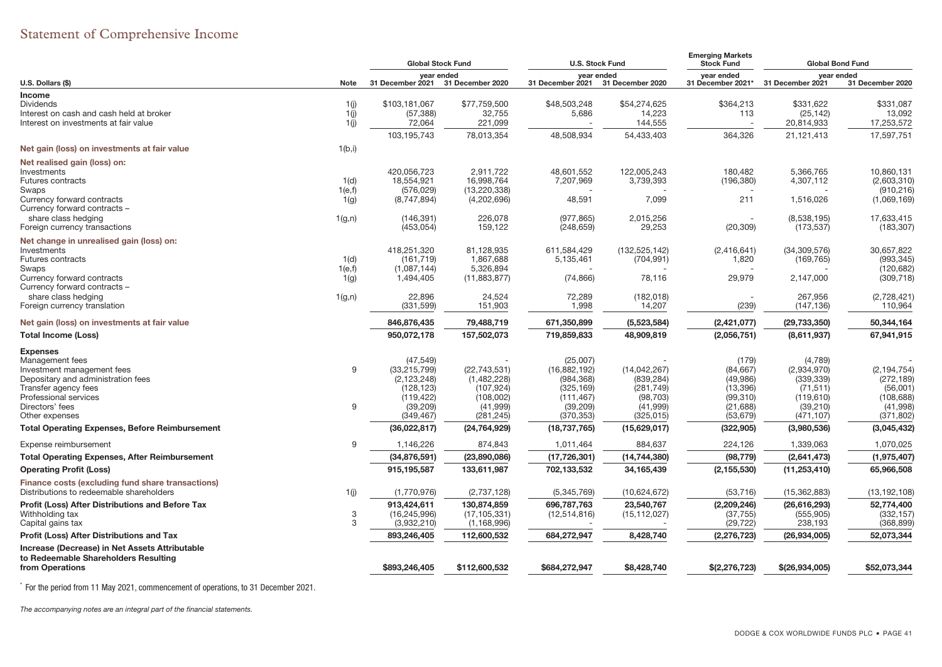# Statement of Comprehensive Income

|                                                         |         | <b>Global Stock Fund</b> |                                | <b>U.S. Stock Fund</b>   |                                | <b>Emerging Markets</b><br><b>Stock Fund</b>     | <b>Global Bond Fund</b>        |                          |
|---------------------------------------------------------|---------|--------------------------|--------------------------------|--------------------------|--------------------------------|--------------------------------------------------|--------------------------------|--------------------------|
| U.S. Dollars (\$)                                       | Note    | 31 December 2021         | vear ended<br>31 December 2020 |                          | year ended<br>31 December 2020 | year ended<br>31 December 2021* 31 December 2021 | year ended<br>31 December 2020 |                          |
| Income                                                  |         |                          |                                | 31 December 2021         |                                |                                                  |                                |                          |
| <b>Dividends</b>                                        | 1(j)    | \$103,181,067            | \$77,759,500                   | \$48,503,248             | \$54,274,625                   | \$364,213                                        | \$331,622                      | \$331,087                |
| Interest on cash and cash held at broker                | 1(j)    | (57, 388)                | 32,755                         | 5,686                    | 14,223                         | 113                                              | (25, 142)                      | 13,092                   |
| Interest on investments at fair value                   | 1(j)    | 72,064                   | 221,099                        |                          | 144,555                        |                                                  | 20,814,933                     | 17,253,572               |
|                                                         |         | 103,195,743              | 78,013,354                     | 48,508,934               | 54,433,403                     | 364,326                                          | 21,121,413                     | 17,597,751               |
| Net gain (loss) on investments at fair value            | 1(b,i)  |                          |                                |                          |                                |                                                  |                                |                          |
| Net realised gain (loss) on:                            |         |                          |                                |                          |                                |                                                  |                                |                          |
| Investments                                             |         | 420,056,723              | 2,911,722                      | 48,601,552               | 122,005,243                    | 180,482                                          | 5,366,765                      | 10,860,131               |
| <b>Futures contracts</b>                                | 1(d)    | 18,554,921               | 16,998,764                     | 7,207,969                | 3,739,393                      | (196, 380)                                       | 4,307,112                      | (2,603,310)              |
| Swaps                                                   | 1(e,f)  | (576, 029)               | (13, 220, 338)                 |                          |                                |                                                  |                                | (910, 216)               |
| Currency forward contracts                              | 1(g)    | (8,747,894)              | (4,202,696)                    | 48,591                   | 7,099                          | 211                                              | 1,516,026                      | (1,069,169)              |
| Currency forward contracts -                            |         |                          | 226,078                        |                          |                                |                                                  |                                |                          |
| share class hedging<br>Foreign currency transactions    | 1(g, n) | (146, 391)<br>(453, 054) | 159,122                        | (977, 865)<br>(248, 659) | 2,015,256<br>29,253            | (20, 309)                                        | (8,538,195)<br>(173, 537)      | 17,633,415<br>(183, 307) |
| Net change in unrealised gain (loss) on:                |         |                          |                                |                          |                                |                                                  |                                |                          |
| Investments                                             |         | 418,251,320              | 81,128,935                     | 611,584,429              | (132, 525, 142)                | (2,416,641)                                      | (34, 309, 576)                 | 30,657,822               |
| <b>Futures contracts</b>                                | 1(d)    | (161, 719)               | 1,867,688                      | 5,135,461                | (704, 991)                     | 1,820                                            | (169, 765)                     | (993, 345)               |
| Swaps                                                   | 1(e,f)  | (1,087,144)              | 5.326.894                      |                          |                                |                                                  |                                | (120, 682)               |
| Currency forward contracts                              | 1(g)    | 1,494,405                | (11,883,877)                   | (74, 866)                | 78,116                         | 29,979                                           | 2,147,000                      | (309, 718)               |
| Currency forward contracts -                            |         |                          |                                |                          |                                |                                                  |                                |                          |
| share class hedging                                     | 1(g, n) | 22,896                   | 24,524                         | 72,289                   | (182, 018)                     |                                                  | 267,956                        | (2,728,421)              |
| Foreign currency translation                            |         | (331, 599)               | 151,903                        | 1,998                    | 14,207                         | (239)                                            | (147, 136)                     | 110,964                  |
| Net gain (loss) on investments at fair value            |         | 846,876,435              | 79,488,719                     | 671,350,899              | (5,523,584)                    | (2, 421, 077)                                    | (29, 733, 350)                 | 50,344,164               |
| <b>Total Income (Loss)</b>                              |         | 950,072,178              | 157,502,073                    | 719,859,833              | 48,909,819                     | (2,056,751)                                      | (8,611,937)                    | 67,941,915               |
| <b>Expenses</b>                                         |         |                          |                                |                          |                                |                                                  |                                |                          |
| Management fees                                         |         | (47, 549)                |                                | (25,007)                 |                                | (179)                                            | (4,789)                        |                          |
| Investment management fees                              | 9       | (33, 215, 799)           | (22, 743, 531)                 | (16, 882, 192)           | (14,042,267)                   | (84, 667)                                        | (2,934,970)                    | (2, 194, 754)            |
| Depositary and administration fees                      |         | (2, 123, 248)            | (1,482,228)                    | (984, 368)               | (839, 284)                     | (49, 986)                                        | (339, 339)                     | (272, 189)               |
| Transfer agency fees                                    |         | (128, 123)               | (107, 924)                     | (325, 169)               | (281, 749)                     | (13, 396)                                        | (71, 511)                      | (56,001)                 |
| Professional services                                   |         | (119, 422)               | (108,002)                      | (111, 467)               | (98, 703)                      | (99,310)                                         | (119, 610)                     | (108, 688)               |
| Directors' fees<br>Other expenses                       | 9       | (39, 209)<br>(349, 467)  | (41, 999)<br>(281, 245)        | (39, 209)<br>(370, 353)  | (41, 999)<br>(325, 015)        | (21, 688)<br>(53, 679)                           | (39, 210)<br>(471, 107)        | (41,998)<br>(371, 802)   |
| <b>Total Operating Expenses, Before Reimbursement</b>   |         | (36,022,817)             | (24, 764, 929)                 | (18, 737, 765)           | (15,629,017)                   | (322, 905)                                       | (3,980,536)                    | (3,045,432)              |
| Expense reimbursement                                   | 9       | 1,146,226                | 874,843                        | 1,011,464                | 884,637                        | 224,126                                          | 1,339,063                      | 1,070,025                |
| <b>Total Operating Expenses, After Reimbursement</b>    |         | (34, 876, 591)           | (23,890,086)                   | (17, 726, 301)           | (14, 744, 380)                 | (98, 779)                                        | (2,641,473)                    | (1,975,407)              |
| <b>Operating Profit (Loss)</b>                          |         | 915,195,587              | 133,611,987                    | 702,133,532              | 34,165,439                     | (2, 155, 530)                                    | (11, 253, 410)                 | 65,966,508               |
| Finance costs (excluding fund share transactions)       |         |                          |                                |                          |                                |                                                  |                                |                          |
| Distributions to redeemable shareholders                | 1(j)    | (1,770,976)              | (2,737,128)                    | (5,345,769)              | (10,624,672)                   | (53, 716)                                        | (15, 362, 883)                 | (13, 192, 108)           |
| <b>Profit (Loss) After Distributions and Before Tax</b> |         | 913,424,611              | 130,874,859                    | 696,787,763              | 23,540,767                     | (2,209,246)                                      | (26, 616, 293)                 | 52,774,400               |
| Withholding tax                                         | 3       | (16, 245, 996)           | (17, 105, 331)                 | (12, 514, 816)           | (15, 112, 027)                 | (37, 755)                                        | (555, 905)                     | (332, 157)               |
| Capital gains tax                                       | 3       | (3,932,210)              | (1, 168, 996)                  |                          |                                | (29, 722)                                        | 238,193                        | (368, 899)               |
| Profit (Loss) After Distributions and Tax               |         | 893,246,405              | 112,600,532                    | 684,272,947              | 8,428,740                      | (2, 276, 723)                                    | (26, 934, 005)                 | 52,073,344               |
| Increase (Decrease) in Net Assets Attributable          |         |                          |                                |                          |                                |                                                  |                                |                          |
| to Redeemable Shareholders Resulting                    |         |                          |                                |                          |                                |                                                  |                                |                          |
| from Operations                                         |         | \$893,246,405            | \$112,600,532                  | \$684,272,947            | \$8,428,740                    | \$(2, 276, 723)                                  | \$(26, 934, 005)               | \$52,073,344             |

\* For the period from 11 May 2021, commencement of operations, to 31 December 2021.

The accompanying notes are an integral part of the financial statements.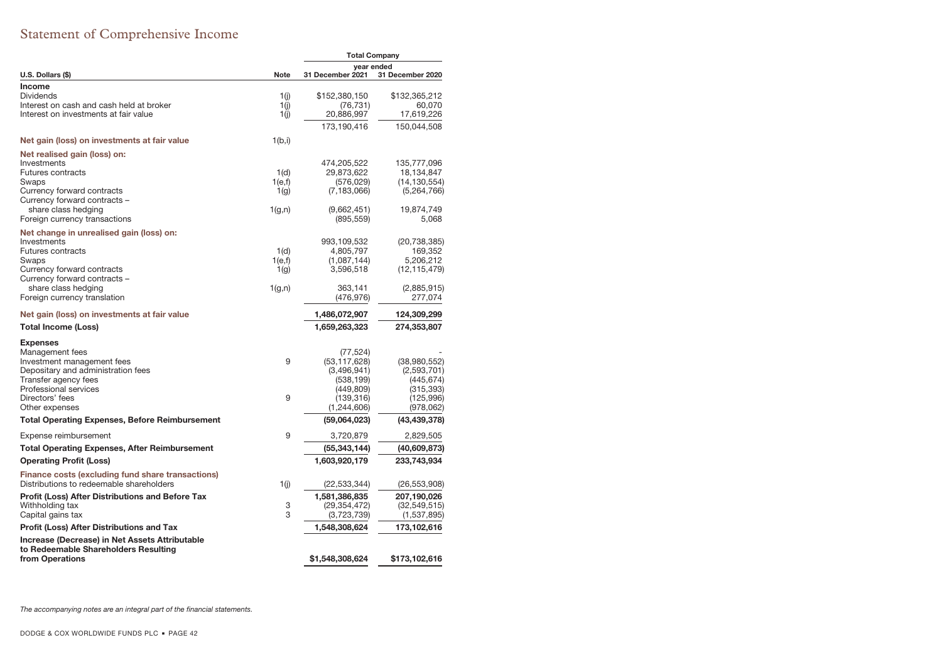# Statement of Comprehensive Income

|                                                         |             | <b>Total Company</b> |                  |  |
|---------------------------------------------------------|-------------|----------------------|------------------|--|
|                                                         |             | year ended           |                  |  |
| U.S. Dollars (\$)                                       | <b>Note</b> | 31 December 2021     | 31 December 2020 |  |
| <b>Income</b><br><b>Dividends</b>                       | 1(i)        | \$152,380,150        | \$132,365,212    |  |
| Interest on cash and cash held at broker                | 1(i)        | (76, 731)            | 60.070           |  |
| Interest on investments at fair value                   | 1(i)        | 20,886,997           | 17,619,226       |  |
|                                                         |             | 173,190,416          | 150,044,508      |  |
| Net gain (loss) on investments at fair value            | 1(b,i)      |                      |                  |  |
| Net realised gain (loss) on:                            |             |                      |                  |  |
| Investments                                             |             | 474,205,522          | 135,777,096      |  |
| <b>Futures contracts</b>                                | 1(d)        | 29,873,622           | 18,134,847       |  |
| Swaps                                                   | 1(e,f)      | (576, 029)           | (14, 130, 554)   |  |
| Currency forward contracts                              | 1(q)        | (7, 183, 066)        | (5,264,766)      |  |
| Currency forward contracts -                            |             |                      |                  |  |
| share class hedging                                     | 1(g,n)      | (9,662,451)          | 19,874,749       |  |
| Foreign currency transactions                           |             | (895,559)            | 5,068            |  |
| Net change in unrealised gain (loss) on:                |             |                      |                  |  |
| Investments                                             |             | 993,109,532          | (20, 738, 385)   |  |
| <b>Futures contracts</b>                                | 1(d)        | 4,805,797            | 169,352          |  |
| Swaps                                                   | 1(e,f)      | (1,087,144)          | 5,206,212        |  |
| Currency forward contracts                              | 1(g)        | 3,596,518            | (12, 115, 479)   |  |
| Currency forward contracts -                            |             |                      |                  |  |
| share class hedging                                     | 1(g,n)      | 363,141              | (2,885,915)      |  |
| Foreign currency translation                            |             | (476,976)            | 277,074          |  |
| Net gain (loss) on investments at fair value            |             | 1,486,072,907        | 124,309,299      |  |
| Total Income (Loss)                                     |             | 1,659,263,323        | 274,353,807      |  |
| <b>Expenses</b>                                         |             |                      |                  |  |
| Management fees                                         |             | (77, 524)            |                  |  |
| Investment management fees                              | 9           | (53, 117, 628)       | (38,980,552)     |  |
| Depositary and administration fees                      |             | (3,496,941)          | (2,593,701)      |  |
| Transfer agency fees                                    |             | (538,199)            | (445,674)        |  |
| Professional services                                   |             | (449,809)            | (315, 393)       |  |
| Directors' fees                                         | 9           | (139,316)            | (125,996)        |  |
| Other expenses                                          |             | (1,244,606)          | (978,062)        |  |
| <b>Total Operating Expenses, Before Reimbursement</b>   |             | (59,064,023)         | (43, 439, 378)   |  |
| Expense reimbursement                                   | 9           | 3,720,879            | 2,829,505        |  |
| <b>Total Operating Expenses, After Reimbursement</b>    |             | (55, 343, 144)       | (40,609,873)     |  |
| <b>Operating Profit (Loss)</b>                          |             | 1,603,920,179        | 233,743,934      |  |
| Finance costs (excluding fund share transactions)       |             |                      |                  |  |
| Distributions to redeemable shareholders                | 1(i)        | (22,533,344)         | (26, 553, 908)   |  |
| <b>Profit (Loss) After Distributions and Before Tax</b> |             | 1,581,386,835        | 207,190,026      |  |
| Withholding tax                                         | 3           | (29, 354, 472)       | (32, 549, 515)   |  |
| Capital gains tax                                       | 3           | (3,723,739)          | (1,537,895)      |  |
| <b>Profit (Loss) After Distributions and Tax</b>        |             | 1,548,308,624        | 173,102,616      |  |
| Increase (Decrease) in Net Assets Attributable          |             |                      |                  |  |
| to Redeemable Shareholders Resulting                    |             |                      |                  |  |
| from Operations                                         |             | \$1,548,308,624      | \$173,102,616    |  |

The accompanying notes are an integral part of the financial statements.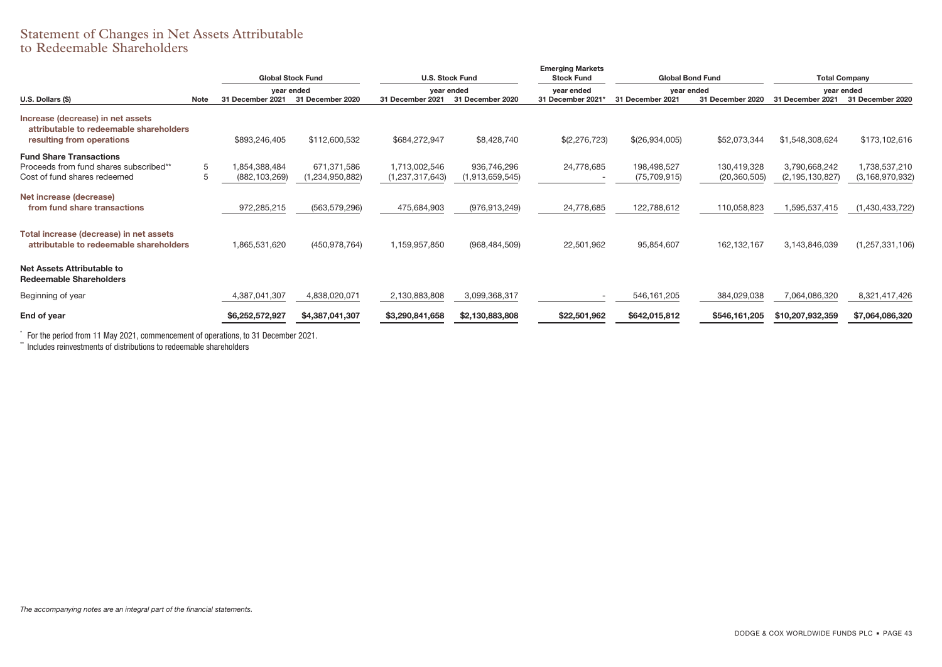### Statement of Changes in Net Assets Attributable to Redeemable Shareholders

|                                                                                                           |             | <b>Global Stock Fund</b>       |                                |                                  | <b>U.S. Stock Fund</b>         | <b>Emerging Markets</b><br><b>Stock Fund</b> | <b>Global Bond Fund</b>       |                               |                                     | <b>Total Company</b>                |
|-----------------------------------------------------------------------------------------------------------|-------------|--------------------------------|--------------------------------|----------------------------------|--------------------------------|----------------------------------------------|-------------------------------|-------------------------------|-------------------------------------|-------------------------------------|
|                                                                                                           |             | year ended                     |                                |                                  | vear ended                     | vear ended                                   | vear ended                    |                               |                                     | year ended                          |
| U.S. Dollars (\$)                                                                                         | <b>Note</b> | 31 December 2021               | 31 December 2020               | 31 December 2021                 | 31 December 2020               | 31 December 2021                             | 31 December 2021              | 31 December 2020              | 31 December 2021                    | 31 December 2020                    |
| Increase (decrease) in net assets<br>attributable to redeemable shareholders<br>resulting from operations |             | \$893,246,405                  | \$112,600,532                  | \$684,272,947                    | \$8,428,740                    | \$(2,276,723)                                | \$(26,934,005)                | \$52,073,344                  | \$1,548,308,624                     | \$173,102,616                       |
| <b>Fund Share Transactions</b><br>Proceeds from fund shares subscribed**<br>Cost of fund shares redeemed  | 5<br>5      | 854,388,484<br>(882, 103, 269) | 671,371,586<br>(1,234,950,882) | 1,713,002,546<br>(1,237,317,643) | 936,746,296<br>(1,913,659,545) | 24,778,685                                   | 198,498,527<br>(75, 709, 915) | 130,419,328<br>(20, 360, 505) | 3,790,668,242<br>(2, 195, 130, 827) | 1,738,537,210<br>(3, 168, 970, 932) |
| Net increase (decrease)<br>from fund share transactions                                                   |             | 972,285,215                    | (563, 579, 296)                | 475,684,903                      | (976, 913, 249)                | 24,778,685                                   | 122,788,612                   | 110,058,823                   | 1,595,537,415                       | (1,430,433,722)                     |
| Total increase (decrease) in net assets<br>attributable to redeemable shareholders                        |             | 1,865,531,620                  | (450, 978, 764)                | 1,159,957,850                    | (968, 484, 509)                | 22,501,962                                   | 95,854,607                    | 162,132,167                   | 3,143,846,039                       | (1, 257, 331, 106)                  |
| Net Assets Attributable to<br><b>Redeemable Shareholders</b>                                              |             |                                |                                |                                  |                                |                                              |                               |                               |                                     |                                     |
| Beginning of year                                                                                         |             | 4,387,041,307                  | 4,838,020,071                  | 2,130,883,808                    | 3,099,368,317                  |                                              | 546, 161, 205                 | 384,029,038                   | 7,064,086,320                       | 8,321,417,426                       |
| End of year                                                                                               |             | \$6,252,572,927                | \$4,387,041,307                | \$3,290,841,658                  | \$2,130,883,808                | \$22,501,962                                 | \$642,015,812                 | \$546,161,205                 | \$10,207,932,359                    | \$7,064,086,320                     |

 $\degree$  For the period from 11 May 2021, commencement of operations, to 31 December 2021.<br>\*\* Includes reinvestments of distributions to redeemable shareholders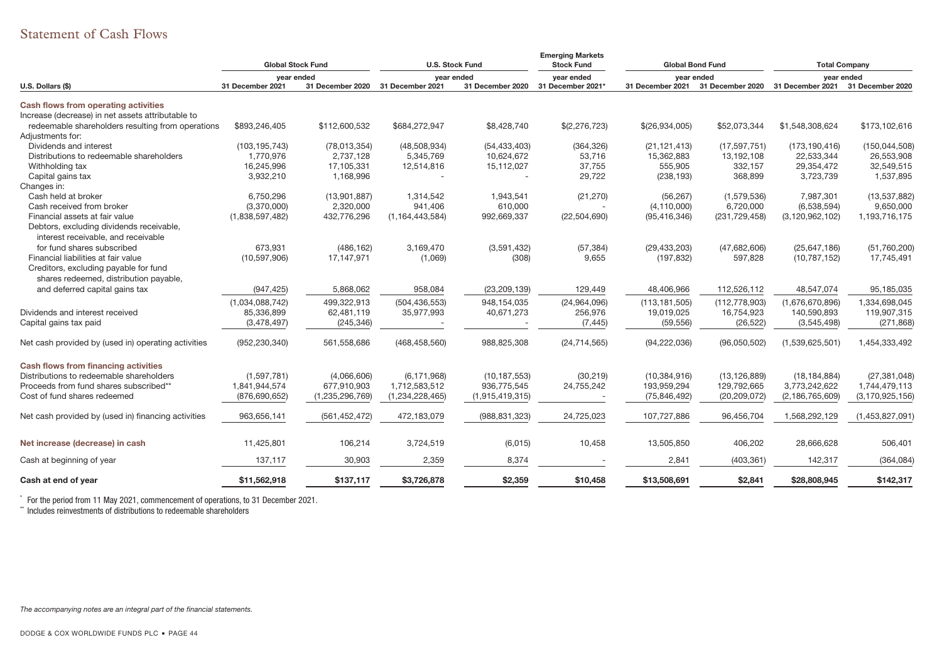# Statement of Cash Flows

|                                                     | <b>Global Stock Fund</b> |                  | <b>U.S. Stock Fund</b> |                  | <b>Emerging Markets</b><br><b>Stock Fund</b> |                  | <b>Global Bond Fund</b> | <b>Total Company</b><br>year ended |                    |
|-----------------------------------------------------|--------------------------|------------------|------------------------|------------------|----------------------------------------------|------------------|-------------------------|------------------------------------|--------------------|
|                                                     | year ended               |                  | year ended             |                  | year ended                                   | year ended       |                         |                                    |                    |
| U.S. Dollars (\$)                                   | 31 December 2021         | 31 December 2020 | 31 December 2021       | 31 December 2020 | 31 December 2021'                            | 31 December 2021 | 31 December 2020        | 31 December 2021                   | 31 December 2020   |
| Cash flows from operating activities                |                          |                  |                        |                  |                                              |                  |                         |                                    |                    |
| Increase (decrease) in net assets attributable to   |                          |                  |                        |                  |                                              |                  |                         |                                    |                    |
| redeemable shareholders resulting from operations   | \$893,246,405            | \$112,600,532    | \$684,272,947          | \$8,428,740      | \$(2,276,723)                                | \$(26,934,005)   | \$52,073,344            | \$1,548,308,624                    | \$173,102,616      |
| Adjustments for:                                    |                          |                  |                        |                  |                                              |                  |                         |                                    |                    |
| Dividends and interest                              | (103, 195, 743)          | (78,013,354)     | (48,508,934)           | (54, 433, 403)   | (364, 326)                                   | (21, 121, 413)   | (17, 597, 751)          | (173, 190, 416)                    | (150, 044, 508)    |
| Distributions to redeemable shareholders            | 1,770,976                | 2,737,128        | 5,345,769              | 10,624,672       | 53,716                                       | 15,362,883       | 13,192,108              | 22,533,344                         | 26,553,908         |
| Withholding tax                                     | 16,245,996               | 17,105,331       | 12,514,816             | 15,112,027       | 37,755                                       | 555,905          | 332,157                 | 29,354,472                         | 32,549,515         |
| Capital gains tax                                   | 3,932,210                | 1,168,996        |                        |                  | 29,722                                       | (238, 193)       | 368,899                 | 3,723,739                          | 1,537,895          |
| Changes in:                                         |                          |                  |                        |                  |                                              |                  |                         |                                    |                    |
| Cash held at broker                                 | 6,750,296                | (13,901,887)     | 1,314,542              | 1,943,541        | (21, 270)                                    | (56, 267)        | (1,579,536)             | 7,987,301                          | (13, 537, 882)     |
| Cash received from broker                           | (3,370,000)              | 2,320,000        | 941,406                | 610,000          |                                              | (4, 110, 000)    | 6,720,000               | (6,538,594)                        | 9,650,000          |
| Financial assets at fair value                      | (1,838,597,482)          | 432,776,296      | (1, 164, 443, 584)     | 992,669,337      | (22, 504, 690)                               | (95, 416, 346)   | (231, 729, 458)         | (3, 120, 962, 102)                 | 1,193,716,175      |
| Debtors, excluding dividends receivable,            |                          |                  |                        |                  |                                              |                  |                         |                                    |                    |
| interest receivable, and receivable                 |                          |                  |                        |                  |                                              |                  |                         |                                    |                    |
| for fund shares subscribed                          | 673.931                  | (486, 162)       | 3,169,470              | (3,591,432)      | (57, 384)                                    | (29, 433, 203)   | (47,682,606)            | (25, 647, 186)                     | (51,760,200)       |
| Financial liabilities at fair value                 | (10, 597, 906)           | 17,147,971       | (1,069)                | (308)            | 9,655                                        | (197, 832)       | 597,828                 | (10, 787, 152)                     | 17,745,491         |
| Creditors, excluding payable for fund               |                          |                  |                        |                  |                                              |                  |                         |                                    |                    |
| shares redeemed, distribution payable,              |                          |                  |                        |                  |                                              |                  |                         |                                    |                    |
| and deferred capital gains tax                      | (947, 425)               | 5,868,062        | 958,084                | (23, 209, 139)   | 129,449                                      | 48,406,966       | 112,526,112             | 48,547,074                         | 95,185,035         |
|                                                     |                          |                  |                        |                  |                                              |                  |                         |                                    |                    |
|                                                     | (1,034,088,742)          | 499,322,913      | (504, 436, 553)        | 948,154,035      | (24,964,096)                                 | (113, 181, 505)  | (112, 778, 903)         | (1,676,670,896)                    | 1,334,698,045      |
| Dividends and interest received                     | 85,336,899               | 62,481,119       | 35,977,993             | 40,671,273       | 256,976                                      | 19,019,025       | 16,754,923              | 140,590,893                        | 119,907,315        |
| Capital gains tax paid                              | (3,478,497)              | (245, 346)       |                        |                  | (7, 445)                                     | (59, 556)        | (26, 522)               | (3,545,498)                        | (271, 868)         |
| Net cash provided by (used in) operating activities | (952, 230, 340)          | 561,558,686      | (468, 458, 560)        | 988,825,308      | (24, 714, 565)                               | (94, 222, 036)   | (96,050,502)            | (1,539,625,501)                    | 1,454,333,492      |
|                                                     |                          |                  |                        |                  |                                              |                  |                         |                                    |                    |
| Cash flows from financing activities                |                          |                  |                        |                  |                                              |                  |                         |                                    |                    |
| Distributions to redeemable shareholders            | (1,597,781)              | (4,066,606)      | (6, 171, 968)          | (10, 187, 553)   | (30, 219)                                    | (10, 384, 916)   | (13, 126, 889)          | (18, 184, 884)                     | (27, 381, 048)     |
| Proceeds from fund shares subscribed**              | 1,841,944,574            | 677,910,903      | 1,712,583,512          | 936,775,545      | 24,755,242                                   | 193,959,294      | 129,792,665             | 3,773,242,622                      | 1,744,479,113      |
| Cost of fund shares redeemed                        | (876, 690, 652)          | (1,235,296,769)  | (1,234,228,465)        | (1,915,419,315)  |                                              | (75, 846, 492)   | (20, 209, 072)          | (2, 186, 765, 609)                 | (3, 170, 925, 156) |
| Net cash provided by (used in) financing activities | 963,656,141              | (561, 452, 472)  | 472,183,079            | (988, 831, 323)  | 24,725,023                                   | 107,727,886      | 96,456,704              | 1,568,292,129                      | (1,453,827,091)    |
|                                                     |                          |                  |                        |                  |                                              |                  |                         |                                    |                    |
| Net increase (decrease) in cash                     | 11,425,801               | 106,214          | 3,724,519              | (6,015)          | 10,458                                       | 13,505,850       | 406,202                 | 28,666,628                         | 506,401            |
| Cash at beginning of year                           | 137,117                  | 30,903           | 2,359                  | 8,374            |                                              | 2,841            | (403, 361)              | 142,317                            | (364, 084)         |
| Cash at end of year                                 | \$11,562,918             | \$137,117        | \$3,726,878            | \$2,359          | \$10,458                                     | \$13,508,691     | \$2,841                 | \$28,808,945                       | \$142,317          |
|                                                     |                          |                  |                        |                  |                                              |                  |                         |                                    |                    |

\* For the period from 11 May 2021, commencement of operations, to 31 December 2021.

\*\* Includes reinvestments of distributions to redeemable shareholders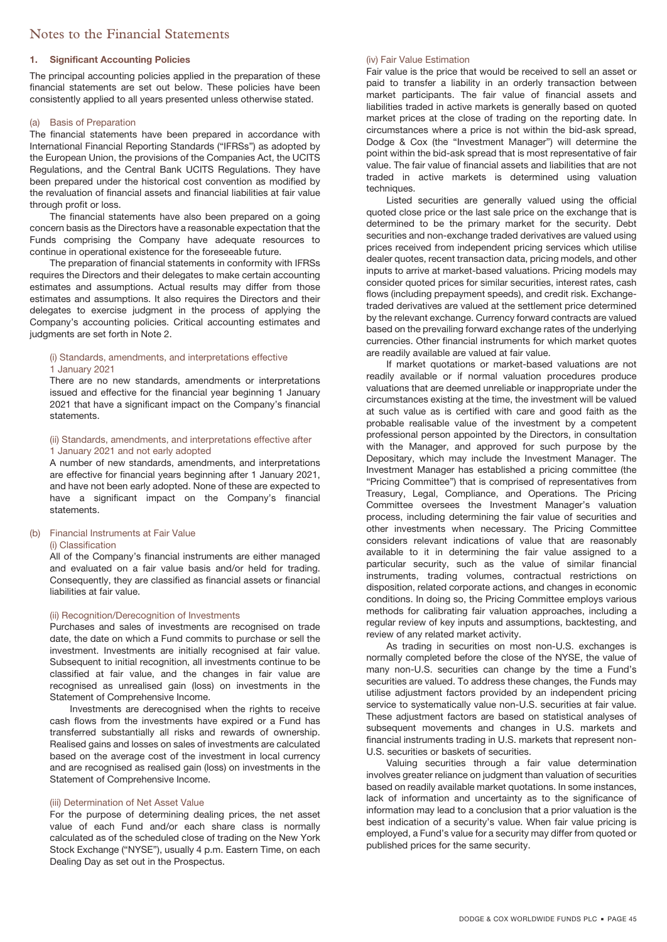### **1. Significant Accounting Policies**

The principal accounting policies applied in the preparation of these financial statements are set out below. These policies have been consistently applied to all years presented unless otherwise stated.

### (a) Basis of Preparation

The financial statements have been prepared in accordance with International Financial Reporting Standards ("IFRSs") as adopted by the European Union, the provisions of the Companies Act, the UCITS Regulations, and the Central Bank UCITS Regulations. They have been prepared under the historical cost convention as modified by the revaluation of financial assets and financial liabilities at fair value through profit or loss.

The financial statements have also been prepared on a going concern basis as the Directors have a reasonable expectation that the Funds comprising the Company have adequate resources to continue in operational existence for the foreseeable future.

The preparation of financial statements in conformity with IFRSs requires the Directors and their delegates to make certain accounting estimates and assumptions. Actual results may differ from those estimates and assumptions. It also requires the Directors and their delegates to exercise judgment in the process of applying the Company's accounting policies. Critical accounting estimates and judgments are set forth in Note 2.

#### (i) Standards, amendments, and interpretations effective 1 January 2021

There are no new standards, amendments or interpretations issued and effective for the financial year beginning 1 January 2021 that have a significant impact on the Company's financial statements.

### (ii) Standards, amendments, and interpretations effective after 1 January 2021 and not early adopted

A number of new standards, amendments, and interpretations are effective for financial years beginning after 1 January 2021, and have not been early adopted. None of these are expected to have a significant impact on the Company's financial statements.

### (b) Financial Instruments at Fair Value (i) Classification

All of the Company's financial instruments are either managed and evaluated on a fair value basis and/or held for trading. Consequently, they are classified as financial assets or financial liabilities at fair value.

### (ii) Recognition/Derecognition of Investments

Purchases and sales of investments are recognised on trade date, the date on which a Fund commits to purchase or sell the investment. Investments are initially recognised at fair value. Subsequent to initial recognition, all investments continue to be classified at fair value, and the changes in fair value are recognised as unrealised gain (loss) on investments in the Statement of Comprehensive Income.

Investments are derecognised when the rights to receive cash flows from the investments have expired or a Fund has transferred substantially all risks and rewards of ownership. Realised gains and losses on sales of investments are calculated based on the average cost of the investment in local currency and are recognised as realised gain (loss) on investments in the Statement of Comprehensive Income.

### (iii) Determination of Net Asset Value

For the purpose of determining dealing prices, the net asset value of each Fund and/or each share class is normally calculated as of the scheduled close of trading on the New York Stock Exchange ("NYSE"), usually 4 p.m. Eastern Time, on each Dealing Day as set out in the Prospectus.

### (iv) Fair Value Estimation

Fair value is the price that would be received to sell an asset or paid to transfer a liability in an orderly transaction between market participants. The fair value of financial assets and liabilities traded in active markets is generally based on quoted market prices at the close of trading on the reporting date. In circumstances where a price is not within the bid-ask spread, Dodge & Cox (the "Investment Manager") will determine the point within the bid-ask spread that is most representative of fair value. The fair value of financial assets and liabilities that are not traded in active markets is determined using valuation techniques.

Listed securities are generally valued using the official quoted close price or the last sale price on the exchange that is determined to be the primary market for the security. Debt securities and non-exchange traded derivatives are valued using prices received from independent pricing services which utilise dealer quotes, recent transaction data, pricing models, and other inputs to arrive at market-based valuations. Pricing models may consider quoted prices for similar securities, interest rates, cash flows (including prepayment speeds), and credit risk. Exchangetraded derivatives are valued at the settlement price determined by the relevant exchange. Currency forward contracts are valued based on the prevailing forward exchange rates of the underlying currencies. Other financial instruments for which market quotes are readily available are valued at fair value.

If market quotations or market-based valuations are not readily available or if normal valuation procedures produce valuations that are deemed unreliable or inappropriate under the circumstances existing at the time, the investment will be valued at such value as is certified with care and good faith as the probable realisable value of the investment by a competent professional person appointed by the Directors, in consultation with the Manager, and approved for such purpose by the Depositary, which may include the Investment Manager. The Investment Manager has established a pricing committee (the "Pricing Committee") that is comprised of representatives from Treasury, Legal, Compliance, and Operations. The Pricing Committee oversees the Investment Manager's valuation process, including determining the fair value of securities and other investments when necessary. The Pricing Committee considers relevant indications of value that are reasonably available to it in determining the fair value assigned to a particular security, such as the value of similar financial instruments, trading volumes, contractual restrictions on disposition, related corporate actions, and changes in economic conditions. In doing so, the Pricing Committee employs various methods for calibrating fair valuation approaches, including a regular review of key inputs and assumptions, backtesting, and review of any related market activity.

As trading in securities on most non-U.S. exchanges is normally completed before the close of the NYSE, the value of many non-U.S. securities can change by the time a Fund's securities are valued. To address these changes, the Funds may utilise adjustment factors provided by an independent pricing service to systematically value non-U.S. securities at fair value. These adjustment factors are based on statistical analyses of subsequent movements and changes in U.S. markets and financial instruments trading in U.S. markets that represent non-U.S. securities or baskets of securities.

Valuing securities through a fair value determination involves greater reliance on judgment than valuation of securities based on readily available market quotations. In some instances, lack of information and uncertainty as to the significance of information may lead to a conclusion that a prior valuation is the best indication of a security's value. When fair value pricing is employed, a Fund's value for a security may differ from quoted or published prices for the same security.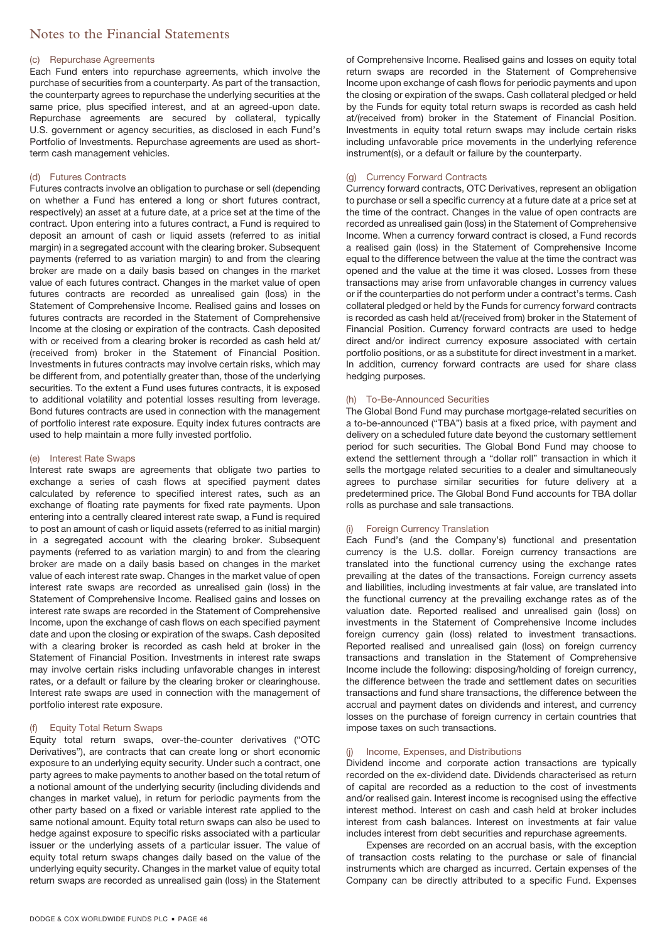### (c) Repurchase Agreements

Each Fund enters into repurchase agreements, which involve the purchase of securities from a counterparty. As part of the transaction, the counterparty agrees to repurchase the underlying securities at the same price, plus specified interest, and at an agreed-upon date. Repurchase agreements are secured by collateral, typically U.S. government or agency securities, as disclosed in each Fund's Portfolio of Investments. Repurchase agreements are used as shortterm cash management vehicles.

### (d) Futures Contracts

Futures contracts involve an obligation to purchase or sell (depending on whether a Fund has entered a long or short futures contract, respectively) an asset at a future date, at a price set at the time of the contract. Upon entering into a futures contract, a Fund is required to deposit an amount of cash or liquid assets (referred to as initial margin) in a segregated account with the clearing broker. Subsequent payments (referred to as variation margin) to and from the clearing broker are made on a daily basis based on changes in the market value of each futures contract. Changes in the market value of open futures contracts are recorded as unrealised gain (loss) in the Statement of Comprehensive Income. Realised gains and losses on futures contracts are recorded in the Statement of Comprehensive Income at the closing or expiration of the contracts. Cash deposited with or received from a clearing broker is recorded as cash held at/ (received from) broker in the Statement of Financial Position. Investments in futures contracts may involve certain risks, which may be different from, and potentially greater than, those of the underlying securities. To the extent a Fund uses futures contracts, it is exposed to additional volatility and potential losses resulting from leverage. Bond futures contracts are used in connection with the management of portfolio interest rate exposure. Equity index futures contracts are used to help maintain a more fully invested portfolio.

### (e) Interest Rate Swaps

Interest rate swaps are agreements that obligate two parties to exchange a series of cash flows at specified payment dates calculated by reference to specified interest rates, such as an exchange of floating rate payments for fixed rate payments. Upon entering into a centrally cleared interest rate swap, a Fund is required to post an amount of cash or liquid assets (referred to as initial margin) in a segregated account with the clearing broker. Subsequent payments (referred to as variation margin) to and from the clearing broker are made on a daily basis based on changes in the market value of each interest rate swap. Changes in the market value of open interest rate swaps are recorded as unrealised gain (loss) in the Statement of Comprehensive Income. Realised gains and losses on interest rate swaps are recorded in the Statement of Comprehensive Income, upon the exchange of cash flows on each specified payment date and upon the closing or expiration of the swaps. Cash deposited with a clearing broker is recorded as cash held at broker in the Statement of Financial Position. Investments in interest rate swaps may involve certain risks including unfavorable changes in interest rates, or a default or failure by the clearing broker or clearinghouse. Interest rate swaps are used in connection with the management of portfolio interest rate exposure.

### **Equity Total Return Swaps**

Equity total return swaps, over-the-counter derivatives ("OTC Derivatives"), are contracts that can create long or short economic exposure to an underlying equity security. Under such a contract, one party agrees to make payments to another based on the total return of a notional amount of the underlying security (including dividends and changes in market value), in return for periodic payments from the other party based on a fixed or variable interest rate applied to the same notional amount. Equity total return swaps can also be used to hedge against exposure to specific risks associated with a particular issuer or the underlying assets of a particular issuer. The value of equity total return swaps changes daily based on the value of the underlying equity security. Changes in the market value of equity total return swaps are recorded as unrealised gain (loss) in the Statement

of Comprehensive Income. Realised gains and losses on equity total return swaps are recorded in the Statement of Comprehensive Income upon exchange of cash flows for periodic payments and upon the closing or expiration of the swaps. Cash collateral pledged or held by the Funds for equity total return swaps is recorded as cash held at/(received from) broker in the Statement of Financial Position. Investments in equity total return swaps may include certain risks including unfavorable price movements in the underlying reference instrument(s), or a default or failure by the counterparty.

### (g) Currency Forward Contracts

Currency forward contracts, OTC Derivatives, represent an obligation to purchase or sell a specific currency at a future date at a price set at the time of the contract. Changes in the value of open contracts are recorded as unrealised gain (loss) in the Statement of Comprehensive Income. When a currency forward contract is closed, a Fund records a realised gain (loss) in the Statement of Comprehensive Income equal to the difference between the value at the time the contract was opened and the value at the time it was closed. Losses from these transactions may arise from unfavorable changes in currency values or if the counterparties do not perform under a contract's terms. Cash collateral pledged or held by the Funds for currency forward contracts is recorded as cash held at/(received from) broker in the Statement of Financial Position. Currency forward contracts are used to hedge direct and/or indirect currency exposure associated with certain portfolio positions, or as a substitute for direct investment in a market. In addition, currency forward contracts are used for share class hedging purposes.

### (h) To-Be-Announced Securities

The Global Bond Fund may purchase mortgage-related securities on a to-be-announced ("TBA") basis at a fixed price, with payment and delivery on a scheduled future date beyond the customary settlement period for such securities. The Global Bond Fund may choose to extend the settlement through a "dollar roll" transaction in which it sells the mortgage related securities to a dealer and simultaneously agrees to purchase similar securities for future delivery at a predetermined price. The Global Bond Fund accounts for TBA dollar rolls as purchase and sale transactions.

### (i) Foreign Currency Translation

Each Fund's (and the Company's) functional and presentation currency is the U.S. dollar. Foreign currency transactions are translated into the functional currency using the exchange rates prevailing at the dates of the transactions. Foreign currency assets and liabilities, including investments at fair value, are translated into the functional currency at the prevailing exchange rates as of the valuation date. Reported realised and unrealised gain (loss) on investments in the Statement of Comprehensive Income includes foreign currency gain (loss) related to investment transactions. Reported realised and unrealised gain (loss) on foreign currency transactions and translation in the Statement of Comprehensive Income include the following: disposing/holding of foreign currency, the difference between the trade and settlement dates on securities transactions and fund share transactions, the difference between the accrual and payment dates on dividends and interest, and currency losses on the purchase of foreign currency in certain countries that impose taxes on such transactions.

### (j) Income, Expenses, and Distributions

Dividend income and corporate action transactions are typically recorded on the ex-dividend date. Dividends characterised as return of capital are recorded as a reduction to the cost of investments and/or realised gain. Interest income is recognised using the effective interest method. Interest on cash and cash held at broker includes interest from cash balances. Interest on investments at fair value includes interest from debt securities and repurchase agreements.

Expenses are recorded on an accrual basis, with the exception of transaction costs relating to the purchase or sale of financial instruments which are charged as incurred. Certain expenses of the Company can be directly attributed to a specific Fund. Expenses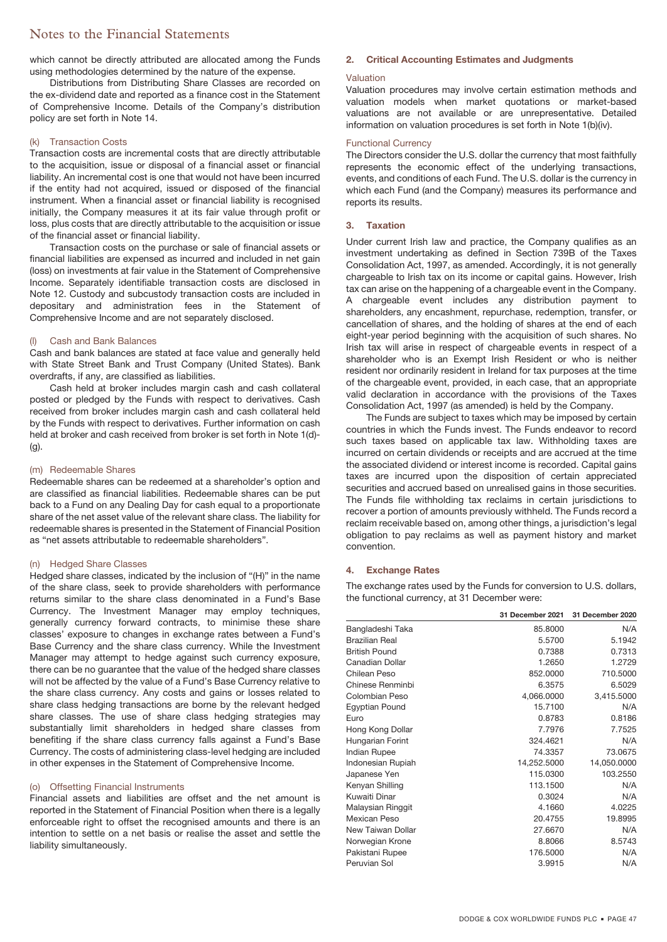which cannot be directly attributed are allocated among the Funds using methodologies determined by the nature of the expense.

Distributions from Distributing Share Classes are recorded on the ex-dividend date and reported as a finance cost in the Statement of Comprehensive Income. Details of the Company's distribution policy are set forth in Note 14.

### (k) Transaction Costs

Transaction costs are incremental costs that are directly attributable to the acquisition, issue or disposal of a financial asset or financial liability. An incremental cost is one that would not have been incurred if the entity had not acquired, issued or disposed of the financial instrument. When a financial asset or financial liability is recognised initially, the Company measures it at its fair value through profit or loss, plus costs that are directly attributable to the acquisition or issue of the financial asset or financial liability.

Transaction costs on the purchase or sale of financial assets or financial liabilities are expensed as incurred and included in net gain (loss) on investments at fair value in the Statement of Comprehensive Income. Separately identifiable transaction costs are disclosed in Note 12. Custody and subcustody transaction costs are included in depositary and administration fees in the Statement of Comprehensive Income and are not separately disclosed.

### (l) Cash and Bank Balances

Cash and bank balances are stated at face value and generally held with State Street Bank and Trust Company (United States). Bank overdrafts, if any, are classified as liabilities.

Cash held at broker includes margin cash and cash collateral posted or pledged by the Funds with respect to derivatives. Cash received from broker includes margin cash and cash collateral held by the Funds with respect to derivatives. Further information on cash held at broker and cash received from broker is set forth in Note 1(d)- (g).

### (m) Redeemable Shares

Redeemable shares can be redeemed at a shareholder's option and are classified as financial liabilities. Redeemable shares can be put back to a Fund on any Dealing Day for cash equal to a proportionate share of the net asset value of the relevant share class. The liability for redeemable shares is presented in the Statement of Financial Position as "net assets attributable to redeemable shareholders".

### (n) Hedged Share Classes

Hedged share classes, indicated by the inclusion of "(H)" in the name of the share class, seek to provide shareholders with performance returns similar to the share class denominated in a Fund's Base Currency. The Investment Manager may employ techniques, generally currency forward contracts, to minimise these share classes' exposure to changes in exchange rates between a Fund's Base Currency and the share class currency. While the Investment Manager may attempt to hedge against such currency exposure, there can be no guarantee that the value of the hedged share classes will not be affected by the value of a Fund's Base Currency relative to the share class currency. Any costs and gains or losses related to share class hedging transactions are borne by the relevant hedged share classes. The use of share class hedging strategies may substantially limit shareholders in hedged share classes from benefiting if the share class currency falls against a Fund's Base Currency. The costs of administering class-level hedging are included in other expenses in the Statement of Comprehensive Income.

### (o) Offsetting Financial Instruments

Financial assets and liabilities are offset and the net amount is reported in the Statement of Financial Position when there is a legally enforceable right to offset the recognised amounts and there is an intention to settle on a net basis or realise the asset and settle the liability simultaneously.

# **2. Critical Accounting Estimates and Judgments**

### Valuation

Valuation procedures may involve certain estimation methods and valuation models when market quotations or market-based valuations are not available or are unrepresentative. Detailed information on valuation procedures is set forth in Note 1(b)(iv).

### Functional Currency

The Directors consider the U.S. dollar the currency that most faithfully represents the economic effect of the underlying transactions, events, and conditions of each Fund. The U.S. dollar is the currency in which each Fund (and the Company) measures its performance and reports its results.

### **3. Taxation**

Under current Irish law and practice, the Company qualifies as an investment undertaking as defined in Section 739B of the Taxes Consolidation Act, 1997, as amended. Accordingly, it is not generally chargeable to Irish tax on its income or capital gains. However, Irish tax can arise on the happening of a chargeable event in the Company. A chargeable event includes any distribution payment to shareholders, any encashment, repurchase, redemption, transfer, or cancellation of shares, and the holding of shares at the end of each eight-year period beginning with the acquisition of such shares. No Irish tax will arise in respect of chargeable events in respect of a shareholder who is an Exempt Irish Resident or who is neither resident nor ordinarily resident in Ireland for tax purposes at the time of the chargeable event, provided, in each case, that an appropriate valid declaration in accordance with the provisions of the Taxes Consolidation Act, 1997 (as amended) is held by the Company.

The Funds are subject to taxes which may be imposed by certain countries in which the Funds invest. The Funds endeavor to record such taxes based on applicable tax law. Withholding taxes are incurred on certain dividends or receipts and are accrued at the time the associated dividend or interest income is recorded. Capital gains taxes are incurred upon the disposition of certain appreciated securities and accrued based on unrealised gains in those securities. The Funds file withholding tax reclaims in certain jurisdictions to recover a portion of amounts previously withheld. The Funds record a reclaim receivable based on, among other things, a jurisdiction's legal obligation to pay reclaims as well as payment history and market convention.

### **4. Exchange Rates**

The exchange rates used by the Funds for conversion to U.S. dollars, the functional currency, at 31 December were:

|                      | 31 December 2021 | 31 December 2020 |
|----------------------|------------------|------------------|
| Bangladeshi Taka     | 85.8000          | N/A              |
| Brazilian Real       | 5.5700           | 5.1942           |
| <b>British Pound</b> | 0.7388           | 0.7313           |
| Canadian Dollar      | 1.2650           | 1.2729           |
| Chilean Peso         | 852,0000         | 710.5000         |
| Chinese Renminbi     | 6.3575           | 6.5029           |
| Colombian Peso       | 4,066.0000       | 3,415.5000       |
| Egyptian Pound       | 15.7100          | N/A              |
| Euro                 | 0.8783           | 0.8186           |
| Hong Kong Dollar     | 7.7976           | 7.7525           |
| Hungarian Forint     | 324.4621         | N/A              |
| <b>Indian Rupee</b>  | 74.3357          | 73.0675          |
| Indonesian Rupiah    | 14,252.5000      | 14,050.0000      |
| Japanese Yen         | 115.0300         | 103.2550         |
| Kenyan Shilling      | 113.1500         | N/A              |
| Kuwaiti Dinar        | 0.3024           | N/A              |
| Malaysian Ringgit    | 4.1660           | 4.0225           |
| <b>Mexican Peso</b>  | 20.4755          | 19.8995          |
| New Taiwan Dollar    | 27.6670          | N/A              |
| Norwegian Krone      | 8.8066           | 8.5743           |
| Pakistani Rupee      | 176.5000         | N/A              |
| Peruvian Sol         | 3.9915           | N/A              |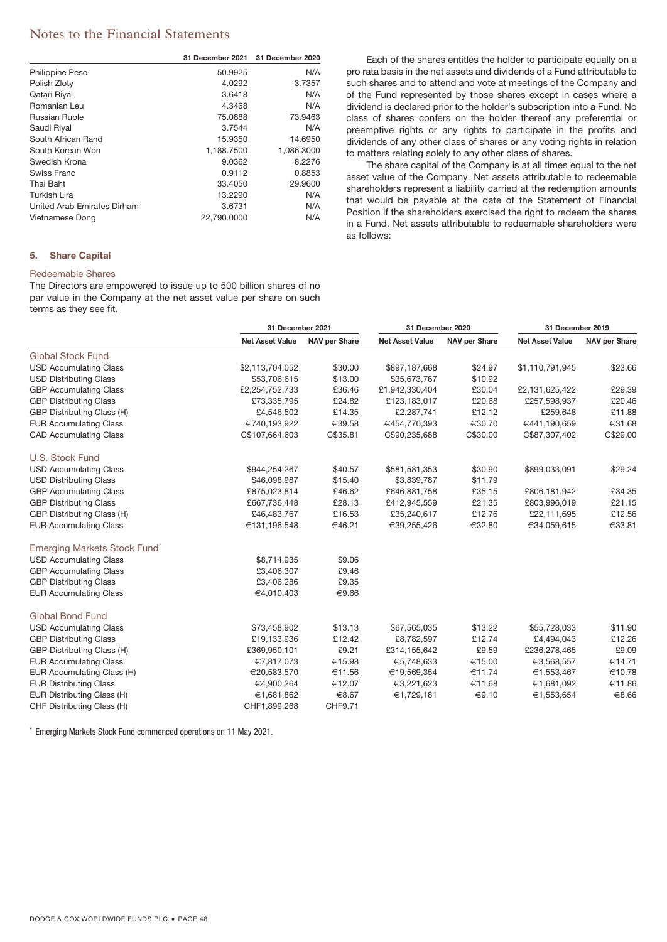|                             | 31 December 2021 | 31 December 2020 |
|-----------------------------|------------------|------------------|
| <b>Philippine Peso</b>      | 50.9925          | N/A              |
| Polish Zloty                | 4.0292           | 3.7357           |
| Qatari Riyal                | 3.6418           | N/A              |
| Romanian Leu                | 4.3468           | N/A              |
| Russian Ruble               | 75.0888          | 73.9463          |
| Saudi Riyal                 | 3.7544           | N/A              |
| South African Rand          | 15.9350          | 14.6950          |
| South Korean Won            | 1,188.7500       | 1,086.3000       |
| Swedish Krona               | 9.0362           | 8.2276           |
| Swiss Franc                 | 0.9112           | 0.8853           |
| Thai Baht                   | 33.4050          | 29.9600          |
| Turkish Lira                | 13.2290          | N/A              |
| United Arab Emirates Dirham | 3.6731           | N/A              |
| Vietnamese Dong             | 22.790.0000      | N/A              |

### **5. Share Capital**

### Redeemable Shares

The Directors are empowered to issue up to 500 billion shares of no par value in the Company at the net asset value per share on such terms as they see fit.

Each of the shares entitles the holder to participate equally on a pro rata basis in the net assets and dividends of a Fund attributable to such shares and to attend and vote at meetings of the Company and of the Fund represented by those shares except in cases where a dividend is declared prior to the holder's subscription into a Fund. No class of shares confers on the holder thereof any preferential or preemptive rights or any rights to participate in the profits and dividends of any other class of shares or any voting rights in relation to matters relating solely to any other class of shares.

The share capital of the Company is at all times equal to the net asset value of the Company. Net assets attributable to redeemable shareholders represent a liability carried at the redemption amounts that would be payable at the date of the Statement of Financial Position if the shareholders exercised the right to redeem the shares in a Fund. Net assets attributable to redeemable shareholders were as follows:

|                               |                        | 31 December 2021     |                        | 31 December 2020     | 31 December 2019       |                      |  |
|-------------------------------|------------------------|----------------------|------------------------|----------------------|------------------------|----------------------|--|
|                               | <b>Net Asset Value</b> | <b>NAV per Share</b> | <b>Net Asset Value</b> | <b>NAV per Share</b> | <b>Net Asset Value</b> | <b>NAV per Share</b> |  |
| <b>Global Stock Fund</b>      |                        |                      |                        |                      |                        |                      |  |
| <b>USD Accumulating Class</b> | \$2,113,704,052        | \$30.00              | \$897,187,668          | \$24.97              | \$1,110,791,945        | \$23.66              |  |
| <b>USD Distributing Class</b> | \$53,706,615           | \$13.00              | \$35,673,767           | \$10.92              |                        |                      |  |
| <b>GBP Accumulating Class</b> | £2,254,752,733         | £36.46               | £1,942,330,404         | £30.04               | £2,131,625,422         | £29.39               |  |
| <b>GBP Distributing Class</b> | £73,335,795            | £24.82               | £123,183,017           | £20.68               | £257,598,937           | £20.46               |  |
| GBP Distributing Class (H)    | £4,546,502             | £14.35               | £2,287,741             | £12.12               | £259,648               | £11.88               |  |
| <b>EUR Accumulating Class</b> | €740,193,922           | €39.58               | €454,770,393           | €30.70               | €441,190,659           | €31.68               |  |
| <b>CAD Accumulating Class</b> | C\$107,664,603         | C\$35.81             | C\$90,235,688          | C\$30.00             | C\$87,307,402          | C\$29.00             |  |
| U.S. Stock Fund               |                        |                      |                        |                      |                        |                      |  |
| <b>USD Accumulating Class</b> | \$944,254,267          | \$40.57              | \$581,581,353          | \$30.90              | \$899,033,091          | \$29.24              |  |
| <b>USD Distributing Class</b> | \$46,098,987           | \$15.40              | \$3,839,787            | \$11.79              |                        |                      |  |
| <b>GBP Accumulating Class</b> | £875,023,814           | £46.62               | £646,881,758           | £35.15               | £806,181,942           | £34.35               |  |
| <b>GBP Distributing Class</b> | £667,736,448           | £28.13               | £412,945,559           | £21.35               | £803,996,019           | £21.15               |  |
| GBP Distributing Class (H)    | £46,483,767            | £16.53               | £35,240,617            | £12.76               | £22,111,695            | £12.56               |  |
| <b>EUR Accumulating Class</b> | €131,196,548           | €46.21               | €39,255,426            | €32.80               | €34,059,615            | €33.81               |  |
| Emerging Markets Stock Fund   |                        |                      |                        |                      |                        |                      |  |
| <b>USD Accumulating Class</b> | \$8,714,935            | \$9.06               |                        |                      |                        |                      |  |
| <b>GBP Accumulating Class</b> | £3,406,307             | £9.46                |                        |                      |                        |                      |  |
| <b>GBP Distributing Class</b> | £3,406,286             | £9.35                |                        |                      |                        |                      |  |
| <b>EUR Accumulating Class</b> | €4,010,403             | €9.66                |                        |                      |                        |                      |  |
| <b>Global Bond Fund</b>       |                        |                      |                        |                      |                        |                      |  |
| <b>USD Accumulating Class</b> | \$73,458,902           | \$13.13              | \$67,565,035           | \$13.22              | \$55,728,033           | \$11.90              |  |
| <b>GBP Distributing Class</b> | £19,133,936            | £12.42               | £8,782,597             | £12.74               | £4,494,043             | £12.26               |  |
| GBP Distributing Class (H)    | £369,950,101           | £9.21                | £314,155,642           | £9.59                | £236,278,465           | £9.09                |  |
| <b>EUR Accumulating Class</b> | €7,817,073             | €15.98               | €5,748,633             | €15.00               | €3,568,557             | €14.71               |  |
| EUR Accumulating Class (H)    | €20,583,570            | €11.56               | €19,569,354            | €11.74               | €1,553,467             | €10.78               |  |
| <b>EUR Distributing Class</b> | €4,900,264             | €12.07               | €3,221,623             | €11.68               | €1,681,092             | €11.86               |  |
| EUR Distributing Class (H)    | €1,681,862             | €8.67                | €1,729,181             | €9.10                | €1,553,654             | €8.66                |  |
| CHF Distributing Class (H)    | CHF1,899,268           | CHF9.71              |                        |                      |                        |                      |  |

\* Emerging Markets Stock Fund commenced operations on 11 May 2021.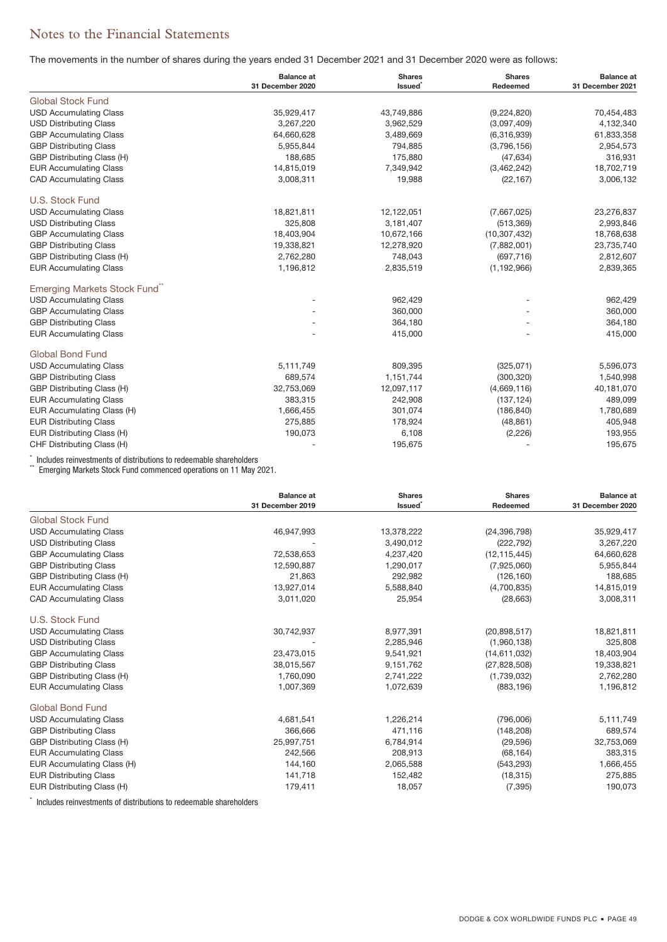The movements in the number of shares during the years ended 31 December 2021 and 31 December 2020 were as follows:

|                               | <b>Balance</b> at | <b>Shares</b> | <b>Shares</b>  | <b>Balance at</b> |
|-------------------------------|-------------------|---------------|----------------|-------------------|
|                               | 31 December 2020  | <b>Issued</b> | Redeemed       | 31 December 2021  |
| <b>Global Stock Fund</b>      |                   |               |                |                   |
| <b>USD Accumulating Class</b> | 35,929,417        | 43,749,886    | (9,224,820)    | 70,454,483        |
| <b>USD Distributing Class</b> | 3,267,220         | 3,962,529     | (3,097,409)    | 4,132,340         |
| <b>GBP Accumulating Class</b> | 64,660,628        | 3,489,669     | (6,316,939)    | 61,833,358        |
| <b>GBP Distributing Class</b> | 5,955,844         | 794,885       | (3,796,156)    | 2,954,573         |
| GBP Distributing Class (H)    | 188,685           | 175,880       | (47, 634)      | 316,931           |
| <b>EUR Accumulating Class</b> | 14,815,019        | 7,349,942     | (3,462,242)    | 18,702,719        |
| <b>CAD Accumulating Class</b> | 3,008,311         | 19,988        | (22, 167)      | 3,006,132         |
| U.S. Stock Fund               |                   |               |                |                   |
| <b>USD Accumulating Class</b> | 18,821,811        | 12,122,051    | (7,667,025)    | 23,276,837        |
| <b>USD Distributing Class</b> | 325,808           | 3,181,407     | (513, 369)     | 2,993,846         |
| <b>GBP Accumulating Class</b> | 18,403,904        | 10,672,166    | (10, 307, 432) | 18,768,638        |
| <b>GBP Distributing Class</b> | 19,338,821        | 12,278,920    | (7,882,001)    | 23,735,740        |
| GBP Distributing Class (H)    | 2,762,280         | 748,043       | (697, 716)     | 2,812,607         |
| <b>EUR Accumulating Class</b> | 1,196,812         | 2,835,519     | (1, 192, 966)  | 2,839,365         |
| Emerging Markets Stock Fund"  |                   |               |                |                   |
| <b>USD Accumulating Class</b> |                   | 962,429       |                | 962,429           |
| <b>GBP Accumulating Class</b> |                   | 360,000       |                | 360,000           |
| <b>GBP Distributing Class</b> |                   | 364,180       |                | 364,180           |
| <b>EUR Accumulating Class</b> |                   | 415,000       |                | 415,000           |
| <b>Global Bond Fund</b>       |                   |               |                |                   |
| <b>USD Accumulating Class</b> | 5,111,749         | 809,395       | (325,071)      | 5,596,073         |
| <b>GBP Distributing Class</b> | 689,574           | 1,151,744     | (300, 320)     | 1,540,998         |
| GBP Distributing Class (H)    | 32,753,069        | 12,097,117    | (4,669,116)    | 40,181,070        |
| <b>EUR Accumulating Class</b> | 383,315           | 242,908       | (137, 124)     | 489,099           |
| EUR Accumulating Class (H)    | 1,666,455         | 301,074       | (186, 840)     | 1,780,689         |
| <b>EUR Distributing Class</b> | 275,885           | 178,924       | (48, 861)      | 405,948           |
| EUR Distributing Class (H)    | 190,073           | 6,108         | (2,226)        | 193,955           |
| CHF Distributing Class (H)    |                   | 195,675       |                | 195,675           |

\* Includes reinvestments of distributions to redeemable shareholders<br>\*\* Emerging Markets Stock Fund commenced operations on 11 May 2021.

|                               | <b>Balance at</b><br>31 December 2019 | <b>Shares</b><br>Issued <sup>*</sup> | <b>Shares</b><br>Redeemed | <b>Balance</b> at<br>31 December 2020 |
|-------------------------------|---------------------------------------|--------------------------------------|---------------------------|---------------------------------------|
| <b>Global Stock Fund</b>      |                                       |                                      |                           |                                       |
| <b>USD Accumulating Class</b> | 46,947,993                            | 13,378,222                           | (24, 396, 798)            | 35,929,417                            |
| <b>USD Distributing Class</b> |                                       | 3,490,012                            | (222, 792)                | 3,267,220                             |
| <b>GBP Accumulating Class</b> | 72,538,653                            | 4,237,420                            | (12, 115, 445)            | 64,660,628                            |
| <b>GBP Distributing Class</b> | 12,590,887                            | 1,290,017                            | (7,925,060)               | 5,955,844                             |
| GBP Distributing Class (H)    | 21,863                                | 292,982                              | (126, 160)                | 188,685                               |
| <b>EUR Accumulating Class</b> | 13,927,014                            | 5,588,840                            | (4,700,835)               | 14,815,019                            |
| <b>CAD Accumulating Class</b> | 3,011,020                             | 25,954                               | (28, 663)                 | 3,008,311                             |
| U.S. Stock Fund               |                                       |                                      |                           |                                       |
| <b>USD Accumulating Class</b> | 30,742,937                            | 8,977,391                            | (20,898,517)              | 18,821,811                            |
| <b>USD Distributing Class</b> |                                       | 2,285,946                            | (1,960,138)               | 325,808                               |
| <b>GBP Accumulating Class</b> | 23,473,015                            | 9,541,921                            | (14,611,032)              | 18,403,904                            |
| <b>GBP Distributing Class</b> | 38,015,567                            | 9,151,762                            | (27,828,508)              | 19,338,821                            |
| GBP Distributing Class (H)    | 1,760,090                             | 2,741,222                            | (1,739,032)               | 2,762,280                             |
| <b>EUR Accumulating Class</b> | 1,007,369                             | 1,072,639                            | (883, 196)                | 1,196,812                             |
| <b>Global Bond Fund</b>       |                                       |                                      |                           |                                       |
| <b>USD Accumulating Class</b> | 4,681,541                             | 1,226,214                            | (796,006)                 | 5,111,749                             |
| <b>GBP Distributing Class</b> | 366,666                               | 471,116                              | (148, 208)                | 689,574                               |
| GBP Distributing Class (H)    | 25,997,751                            | 6,784,914                            | (29, 596)                 | 32,753,069                            |
| <b>EUR Accumulating Class</b> | 242,566                               | 208,913                              | (68, 164)                 | 383,315                               |
| EUR Accumulating Class (H)    | 144,160                               | 2,065,588                            | (543, 293)                | 1,666,455                             |
| <b>EUR Distributing Class</b> | 141,718                               | 152,482                              | (18, 315)                 | 275,885                               |
| EUR Distributing Class (H)    | 179,411                               | 18,057                               | (7, 395)                  | 190,073                               |

\* Includes reinvestments of distributions to redeemable shareholders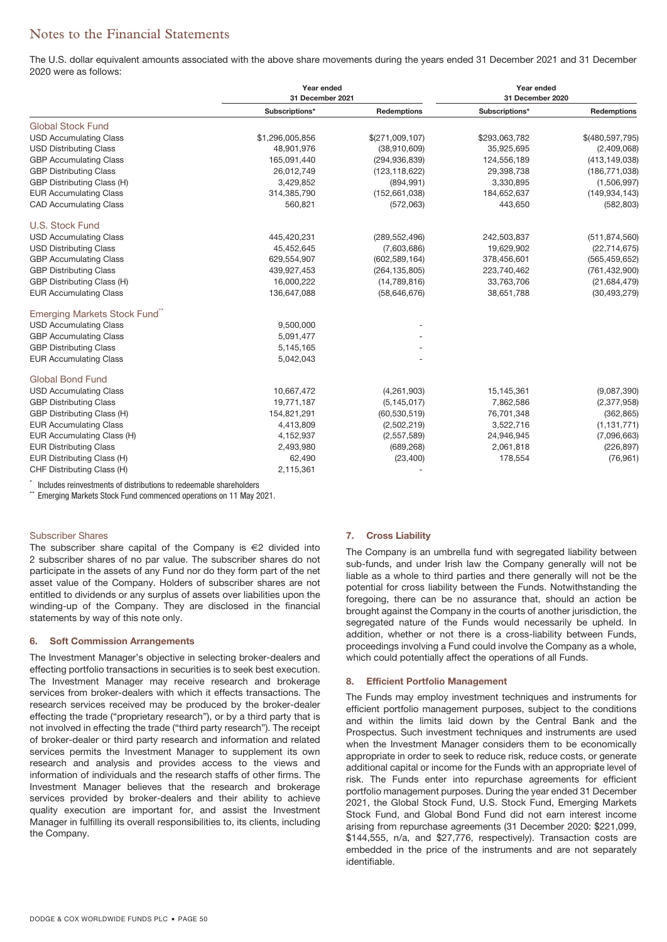The U.S. dollar equivalent amounts associated with the above share movements during the years ended 31 December 2021 and 31 December 2020 were as follows:

|                               | Year ended<br>31 December 2021 |                 | Year ended<br>31 December 2020 |                    |
|-------------------------------|--------------------------------|-----------------|--------------------------------|--------------------|
|                               | Subscriptions*                 | Redemptions     | Subscriptions*                 | <b>Redemptions</b> |
| <b>Global Stock Fund</b>      |                                |                 |                                |                    |
| <b>USD Accumulating Class</b> | \$1,296,005,856                | \$(271,009,107) | \$293,063,782                  | \$(480,597,795)    |
| <b>USD Distributing Class</b> | 48,901,976                     | (38,910,609)    | 35,925,695                     | (2,409,068)        |
| <b>GBP Accumulating Class</b> | 165,091,440                    | (294, 936, 839) | 124,556,189                    | (413, 149, 038)    |
| <b>GBP Distributing Class</b> | 26,012,749                     | (123, 118, 622) | 29,398,738                     | (186, 771, 038)    |
| GBP Distributing Class (H)    | 3,429,852                      | (894, 991)      | 3,330,895                      | (1,506,997)        |
| <b>EUR Accumulating Class</b> | 314,385,790                    | (152, 661, 038) | 184,652,637                    | (149, 934, 143)    |
| <b>CAD Accumulating Class</b> | 560,821                        | (572,063)       | 443,650                        | (582, 803)         |
| U.S. Stock Fund               |                                |                 |                                |                    |
| <b>USD Accumulating Class</b> | 445,420,231                    | (289, 552, 496) | 242,503,837                    | (511, 874, 560)    |
| <b>USD Distributing Class</b> | 45,452,645                     | (7,603,686)     | 19,629,902                     | (22, 714, 675)     |
| <b>GBP Accumulating Class</b> | 629,554,907                    | (602, 589, 164) | 378,456,601                    | (565, 459, 652)    |
| <b>GBP Distributing Class</b> | 439,927,453                    | (264, 135, 805) | 223,740,462                    | (761, 432, 900)    |
| GBP Distributing Class (H)    | 16,000,222                     | (14,789,816)    | 33,763,706                     | (21, 684, 479)     |
| <b>EUR Accumulating Class</b> | 136,647,088                    | (58, 646, 676)  | 38,651,788                     | (30, 493, 279)     |
| Emerging Markets Stock Fund"  |                                |                 |                                |                    |
| <b>USD Accumulating Class</b> | 9,500,000                      |                 |                                |                    |
| <b>GBP Accumulating Class</b> | 5,091,477                      |                 |                                |                    |
| <b>GBP Distributing Class</b> | 5,145,165                      |                 |                                |                    |
| <b>EUR Accumulating Class</b> | 5,042,043                      |                 |                                |                    |
| <b>Global Bond Fund</b>       |                                |                 |                                |                    |
| <b>USD Accumulating Class</b> | 10,667,472                     | (4,261,903)     | 15,145,361                     | (9,087,390)        |
| <b>GBP Distributing Class</b> | 19,771,187                     | (5, 145, 017)   | 7,862,586                      | (2,377,958)        |
| GBP Distributing Class (H)    | 154,821,291                    | (60, 530, 519)  | 76,701,348                     | (362, 865)         |
| <b>EUR Accumulating Class</b> | 4,413,809                      | (2,502,219)     | 3,522,716                      | (1, 131, 771)      |
| EUR Accumulating Class (H)    | 4,152,937                      | (2,557,589)     | 24,946,945                     | (7,096,663)        |
| <b>EUR Distributing Class</b> | 2,493,980                      | (689, 268)      | 2,061,818                      | (226, 897)         |
| EUR Distributing Class (H)    | 62,490                         | (23, 400)       | 178,554                        | (76, 961)          |
| CHF Distributing Class (H)    | 2,115,361                      |                 |                                |                    |

Includes reinvestments of distributions to redeemable shareholders

\*\* Emerging Markets Stock Fund commenced operations on 11 May 2021.

### Subscriber Shares

The subscriber share capital of the Company is €2 divided into 2 subscriber shares of no par value. The subscriber shares do not participate in the assets of any Fund nor do they form part of the net asset value of the Company. Holders of subscriber shares are not entitled to dividends or any surplus of assets over liabilities upon the winding-up of the Company. They are disclosed in the financial statements by way of this note only.

### **6. Soft Commission Arrangements**

The Investment Manager's objective in selecting broker-dealers and effecting portfolio transactions in securities is to seek best execution. The Investment Manager may receive research and brokerage services from broker-dealers with which it effects transactions. The research services received may be produced by the broker-dealer effecting the trade ("proprietary research"), or by a third party that is not involved in effecting the trade ("third party research"). The receipt of broker-dealer or third party research and information and related services permits the Investment Manager to supplement its own research and analysis and provides access to the views and information of individuals and the research staffs of other firms. The Investment Manager believes that the research and brokerage services provided by broker-dealers and their ability to achieve quality execution are important for, and assist the Investment Manager in fulfilling its overall responsibilities to, its clients, including the Company.

#### **7. Cross Liability**

The Company is an umbrella fund with segregated liability between sub-funds, and under Irish law the Company generally will not be liable as a whole to third parties and there generally will not be the potential for cross liability between the Funds. Notwithstanding the foregoing, there can be no assurance that, should an action be brought against the Company in the courts of another jurisdiction, the segregated nature of the Funds would necessarily be upheld. In addition, whether or not there is a cross-liability between Funds, proceedings involving a Fund could involve the Company as a whole, which could potentially affect the operations of all Funds.

### **8. Efficient Portfolio Management**

The Funds may employ investment techniques and instruments for efficient portfolio management purposes, subject to the conditions and within the limits laid down by the Central Bank and the Prospectus. Such investment techniques and instruments are used when the Investment Manager considers them to be economically appropriate in order to seek to reduce risk, reduce costs, or generate additional capital or income for the Funds with an appropriate level of risk. The Funds enter into repurchase agreements for efficient portfolio management purposes. During the year ended 31 December 2021, the Global Stock Fund, U.S. Stock Fund, Emerging Markets Stock Fund, and Global Bond Fund did not earn interest income arising from repurchase agreements (31 December 2020: \$221,099, \$144,555, n/a, and \$27,776, respectively). Transaction costs are embedded in the price of the instruments and are not separately identifiable.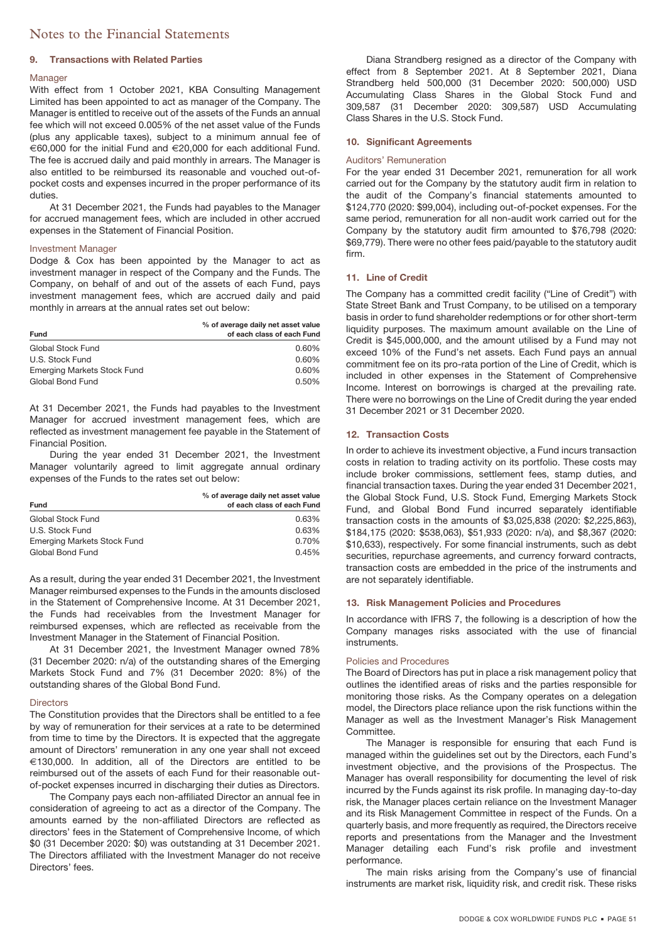#### **9. Transactions with Related Parties**

### Manager

With effect from 1 October 2021, KBA Consulting Management Limited has been appointed to act as manager of the Company. The Manager is entitled to receive out of the assets of the Funds an annual fee which will not exceed 0.005% of the net asset value of the Funds (plus any applicable taxes), subject to a minimum annual fee of €60,000 for the initial Fund and €20,000 for each additional Fund. The fee is accrued daily and paid monthly in arrears. The Manager is also entitled to be reimbursed its reasonable and vouched out-ofpocket costs and expenses incurred in the proper performance of its duties.

At 31 December 2021, the Funds had payables to the Manager for accrued management fees, which are included in other accrued expenses in the Statement of Financial Position.

### Investment Manager

Dodge & Cox has been appointed by the Manager to act as investment manager in respect of the Company and the Funds. The Company, on behalf of and out of the assets of each Fund, pays investment management fees, which are accrued daily and paid monthly in arrears at the annual rates set out below:

| <b>Fund</b>                        | % of average daily net asset value<br>of each class of each Fund |
|------------------------------------|------------------------------------------------------------------|
| Global Stock Fund                  | $0.60\%$                                                         |
| U.S. Stock Fund                    | $0.60\%$                                                         |
| <b>Emerging Markets Stock Fund</b> | $0.60\%$                                                         |
| Global Bond Fund                   | $0.50\%$                                                         |

At 31 December 2021, the Funds had payables to the Investment Manager for accrued investment management fees, which are reflected as investment management fee payable in the Statement of Financial Position.

During the year ended 31 December 2021, the Investment Manager voluntarily agreed to limit aggregate annual ordinary expenses of the Funds to the rates set out below:

| <b>Fund</b>                 | % of average daily net asset value<br>of each class of each Fund |
|-----------------------------|------------------------------------------------------------------|
| Global Stock Fund           | 0.63%                                                            |
| U.S. Stock Fund             | 0.63%                                                            |
| Emerging Markets Stock Fund | 0.70%                                                            |
| Global Bond Fund            | 0.45%                                                            |

As a result, during the year ended 31 December 2021, the Investment Manager reimbursed expenses to the Funds in the amounts disclosed in the Statement of Comprehensive Income. At 31 December 2021, the Funds had receivables from the Investment Manager for reimbursed expenses, which are reflected as receivable from the Investment Manager in the Statement of Financial Position.

At 31 December 2021, the Investment Manager owned 78% (31 December 2020: n/a) of the outstanding shares of the Emerging Markets Stock Fund and 7% (31 December 2020: 8%) of the outstanding shares of the Global Bond Fund.

#### **Directors**

The Constitution provides that the Directors shall be entitled to a fee by way of remuneration for their services at a rate to be determined from time to time by the Directors. It is expected that the aggregate amount of Directors' remuneration in any one year shall not exceed €130,000. In addition, all of the Directors are entitled to be reimbursed out of the assets of each Fund for their reasonable outof-pocket expenses incurred in discharging their duties as Directors.

The Company pays each non-affiliated Director an annual fee in consideration of agreeing to act as a director of the Company. The amounts earned by the non-affiliated Directors are reflected as directors' fees in the Statement of Comprehensive Income, of which \$0 (31 December 2020: \$0) was outstanding at 31 December 2021. The Directors affiliated with the Investment Manager do not receive Directors' fees.

Diana Strandberg resigned as a director of the Company with effect from 8 September 2021. At 8 September 2021, Diana Strandberg held 500,000 (31 December 2020: 500,000) USD Accumulating Class Shares in the Global Stock Fund and 309,587 (31 December 2020: 309,587) USD Accumulating Class Shares in the U.S. Stock Fund.

### **10. Significant Agreements**

#### Auditors' Remuneration

For the year ended 31 December 2021, remuneration for all work carried out for the Company by the statutory audit firm in relation to the audit of the Company's financial statements amounted to \$124,770 (2020: \$99,004), including out-of-pocket expenses. For the same period, remuneration for all non-audit work carried out for the Company by the statutory audit firm amounted to \$76,798 (2020: \$69,779). There were no other fees paid/payable to the statutory audit firm.

#### **11. Line of Credit**

The Company has a committed credit facility ("Line of Credit") with State Street Bank and Trust Company, to be utilised on a temporary basis in order to fund shareholder redemptions or for other short-term liquidity purposes. The maximum amount available on the Line of Credit is \$45,000,000, and the amount utilised by a Fund may not exceed 10% of the Fund's net assets. Each Fund pays an annual commitment fee on its pro-rata portion of the Line of Credit, which is included in other expenses in the Statement of Comprehensive Income. Interest on borrowings is charged at the prevailing rate. There were no borrowings on the Line of Credit during the year ended 31 December 2021 or 31 December 2020.

### **12. Transaction Costs**

In order to achieve its investment objective, a Fund incurs transaction costs in relation to trading activity on its portfolio. These costs may include broker commissions, settlement fees, stamp duties, and financial transaction taxes. During the year ended 31 December 2021, the Global Stock Fund, U.S. Stock Fund, Emerging Markets Stock Fund, and Global Bond Fund incurred separately identifiable transaction costs in the amounts of \$3,025,838 (2020: \$2,225,863), \$184,175 (2020: \$538,063), \$51,933 (2020: n/a), and \$8,367 (2020: \$10,633), respectively. For some financial instruments, such as debt securities, repurchase agreements, and currency forward contracts, transaction costs are embedded in the price of the instruments and are not separately identifiable.

#### **13. Risk Management Policies and Procedures**

In accordance with IFRS 7, the following is a description of how the Company manages risks associated with the use of financial instruments.

#### Policies and Procedures

The Board of Directors has put in place a risk management policy that outlines the identified areas of risks and the parties responsible for monitoring those risks. As the Company operates on a delegation model, the Directors place reliance upon the risk functions within the Manager as well as the Investment Manager's Risk Management Committee.

The Manager is responsible for ensuring that each Fund is managed within the guidelines set out by the Directors, each Fund's investment objective, and the provisions of the Prospectus. The Manager has overall responsibility for documenting the level of risk incurred by the Funds against its risk profile. In managing day-to-day risk, the Manager places certain reliance on the Investment Manager and its Risk Management Committee in respect of the Funds. On a quarterly basis, and more frequently as required, the Directors receive reports and presentations from the Manager and the Investment Manager detailing each Fund's risk profile and investment performance.

The main risks arising from the Company's use of financial instruments are market risk, liquidity risk, and credit risk. These risks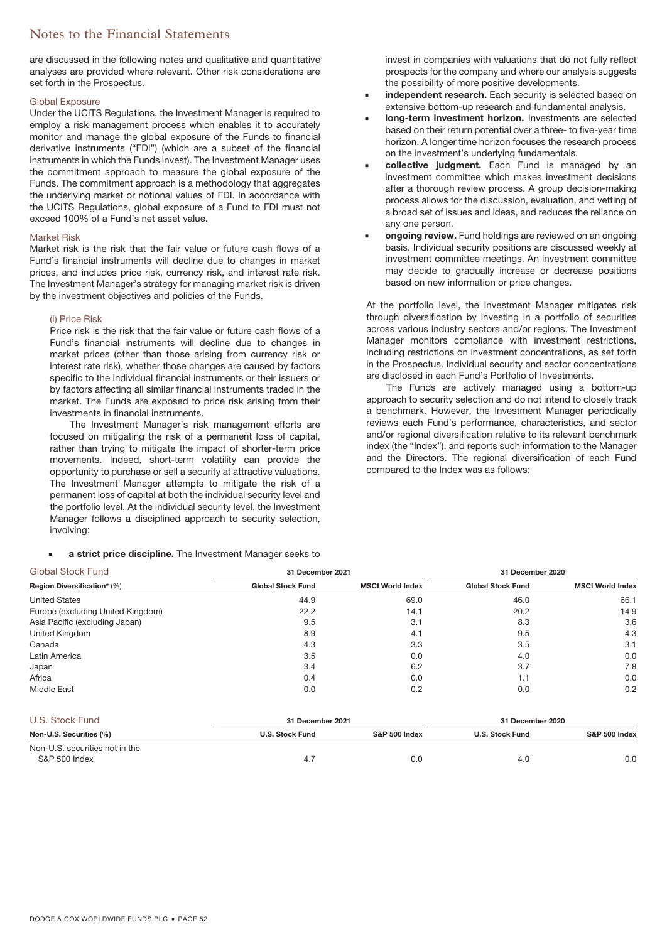are discussed in the following notes and qualitative and quantitative analyses are provided where relevant. Other risk considerations are set forth in the Prospectus.

### Global Exposure

Under the UCITS Regulations, the Investment Manager is required to employ a risk management process which enables it to accurately monitor and manage the global exposure of the Funds to financial derivative instruments ("FDI") (which are a subset of the financial instruments in which the Funds invest). The Investment Manager uses the commitment approach to measure the global exposure of the Funds. The commitment approach is a methodology that aggregates the underlying market or notional values of FDI. In accordance with the UCITS Regulations, global exposure of a Fund to FDI must not exceed 100% of a Fund's net asset value.

### Market Risk

Market risk is the risk that the fair value or future cash flows of a Fund's financial instruments will decline due to changes in market prices, and includes price risk, currency risk, and interest rate risk. The Investment Manager's strategy for managing market risk is driven by the investment objectives and policies of the Funds.

#### (i) Price Risk

Price risk is the risk that the fair value or future cash flows of a Fund's financial instruments will decline due to changes in market prices (other than those arising from currency risk or interest rate risk), whether those changes are caused by factors specific to the individual financial instruments or their issuers or by factors affecting all similar financial instruments traded in the market. The Funds are exposed to price risk arising from their investments in financial instruments.

The Investment Manager's risk management efforts are focused on mitigating the risk of a permanent loss of capital, rather than trying to mitigate the impact of shorter-term price movements. Indeed, short-term volatility can provide the opportunity to purchase or sell a security at attractive valuations. The Investment Manager attempts to mitigate the risk of a permanent loss of capital at both the individual security level and the portfolio level. At the individual security level, the Investment Manager follows a disciplined approach to security selection, involving:

**a strict price discipline.** The Investment Manager seeks to

invest in companies with valuations that do not fully reflect prospects for the company and where our analysis suggests the possibility of more positive developments.

- **independent research.** Each security is selected based on extensive bottom-up research and fundamental analysis.
- **long-term investment horizon.** Investments are selected based on their return potential over a three- to five-year time horizon. A longer time horizon focuses the research process on the investment's underlying fundamentals.
- **collective judgment.** Each Fund is managed by an investment committee which makes investment decisions after a thorough review process. A group decision-making process allows for the discussion, evaluation, and vetting of a broad set of issues and ideas, and reduces the reliance on any one person.
- **ongoing review.** Fund holdings are reviewed on an ongoing basis. Individual security positions are discussed weekly at investment committee meetings. An investment committee may decide to gradually increase or decrease positions based on new information or price changes.

At the portfolio level, the Investment Manager mitigates risk through diversification by investing in a portfolio of securities across various industry sectors and/or regions. The Investment Manager monitors compliance with investment restrictions, including restrictions on investment concentrations, as set forth in the Prospectus. Individual security and sector concentrations are disclosed in each Fund's Portfolio of Investments.

The Funds are actively managed using a bottom-up approach to security selection and do not intend to closely track a benchmark. However, the Investment Manager periodically reviews each Fund's performance, characteristics, and sector and/or regional diversification relative to its relevant benchmark index (the "Index"), and reports such information to the Manager and the Directors. The regional diversification of each Fund compared to the Index was as follows:

| <b>Global Stock Fund</b>           | 31 December 2021         |                         | 31 December 2020         |                         |  |
|------------------------------------|--------------------------|-------------------------|--------------------------|-------------------------|--|
| <b>Region Diversification* (%)</b> | <b>Global Stock Fund</b> | <b>MSCI World Index</b> | <b>Global Stock Fund</b> | <b>MSCI World Index</b> |  |
| <b>United States</b>               | 44.9                     | 69.0                    | 46.0                     | 66.1                    |  |
| Europe (excluding United Kingdom)  | 22.2                     | 14.1                    | 20.2                     | 14.9                    |  |
| Asia Pacific (excluding Japan)     | 9.5                      | 3.1                     | 8.3                      | 3.6                     |  |
| United Kingdom                     | 8.9                      | 4.1                     | 9.5                      | 4.3                     |  |
| Canada                             | 4.3                      | 3.3                     | 3.5                      | 3.1                     |  |
| Latin America                      | 3.5                      | 0.0                     | 4.0                      | 0.0                     |  |
| Japan                              | 3.4                      | 6.2                     | 3.7                      | 7.8                     |  |
| Africa                             | 0.4                      | 0.0                     | 1.1                      | 0.0                     |  |
| <b>Middle East</b>                 | 0.0                      | 0.2                     | 0.0                      | 0.2                     |  |

| U.S. Stock Fund                |                        | 31 December 2021         |                        | 31 December 2020         |
|--------------------------------|------------------------|--------------------------|------------------------|--------------------------|
| Non-U.S. Securities (%)        | <b>U.S. Stock Fund</b> | <b>S&amp;P 500 Index</b> | <b>U.S. Stock Fund</b> | <b>S&amp;P 500 Index</b> |
| Non-U.S. securities not in the |                        |                          |                        |                          |
| S&P 500 Index                  | 4.7                    | 0.0                      | 4.0                    | 0.0                      |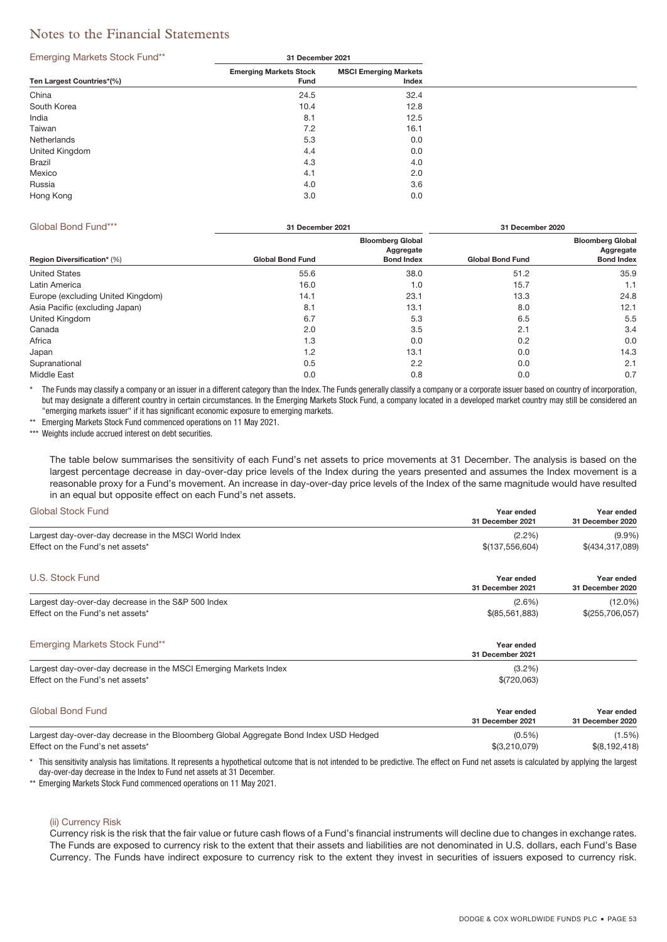#### Emerging Markets Stock Fund\*\* **31 December 2021**

| - -                       |                                       |                                       |
|---------------------------|---------------------------------------|---------------------------------------|
| Ten Largest Countries*(%) | <b>Emerging Markets Stock</b><br>Fund | <b>MSCI Emerging Markets</b><br>Index |
| China                     | 24.5                                  | 32.4                                  |
| South Korea               | 10.4                                  | 12.8                                  |
| India                     | 8.1                                   | 12.5                                  |
| Taiwan                    | 7.2                                   | 16.1                                  |
| Netherlands               | 5.3                                   | 0.0                                   |
| United Kingdom            | 4.4                                   | 0.0                                   |
| Brazil                    | 4.3                                   | 4.0                                   |
| Mexico                    | 4.1                                   | 2.0                                   |
| Russia                    | 4.0                                   | 3.6                                   |
| Hong Kong                 | 3.0                                   | 0.0                                   |
|                           |                                       |                                       |

| Global Bond Fund***                | 31 December 2021        |                                                           | 31 December 2020        |                                                           |  |
|------------------------------------|-------------------------|-----------------------------------------------------------|-------------------------|-----------------------------------------------------------|--|
| <b>Region Diversification*</b> (%) | <b>Global Bond Fund</b> | <b>Bloomberg Global</b><br>Aggregate<br><b>Bond Index</b> | <b>Global Bond Fund</b> | <b>Bloomberg Global</b><br>Aggregate<br><b>Bond Index</b> |  |
| <b>United States</b>               | 55.6                    | 38.0                                                      | 51.2                    | 35.9                                                      |  |
| Latin America                      | 16.0                    | 1.0                                                       | 15.7                    | 1.1                                                       |  |
| Europe (excluding United Kingdom)  | 14.1                    | 23.1                                                      | 13.3                    | 24.8                                                      |  |
| Asia Pacific (excluding Japan)     | 8.1                     | 13.1                                                      | 8.0                     | 12.1                                                      |  |
| United Kingdom                     | 6.7                     | 5.3                                                       | 6.5                     | 5.5                                                       |  |
| Canada                             | 2.0                     | 3.5                                                       | 2.1                     | 3.4                                                       |  |
| Africa                             | 1.3                     | 0.0                                                       | 0.2                     | 0.0                                                       |  |
| Japan                              | 1.2                     | 13.1                                                      | 0.0                     | 14.3                                                      |  |
| Supranational                      | 0.5                     | 2.2                                                       | 0.0                     | 2.1                                                       |  |
| Middle East                        | 0.0                     | 0.8                                                       | 0.0                     | 0.7                                                       |  |

The Funds may classify a company or an issuer in a different category than the Index. The Funds generally classify a company or a corporate issuer based on country of incorporation, but may designate a different country in certain circumstances. In the Emerging Markets Stock Fund, a company located in a developed market country may still be considered an "emerging markets issuer" if it has significant economic exposure to emerging markets.

Emerging Markets Stock Fund commenced operations on 11 May 2021.

\*\*\* Weights include accrued interest on debt securities.

The table below summarises the sensitivity of each Fund's net assets to price movements at 31 December. The analysis is based on the largest percentage decrease in day-over-day price levels of the Index during the years presented and assumes the Index movement is a reasonable proxy for a Fund's movement. An increase in day-over-day price levels of the Index of the same magnitude would have resulted in an equal but opposite effect on each Fund's net assets.

| <b>Global Stock Fund</b>                                                              | Year ended<br>31 December 2021 | Year ended<br>31 December 2020 |
|---------------------------------------------------------------------------------------|--------------------------------|--------------------------------|
| Largest day-over-day decrease in the MSCI World Index                                 | $(2.2\%)$                      | (9.9%                          |
| Effect on the Fund's net assets*                                                      | \$(137,556,604)                | \$(434,317,089)                |
| U.S. Stock Fund                                                                       | Year ended<br>31 December 2021 | Year ended<br>31 December 2020 |
| Largest day-over-day decrease in the S&P 500 Index                                    | $(2.6\%)$                      | $(12.0\%)$                     |
| Effect on the Fund's net assets*                                                      | \$(85,561,883)                 | \$(255,706,057)                |
| Emerging Markets Stock Fund**                                                         | Year ended<br>31 December 2021 |                                |
| Largest day-over-day decrease in the MSCI Emerging Markets Index                      | $(3.2\%)$                      |                                |
| Effect on the Fund's net assets*                                                      | \$(720,063)                    |                                |
| Global Bond Fund                                                                      | Year ended                     | Year ended                     |
|                                                                                       | 31 December 2021               | 31 December 2020               |
| Largest day-over-day decrease in the Bloomberg Global Aggregate Bond Index USD Hedged | $(0.5\%)$                      | (1.5%                          |
| Effect on the Fund's net assets*                                                      | \$(3,210,079)                  | \$(8, 192, 418)                |

\* This sensitivity analysis has limitations. It represents a hypothetical outcome that is not intended to be predictive. The effect on Fund net assets is calculated by applying the largest day-over-day decrease in the Index to Fund net assets at 31 December.

\*\* Emerging Markets Stock Fund commenced operations on 11 May 2021.

#### (ii) Currency Risk

Currency risk is the risk that the fair value or future cash flows of a Fund's financial instruments will decline due to changes in exchange rates. The Funds are exposed to currency risk to the extent that their assets and liabilities are not denominated in U.S. dollars, each Fund's Base Currency. The Funds have indirect exposure to currency risk to the extent they invest in securities of issuers exposed to currency risk.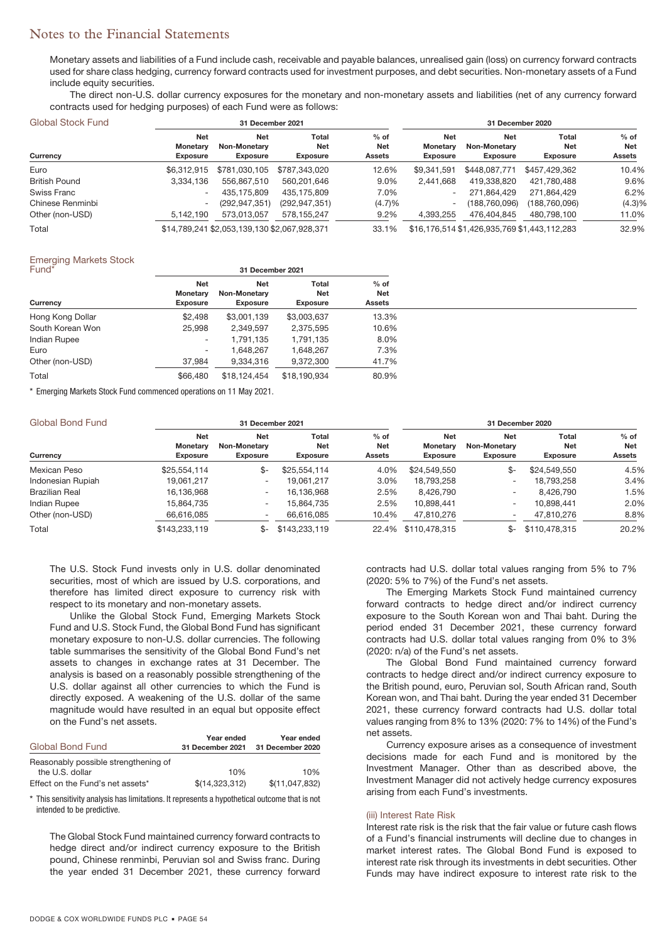Monetary assets and liabilities of a Fund include cash, receivable and payable balances, unrealised gain (loss) on currency forward contracts used for share class hedging, currency forward contracts used for investment purposes, and debt securities. Non-monetary assets of a Fund include equity securities.

The direct non-U.S. dollar currency exposures for the monetary and non-monetary assets and liabilities (net of any currency forward contracts used for hedging purposes) of each Fund were as follows:

| Global Stock Fund    |                                           | 31 December 2021                              |                                 |                                       | 31 December 2020                                 |                                               |                                        |                                |
|----------------------|-------------------------------------------|-----------------------------------------------|---------------------------------|---------------------------------------|--------------------------------------------------|-----------------------------------------------|----------------------------------------|--------------------------------|
| Currency             | <b>Net</b><br>Monetary<br><b>Exposure</b> | <b>Net</b><br>Non-Monetary<br><b>Exposure</b> | Total<br>Net<br><b>Exposure</b> | $%$ of<br><b>Net</b><br><b>Assets</b> | <b>Net</b><br><b>Monetary</b><br><b>Exposure</b> | Net<br><b>Non-Monetary</b><br><b>Exposure</b> | Total<br><b>Net</b><br><b>Exposure</b> | $%$ of<br>Net<br><b>Assets</b> |
| Euro                 | \$6.312.915                               | \$781,030,105                                 | \$787.343.020                   | 12.6%                                 | \$9.341.591                                      | \$448,087,771                                 | \$457.429.362                          | 10.4%                          |
| <b>British Pound</b> | 3,334,136                                 | 556.867.510                                   | 560,201,646                     | 9.0%                                  | 2.441.668                                        | 419,338,820                                   | 421,780,488                            | 9.6%                           |
| Swiss Franc          | $\overline{\phantom{0}}$                  | 435.175.809                                   | 435.175.809                     | 7.0%                                  | $\overline{\phantom{a}}$                         | 271.864.429                                   | 271.864.429                            | 6.2%                           |
| Chinese Renminbi     | $\overline{\phantom{a}}$                  | (292, 947, 351)                               | (292, 947, 351)                 | (4.7)%                                | $\overline{\phantom{a}}$                         | (188, 760, 096)                               | (188, 760, 096)                        | (4.3)%                         |
| Other (non-USD)      | 5,142,190                                 | 573,013,057                                   | 578.155.247                     | 9.2%                                  | 4,393,255                                        | 476.404.845                                   | 480.798.100                            | 11.0%                          |
| Total                |                                           | \$14,789,241 \$2,053,139,130 \$2,067,928,371  |                                 | 33.1%                                 |                                                  | \$16,176,514 \$1,426,935,769 \$1,443,112,283  |                                        | 32.9%                          |

### Emerging Markets Stock

| Fund <sup>*</sup> |                                                  | 31 December 2021                                     |                                 |                                |  |
|-------------------|--------------------------------------------------|------------------------------------------------------|---------------------------------|--------------------------------|--|
| Currency          | <b>Net</b><br><b>Monetary</b><br><b>Exposure</b> | <b>Net</b><br><b>Non-Monetary</b><br><b>Exposure</b> | Total<br>Net<br><b>Exposure</b> | $%$ of<br>Net<br><b>Assets</b> |  |
| Hong Kong Dollar  | \$2,498                                          | \$3,001,139                                          | \$3,003,637                     | 13.3%                          |  |
| South Korean Won  | 25,998                                           | 2,349,597                                            | 2,375,595                       | 10.6%                          |  |
| Indian Rupee      | $\overline{\phantom{a}}$                         | 1,791,135                                            | 1,791,135                       | 8.0%                           |  |
| Euro              | $\overline{\phantom{a}}$                         | 1,648,267                                            | 1,648,267                       | 7.3%                           |  |
| Other (non-USD)   | 37,984                                           | 9,334,316                                            | 9,372,300                       | 41.7%                          |  |
| Total             | \$66,480                                         | \$18.124.454                                         | \$18.190.934                    | 80.9%                          |  |

\* Emerging Markets Stock Fund commenced operations on 11 May 2021.

| Global Bond Fund      |                                           | 31 December 2021                              |                                        |                                |                                                  | 31 December 2020                              |                                        |                                       |
|-----------------------|-------------------------------------------|-----------------------------------------------|----------------------------------------|--------------------------------|--------------------------------------------------|-----------------------------------------------|----------------------------------------|---------------------------------------|
| Currency              | <b>Net</b><br>Monetary<br><b>Exposure</b> | <b>Net</b><br>Non-Monetary<br><b>Exposure</b> | Total<br><b>Net</b><br><b>Exposure</b> | $%$ of<br>Net<br><b>Assets</b> | <b>Net</b><br><b>Monetary</b><br><b>Exposure</b> | <b>Net</b><br>Non-Monetary<br><b>Exposure</b> | Total<br><b>Net</b><br><b>Exposure</b> | $%$ of<br><b>Net</b><br><b>Assets</b> |
| Mexican Peso          | \$25,554,114                              | \$-                                           | \$25.554.114                           | 4.0%                           | \$24,549,550                                     | \$-                                           | \$24,549,550                           | 4.5%                                  |
| Indonesian Rupiah     | 19.061.217                                | $\overline{\phantom{0}}$                      | 19.061.217                             | 3.0%                           | 18.793.258                                       | -                                             | 18.793.258                             | 3.4%                                  |
| <b>Brazilian Real</b> | 16,136,968                                | $\overline{\phantom{a}}$                      | 16,136,968                             | 2.5%                           | 8,426,790                                        |                                               | 8.426.790                              | 1.5%                                  |
| <b>Indian Rupee</b>   | 15.864.735                                | $\overline{\phantom{0}}$                      | 15.864.735                             | 2.5%                           | 10.898.441                                       | $\overline{\phantom{0}}$                      | 10.898.441                             | 2.0%                                  |
| Other (non-USD)       | 66,616,085                                |                                               | 66.616.085                             | 10.4%                          | 47,810,276                                       |                                               | 47,810,276                             | 8.8%                                  |
| Total                 | \$143,233,119                             | \$-                                           | \$143,233,119                          |                                | 22.4% \$110,478,315                              | \$-                                           | \$110,478,315                          | 20.2%                                 |

The U.S. Stock Fund invests only in U.S. dollar denominated securities, most of which are issued by U.S. corporations, and therefore has limited direct exposure to currency risk with respect to its monetary and non-monetary assets.

Unlike the Global Stock Fund, Emerging Markets Stock Fund and U.S. Stock Fund, the Global Bond Fund has significant monetary exposure to non-U.S. dollar currencies. The following table summarises the sensitivity of the Global Bond Fund's net assets to changes in exchange rates at 31 December. The analysis is based on a reasonably possible strengthening of the U.S. dollar against all other currencies to which the Fund is directly exposed. A weakening of the U.S. dollar of the same magnitude would have resulted in an equal but opposite effect on the Fund's net assets.

| Global Bond Fund                     | Year ended<br>31 December 2021 | Year ended<br>31 December 2020 |
|--------------------------------------|--------------------------------|--------------------------------|
| Reasonably possible strengthening of |                                |                                |
| the U.S. dollar                      | 10%                            | 10%                            |
| Effect on the Fund's net assets*     | \$(14,323,312)                 | \$(11,047,832)                 |

\* This sensitivity analysis has limitations. It represents a hypothetical outcome that is not intended to be predictive.

The Global Stock Fund maintained currency forward contracts to hedge direct and/or indirect currency exposure to the British pound, Chinese renminbi, Peruvian sol and Swiss franc. During the year ended 31 December 2021, these currency forward

contracts had U.S. dollar total values ranging from 5% to 7% (2020: 5% to 7%) of the Fund's net assets.

The Emerging Markets Stock Fund maintained currency forward contracts to hedge direct and/or indirect currency exposure to the South Korean won and Thai baht. During the period ended 31 December 2021, these currency forward contracts had U.S. dollar total values ranging from 0% to 3% (2020: n/a) of the Fund's net assets.

The Global Bond Fund maintained currency forward contracts to hedge direct and/or indirect currency exposure to the British pound, euro, Peruvian sol, South African rand, South Korean won, and Thai baht. During the year ended 31 December 2021, these currency forward contracts had U.S. dollar total values ranging from 8% to 13% (2020: 7% to 14%) of the Fund's net assets.

Currency exposure arises as a consequence of investment decisions made for each Fund and is monitored by the Investment Manager. Other than as described above, the Investment Manager did not actively hedge currency exposures arising from each Fund's investments.

### (iii) Interest Rate Risk

Interest rate risk is the risk that the fair value or future cash flows of a Fund's financial instruments will decline due to changes in market interest rates. The Global Bond Fund is exposed to interest rate risk through its investments in debt securities. Other Funds may have indirect exposure to interest rate risk to the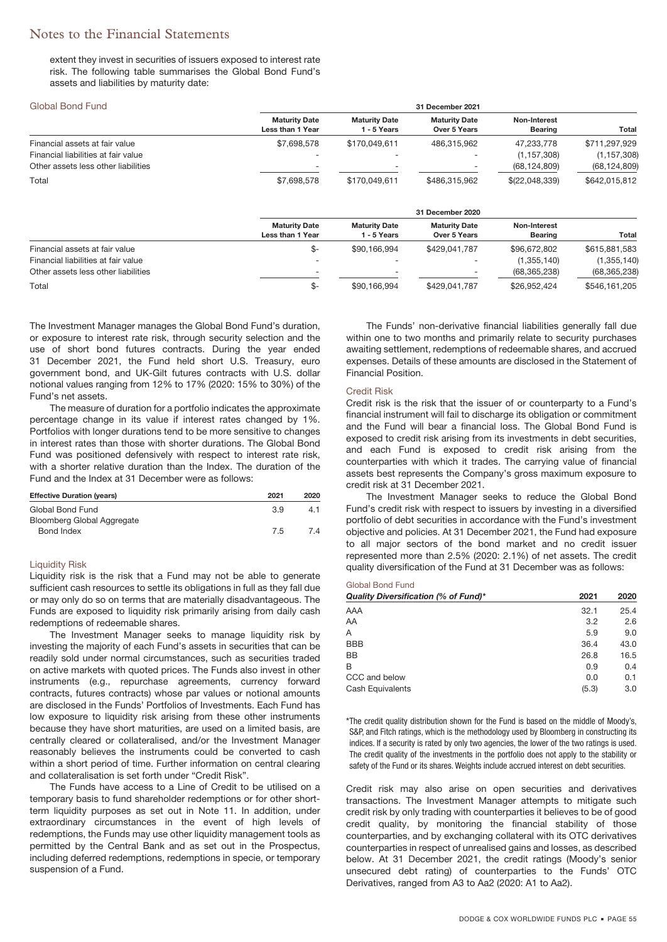extent they invest in securities of issuers exposed to interest rate risk. The following table summarises the Global Bond Fund's assets and liabilities by maturity date:

#### Global Bond Fund **31 December 2021 Maturity Date Less than 1 Year Maturity Date 1 - 5 Years Maturity Date Over 5 Years Non-Interest Bearing Total** Financial assets at fair value \$7,698,578 \$170,049,611 486,315,962 47,233,778 \$711,297,929 Financial liabilities at fair value - - - (1,157,308) (1,157,308) Other assets less other liabilities (68,124,809) (68,124,809) (68,124,809) Total \$7,698,578 \$170,049,611 \$486,315,962 \$(22,048,339) \$642,015,812 **31 December 2020 Maturity Date Less than 1 Year Maturity Date 1 - 5 Years Maturity Date Over 5 Years Non-Interest Bearing Total** Financial assets at fair value  $$ $90,166,994$   $$429,041,787$   $$96,672,802$   $$615,881,583$ Financial liabilities at fair value (1,355,140) (1,355,140) (1,355,140) (1,355,140) (1,355,140) (1,355,140) (1,355,140) (1,355,140) (1,355,140) (1,355,140) (1,355,140) (1,355,140) (1,355,140) (1,355,140) (1,355,140) (1,355 Other assets less other liabilities

Total \$- \$90,166,994 \$429,041,787 \$26,952,424 \$546,161,205

The Investment Manager manages the Global Bond Fund's duration, or exposure to interest rate risk, through security selection and the use of short bond futures contracts. During the year ended 31 December 2021, the Fund held short U.S. Treasury, euro government bond, and UK-Gilt futures contracts with U.S. dollar notional values ranging from 12% to 17% (2020: 15% to 30%) of the Fund's net assets.

The measure of duration for a portfolio indicates the approximate percentage change in its value if interest rates changed by 1%. Portfolios with longer durations tend to be more sensitive to changes in interest rates than those with shorter durations. The Global Bond Fund was positioned defensively with respect to interest rate risk, with a shorter relative duration than the Index. The duration of the Fund and the Index at 31 December were as follows:

| <b>Effective Duration (vears)</b> | 2021 | 2020 |
|-----------------------------------|------|------|
| Global Bond Fund                  | 3.9  | 4.1  |
| Bloomberg Global Aggregate        |      |      |
| Bond Index                        | 7.5  | 7.4  |

### Liquidity Risk

Liquidity risk is the risk that a Fund may not be able to generate sufficient cash resources to settle its obligations in full as they fall due or may only do so on terms that are materially disadvantageous. The Funds are exposed to liquidity risk primarily arising from daily cash redemptions of redeemable shares.

The Investment Manager seeks to manage liquidity risk by investing the majority of each Fund's assets in securities that can be readily sold under normal circumstances, such as securities traded on active markets with quoted prices. The Funds also invest in other instruments (e.g., repurchase agreements, currency forward contracts, futures contracts) whose par values or notional amounts are disclosed in the Funds' Portfolios of Investments. Each Fund has low exposure to liquidity risk arising from these other instruments because they have short maturities, are used on a limited basis, are centrally cleared or collateralised, and/or the Investment Manager reasonably believes the instruments could be converted to cash within a short period of time. Further information on central clearing and collateralisation is set forth under "Credit Risk".

The Funds have access to a Line of Credit to be utilised on a temporary basis to fund shareholder redemptions or for other shortterm liquidity purposes as set out in Note 11. In addition, under extraordinary circumstances in the event of high levels of redemptions, the Funds may use other liquidity management tools as permitted by the Central Bank and as set out in the Prospectus, including deferred redemptions, redemptions in specie, or temporary suspension of a Fund.

The Funds' non-derivative financial liabilities generally fall due within one to two months and primarily relate to security purchases awaiting settlement, redemptions of redeemable shares, and accrued expenses. Details of these amounts are disclosed in the Statement of Financial Position.

#### Credit Risk

Credit risk is the risk that the issuer of or counterparty to a Fund's financial instrument will fail to discharge its obligation or commitment and the Fund will bear a financial loss. The Global Bond Fund is exposed to credit risk arising from its investments in debt securities, and each Fund is exposed to credit risk arising from the counterparties with which it trades. The carrying value of financial assets best represents the Company's gross maximum exposure to credit risk at 31 December 2021.

The Investment Manager seeks to reduce the Global Bond Fund's credit risk with respect to issuers by investing in a diversified portfolio of debt securities in accordance with the Fund's investment objective and policies. At 31 December 2021, the Fund had exposure to all major sectors of the bond market and no credit issuer represented more than 2.5% (2020: 2.1%) of net assets. The credit quality diversification of the Fund at 31 December was as follows:

### Global Bond Fund

| Quality Diversification (% of Fund)* | 2021  | 2020 |
|--------------------------------------|-------|------|
| AAA                                  | 32.1  | 25.4 |
| AA                                   | 3.2   | 2.6  |
| А                                    | 5.9   | 9.0  |
| <b>BBB</b>                           | 36.4  | 43.0 |
| BB                                   | 26.8  | 16.5 |
| B                                    | 0.9   | 0.4  |
| CCC and below                        | 0.0   | 0.1  |
| Cash Equivalents                     | (5.3) | 3.0  |

\*The credit quality distribution shown for the Fund is based on the middle of Moody's, S&P, and Fitch ratings, which is the methodology used by Bloomberg in constructing its indices. If a security is rated by only two agencies, the lower of the two ratings is used. The credit quality of the investments in the portfolio does not apply to the stability or safety of the Fund or its shares. Weights include accrued interest on debt securities.

Credit risk may also arise on open securities and derivatives transactions. The Investment Manager attempts to mitigate such credit risk by only trading with counterparties it believes to be of good credit quality, by monitoring the financial stability of those counterparties, and by exchanging collateral with its OTC derivatives counterparties in respect of unrealised gains and losses, as described below. At 31 December 2021, the credit ratings (Moody's senior unsecured debt rating) of counterparties to the Funds' OTC Derivatives, ranged from A3 to Aa2 (2020: A1 to Aa2).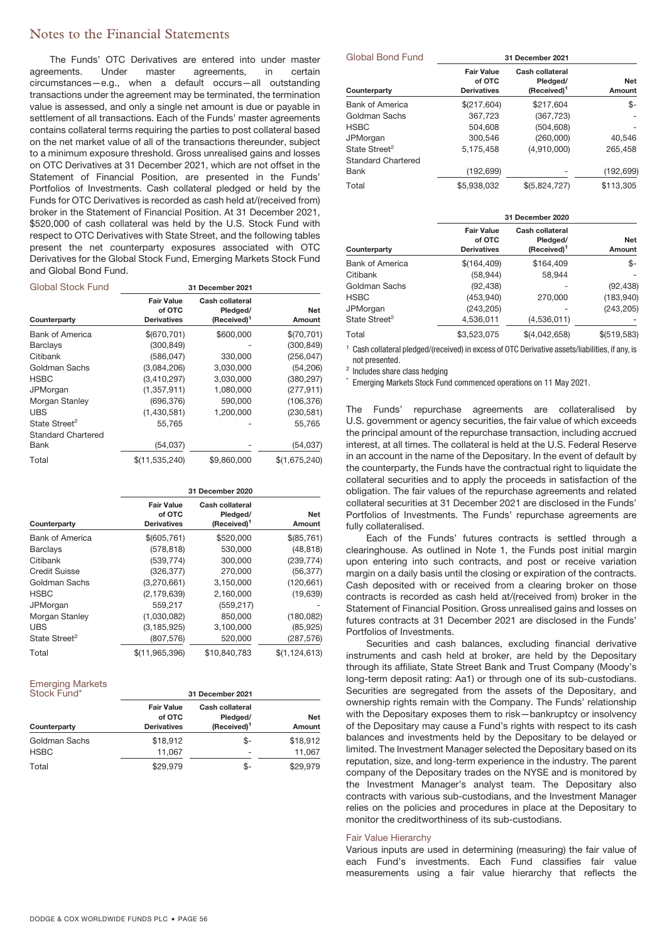The Funds' OTC Derivatives are entered into under master agreements. Under master agreements, in certain circumstances—e.g., when a default occurs—all outstanding transactions under the agreement may be terminated, the termination value is assessed, and only a single net amount is due or payable in settlement of all transactions. Each of the Funds' master agreements contains collateral terms requiring the parties to post collateral based on the net market value of all of the transactions thereunder, subject to a minimum exposure threshold. Gross unrealised gains and losses on OTC Derivatives at 31 December 2021, which are not offset in the Statement of Financial Position, are presented in the Funds' Portfolios of Investments. Cash collateral pledged or held by the Funds for OTC Derivatives is recorded as cash held at/(received from) broker in the Statement of Financial Position. At 31 December 2021, \$520,000 of cash collateral was held by the U.S. Stock Fund with respect to OTC Derivatives with State Street, and the following tables present the net counterparty exposures associated with OTC Derivatives for the Global Stock Fund, Emerging Markets Stock Fund and Global Bond Fund.

| <b>Global Stock Fund</b>  |                                                   | 31 December 2021                                       |                      |
|---------------------------|---------------------------------------------------|--------------------------------------------------------|----------------------|
| Counterparty              | <b>Fair Value</b><br>of OTC<br><b>Derivatives</b> | Cash collateral<br>Pledged/<br>(Received) <sup>1</sup> | <b>Net</b><br>Amount |
| <b>Bank of America</b>    | \$(670,701)                                       | \$600,000                                              | \$(70,701)           |
| <b>Barclays</b>           | (300, 849)                                        |                                                        | (300, 849)           |
| Citibank                  | (586, 047)                                        | 330,000                                                | (256, 047)           |
| Goldman Sachs             | (3,084,206)                                       | 3,030,000                                              | (54, 206)            |
| <b>HSBC</b>               | (3,410,297)                                       | 3,030,000                                              | (380, 297)           |
| JPMorgan                  | (1,357,911)                                       | 1,080,000                                              | (277, 911)           |
| Morgan Stanley            | (696, 376)                                        | 590,000                                                | (106, 376)           |
| <b>UBS</b>                | (1,430,581)                                       | 1,200,000                                              | (230, 581)           |
| State Street <sup>2</sup> | 55.765                                            |                                                        | 55,765               |
| <b>Standard Chartered</b> |                                                   |                                                        |                      |
| Bank                      | (54, 037)                                         |                                                        | (54, 037)            |
| Total                     | \$(11, 535, 240)                                  | \$9,860,000                                            | \$(1,675,240)        |

|                           |                                                   | 31 December 2020                                       |                      |  |  |
|---------------------------|---------------------------------------------------|--------------------------------------------------------|----------------------|--|--|
| Counterparty              | <b>Fair Value</b><br>of OTC<br><b>Derivatives</b> | Cash collateral<br>Pledged/<br>(Received) <sup>1</sup> | <b>Net</b><br>Amount |  |  |
| Bank of America           | \$(605,761)                                       | \$520,000                                              | \$(85,761)           |  |  |
| <b>Barclays</b>           | (578, 818)                                        | 530,000                                                | (48, 818)            |  |  |
| Citibank                  | (539, 774)                                        | 300,000                                                | (239, 774)           |  |  |
| <b>Credit Suisse</b>      | (326, 377)                                        | 270,000                                                | (56, 377)            |  |  |
| Goldman Sachs             | (3,270,661)                                       | 3,150,000                                              | (120, 661)           |  |  |
| <b>HSBC</b>               | (2, 179, 639)                                     | 2,160,000                                              | (19,639)             |  |  |
| JPMorgan                  | 559,217                                           | (559, 217)                                             |                      |  |  |
| Morgan Stanley            | (1,030,082)                                       | 850,000                                                | (180, 082)           |  |  |
| <b>UBS</b>                | (3, 185, 925)                                     | 3,100,000                                              | (85, 925)            |  |  |
| State Street <sup>2</sup> | (807, 576)                                        | 520,000                                                | (287, 576)           |  |  |
| Total                     | \$(11,965,396)                                    | \$10,840,783                                           | \$(1, 124, 613)      |  |  |

Emerging Markets

| Stock Fund*   | 31 December 2021                                  |                                                        |               |  |  |
|---------------|---------------------------------------------------|--------------------------------------------------------|---------------|--|--|
| Counterparty  | <b>Fair Value</b><br>of OTC<br><b>Derivatives</b> | Cash collateral<br>Pledged/<br>(Received) <sup>1</sup> | Net<br>Amount |  |  |
| Goldman Sachs | \$18,912                                          | \$-                                                    | \$18,912      |  |  |
| <b>HSBC</b>   | 11,067                                            | $\overline{\phantom{0}}$                               | 11,067        |  |  |
| Total         | \$29.979                                          | \$-                                                    | \$29.979      |  |  |

| <b>Global Bond Fund</b>   |                                                   | 31 December 2021                                       |                      |
|---------------------------|---------------------------------------------------|--------------------------------------------------------|----------------------|
| Counterparty              | <b>Fair Value</b><br>of OTC<br><b>Derivatives</b> | Cash collateral<br>Pledged/<br>(Received) <sup>1</sup> | <b>Net</b><br>Amount |
| <b>Bank of America</b>    | \$(217,604)                                       | \$217,604                                              | \$-                  |
| Goldman Sachs             | 367,723                                           | (367, 723)                                             |                      |
| <b>HSBC</b>               | 504,608                                           | (504, 608)                                             |                      |
| JPMorgan                  | 300,546                                           | (260,000)                                              | 40.546               |
| State Street <sup>2</sup> | 5,175,458                                         | (4,910,000)                                            | 265,458              |
| <b>Standard Chartered</b> |                                                   |                                                        |                      |
| Bank                      | (192, 699)                                        |                                                        | (192, 699)           |
| Total                     | \$5.938.032                                       | \$(5,824,727)                                          | \$113,305            |

|                           | 31 December 2020                                  |                                                        |                      |  |
|---------------------------|---------------------------------------------------|--------------------------------------------------------|----------------------|--|
| Counterparty              | <b>Fair Value</b><br>of OTC<br><b>Derivatives</b> | Cash collateral<br>Pledged/<br>(Received) <sup>1</sup> | <b>Net</b><br>Amount |  |
| <b>Bank of America</b>    | \$(164,409)                                       | \$164,409                                              | \$-                  |  |
| Citibank                  | (58, 944)                                         | 58.944                                                 |                      |  |
| Goldman Sachs             | (92, 438)                                         |                                                        | (92, 438)            |  |
| <b>HSBC</b>               | (453, 940)                                        | 270,000                                                | (183,940)            |  |
| JPMorgan                  | (243, 205)                                        |                                                        | (243, 205)           |  |
| State Street <sup>2</sup> | 4,536,011                                         | (4,536,011)                                            |                      |  |
| Total                     | \$3.523.075                                       | \$(4,042,658)                                          | \$ (519, 583)        |  |

<sup>1</sup> Cash collateral pledged/(received) in excess of OTC Derivative assets/liabilities, if any, is not presented.

<sup>2</sup> Includes share class hedging

\* Emerging Markets Stock Fund commenced operations on 11 May 2021.

The Funds' repurchase agreements are collateralised by U.S. government or agency securities, the fair value of which exceeds the principal amount of the repurchase transaction, including accrued interest, at all times. The collateral is held at the U.S. Federal Reserve in an account in the name of the Depositary. In the event of default by the counterparty, the Funds have the contractual right to liquidate the collateral securities and to apply the proceeds in satisfaction of the obligation. The fair values of the repurchase agreements and related collateral securities at 31 December 2021 are disclosed in the Funds' Portfolios of Investments. The Funds' repurchase agreements are fully collateralised.

Each of the Funds' futures contracts is settled through a clearinghouse. As outlined in Note 1, the Funds post initial margin upon entering into such contracts, and post or receive variation margin on a daily basis until the closing or expiration of the contracts. Cash deposited with or received from a clearing broker on those contracts is recorded as cash held at/(received from) broker in the Statement of Financial Position. Gross unrealised gains and losses on futures contracts at 31 December 2021 are disclosed in the Funds' Portfolios of Investments.

Securities and cash balances, excluding financial derivative instruments and cash held at broker, are held by the Depositary through its affiliate, State Street Bank and Trust Company (Moody's long-term deposit rating: Aa1) or through one of its sub-custodians. Securities are segregated from the assets of the Depositary, and ownership rights remain with the Company. The Funds' relationship with the Depositary exposes them to risk—bankruptcy or insolvency of the Depositary may cause a Fund's rights with respect to its cash balances and investments held by the Depositary to be delayed or limited. The Investment Manager selected the Depositary based on its reputation, size, and long-term experience in the industry. The parent company of the Depositary trades on the NYSE and is monitored by the Investment Manager's analyst team. The Depositary also contracts with various sub-custodians, and the Investment Manager relies on the policies and procedures in place at the Depositary to monitor the creditworthiness of its sub-custodians.

### Fair Value Hierarchy

Various inputs are used in determining (measuring) the fair value of each Fund's investments. Each Fund classifies fair value measurements using a fair value hierarchy that reflects the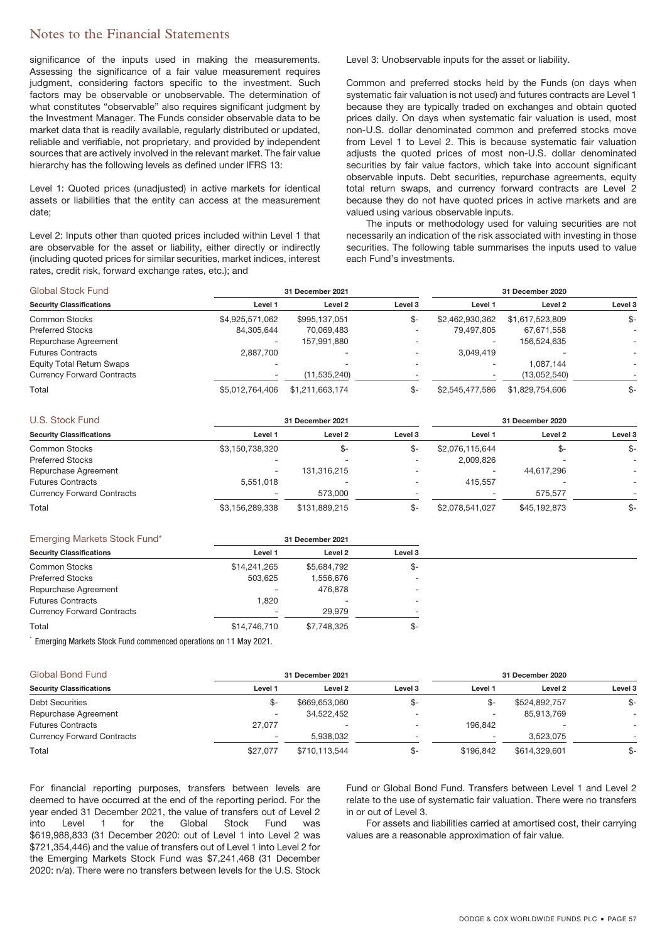significance of the inputs used in making the measurements. Assessing the significance of a fair value measurement requires judgment, considering factors specific to the investment. Such factors may be observable or unobservable. The determination of what constitutes "observable" also requires significant judgment by the Investment Manager. The Funds consider observable data to be market data that is readily available, regularly distributed or updated, reliable and verifiable, not proprietary, and provided by independent sources that are actively involved in the relevant market. The fair value hierarchy has the following levels as defined under IFRS 13:

Level 1: Quoted prices (unadjusted) in active markets for identical assets or liabilities that the entity can access at the measurement date;

Level 2: Inputs other than quoted prices included within Level 1 that are observable for the asset or liability, either directly or indirectly (including quoted prices for similar securities, market indices, interest rates, credit risk, forward exchange rates, etc.); and

Level 3: Unobservable inputs for the asset or liability.

Common and preferred stocks held by the Funds (on days when systematic fair valuation is not used) and futures contracts are Level 1 because they are typically traded on exchanges and obtain quoted prices daily. On days when systematic fair valuation is used, most non-U.S. dollar denominated common and preferred stocks move from Level 1 to Level 2. This is because systematic fair valuation adjusts the quoted prices of most non-U.S. dollar denominated securities by fair value factors, which take into account significant observable inputs. Debt securities, repurchase agreements, equity total return swaps, and currency forward contracts are Level 2 because they do not have quoted prices in active markets and are valued using various observable inputs.

The inputs or methodology used for valuing securities are not necessarily an indication of the risk associated with investing in those securities. The following table summarises the inputs used to value each Fund's investments.

| <b>Global Stock Fund</b>          | 31 December 2021         |                          |         | 31 December 2020 |                 |                    |
|-----------------------------------|--------------------------|--------------------------|---------|------------------|-----------------|--------------------|
| <b>Security Classifications</b>   | Level 1                  | Level 2                  | Level 3 | Level 1          | Level 2         | Level <sub>3</sub> |
| Common Stocks                     | \$4,925,571,062          | \$995,137,051            | \$-     | \$2,462,930,362  | \$1,617,523,809 | \$-                |
| <b>Preferred Stocks</b>           | 84,305,644               | 70,069,483               |         | 79,497,805       | 67,671,558      |                    |
| Repurchase Agreement              | $\overline{\phantom{0}}$ | 157.991.880              |         |                  | 156.524.635     |                    |
| <b>Futures Contracts</b>          | 2.887.700                |                          |         | 3.049.419        |                 |                    |
| Equity Total Return Swaps         | $\overline{\phantom{a}}$ | $\overline{\phantom{0}}$ |         |                  | 1.087.144       |                    |
| <b>Currency Forward Contracts</b> | $\overline{\phantom{0}}$ | (11,535,240)             |         |                  | (13,052,540)    |                    |
| Total                             | \$5,012,764,406          | \$1,211,663,174          | ዴ-      | \$2,545,477,586  | \$1,829,754,606 | \$-                |

| U.S. Stock Fund                   |                          | 31 December 2021 |         |                 | 31 December 2020 |                    |
|-----------------------------------|--------------------------|------------------|---------|-----------------|------------------|--------------------|
| <b>Security Classifications</b>   | Level 1                  | Level 2          | Level 3 | Level 1         | Level 2          | Level <sub>3</sub> |
| Common Stocks                     | \$3,150,738,320          | \$-              | \$-     | \$2,076,115,644 | \$-              | \$-                |
| <b>Preferred Stocks</b>           | $\overline{\phantom{0}}$ |                  |         | 2,009,826       |                  |                    |
| Repurchase Agreement              | $\overline{\phantom{a}}$ | 131,316,215      |         |                 | 44.617.296       |                    |
| <b>Futures Contracts</b>          | 5.551.018                |                  |         | 415.557         |                  |                    |
| <b>Currency Forward Contracts</b> | $\overline{\phantom{0}}$ | 573,000          |         |                 | 575.577          |                    |
| Total                             | \$3,156,289,338          | \$131.889.215    |         | \$2,078,541,027 | \$45,192,873     | \$-                |

| Emerging Markets Stock Fund*      | 31 December 2021         |             |                          |  |
|-----------------------------------|--------------------------|-------------|--------------------------|--|
| <b>Security Classifications</b>   | Level 1                  | Level 2     | Level 3                  |  |
| <b>Common Stocks</b>              | \$14,241,265             | \$5,684,792 | \$-                      |  |
| <b>Preferred Stocks</b>           | 503.625                  | 1.556.676   |                          |  |
| Repurchase Agreement              | $\overline{\phantom{a}}$ | 476.878     | $\overline{\phantom{a}}$ |  |
| <b>Futures Contracts</b>          | .820                     |             |                          |  |
| <b>Currency Forward Contracts</b> | $\overline{\phantom{a}}$ | 29.979      |                          |  |
| Total                             | \$14,746,710             | \$7,748,325 | \$-                      |  |

\* Emerging Markets Stock Fund commenced operations on 11 May 2021.

| Global Bond Fund                  |                          | 31 December 2021 |                          |           | 31 December 2020 |         |  |
|-----------------------------------|--------------------------|------------------|--------------------------|-----------|------------------|---------|--|
| <b>Security Classifications</b>   | Level 1                  | Level 2          | Level <sub>3</sub>       | Level 1   | Level 2          | Level 3 |  |
| <b>Debt Securities</b>            | -&                       | \$669,653,060    | ৬-                       |           | \$524,892,757    | \$-     |  |
| Repurchase Agreement              | $\overline{\phantom{a}}$ | 34,522,452       | $\overline{\phantom{0}}$ |           | 85.913.769       |         |  |
| <b>Futures Contracts</b>          | 27.077                   |                  |                          | 196.842   |                  |         |  |
| <b>Currency Forward Contracts</b> | $\overline{\phantom{a}}$ | 5.938.032        | $\overline{\phantom{0}}$ |           | 3.523.075        |         |  |
| Total                             | \$27,077                 | \$710.113.544    | ৬-                       | \$196.842 | \$614,329,601    | - \$    |  |

For financial reporting purposes, transfers between levels are deemed to have occurred at the end of the reporting period. For the year ended 31 December 2021, the value of transfers out of Level 2<br>into Level 1 for the Global Stock Fund was into Level 1 for the Global Stock Fund was \$619,988,833 (31 December 2020: out of Level 1 into Level 2 was \$721,354,446) and the value of transfers out of Level 1 into Level 2 for the Emerging Markets Stock Fund was \$7,241,468 (31 December 2020: n/a). There were no transfers between levels for the U.S. Stock

Fund or Global Bond Fund. Transfers between Level 1 and Level 2 relate to the use of systematic fair valuation. There were no transfers in or out of Level 3.

For assets and liabilities carried at amortised cost, their carrying values are a reasonable approximation of fair value.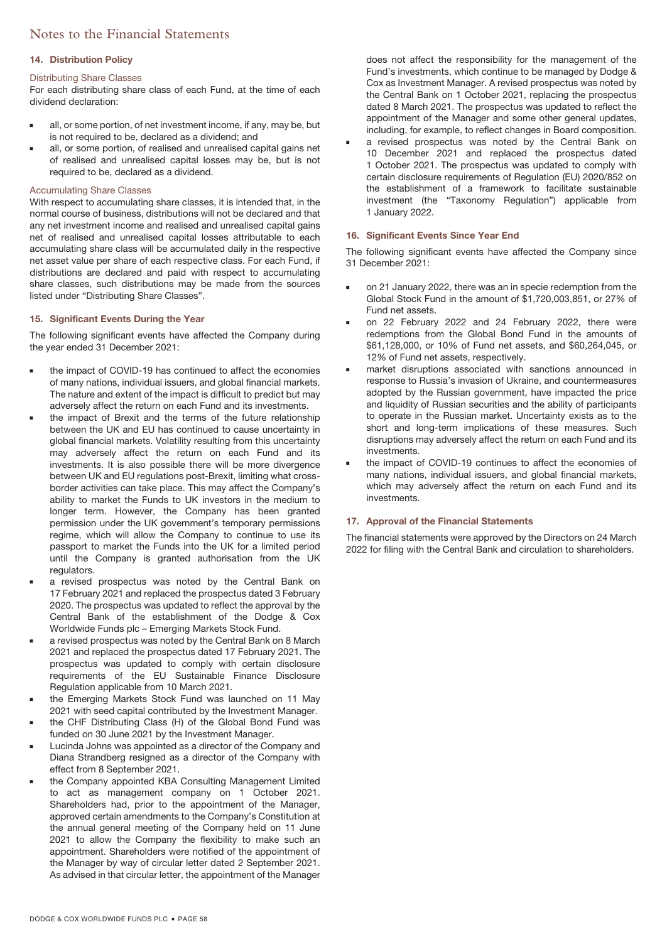### **14. Distribution Policy**

### Distributing Share Classes

For each distributing share class of each Fund, at the time of each dividend declaration:

- all, or some portion, of net investment income, if any, may be, but is not required to be, declared as a dividend; and
- all, or some portion, of realised and unrealised capital gains net of realised and unrealised capital losses may be, but is not required to be, declared as a dividend.

### Accumulating Share Classes

With respect to accumulating share classes, it is intended that, in the normal course of business, distributions will not be declared and that any net investment income and realised and unrealised capital gains net of realised and unrealised capital losses attributable to each accumulating share class will be accumulated daily in the respective net asset value per share of each respective class. For each Fund, if distributions are declared and paid with respect to accumulating share classes, such distributions may be made from the sources listed under "Distributing Share Classes".

### **15. Significant Events During the Year**

The following significant events have affected the Company during the year ended 31 December 2021:

- the impact of COVID-19 has continued to affect the economies of many nations, individual issuers, and global financial markets. The nature and extent of the impact is difficult to predict but may adversely affect the return on each Fund and its investments.
- the impact of Brexit and the terms of the future relationship between the UK and EU has continued to cause uncertainty in global financial markets. Volatility resulting from this uncertainty may adversely affect the return on each Fund and its investments. It is also possible there will be more divergence between UK and EU regulations post-Brexit, limiting what crossborder activities can take place. This may affect the Company's ability to market the Funds to UK investors in the medium to longer term. However, the Company has been granted permission under the UK government's temporary permissions regime, which will allow the Company to continue to use its passport to market the Funds into the UK for a limited period until the Company is granted authorisation from the UK regulators.
- a revised prospectus was noted by the Central Bank on 17 February 2021 and replaced the prospectus dated 3 February 2020. The prospectus was updated to reflect the approval by the Central Bank of the establishment of the Dodge & Cox Worldwide Funds plc – Emerging Markets Stock Fund.
- a revised prospectus was noted by the Central Bank on 8 March 2021 and replaced the prospectus dated 17 February 2021. The prospectus was updated to comply with certain disclosure requirements of the EU Sustainable Finance Disclosure Regulation applicable from 10 March 2021.
- the Emerging Markets Stock Fund was launched on 11 May 2021 with seed capital contributed by the Investment Manager.
- the CHF Distributing Class (H) of the Global Bond Fund was funded on 30 June 2021 by the Investment Manager.
- Lucinda Johns was appointed as a director of the Company and Diana Strandberg resigned as a director of the Company with effect from 8 September 2021.
- the Company appointed KBA Consulting Management Limited to act as management company on 1 October 2021. Shareholders had, prior to the appointment of the Manager, approved certain amendments to the Company's Constitution at the annual general meeting of the Company held on 11 June 2021 to allow the Company the flexibility to make such an appointment. Shareholders were notified of the appointment of the Manager by way of circular letter dated 2 September 2021. As advised in that circular letter, the appointment of the Manager

does not affect the responsibility for the management of the Fund's investments, which continue to be managed by Dodge & Cox as Investment Manager. A revised prospectus was noted by the Central Bank on 1 October 2021, replacing the prospectus dated 8 March 2021. The prospectus was updated to reflect the appointment of the Manager and some other general updates, including, for example, to reflect changes in Board composition.

 a revised prospectus was noted by the Central Bank on 10 December 2021 and replaced the prospectus dated 1 October 2021. The prospectus was updated to comply with certain disclosure requirements of Regulation (EU) 2020/852 on the establishment of a framework to facilitate sustainable investment (the "Taxonomy Regulation") applicable from 1 January 2022.

### **16. Significant Events Since Year End**

The following significant events have affected the Company since 31 December 2021:

- on 21 January 2022, there was an in specie redemption from the Global Stock Fund in the amount of \$1,720,003,851, or 27% of Fund net assets.
- on 22 February 2022 and 24 February 2022, there were redemptions from the Global Bond Fund in the amounts of \$61,128,000, or 10% of Fund net assets, and \$60,264,045, or 12% of Fund net assets, respectively.
- market disruptions associated with sanctions announced in response to Russia's invasion of Ukraine, and countermeasures adopted by the Russian government, have impacted the price and liquidity of Russian securities and the ability of participants to operate in the Russian market. Uncertainty exists as to the short and long-term implications of these measures. Such disruptions may adversely affect the return on each Fund and its investments.
- the impact of COVID-19 continues to affect the economies of many nations, individual issuers, and global financial markets, which may adversely affect the return on each Fund and its investments.

### **17. Approval of the Financial Statements**

The financial statements were approved by the Directors on 24 March 2022 for filing with the Central Bank and circulation to shareholders.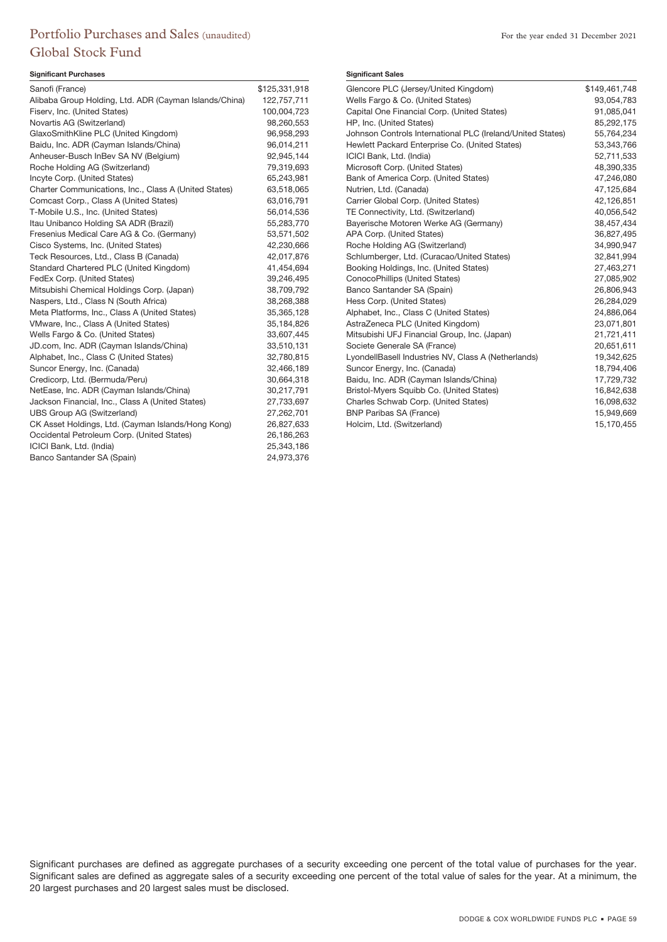# Portfolio Purchases and Sales (unaudited) For the year ended 31 December 2021 Global Stock Fund

### **Significant Purchases**

| Sanofi (France)                                        | \$125,331,918 |
|--------------------------------------------------------|---------------|
| Alibaba Group Holding, Ltd. ADR (Cayman Islands/China) | 122,757,711   |
| Fiserv, Inc. (United States)                           | 100,004,723   |
| Novartis AG (Switzerland)                              | 98,260,553    |
| GlaxoSmithKline PLC (United Kingdom)                   | 96,958,293    |
| Baidu, Inc. ADR (Cayman Islands/China)                 | 96,014,211    |
| Anheuser-Busch InBev SA NV (Belgium)                   | 92,945,144    |
| Roche Holding AG (Switzerland)                         | 79,319,693    |
| Incyte Corp. (United States)                           | 65,243,981    |
| Charter Communications, Inc., Class A (United States)  | 63,518,065    |
| Comcast Corp., Class A (United States)                 | 63,016,791    |
| T-Mobile U.S., Inc. (United States)                    | 56,014,536    |
| Itau Unibanco Holding SA ADR (Brazil)                  | 55,283,770    |
| Fresenius Medical Care AG & Co. (Germany)              | 53,571,502    |
| Cisco Systems, Inc. (United States)                    | 42,230,666    |
| Teck Resources, Ltd., Class B (Canada)                 | 42,017,876    |
| Standard Chartered PLC (United Kingdom)                | 41,454,694    |
| FedEx Corp. (United States)                            | 39,246,495    |
| Mitsubishi Chemical Holdings Corp. (Japan)             | 38,709,792    |
| Naspers, Ltd., Class N (South Africa)                  | 38,268,388    |
| Meta Platforms, Inc., Class A (United States)          | 35,365,128    |
| VMware, Inc., Class A (United States)                  | 35,184,826    |
| Wells Fargo & Co. (United States)                      | 33,607,445    |
| JD.com, Inc. ADR (Cayman Islands/China)                | 33,510,131    |
| Alphabet, Inc., Class C (United States)                | 32,780,815    |
| Suncor Energy, Inc. (Canada)                           | 32,466,189    |
| Credicorp, Ltd. (Bermuda/Peru)                         | 30,664,318    |
| NetEase, Inc. ADR (Cayman Islands/China)               | 30,217,791    |
| Jackson Financial, Inc., Class A (United States)       | 27,733,697    |
| UBS Group AG (Switzerland)                             | 27,262,701    |
| CK Asset Holdings, Ltd. (Cayman Islands/Hong Kong)     | 26,827,633    |
| Occidental Petroleum Corp. (United States)             | 26,186,263    |
| ICICI Bank, Ltd. (India)                               | 25,343,186    |
| Banco Santander SA (Spain)                             | 24,973,376    |
|                                                        |               |

### **Significant Sales**

| Glencore PLC (Jersey/United Kingdom)                       | \$149,461,748 |
|------------------------------------------------------------|---------------|
| Wells Fargo & Co. (United States)                          | 93,054,783    |
| Capital One Financial Corp. (United States)                | 91.085.041    |
| HP, Inc. (United States)                                   | 85,292,175    |
| Johnson Controls International PLC (Ireland/United States) | 55,764,234    |
| Hewlett Packard Enterprise Co. (United States)             | 53,343,766    |
| ICICI Bank, Ltd. (India)                                   | 52,711,533    |
| Microsoft Corp. (United States)                            | 48,390,335    |
| Bank of America Corp. (United States)                      | 47,246,080    |
| Nutrien, Ltd. (Canada)                                     | 47,125,684    |
| Carrier Global Corp. (United States)                       | 42,126,851    |
| TE Connectivity, Ltd. (Switzerland)                        | 40,056,542    |
| Bayerische Motoren Werke AG (Germany)                      | 38,457,434    |
| APA Corp. (United States)                                  | 36,827,495    |
| Roche Holding AG (Switzerland)                             | 34,990,947    |
| Schlumberger, Ltd. (Curacao/United States)                 | 32,841,994    |
| Booking Holdings, Inc. (United States)                     | 27,463,271    |
| ConocoPhillips (United States)                             | 27,085,902    |
| Banco Santander SA (Spain)                                 | 26,806,943    |
| Hess Corp. (United States)                                 | 26,284,029    |
| Alphabet, Inc., Class C (United States)                    | 24,886,064    |
| AstraZeneca PLC (United Kingdom)                           | 23,071,801    |
| Mitsubishi UFJ Financial Group, Inc. (Japan)               | 21,721,411    |
| Societe Generale SA (France)                               | 20,651,611    |
| LyondellBasell Industries NV, Class A (Netherlands)        | 19,342,625    |
| Suncor Energy, Inc. (Canada)                               | 18,794,406    |
| Baidu, Inc. ADR (Cayman Islands/China)                     | 17,729,732    |
| Bristol-Myers Squibb Co. (United States)                   | 16,842,638    |
| Charles Schwab Corp. (United States)                       | 16,098,632    |
| <b>BNP Paribas SA (France)</b>                             | 15,949,669    |
| Holcim, Ltd. (Switzerland)                                 | 15,170,455    |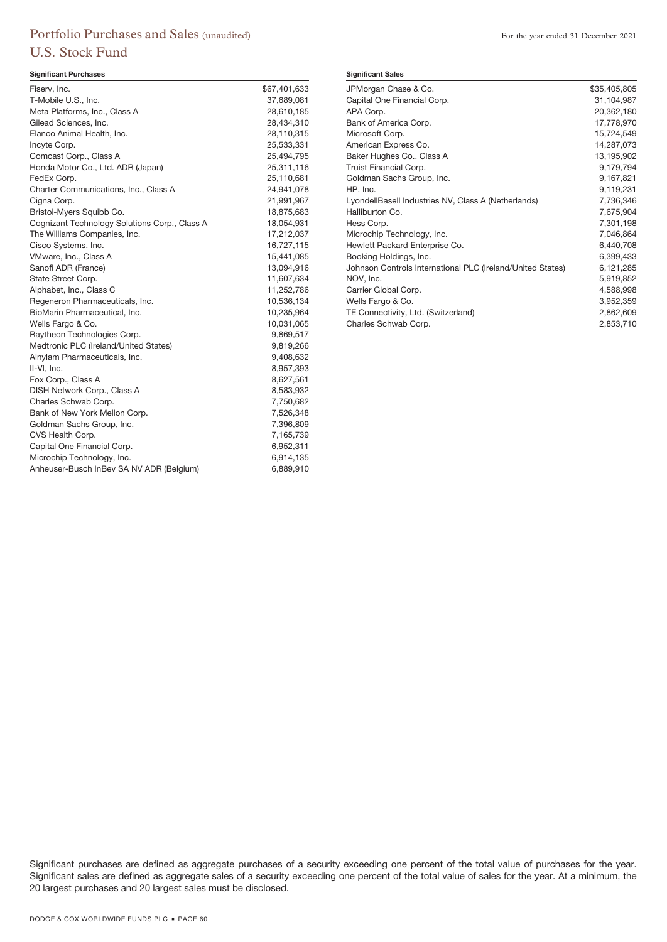# Portfolio Purchases and Sales (unaudited) For the year ended 31 December 2021 U.S. Stock Fund

### **Significant Purchases**

| T-Mobile U.S., Inc.<br>Meta Platforms, Inc., Class A<br>Gilead Sciences, Inc. | 37,689,081<br>28,610,185<br>28,434,310<br>28,110,315 |
|-------------------------------------------------------------------------------|------------------------------------------------------|
|                                                                               |                                                      |
|                                                                               |                                                      |
|                                                                               |                                                      |
| Elanco Animal Health, Inc.                                                    |                                                      |
| Incyte Corp.                                                                  | 25,533,331                                           |
| Comcast Corp., Class A                                                        | 25,494,795                                           |
| Honda Motor Co., Ltd. ADR (Japan)                                             | 25,311,116                                           |
| FedEx Corp.                                                                   | 25,110,681                                           |
| Charter Communications, Inc., Class A                                         | 24,941,078                                           |
| Cigna Corp.                                                                   | 21,991,967                                           |
| Bristol-Myers Squibb Co.                                                      | 18,875,683                                           |
| Cognizant Technology Solutions Corp., Class A                                 | 18,054,931                                           |
| The Williams Companies, Inc.                                                  | 17,212,037                                           |
| Cisco Systems, Inc.                                                           | 16,727,115                                           |
| VMware, Inc., Class A                                                         | 15,441,085                                           |
| Sanofi ADR (France)                                                           | 13,094,916                                           |
| State Street Corp.                                                            | 11,607,634                                           |
| Alphabet, Inc., Class C                                                       | 11,252,786                                           |
| Regeneron Pharmaceuticals, Inc.                                               | 10,536,134                                           |
| BioMarin Pharmaceutical, Inc.                                                 | 10,235,964                                           |
| Wells Fargo & Co.                                                             | 10,031,065                                           |
| Raytheon Technologies Corp.                                                   | 9,869,517                                            |
| Medtronic PLC (Ireland/United States)                                         | 9,819,266                                            |
| Alnylam Pharmaceuticals, Inc.                                                 | 9,408,632                                            |
| II-VI, Inc.                                                                   | 8,957,393                                            |
| Fox Corp., Class A                                                            | 8,627,561                                            |
| DISH Network Corp., Class A                                                   | 8,583,932                                            |
| Charles Schwab Corp.                                                          | 7,750,682                                            |
| Bank of New York Mellon Corp.                                                 | 7,526,348                                            |
| Goldman Sachs Group, Inc.                                                     | 7,396,809                                            |
| CVS Health Corp.                                                              | 7,165,739                                            |
| Capital One Financial Corp.                                                   | 6,952,311                                            |
| Microchip Technology, Inc.                                                    | 6,914,135                                            |
| Anheuser-Busch InBev SA NV ADR (Belgium)                                      | 6,889,910                                            |

#### **Significant Sales**

| JPMorgan Chase & Co.                                       | \$35,405,805 |
|------------------------------------------------------------|--------------|
| Capital One Financial Corp.                                | 31,104,987   |
| APA Corp.                                                  | 20,362,180   |
| Bank of America Corp.                                      | 17,778,970   |
| Microsoft Corp.                                            | 15,724,549   |
| American Express Co.                                       | 14,287,073   |
| Baker Hughes Co., Class A                                  | 13,195,902   |
| Truist Financial Corp.                                     | 9,179,794    |
| Goldman Sachs Group, Inc.                                  | 9,167,821    |
| HP, Inc.                                                   | 9,119,231    |
| LyondellBasell Industries NV, Class A (Netherlands)        | 7,736,346    |
| Halliburton Co.                                            | 7,675,904    |
| Hess Corp.                                                 | 7,301,198    |
| Microchip Technology, Inc.                                 | 7,046,864    |
| Hewlett Packard Enterprise Co.                             | 6,440,708    |
| Booking Holdings, Inc.                                     | 6,399,433    |
| Johnson Controls International PLC (Ireland/United States) | 6,121,285    |
| NOV, Inc.                                                  | 5,919,852    |
| Carrier Global Corp.                                       | 4,588,998    |
| Wells Fargo & Co.                                          | 3,952,359    |
| TE Connectivity, Ltd. (Switzerland)                        | 2,862,609    |
| Charles Schwab Corp.                                       | 2,853,710    |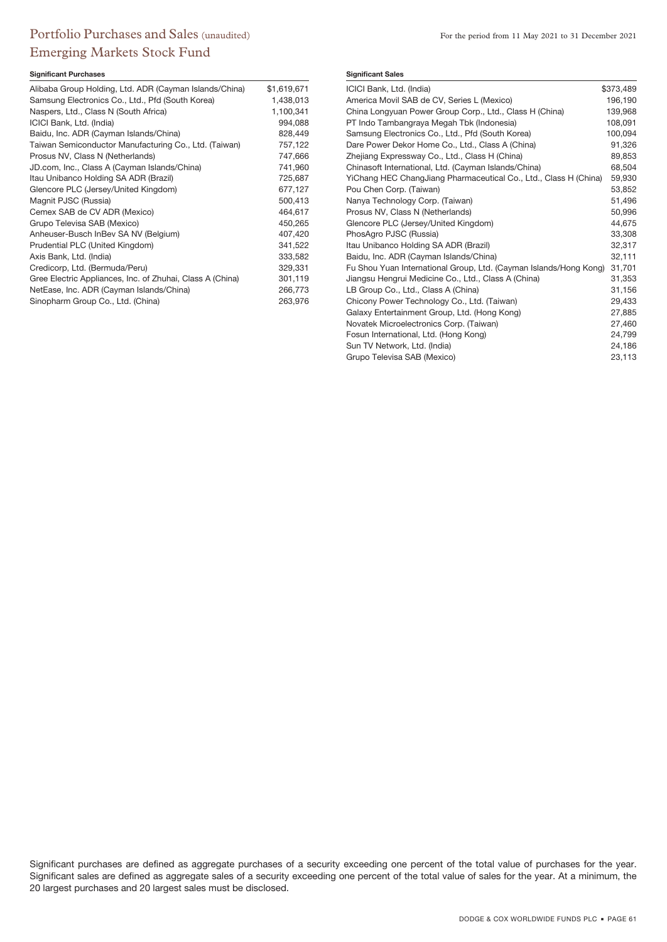# Portfolio Purchases and Sales (unaudited) For the period from 11 May 2021 to 31 December 2021 Emerging Markets Stock Fund

### **Significant Purchases**

| Alibaba Group Holding, Ltd. ADR (Cayman Islands/China)    | \$1,619,671 |
|-----------------------------------------------------------|-------------|
| Samsung Electronics Co., Ltd., Pfd (South Korea)          | 1,438,013   |
| Naspers, Ltd., Class N (South Africa)                     | 1,100,341   |
| ICICI Bank, Ltd. (India)                                  | 994,088     |
| Baidu, Inc. ADR (Cayman Islands/China)                    | 828,449     |
| Taiwan Semiconductor Manufacturing Co., Ltd. (Taiwan)     | 757,122     |
| Prosus NV, Class N (Netherlands)                          | 747,666     |
| JD.com, Inc., Class A (Cayman Islands/China)              | 741,960     |
| Itau Unibanco Holding SA ADR (Brazil)                     | 725,687     |
| Glencore PLC (Jersey/United Kingdom)                      | 677,127     |
| Magnit PJSC (Russia)                                      | 500,413     |
| Cemex SAB de CV ADR (Mexico)                              | 464,617     |
| Grupo Televisa SAB (Mexico)                               | 450,265     |
| Anheuser-Busch InBev SA NV (Belgium)                      | 407,420     |
| Prudential PLC (United Kingdom)                           | 341,522     |
| Axis Bank, Ltd. (India)                                   | 333,582     |
| Credicorp, Ltd. (Bermuda/Peru)                            | 329,331     |
| Gree Electric Appliances, Inc. of Zhuhai, Class A (China) | 301,119     |
| NetEase, Inc. ADR (Cayman Islands/China)                  | 266,773     |
| Sinopharm Group Co., Ltd. (China)                         | 263,976     |

### **Significant Sales**

| ICICI Bank, Ltd. (India)                                          | \$373,489 |
|-------------------------------------------------------------------|-----------|
| America Movil SAB de CV, Series L (Mexico)                        | 196,190   |
| China Longyuan Power Group Corp., Ltd., Class H (China)           | 139,968   |
| PT Indo Tambangraya Megah Tbk (Indonesia)                         | 108,091   |
| Samsung Electronics Co., Ltd., Pfd (South Korea)                  | 100,094   |
| Dare Power Dekor Home Co., Ltd., Class A (China)                  | 91,326    |
| Zhejiang Expressway Co., Ltd., Class H (China)                    | 89,853    |
| Chinasoft International, Ltd. (Cayman Islands/China)              | 68,504    |
| YiChang HEC ChangJiang Pharmaceutical Co., Ltd., Class H (China)  | 59,930    |
| Pou Chen Corp. (Taiwan)                                           | 53,852    |
| Nanya Technology Corp. (Taiwan)                                   | 51.496    |
| Prosus NV, Class N (Netherlands)                                  | 50,996    |
| Glencore PLC (Jersey/United Kingdom)                              | 44,675    |
| PhosAgro PJSC (Russia)                                            | 33,308    |
| Itau Unibanco Holding SA ADR (Brazil)                             | 32,317    |
| Baidu, Inc. ADR (Cayman Islands/China)                            | 32,111    |
| Fu Shou Yuan International Group, Ltd. (Cayman Islands/Hong Kong) | 31,701    |
| Jiangsu Hengrui Medicine Co., Ltd., Class A (China)               | 31,353    |
| LB Group Co., Ltd., Class A (China)                               | 31,156    |
| Chicony Power Technology Co., Ltd. (Taiwan)                       | 29,433    |
| Galaxy Entertainment Group, Ltd. (Hong Kong)                      | 27,885    |
| Novatek Microelectronics Corp. (Taiwan)                           | 27,460    |
| Fosun International, Ltd. (Hong Kong)                             | 24,799    |
| Sun TV Network, Ltd. (India)                                      | 24,186    |
| Grupo Televisa SAB (Mexico)                                       | 23,113    |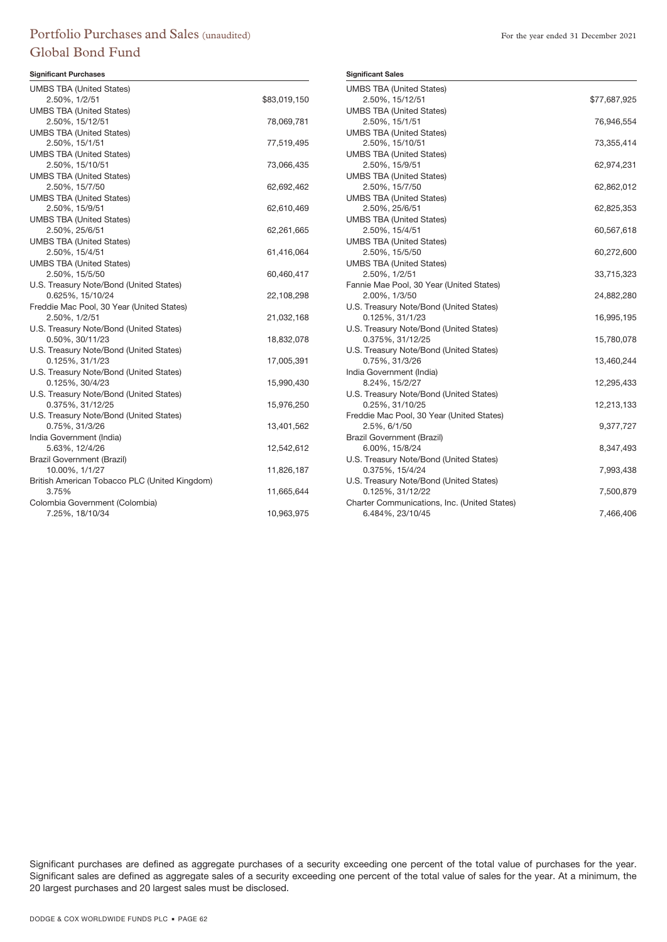# Portfolio Purchases and Sales (unaudited) For the year ended 31 December 2021 Global Bond Fund

### **Significant Purchases**

| <b>UMBS TBA (United States)</b>               |              |
|-----------------------------------------------|--------------|
| 2.50%, 1/2/51                                 | \$83,019,150 |
| <b>UMBS TBA (United States)</b>               |              |
| 2.50%, 15/12/51                               | 78,069,781   |
| <b>UMBS TBA (United States)</b>               |              |
| 2.50%, 15/1/51                                | 77,519,495   |
| <b>UMBS TBA (United States)</b>               |              |
| 2.50%, 15/10/51                               | 73,066,435   |
| <b>UMBS TBA (United States)</b>               |              |
| 2.50%, 15/7/50                                | 62,692,462   |
| <b>UMBS TBA (United States)</b>               |              |
| 2.50%, 15/9/51                                | 62,610,469   |
| <b>UMBS TBA (United States)</b>               |              |
| 2.50%, 25/6/51                                | 62,261,665   |
| <b>UMBS TBA (United States)</b>               |              |
| 2.50%, 15/4/51                                | 61,416,064   |
| <b>UMBS TBA (United States)</b>               |              |
| 2.50%, 15/5/50                                | 60,460,417   |
| U.S. Treasury Note/Bond (United States)       |              |
| 0.625%, 15/10/24                              | 22,108,298   |
| Freddie Mac Pool, 30 Year (United States)     |              |
| 2.50%, 1/2/51                                 | 21,032,168   |
| U.S. Treasury Note/Bond (United States)       |              |
| 0.50%, 30/11/23                               | 18,832,078   |
| U.S. Treasury Note/Bond (United States)       |              |
| 0.125%, 31/1/23                               | 17,005,391   |
| U.S. Treasury Note/Bond (United States)       |              |
| 0.125%, 30/4/23                               | 15,990,430   |
| U.S. Treasury Note/Bond (United States)       |              |
| 0.375%, 31/12/25                              | 15,976,250   |
| U.S. Treasury Note/Bond (United States)       |              |
| 0.75%, 31/3/26                                | 13,401,562   |
| India Government (India)                      |              |
| 5.63%, 12/4/26                                | 12,542,612   |
| <b>Brazil Government (Brazil)</b>             |              |
| 10.00%, 1/1/27                                | 11,826,187   |
| British American Tobacco PLC (United Kingdom) |              |
| 3.75%                                         | 11,665,644   |
| Colombia Government (Colombia)                |              |
| 7.25%, 18/10/34                               | 10,963,975   |

| <b>Significant Sales</b>                                    |              |
|-------------------------------------------------------------|--------------|
| <b>UMBS TBA (United States)</b>                             |              |
| 2.50%, 15/12/51                                             | \$77,687,925 |
| <b>UMBS TBA (United States)</b>                             |              |
| 2.50%, 15/1/51                                              | 76,946,554   |
| <b>UMBS TBA (United States)</b>                             |              |
| 2.50%, 15/10/51                                             | 73,355,414   |
| <b>UMBS TBA (United States)</b>                             |              |
| 2.50%, 15/9/51                                              | 62,974,231   |
| <b>UMBS TBA (United States)</b>                             |              |
| 2.50%, 15/7/50                                              | 62,862,012   |
| <b>UMBS TBA (United States)</b>                             |              |
| 2.50%, 25/6/51                                              | 62,825,353   |
| <b>UMBS TBA (United States)</b>                             |              |
| 2.50%, 15/4/51                                              | 60,567,618   |
| <b>UMBS TBA (United States)</b>                             |              |
| 2.50%, 15/5/50                                              | 60,272,600   |
| <b>UMBS TBA (United States)</b>                             |              |
| 2.50%, 1/2/51                                               | 33,715,323   |
| Fannie Mae Pool, 30 Year (United States)                    |              |
| 2.00%, 1/3/50                                               | 24,882,280   |
| U.S. Treasury Note/Bond (United States)<br>0.125%, 31/1/23  |              |
|                                                             | 16,995,195   |
| U.S. Treasury Note/Bond (United States)<br>0.375%, 31/12/25 |              |
| U.S. Treasury Note/Bond (United States)                     | 15,780,078   |
| 0.75%, 31/3/26                                              | 13,460,244   |
| India Government (India)                                    |              |
| 8.24%, 15/2/27                                              | 12,295,433   |
| U.S. Treasury Note/Bond (United States)                     |              |
| 0.25%, 31/10/25                                             | 12,213,133   |
| Freddie Mac Pool, 30 Year (United States)                   |              |
| 2.5%, 6/1/50                                                | 9,377,727    |
| Brazil Government (Brazil)                                  |              |
| 6.00%, 15/8/24                                              | 8,347,493    |
| U.S. Treasury Note/Bond (United States)                     |              |
| 0.375%, 15/4/24                                             | 7,993,438    |
| U.S. Treasury Note/Bond (United States)                     |              |
| 0.125%, 31/12/22                                            | 7,500,879    |
| Charter Communications, Inc. (United States)                |              |
| 6.484%, 23/10/45                                            | 7,466,406    |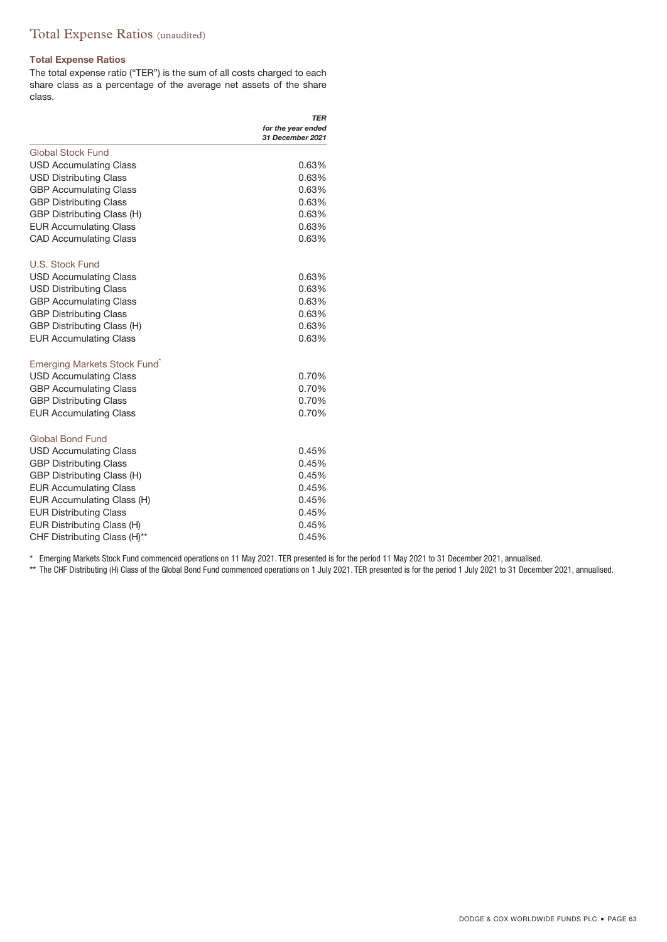# Total Expense Ratios (unaudited)

### **Total Expense Ratios**

The total expense ratio ("TER") is the sum of all costs charged to each share class as a percentage of the average net assets of the share class.

|                                   | TER                                    |
|-----------------------------------|----------------------------------------|
|                                   | for the year ended<br>31 December 2021 |
| <b>Global Stock Fund</b>          |                                        |
| <b>USD Accumulating Class</b>     | 0.63%                                  |
| <b>USD Distributing Class</b>     | 0.63%                                  |
| <b>GBP Accumulating Class</b>     | 0.63%                                  |
| <b>GBP Distributing Class</b>     | 0.63%                                  |
| <b>GBP Distributing Class (H)</b> | 0.63%                                  |
| <b>EUR Accumulating Class</b>     | 0.63%                                  |
| <b>CAD Accumulating Class</b>     | 0.63%                                  |
| U.S. Stock Fund                   |                                        |
| <b>USD Accumulating Class</b>     | 0.63%                                  |
| <b>USD Distributing Class</b>     | 0.63%                                  |
| <b>GBP Accumulating Class</b>     | 0.63%                                  |
| <b>GBP Distributing Class</b>     | 0.63%                                  |
| GBP Distributing Class (H)        | 0.63%                                  |
| <b>EUR Accumulating Class</b>     | 0.63%                                  |
| Emerging Markets Stock Fund       |                                        |
| <b>USD Accumulating Class</b>     | 0.70%                                  |
| <b>GBP Accumulating Class</b>     | 0.70%                                  |
| <b>GBP Distributing Class</b>     | 0.70%                                  |
| <b>EUR Accumulating Class</b>     | 0.70%                                  |
| <b>Global Bond Fund</b>           |                                        |
| <b>USD Accumulating Class</b>     | 0.45%                                  |
| <b>GBP Distributing Class</b>     | 0.45%                                  |
| GBP Distributing Class (H)        | 0.45%                                  |
| <b>EUR Accumulating Class</b>     | 0.45%                                  |
| EUR Accumulating Class (H)        | 0.45%                                  |
| <b>EUR Distributing Class</b>     | 0.45%                                  |
| EUR Distributing Class (H)        | 0.45%                                  |
| CHF Distributing Class (H)**      | 0.45%                                  |

\* Emerging Markets Stock Fund commenced operations on 11 May 2021. TER presented is for the period 11 May 2021 to 31 December 2021, annualised.

\*\* The CHF Distributing (H) Class of the Global Bond Fund commenced operations on 1 July 2021. TER presented is for the period 1 July 2021 to 31 December 2021, annualised.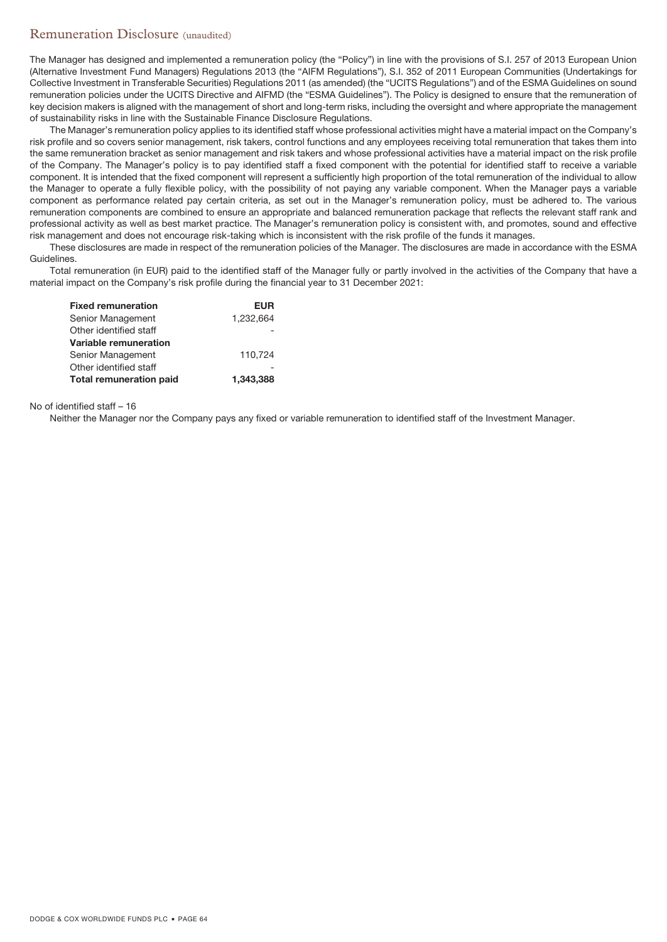# Remuneration Disclosure (unaudited)

The Manager has designed and implemented a remuneration policy (the "Policy") in line with the provisions of S.I. 257 of 2013 European Union (Alternative Investment Fund Managers) Regulations 2013 (the "AIFM Regulations"), S.I. 352 of 2011 European Communities (Undertakings for Collective Investment in Transferable Securities) Regulations 2011 (as amended) (the "UCITS Regulations") and of the ESMA Guidelines on sound remuneration policies under the UCITS Directive and AIFMD (the "ESMA Guidelines"). The Policy is designed to ensure that the remuneration of key decision makers is aligned with the management of short and long-term risks, including the oversight and where appropriate the management of sustainability risks in line with the Sustainable Finance Disclosure Regulations.

The Manager's remuneration policy applies to its identified staff whose professional activities might have a material impact on the Company's risk profile and so covers senior management, risk takers, control functions and any employees receiving total remuneration that takes them into the same remuneration bracket as senior management and risk takers and whose professional activities have a material impact on the risk profile of the Company. The Manager's policy is to pay identified staff a fixed component with the potential for identified staff to receive a variable component. It is intended that the fixed component will represent a sufficiently high proportion of the total remuneration of the individual to allow the Manager to operate a fully flexible policy, with the possibility of not paying any variable component. When the Manager pays a variable component as performance related pay certain criteria, as set out in the Manager's remuneration policy, must be adhered to. The various remuneration components are combined to ensure an appropriate and balanced remuneration package that reflects the relevant staff rank and professional activity as well as best market practice. The Manager's remuneration policy is consistent with, and promotes, sound and effective risk management and does not encourage risk-taking which is inconsistent with the risk profile of the funds it manages.

These disclosures are made in respect of the remuneration policies of the Manager. The disclosures are made in accordance with the ESMA Guidelines.

Total remuneration (in EUR) paid to the identified staff of the Manager fully or partly involved in the activities of the Company that have a material impact on the Company's risk profile during the financial year to 31 December 2021:

| <b>EUR</b> |
|------------|
| 1.232.664  |
|            |
|            |
| 110.724    |
|            |
| 1.343.388  |
|            |

No of identified staff – 16

Neither the Manager nor the Company pays any fixed or variable remuneration to identified staff of the Investment Manager.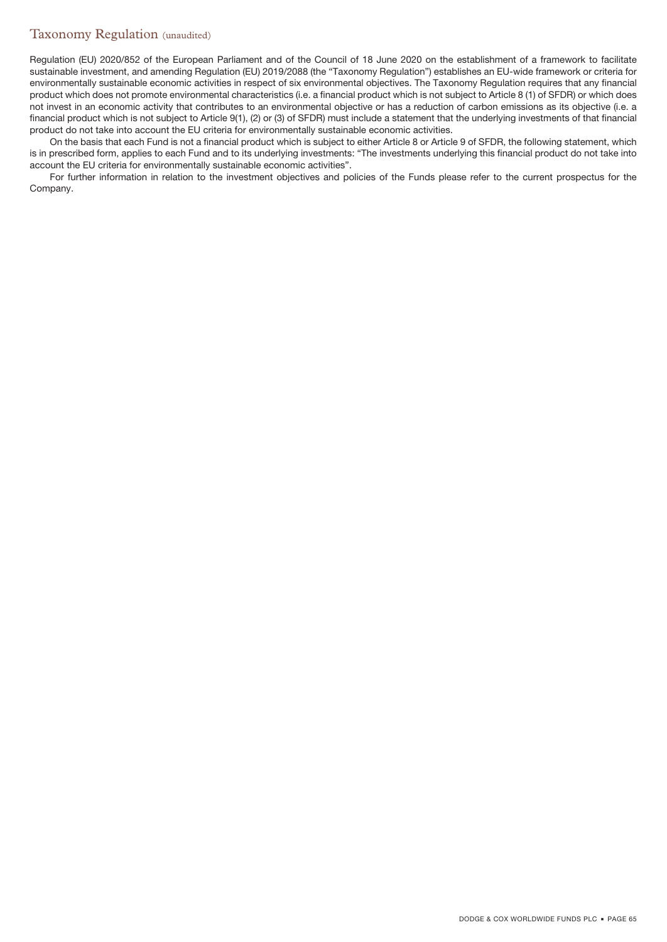# Taxonomy Regulation (unaudited)

Regulation (EU) 2020/852 of the European Parliament and of the Council of 18 June 2020 on the establishment of a framework to facilitate sustainable investment, and amending Regulation (EU) 2019/2088 (the "Taxonomy Regulation") establishes an EU-wide framework or criteria for environmentally sustainable economic activities in respect of six environmental objectives. The Taxonomy Regulation requires that any financial product which does not promote environmental characteristics (i.e. a financial product which is not subject to Article 8 (1) of SFDR) or which does not invest in an economic activity that contributes to an environmental objective or has a reduction of carbon emissions as its objective (i.e. a financial product which is not subject to Article 9(1), (2) or (3) of SFDR) must include a statement that the underlying investments of that financial product do not take into account the EU criteria for environmentally sustainable economic activities.

On the basis that each Fund is not a financial product which is subject to either Article 8 or Article 9 of SFDR, the following statement, which is in prescribed form, applies to each Fund and to its underlying investments: "The investments underlying this financial product do not take into account the EU criteria for environmentally sustainable economic activities".

For further information in relation to the investment objectives and policies of the Funds please refer to the current prospectus for the Company.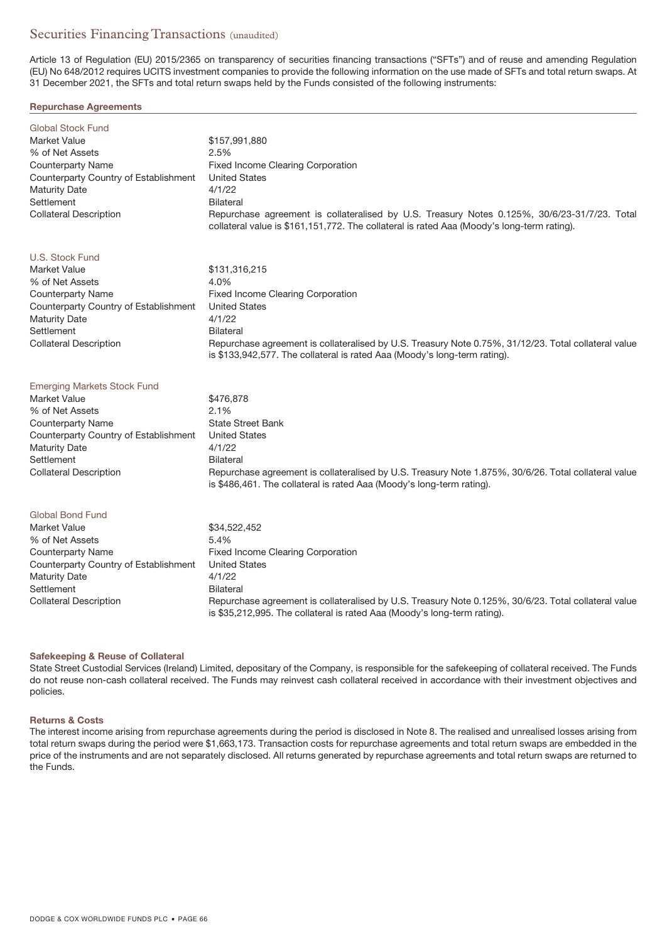# Securities Financing Transactions (unaudited)

Article 13 of Regulation (EU) 2015/2365 on transparency of securities financing transactions ("SFTs") and of reuse and amending Regulation (EU) No 648/2012 requires UCITS investment companies to provide the following information on the use made of SFTs and total return swaps. At 31 December 2021, the SFTs and total return swaps held by the Funds consisted of the following instruments:

### **Repurchase Agreements**

| <b>Global Stock Fund</b>              |                                                                                                                                                                                            |
|---------------------------------------|--------------------------------------------------------------------------------------------------------------------------------------------------------------------------------------------|
| Market Value                          | \$157,991,880                                                                                                                                                                              |
| % of Net Assets                       | 2.5%                                                                                                                                                                                       |
| Counterparty Name                     | Fixed Income Clearing Corporation                                                                                                                                                          |
| Counterparty Country of Establishment | <b>United States</b>                                                                                                                                                                       |
| <b>Maturity Date</b>                  | 4/1/22                                                                                                                                                                                     |
| Settlement                            | <b>Bilateral</b>                                                                                                                                                                           |
| <b>Collateral Description</b>         | Repurchase agreement is collateralised by U.S. Treasury Notes 0.125%, 30/6/23-31/7/23. Total<br>collateral value is \$161,151,772. The collateral is rated Aaa (Moody's long-term rating). |

### U.S. Stock Fund

| Market Value                          | \$131,316,215                                                                                        |
|---------------------------------------|------------------------------------------------------------------------------------------------------|
| % of Net Assets                       | 4.0%                                                                                                 |
| Counterparty Name                     | Fixed Income Clearing Corporation                                                                    |
| Counterparty Country of Establishment | <b>United States</b>                                                                                 |
| Maturity Date                         | 4/1/22                                                                                               |
| Settlement                            | <b>Bilateral</b>                                                                                     |
| <b>Collateral Description</b>         | Repurchase agreement is collateralised by U.S. Treasury Note 0.75%, 31/12/23. Total collateral value |
|                                       | is \$133,942,577. The collateral is rated Aaa (Moody's long-term rating).                            |

|  |  |  | Emerging Markets Stock Fund |  |
|--|--|--|-----------------------------|--|
|  |  |  |                             |  |

| Market Value                          | \$476,878                                                                                                                                                                     |
|---------------------------------------|-------------------------------------------------------------------------------------------------------------------------------------------------------------------------------|
| % of Net Assets                       | 2.1%                                                                                                                                                                          |
| Counterparty Name                     | <b>State Street Bank</b>                                                                                                                                                      |
| Counterparty Country of Establishment | <b>United States</b>                                                                                                                                                          |
| Maturity Date                         | 4/1/22                                                                                                                                                                        |
| Settlement                            | Bilateral                                                                                                                                                                     |
| <b>Collateral Description</b>         | Repurchase agreement is collateralised by U.S. Treasury Note 1.875%, 30/6/26. Total collateral value<br>is \$486,461. The collateral is rated Aaa (Moody's long-term rating). |

# Global Bond Fund

| Market Value                          | \$34,522,452                                                                                                                                                                     |
|---------------------------------------|----------------------------------------------------------------------------------------------------------------------------------------------------------------------------------|
| % of Net Assets                       | 5.4%                                                                                                                                                                             |
| Counterparty Name                     | Fixed Income Clearing Corporation                                                                                                                                                |
| Counterparty Country of Establishment | <b>United States</b>                                                                                                                                                             |
| Maturity Date                         | 4/1/22                                                                                                                                                                           |
| Settlement                            | Bilateral                                                                                                                                                                        |
| <b>Collateral Description</b>         | Repurchase agreement is collateralised by U.S. Treasury Note 0.125%, 30/6/23. Total collateral value<br>is \$35,212,995. The collateral is rated Aaa (Moody's long-term rating). |

### **Safekeeping & Reuse of Collateral**

State Street Custodial Services (Ireland) Limited, depositary of the Company, is responsible for the safekeeping of collateral received. The Funds do not reuse non-cash collateral received. The Funds may reinvest cash collateral received in accordance with their investment objectives and policies.

### **Returns & Costs**

The interest income arising from repurchase agreements during the period is disclosed in Note 8. The realised and unrealised losses arising from total return swaps during the period were \$1,663,173. Transaction costs for repurchase agreements and total return swaps are embedded in the price of the instruments and are not separately disclosed. All returns generated by repurchase agreements and total return swaps are returned to the Funds.